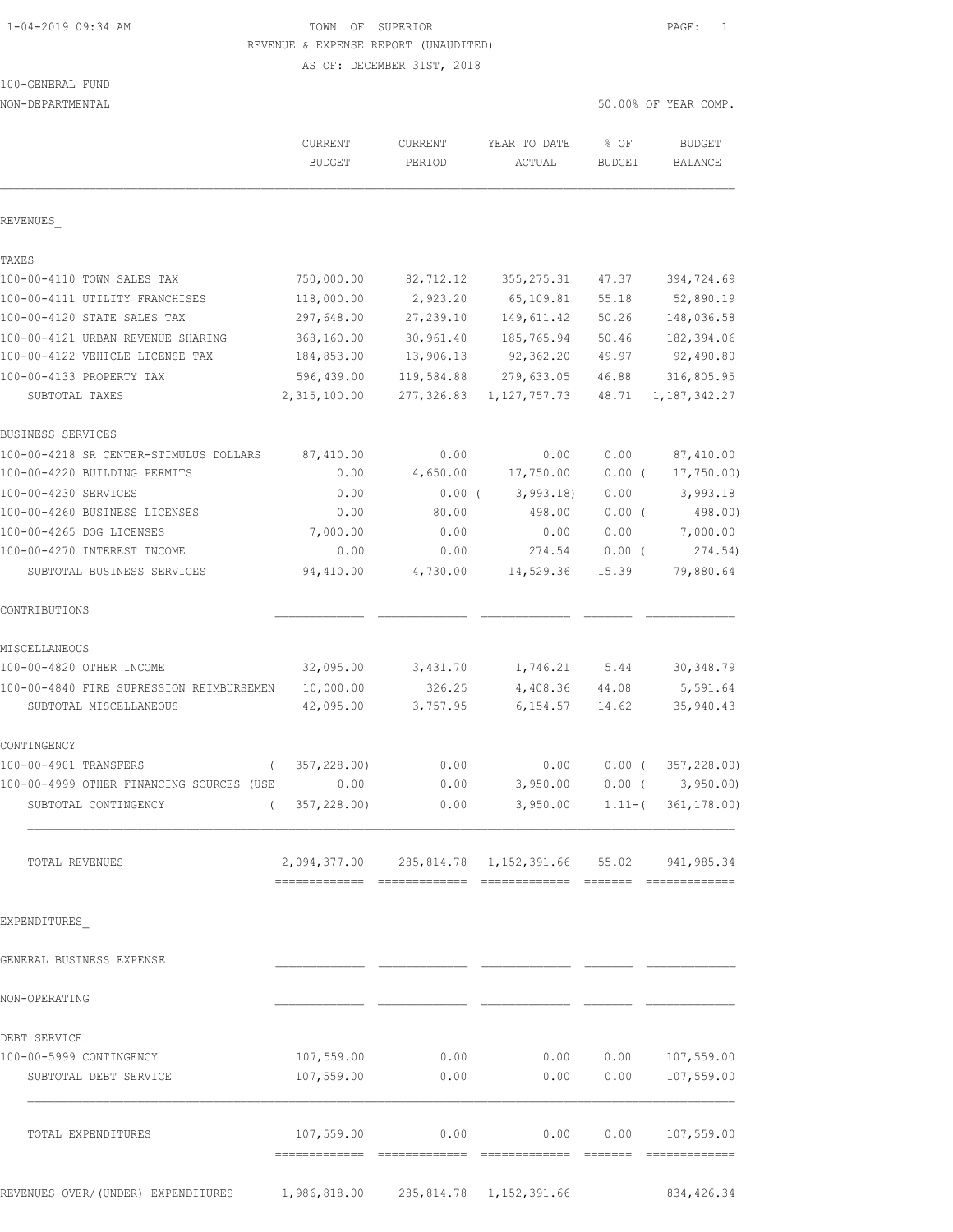# 1-04-2019 09:34 AM TOWN OF SUPERIOR PAGE: 1 REVENUE & EXPENSE REPORT (UNAUDITED)

AS OF: DECEMBER 31ST, 2018

|  | 100-GENERAL FUND |  |
|--|------------------|--|
|  |                  |  |

NON-DEPARTMENTAL 50.00% OF YEAR COMP.

|                                          | CURRENT<br><b>BUDGET</b>             | CURRENT<br>PERIOD | YEAR TO DATE<br>ACTUAL                                    | % OF<br><b>BUDGET</b> | <b>BUDGET</b><br>BALANCE   |
|------------------------------------------|--------------------------------------|-------------------|-----------------------------------------------------------|-----------------------|----------------------------|
|                                          |                                      |                   |                                                           |                       |                            |
| REVENUES                                 |                                      |                   |                                                           |                       |                            |
| TAXES                                    |                                      |                   |                                                           |                       |                            |
| 100-00-4110 TOWN SALES TAX               | 750,000.00                           | 82,712.12         | 355, 275.31                                               | 47.37                 | 394,724.69                 |
| 100-00-4111 UTILITY FRANCHISES           | 118,000.00                           | 2,923.20          | 65,109.81                                                 | 55.18                 | 52,890.19                  |
| 100-00-4120 STATE SALES TAX              | 297,648.00                           | 27,239.10         | 149,611.42                                                | 50.26                 | 148,036.58                 |
| 100-00-4121 URBAN REVENUE SHARING        | 368,160.00                           | 30,961.40         | 185,765.94                                                | 50.46                 | 182,394.06                 |
| 100-00-4122 VEHICLE LICENSE TAX          | 184,853.00                           | 13,906.13         | 92,362.20                                                 | 49.97                 | 92,490.80                  |
| 100-00-4133 PROPERTY TAX                 | 596,439.00                           | 119,584.88        | 279,633.05                                                | 46.88                 | 316,805.95                 |
| SUBTOTAL TAXES                           | 2,315,100.00                         | 277,326.83        | 1, 127, 757. 73                                           | 48.71                 | 1, 187, 342.27             |
| BUSINESS SERVICES                        |                                      |                   |                                                           |                       |                            |
| 100-00-4218 SR CENTER-STIMULUS DOLLARS   | 87,410.00                            | 0.00              | 0.00                                                      | 0.00                  | 87,410.00                  |
| 100-00-4220 BUILDING PERMITS             | 0.00                                 | 4,650.00          | 17,750.00                                                 | $0.00$ (              | 17,750.00                  |
| 100-00-4230 SERVICES                     | 0.00                                 | $0.00$ (          | 3,993.18                                                  | 0.00                  | 3,993.18                   |
| 100-00-4260 BUSINESS LICENSES            | 0.00                                 | 80.00             | 498.00                                                    | 0.00(                 | 498.00)                    |
| 100-00-4265 DOG LICENSES                 | 7,000.00                             | 0.00              | 0.00                                                      | 0.00                  | 7,000.00                   |
| 100-00-4270 INTEREST INCOME              | 0.00                                 | 0.00              | 274.54                                                    | $0.00$ (              | 274.54)                    |
| SUBTOTAL BUSINESS SERVICES               | 94,410.00                            | 4,730.00          | 14,529.36                                                 | 15.39                 | 79,880.64                  |
| CONTRIBUTIONS                            |                                      |                   |                                                           |                       |                            |
| MISCELLANEOUS                            |                                      |                   |                                                           |                       |                            |
| 100-00-4820 OTHER INCOME                 | 32,095.00                            | 3,431.70          | 1,746.21 5.44                                             |                       | 30, 348.79                 |
| 100-00-4840 FIRE SUPRESSION REIMBURSEMEN | 10,000.00                            | 326.25            | 4,408.36                                                  | 44.08                 | 5,591.64                   |
| SUBTOTAL MISCELLANEOUS                   | 42,095.00                            | 3,757.95          | 6,154.57                                                  | 14.62                 | 35,940.43                  |
| CONTINGENCY                              |                                      |                   |                                                           |                       |                            |
| 100-00-4901 TRANSFERS                    | 357,228.00)                          | 0.00              | 0.00                                                      | $0.00$ (              | 357,228.00)                |
| 100-00-4999 OTHER FINANCING SOURCES (USE | 0.00                                 | 0.00              | 3,950.00                                                  | $0.00$ (              | 3,950.00                   |
| SUBTOTAL CONTINGENCY<br>$\left($         | 357,228.00)                          | 0.00              | 3,950.00                                                  | $1.11-$ (             | 361, 178.00)               |
| TOTAL REVENUES                           |                                      |                   | 2,094,377.00  285,814.78  1,152,391.66  55.02  941,985.34 |                       |                            |
|                                          |                                      |                   |                                                           |                       |                            |
| EXPENDITURES                             |                                      |                   |                                                           |                       |                            |
| GENERAL BUSINESS EXPENSE                 |                                      |                   |                                                           |                       |                            |
| NON-OPERATING                            |                                      |                   |                                                           |                       |                            |
|                                          |                                      |                   |                                                           |                       |                            |
| DEBT SERVICE                             |                                      |                   |                                                           |                       |                            |
| 100-00-5999 CONTINGENCY                  | 107,559.00                           | 0.00              |                                                           |                       | $0.00$ $0.00$ $107,559.00$ |
| SUBTOTAL DEBT SERVICE                    | 107,559.00                           | 0.00              | 0.00                                                      | 0.00                  | 107,559.00                 |
| TOTAL EXPENDITURES                       |                                      |                   | $107,559.00$ 0.00 0.00 0.00 107,559.00                    |                       |                            |
|                                          |                                      |                   |                                                           |                       |                            |
| REVENUES OVER/(UNDER) EXPENDITURES       | 1,986,818.00 285,814.78 1,152,391.66 |                   |                                                           |                       | 834, 426.34                |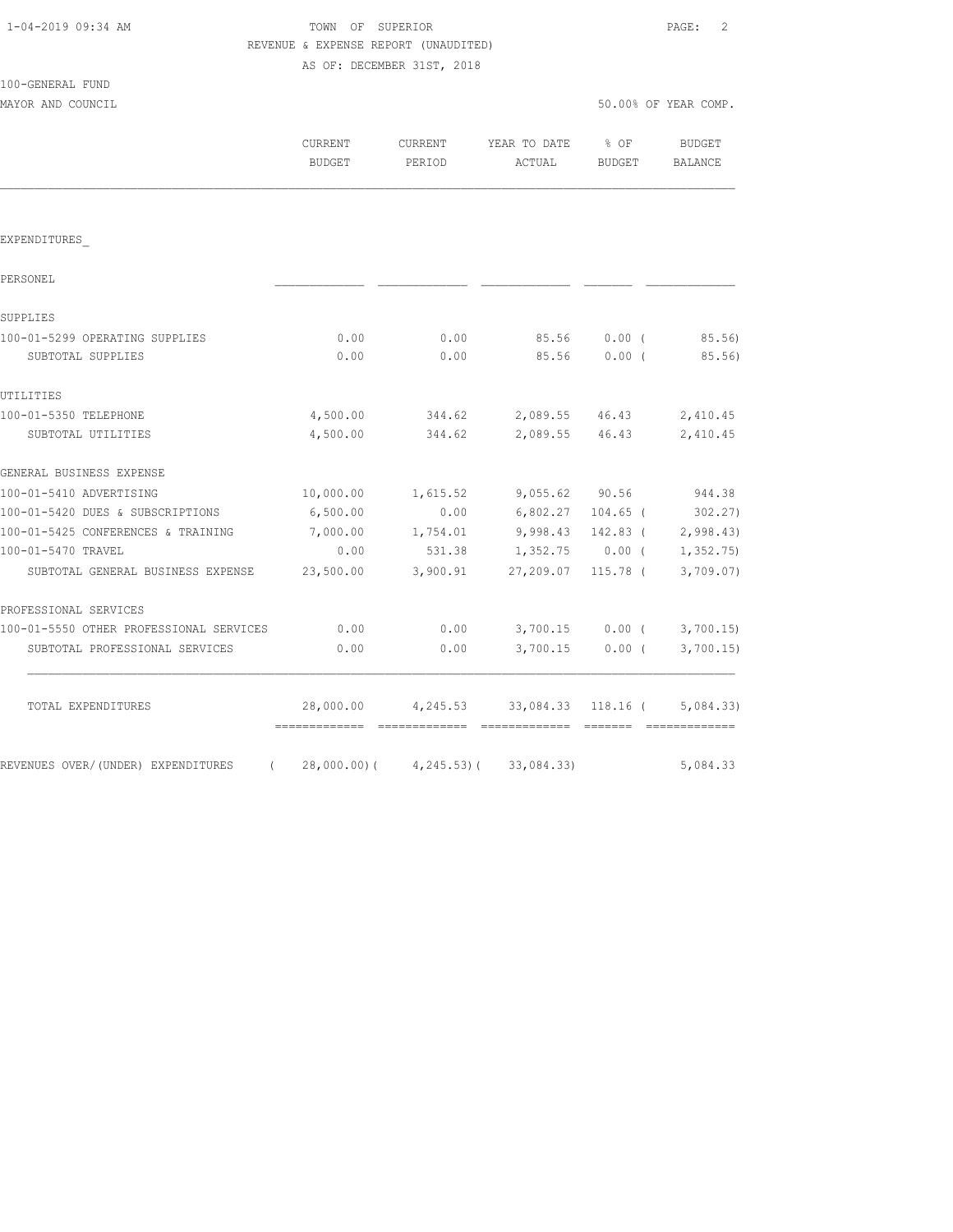TOWN OF SUPERIOR **PAGE:** 2 REVENUE & EXPENSE REPORT (UNAUDITED) AS OF: DECEMBER 31ST, 2018

| 100-GENERAL FUND                             |          |                    |                                                         |          |                      |
|----------------------------------------------|----------|--------------------|---------------------------------------------------------|----------|----------------------|
| MAYOR AND COUNCIL                            |          |                    |                                                         |          | 50.00% OF YEAR COMP. |
|                                              | CURRENT  |                    | CURRENT YEAR TO DATE % OF                               |          | BUDGET               |
|                                              | BUDGET   | PERIOD             | ACTUAL                                                  | BUDGET   | BALANCE              |
|                                              |          |                    |                                                         |          |                      |
| EXPENDITURES                                 |          |                    |                                                         |          |                      |
| PERSONEL                                     |          |                    |                                                         |          |                      |
| SUPPLIES                                     |          |                    |                                                         |          |                      |
| 100-01-5299 OPERATING SUPPLIES               | 0.00     |                    | $0.00$ 85.56 0.00 (85.56)                               |          |                      |
| SUBTOTAL SUPPLIES                            | 0.00     | 0.00               | 85.56                                                   |          | $0.00$ ( 85.56)      |
| UTILITIES                                    |          |                    |                                                         |          |                      |
| 100-01-5350 TELEPHONE                        |          |                    | 4,500.00 344.62 2,089.55 46.43 2,410.45                 |          |                      |
| SUBTOTAL UTILITIES                           |          |                    | 4,500.00 344.62 2,089.55 46.43                          |          | 2,410.45             |
| GENERAL BUSINESS EXPENSE                     |          |                    |                                                         |          |                      |
| 100-01-5410 ADVERTISING                      |          |                    | 10,000.00  1,615.52  9,055.62  90.56  944.38            |          |                      |
| 100-01-5420 DUES & SUBSCRIPTIONS             | 6,500.00 |                    | $0.00$ 6,802.27 104.65 (302.27)                         |          |                      |
| 100-01-5425 CONFERENCES & TRAINING           |          |                    | 7,000.00   1,754.01   9,998.43   142.83   (   2,998.43) |          |                      |
| 100-01-5470 TRAVEL                           | 0.00     |                    | 531.38 1,352.75 0.00 ( 1,352.75)                        |          |                      |
| SUBTOTAL GENERAL BUSINESS EXPENSE            |          | 23,500.00 3,900.91 | 27,209.07                                               | 115.78 ( | 3,709.07)            |
| PROFESSIONAL SERVICES                        |          |                    |                                                         |          |                      |
| 100-01-5550 OTHER PROFESSIONAL SERVICES 0.00 |          |                    | $0.00$ $3,700.15$ $0.00$ ( $3,700.15$ )                 |          |                      |
| SUBTOTAL PROFESSIONAL SERVICES               | 0.00     | 0.00               | 3,700.15                                                | $0.00$ ( | 3,700.15             |

TOTAL EXPENDITURES 28,000.00 4,245.53 33,084.33 118.16 ( 5,084.33)

REVENUES OVER/(UNDER) EXPENDITURES ( 28,000.00)( 4,245.53)( 33,084.33) 5,084.33

============= ============= ============= ======= =============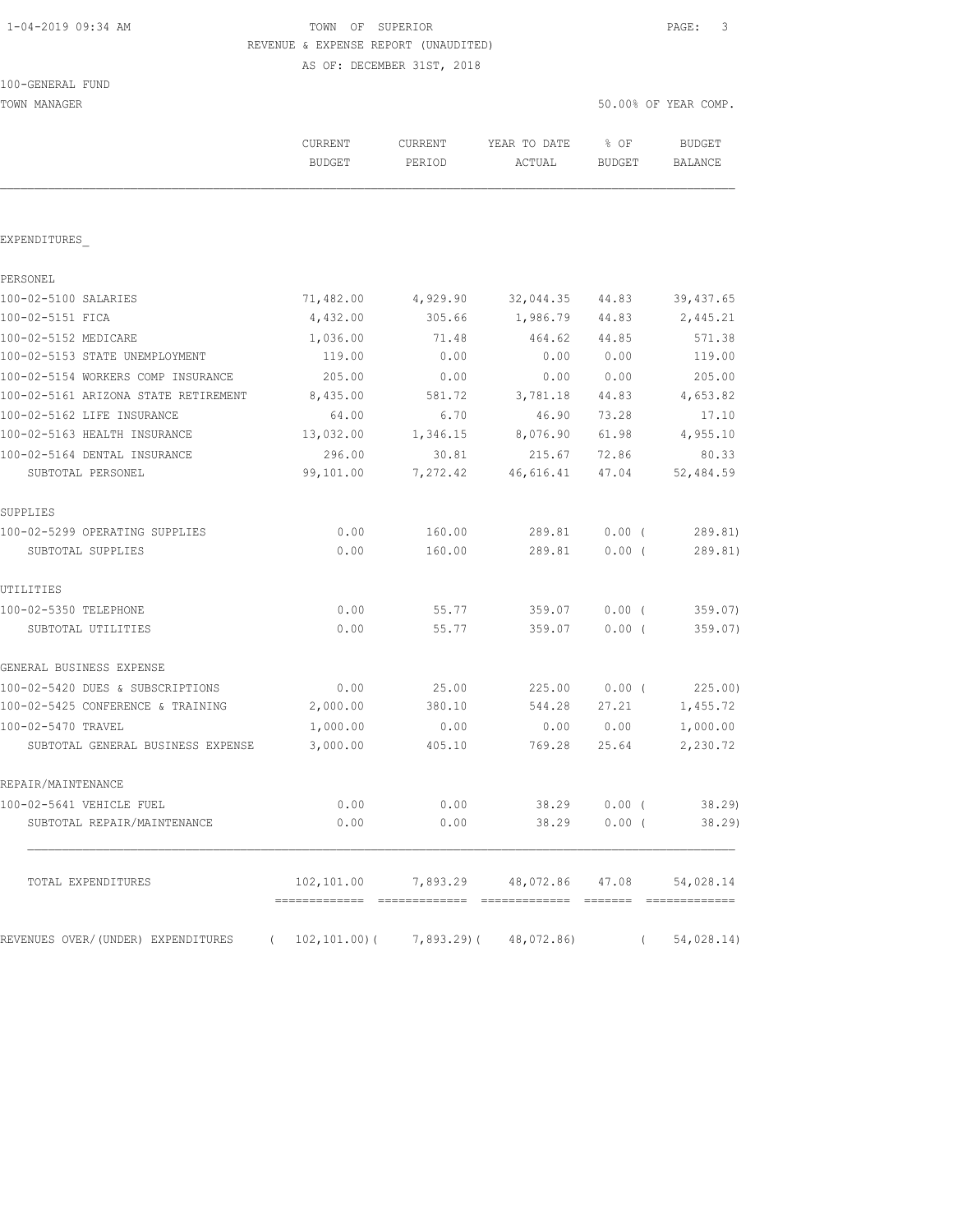### 1-04-2019 09:34 AM TOWN OF SUPERIOR PAGE: 3 REVENUE & EXPENSE REPORT (UNAUDITED) AS OF: DECEMBER 31ST, 2018

TOWN MANAGER 50.00% OF YEAR COMP.

|                                                                      | CURRENT<br><b>BUDGET</b> | <b>CURRENT</b><br>PERIOD | YEAR TO DATE<br><b>ACTUAL</b>       | % OF<br><b>BUDGET</b> | <b>BUDGET</b><br><b>BALANCE</b> |
|----------------------------------------------------------------------|--------------------------|--------------------------|-------------------------------------|-----------------------|---------------------------------|
| EXPENDITURES                                                         |                          |                          |                                     |                       |                                 |
| PERSONEL                                                             |                          |                          |                                     |                       |                                 |
| 100-02-5100 SALARIES                                                 | 71,482.00                | 4,929.90                 | 32,044.35                           | 44.83                 | 39, 437.65                      |
| 100-02-5151 FICA                                                     | 4,432.00                 | 305.66                   | 1,986.79                            | 44.83                 | 2,445.21                        |
| 100-02-5152 MEDICARE                                                 | 1,036.00                 | 71.48                    | 464.62                              | 44.85                 | 571.38                          |
| 100-02-5153 STATE UNEMPLOYMENT                                       | 119.00                   | 0.00                     | 0.00                                | 0.00                  | 119.00                          |
| 100-02-5154 WORKERS COMP INSURANCE                                   | 205.00                   | 0.00                     | 0.00                                | 0.00                  | 205.00                          |
| 100-02-5161 ARIZONA STATE RETIREMENT                                 | 8,435.00                 | 581.72                   | 3,781.18                            | 44.83                 | 4,653.82                        |
| 100-02-5162 LIFE INSURANCE                                           | 64.00                    | 6.70                     | 46.90                               | 73.28                 | 17.10                           |
| 100-02-5163 HEALTH INSURANCE                                         | 13,032.00                | 1,346.15                 | 8,076.90                            | 61.98                 | 4,955.10                        |
| 100-02-5164 DENTAL INSURANCE                                         | 296.00                   | 30.81                    | 215.67                              | 72.86                 | 80.33                           |
| SUBTOTAL PERSONEL                                                    | 99,101.00                | 7,272.42                 | 46,616.41                           | 47.04                 | 52,484.59                       |
| SUPPLIES                                                             |                          |                          |                                     |                       |                                 |
| 100-02-5299 OPERATING SUPPLIES                                       | 0.00                     | 160.00                   | 289.81                              | $0.00$ (              | 289.81)                         |
| SUBTOTAL SUPPLIES                                                    | 0.00                     | 160.00                   | 289.81                              | $0.00$ (              | 289.81)                         |
| UTILITIES                                                            |                          |                          |                                     |                       |                                 |
| 100-02-5350 TELEPHONE                                                | 0.00                     | 55.77                    | 359.07                              | $0.00$ (              | 359.07)                         |
| SUBTOTAL UTILITIES                                                   | 0.00                     | 55.77                    | 359.07                              | 0.00(                 | 359.07)                         |
| GENERAL BUSINESS EXPENSE                                             |                          |                          |                                     |                       |                                 |
| 100-02-5420 DUES & SUBSCRIPTIONS                                     | 0.00                     | 25.00                    | 225.00                              | 0.00(                 | 225.00)                         |
| 100-02-5425 CONFERENCE & TRAINING                                    | 2,000.00                 | 380.10                   | 544.28                              | 27.21                 | 1,455.72                        |
| 100-02-5470 TRAVEL                                                   | 1,000.00                 | 0.00                     | 0.00                                | 0.00                  | 1,000.00                        |
| SUBTOTAL GENERAL BUSINESS EXPENSE                                    | 3,000.00                 | 405.10                   | 769.28                              | 25.64                 | 2,230.72                        |
| REPAIR/MAINTENANCE                                                   |                          |                          |                                     |                       |                                 |
| 100-02-5641 VEHICLE FUEL                                             | 0.00                     | 0.00                     | 38.29                               | 0.00(                 | 38.29                           |
| SUBTOTAL REPAIR/MAINTENANCE                                          | 0.00                     | 0.00                     | 38.29                               | 0.00(                 | 38.29                           |
| TOTAL EXPENDITURES                                                   |                          |                          | 102,101.00 7,893.29 48,072.86 47.08 |                       | 54,028.14                       |
| REVENUES OVER/(UNDER) EXPENDITURES (102,101.00)(7,893.29)(48,072.86) |                          |                          |                                     | $\left($              | 54,028.14)                      |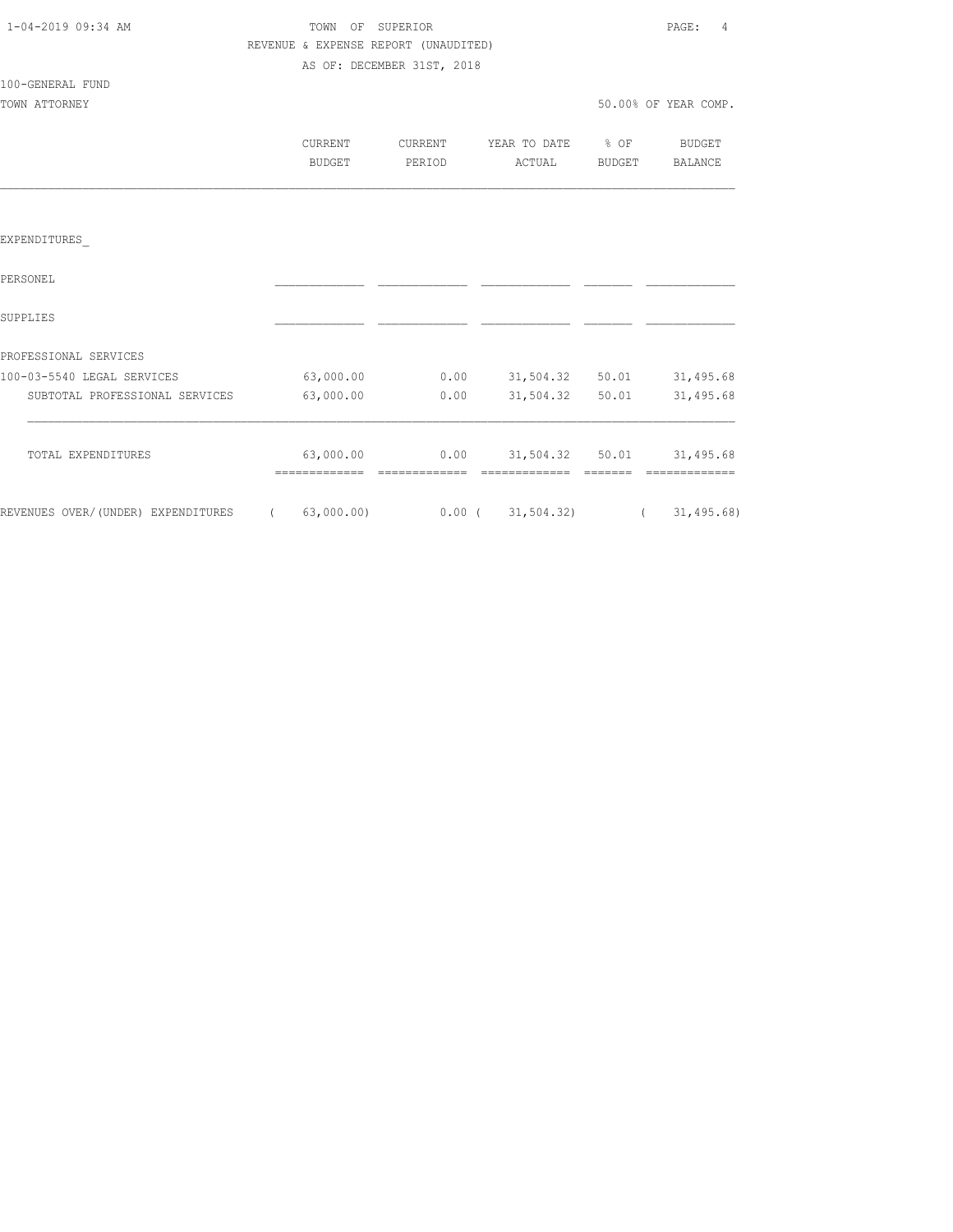| 1-04-2019 09:34 AM |  |
|--------------------|--|
|                    |  |

### TOWN OF SUPERIOR **PAGE:** 4 REVENUE & EXPENSE REPORT (UNAUDITED) AS OF: DECEMBER 31ST, 2018

100-GENERAL FUND

TOWN ATTORNEY SO UP A SERIES OF THE SOLUTION OF THE SOLUTION OF THE SOLUTION OF THE SOLUTION OF THE SOLUTION OF THE SOLUTION OF THE SOLUTION OF THE SOLUTION OF THE SOLUTION OF THE SOLUTION OF THE SOLUTION OF THE SOLUTION O

| CURRENT | TIRRENT.  | YEAR TO DATE | % OF          | <b>BUDGET</b> |
|---------|-----------|--------------|---------------|---------------|
| BUDGET  | ח∩ד סים ס | ACTUAL       | <b>BUDGET</b> | RALANCE       |

### EXPENDITURES\_

| PERSONEL                           |            |          |             |       |              |
|------------------------------------|------------|----------|-------------|-------|--------------|
| SUPPLIES                           |            |          |             |       |              |
| PROFESSIONAL SERVICES              |            |          |             |       |              |
| 100-03-5540 LEGAL SERVICES         | 63,000.00  | 0.00     | 31,504.32   | 50.01 | 31,495.68    |
| SUBTOTAL PROFESSIONAL SERVICES     | 63,000.00  | 0.00     | 31,504.32   | 50.01 | 31,495.68    |
| TOTAL EXPENDITURES                 | 63,000.00  | 0.00     | 31,504.32   | 50.01 | 31,495.68    |
| REVENUES OVER/(UNDER) EXPENDITURES | 63,000.00) | $0.00$ ( | 31, 504.32) |       | 31, 495, 68) |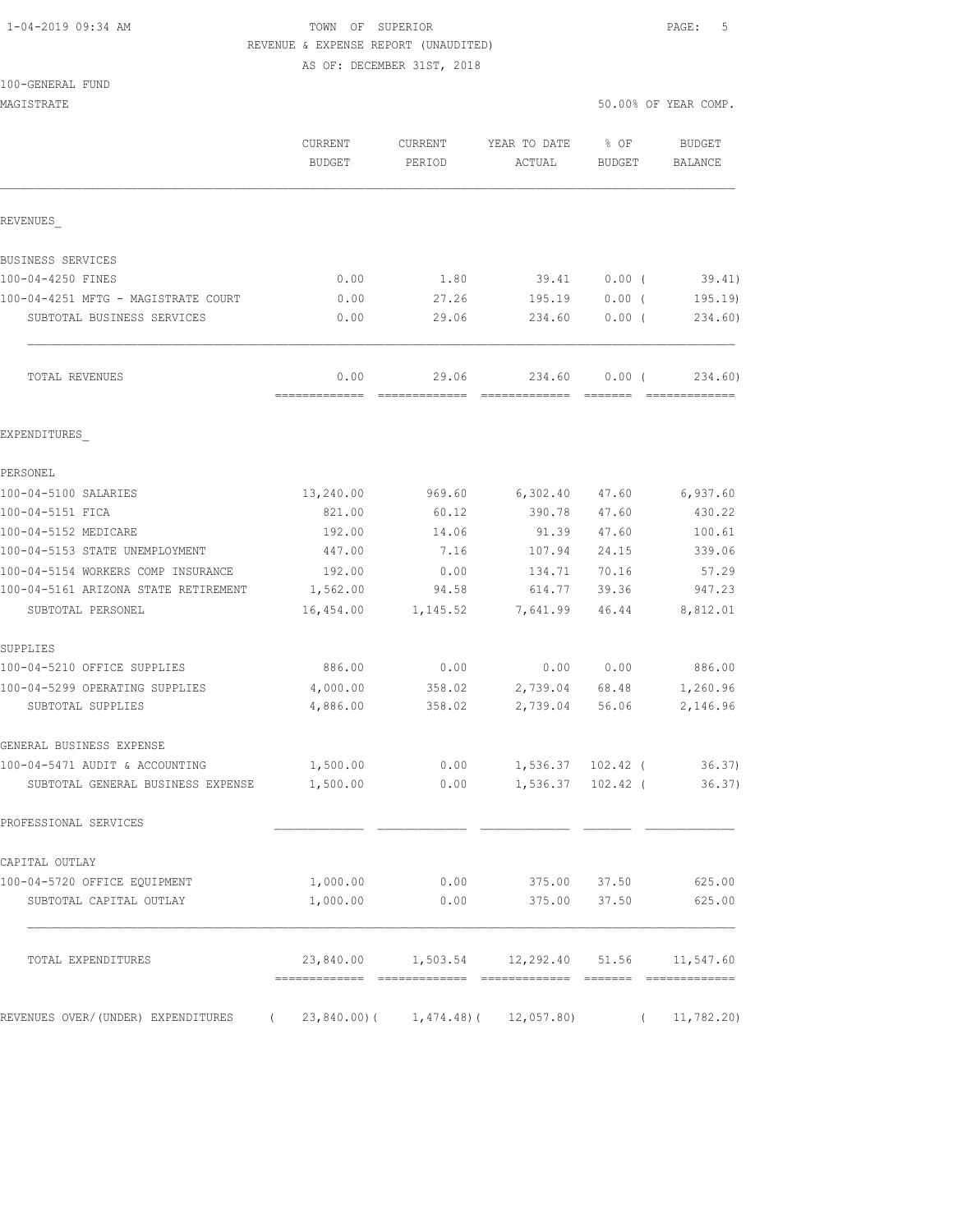## 1-04-2019 09:34 AM TOWN OF SUPERIOR PAGE: 5 REVENUE & EXPENSE REPORT (UNAUDITED)

AS OF: DECEMBER 31ST, 2018

#### 100-GENERAL FUND

| MAGISTRATE                                                          |                          |                        |                                                      | 50.00% OF YEAR COMP. |                                                                                                                                                                                                                                                                                                                                                                                                                                                                                                   |  |
|---------------------------------------------------------------------|--------------------------|------------------------|------------------------------------------------------|----------------------|---------------------------------------------------------------------------------------------------------------------------------------------------------------------------------------------------------------------------------------------------------------------------------------------------------------------------------------------------------------------------------------------------------------------------------------------------------------------------------------------------|--|
|                                                                     | <b>CURRENT</b><br>BUDGET | CURRENT<br>PERIOD      | YEAR TO DATE<br>ACTUAL                               | % OF<br>BUDGET       | <b>BUDGET</b><br>BALANCE                                                                                                                                                                                                                                                                                                                                                                                                                                                                          |  |
| REVENUES                                                            |                          |                        |                                                      |                      |                                                                                                                                                                                                                                                                                                                                                                                                                                                                                                   |  |
| BUSINESS SERVICES                                                   |                          |                        |                                                      |                      |                                                                                                                                                                                                                                                                                                                                                                                                                                                                                                   |  |
| 100-04-4250 FINES                                                   | 0.00                     | 1.80                   | 39.41                                                | $0.00$ (             | 39.41)                                                                                                                                                                                                                                                                                                                                                                                                                                                                                            |  |
| 100-04-4251 MFTG - MAGISTRATE COURT                                 | 0.00                     | 27.26                  | 195.19                                               | $0.00$ (             | 195.19                                                                                                                                                                                                                                                                                                                                                                                                                                                                                            |  |
| SUBTOTAL BUSINESS SERVICES                                          | 0.00                     | 29.06                  | 234.60                                               | 0.00(                | 234.60)                                                                                                                                                                                                                                                                                                                                                                                                                                                                                           |  |
| TOTAL REVENUES                                                      | 0.00<br>=============    | 29.06<br>============= | 234.60<br>========================                   | $0.00$ (             | 234.60)<br>$\begin{array}{cccccccccccccc} \multicolumn{2}{c}{} & \multicolumn{2}{c}{} & \multicolumn{2}{c}{} & \multicolumn{2}{c}{} & \multicolumn{2}{c}{} & \multicolumn{2}{c}{} & \multicolumn{2}{c}{} & \multicolumn{2}{c}{} & \multicolumn{2}{c}{} & \multicolumn{2}{c}{} & \multicolumn{2}{c}{} & \multicolumn{2}{c}{} & \multicolumn{2}{c}{} & \multicolumn{2}{c}{} & \multicolumn{2}{c}{} & \multicolumn{2}{c}{} & \multicolumn{2}{c}{} & \multicolumn{2}{c}{} & \multicolumn{2}{c}{} & \$ |  |
| EXPENDITURES                                                        |                          |                        |                                                      |                      |                                                                                                                                                                                                                                                                                                                                                                                                                                                                                                   |  |
| PERSONEL                                                            |                          |                        |                                                      |                      |                                                                                                                                                                                                                                                                                                                                                                                                                                                                                                   |  |
| 100-04-5100 SALARIES                                                | 13,240.00                | 969.60                 | 6,302.40                                             | 47.60                | 6,937.60                                                                                                                                                                                                                                                                                                                                                                                                                                                                                          |  |
| 100-04-5151 FICA                                                    | 821.00                   | 60.12                  | 390.78                                               | 47.60                | 430.22                                                                                                                                                                                                                                                                                                                                                                                                                                                                                            |  |
| 100-04-5152 MEDICARE                                                | 192.00                   | 14.06                  | 91.39                                                | 47.60                | 100.61                                                                                                                                                                                                                                                                                                                                                                                                                                                                                            |  |
| 100-04-5153 STATE UNEMPLOYMENT                                      | 447.00                   | 7.16                   | 107.94                                               | 24.15                | 339.06                                                                                                                                                                                                                                                                                                                                                                                                                                                                                            |  |
| 100-04-5154 WORKERS COMP INSURANCE                                  | 192.00                   | 0.00                   | 134.71                                               | 70.16                | 57.29                                                                                                                                                                                                                                                                                                                                                                                                                                                                                             |  |
| 100-04-5161 ARIZONA STATE RETIREMENT                                | 1,562.00                 | 94.58                  | 614.77                                               | 39.36                | 947.23                                                                                                                                                                                                                                                                                                                                                                                                                                                                                            |  |
| SUBTOTAL PERSONEL                                                   | 16,454.00                | 1,145.52               | 7,641.99                                             | 46.44                | 8,812.01                                                                                                                                                                                                                                                                                                                                                                                                                                                                                          |  |
| SUPPLIES                                                            |                          |                        |                                                      |                      |                                                                                                                                                                                                                                                                                                                                                                                                                                                                                                   |  |
| 100-04-5210 OFFICE SUPPLIES                                         | 886.00                   | 0.00                   | 0.00                                                 | 0.00                 | 886.00                                                                                                                                                                                                                                                                                                                                                                                                                                                                                            |  |
| 100-04-5299 OPERATING SUPPLIES                                      | 4,000.00                 | 358.02                 | 2,739.04                                             | 68.48                | 1,260.96                                                                                                                                                                                                                                                                                                                                                                                                                                                                                          |  |
| SUBTOTAL SUPPLIES                                                   | 4,886.00                 | 358.02                 | 2,739.04                                             | 56.06                | 2,146.96                                                                                                                                                                                                                                                                                                                                                                                                                                                                                          |  |
| GENERAL BUSINESS EXPENSE                                            |                          |                        |                                                      |                      |                                                                                                                                                                                                                                                                                                                                                                                                                                                                                                   |  |
| 100-04-5471 AUDIT & ACCOUNTING                                      | 1,500.00                 | 0.00                   | 1,536.37 102.42 (                                    |                      | 36.37)                                                                                                                                                                                                                                                                                                                                                                                                                                                                                            |  |
| SUBTOTAL GENERAL BUSINESS EXPENSE                                   | 1,500.00                 | 0.00                   | 1,536.37                                             | $102.42$ (           | 36.37)                                                                                                                                                                                                                                                                                                                                                                                                                                                                                            |  |
| PROFESSIONAL SERVICES                                               |                          |                        |                                                      |                      |                                                                                                                                                                                                                                                                                                                                                                                                                                                                                                   |  |
| CAPITAL OUTLAY                                                      |                          |                        |                                                      |                      |                                                                                                                                                                                                                                                                                                                                                                                                                                                                                                   |  |
| 100-04-5720 OFFICE EQUIPMENT                                        | 1,000.00                 | 0.00                   | 375.00 37.50                                         |                      | 625.00                                                                                                                                                                                                                                                                                                                                                                                                                                                                                            |  |
| SUBTOTAL CAPITAL OUTLAY                                             | 1,000.00                 | 0.00                   | 375.00 37.50                                         |                      | 625.00                                                                                                                                                                                                                                                                                                                                                                                                                                                                                            |  |
| TOTAL EXPENDITURES                                                  |                          |                        | 23,840.00   1,503.54   12,292.40   51.56   11,547.60 |                      |                                                                                                                                                                                                                                                                                                                                                                                                                                                                                                   |  |
| REVENUES OVER/(UNDER) EXPENDITURES (23,840.00)(1,474.48)(12,057.80) |                          |                        |                                                      |                      | (11, 782.20)                                                                                                                                                                                                                                                                                                                                                                                                                                                                                      |  |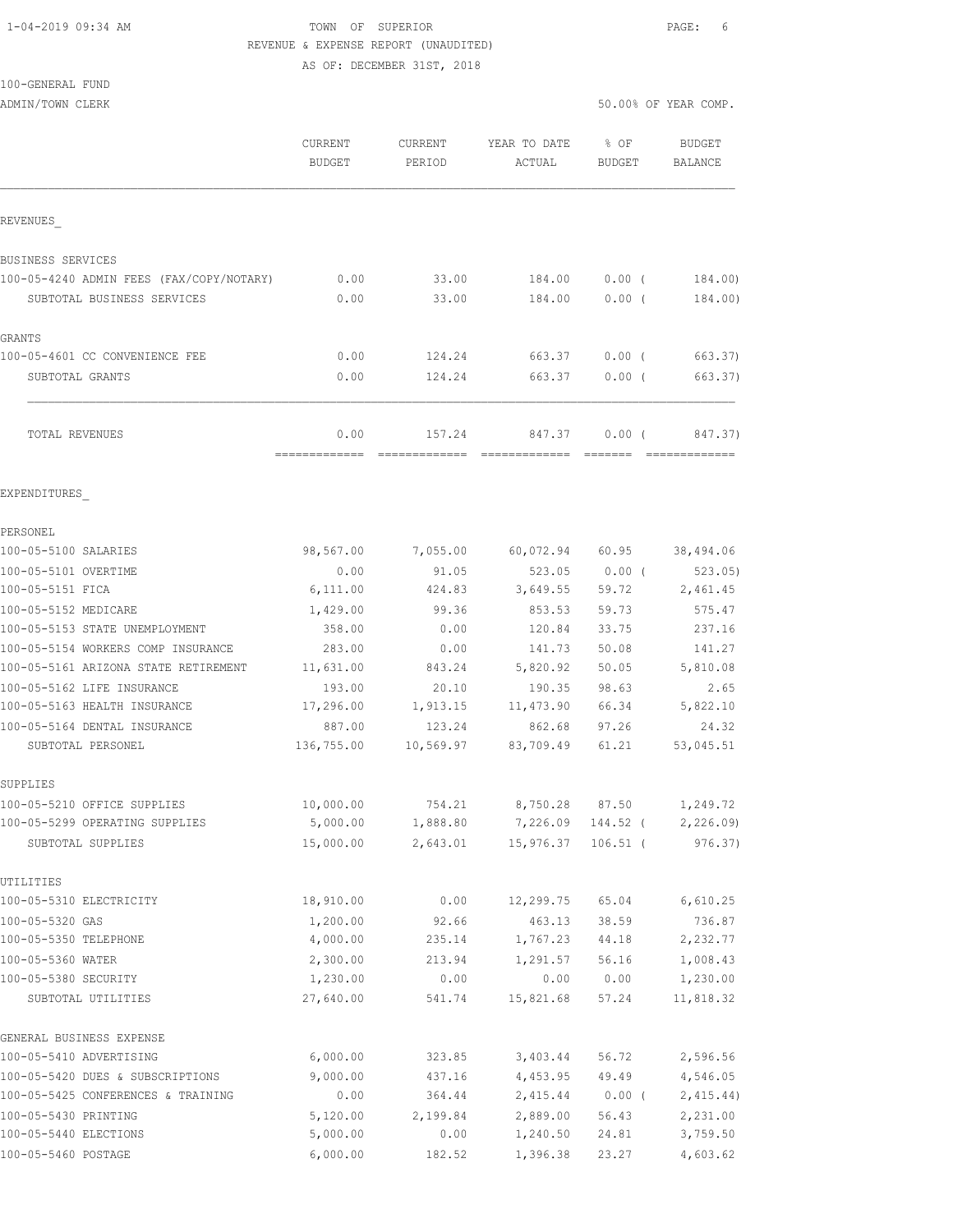# 1-04-2019 09:34 AM TOWN OF SUPERIOR PAGE: 6 REVENUE & EXPENSE REPORT (UNAUDITED)

AS OF: DECEMBER 31ST, 2018

## 100-GENERAL FUND

ADMIN/TOWN CLERK 50.00% OF YEAR COMP.

|                                                             | CURRENT<br><b>BUDGET</b> | CURRENT<br>PERIOD | YEAR TO DATE<br>ACTUAL | % OF<br><b>BUDGET</b> | <b>BUDGET</b><br>BALANCE |
|-------------------------------------------------------------|--------------------------|-------------------|------------------------|-----------------------|--------------------------|
| REVENUES                                                    |                          |                   |                        |                       |                          |
| BUSINESS SERVICES                                           |                          |                   |                        |                       |                          |
| 100-05-4240 ADMIN FEES (FAX/COPY/NOTARY)                    | 0.00                     | 33.00             | 184.00                 | $0.00$ (              | 184.00)                  |
| SUBTOTAL BUSINESS SERVICES                                  | 0.00                     | 33.00             | 184.00                 | $0.00$ (              | 184.00)                  |
| GRANTS                                                      |                          |                   |                        |                       |                          |
| 100-05-4601 CC CONVENIENCE FEE                              | 0.00                     | 124.24            | 663.37                 | $0.00$ (              | 663.37)                  |
| SUBTOTAL GRANTS                                             | 0.00                     | 124.24            | 663.37                 | 0.00(                 | 663.37)                  |
| TOTAL REVENUES                                              | 0.00                     | 157.24            | 847.37                 | 0.00(                 | 847.37)                  |
| EXPENDITURES                                                |                          |                   |                        |                       |                          |
| PERSONEL                                                    |                          |                   |                        |                       |                          |
| 100-05-5100 SALARIES                                        | 98,567.00                | 7,055.00          |                        | 60,072.94 60.95       | 38,494.06                |
| 100-05-5101 OVERTIME                                        | 0.00                     | 91.05             | 523.05                 | $0.00$ (              | 523.05                   |
| 100-05-5151 FICA                                            | 6,111.00                 | 424.83            | 3,649.55               | 59.72                 | 2,461.45                 |
| 100-05-5152 MEDICARE                                        | 1,429.00                 | 99.36             | 853.53                 | 59.73                 | 575.47                   |
| 100-05-5153 STATE UNEMPLOYMENT                              | 358.00                   | 0.00              | 120.84                 | 33.75                 | 237.16                   |
| 100-05-5154 WORKERS COMP INSURANCE                          | 283.00                   | 0.00              | 141.73                 | 50.08                 | 141.27                   |
| 100-05-5161 ARIZONA STATE RETIREMENT                        | 11,631.00                | 843.24            | 5,820.92               | 50.05                 | 5,810.08                 |
| 100-05-5162 LIFE INSURANCE                                  | 193.00                   | 20.10             | 190.35                 | 98.63                 | 2.65                     |
| 100-05-5163 HEALTH INSURANCE                                | 17,296.00                | 1,913.15          | 11,473.90              | 66.34                 | 5,822.10                 |
| 100-05-5164 DENTAL INSURANCE                                | 887.00                   | 123.24            | 862.68                 | 97.26                 | 24.32                    |
| SUBTOTAL PERSONEL                                           | 136,755.00               | 10,569.97         | 83,709.49              | 61.21                 | 53,045.51                |
| SUPPLIES                                                    |                          |                   |                        |                       |                          |
| 100-05-5210 OFFICE SUPPLIES                                 | 10,000.00                | 754.21            | 8,750.28               | 87.50                 | 1,249.72                 |
| 100-05-5299 OPERATING SUPPLIES                              | 5,000.00                 | 1,888.80          |                        | 7,226.09 144.52 (     | 2,226.09)                |
| SUBTOTAL SUPPLIES                                           | 15,000.00                | 2,643.01          |                        | 15,976.37 106.51 (    | 976.37)                  |
| UTILITIES                                                   |                          |                   |                        |                       |                          |
| 100-05-5310 ELECTRICITY                                     | 18,910.00                | 0.00              | 12,299.75              | 65.04                 | 6,610.25                 |
| 100-05-5320 GAS                                             | 1,200.00                 | 92.66             | 463.13                 | 38.59                 | 736.87<br>2,232.77       |
| 100-05-5350 TELEPHONE                                       | 4,000.00                 | 235.14            | 1,767.23<br>1,291.57   | 44.18                 |                          |
| 100-05-5360 WATER<br>100-05-5380 SECURITY                   | 2,300.00<br>1,230.00     | 213.94<br>0.00    | 0.00                   | 56.16<br>0.00         | 1,008.43<br>1,230.00     |
| SUBTOTAL UTILITIES                                          | 27,640.00                | 541.74            | 15,821.68              | 57.24                 | 11,818.32                |
|                                                             |                          |                   |                        |                       |                          |
| GENERAL BUSINESS EXPENSE                                    |                          |                   |                        |                       |                          |
| 100-05-5410 ADVERTISING<br>100-05-5420 DUES & SUBSCRIPTIONS | 6,000.00<br>9,000.00     | 323.85<br>437.16  | 3,403.44<br>4,453.95   | 56.72<br>49.49        | 2,596.56<br>4,546.05     |
| 100-05-5425 CONFERENCES & TRAINING                          | 0.00                     | 364.44            | 2,415.44               | $0.00$ (              | 2,415.44)                |
| 100-05-5430 PRINTING                                        | 5,120.00                 | 2,199.84          | 2,889.00               | 56.43                 | 2,231.00                 |
| 100-05-5440 ELECTIONS                                       | 5,000.00                 | 0.00              | 1,240.50               | 24.81                 | 3,759.50                 |
| 100-05-5460 POSTAGE                                         | 6,000.00                 | 182.52            | 1,396.38               | 23.27                 | 4,603.62                 |
|                                                             |                          |                   |                        |                       |                          |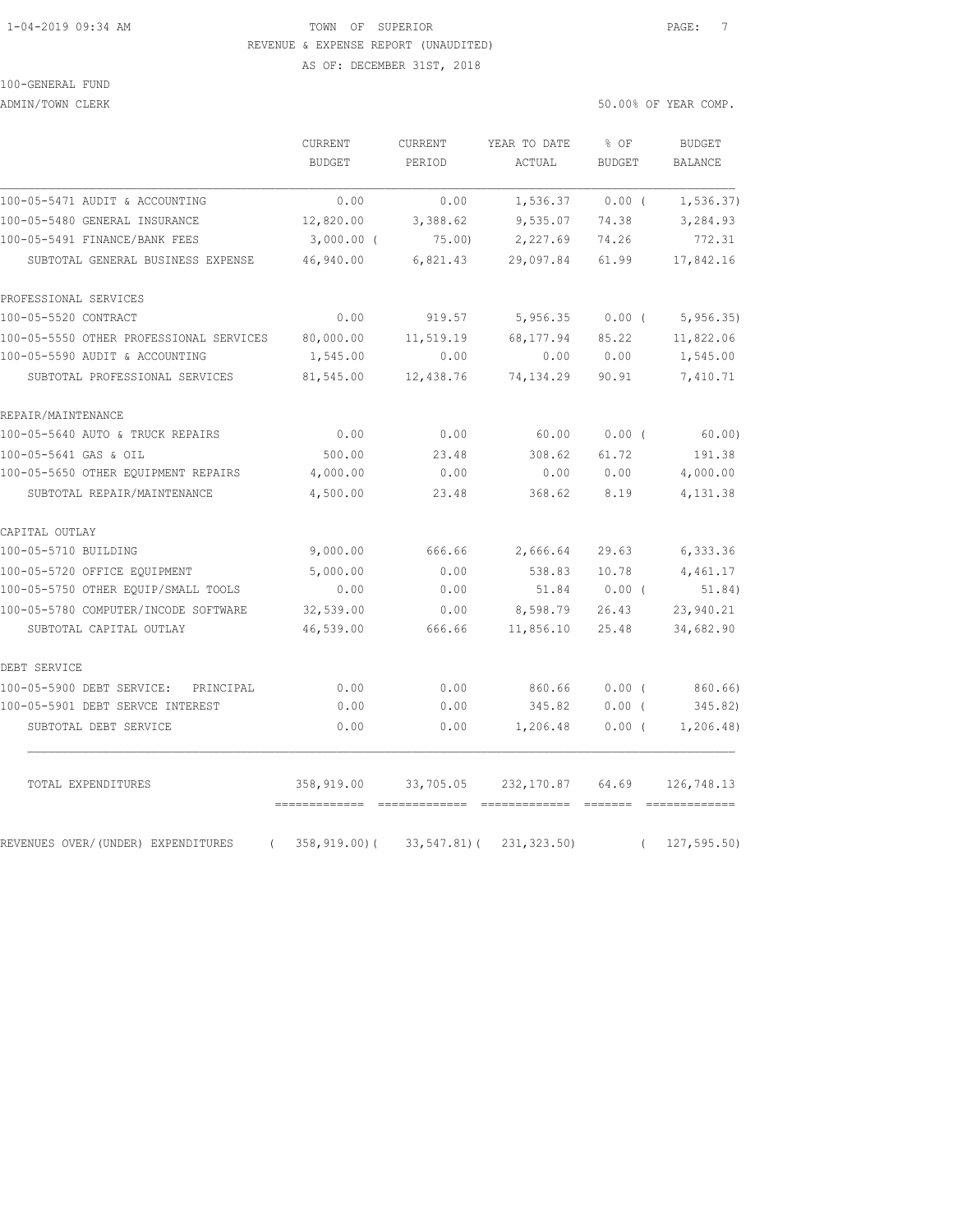### 1-04-2019 09:34 AM TOWN OF SUPERIOR PAGE: 7 REVENUE & EXPENSE REPORT (UNAUDITED) AS OF: DECEMBER 31ST, 2018

100-GENERAL FUND

ADMIN/TOWN CLERK 50.00% OF YEAR COMP.

|                                                | CURRENT<br><b>BUDGET</b> | CURRENT<br>PERIOD | YEAR TO DATE<br>ACTUAL | % OF<br><b>BUDGET</b> |            | <b>BUDGET</b><br>BALANCE |
|------------------------------------------------|--------------------------|-------------------|------------------------|-----------------------|------------|--------------------------|
| 100-05-5471 AUDIT & ACCOUNTING                 | 0.00                     | 0.00              | 1,536.37               | $0.00$ (              |            | 1, 536.37)               |
| 100-05-5480 GENERAL INSURANCE                  | 12,820.00                | 3,388.62          | 9,535.07               | 74.38                 |            | 3,284.93                 |
| 100-05-5491 FINANCE/BANK FEES                  | $3,000.00$ (             | 75.00)            | 2,227.69               | 74.26                 |            | 772.31                   |
| SUBTOTAL GENERAL BUSINESS EXPENSE              | 46,940.00                | 6,821.43          | 29,097.84              | 61.99                 |            | 17,842.16                |
| PROFESSIONAL SERVICES                          |                          |                   |                        |                       |            |                          |
| 100-05-5520 CONTRACT                           | 0.00                     | 919.57            | 5,956.35               | 0.00(                 |            | 5,956.35                 |
| 100-05-5550 OTHER PROFESSIONAL SERVICES        | 80,000.00                | 11,519.19         | 68,177.94              | 85.22                 |            | 11,822.06                |
| 100-05-5590 AUDIT & ACCOUNTING                 | 1,545.00                 | 0.00              | 0.00                   | 0.00                  |            | 1,545.00                 |
| SUBTOTAL PROFESSIONAL SERVICES                 | 81,545.00                | 12,438.76         | 74, 134.29             | 90.91                 |            | 7,410.71                 |
| REPAIR/MAINTENANCE                             |                          |                   |                        |                       |            |                          |
| 100-05-5640 AUTO & TRUCK REPAIRS               | 0.00                     | 0.00              | 60.00                  | $0.00$ (              |            | 60.00)                   |
| 100-05-5641 GAS & OIL                          | 500.00                   | 23.48             | 308.62                 | 61.72                 |            | 191.38                   |
| 100-05-5650 OTHER EQUIPMENT REPAIRS            | 4,000.00                 | 0.00              | 0.00                   | 0.00                  |            | 4,000.00                 |
| SUBTOTAL REPAIR/MAINTENANCE                    | 4,500.00                 | 23.48             | 368.62                 | 8.19                  |            | 4,131.38                 |
| CAPITAL OUTLAY                                 |                          |                   |                        |                       |            |                          |
| 100-05-5710 BUILDING                           | 9,000.00                 | 666.66            | 2,666.64               | 29.63                 |            | 6,333.36                 |
| 100-05-5720 OFFICE EQUIPMENT                   | 5,000.00                 | 0.00              | 538.83                 | 10.78                 |            | 4,461.17                 |
| 100-05-5750 OTHER EQUIP/SMALL TOOLS            | 0.00                     | 0.00              | 51.84                  | $0.00$ (              |            | 51.84)                   |
| 100-05-5780 COMPUTER/INCODE SOFTWARE           | 32,539.00                | 0.00              | 8,598.79               | 26.43                 |            | 23,940.21                |
| SUBTOTAL CAPITAL OUTLAY                        | 46,539.00                | 666.66            | 11,856.10              | 25.48                 |            | 34,682.90                |
| DEBT SERVICE                                   |                          |                   |                        |                       |            |                          |
| 100-05-5900 DEBT SERVICE:<br>PRINCIPAL         | 0.00                     | 0.00              | 860.66                 | $0.00$ (              |            | 860.66)                  |
| 100-05-5901 DEBT SERVCE INTEREST               | 0.00                     | 0.00              | 345.82                 | $0.00$ (              |            | 345.82)                  |
| SUBTOTAL DEBT SERVICE                          | 0.00                     | 0.00              | 1,206.48               | $0.00$ (              |            | 1, 206.48                |
| TOTAL EXPENDITURES                             | 358,919.00               | 33,705.05         | 232,170.87             | 64.69                 |            | 126,748.13               |
| REVENUES OVER/(UNDER) EXPENDITURES<br>$\left($ | 358,919.00)(             | 33,547.81)(       | 231, 323.50)           |                       | $\sqrt{2}$ | 127, 595.50              |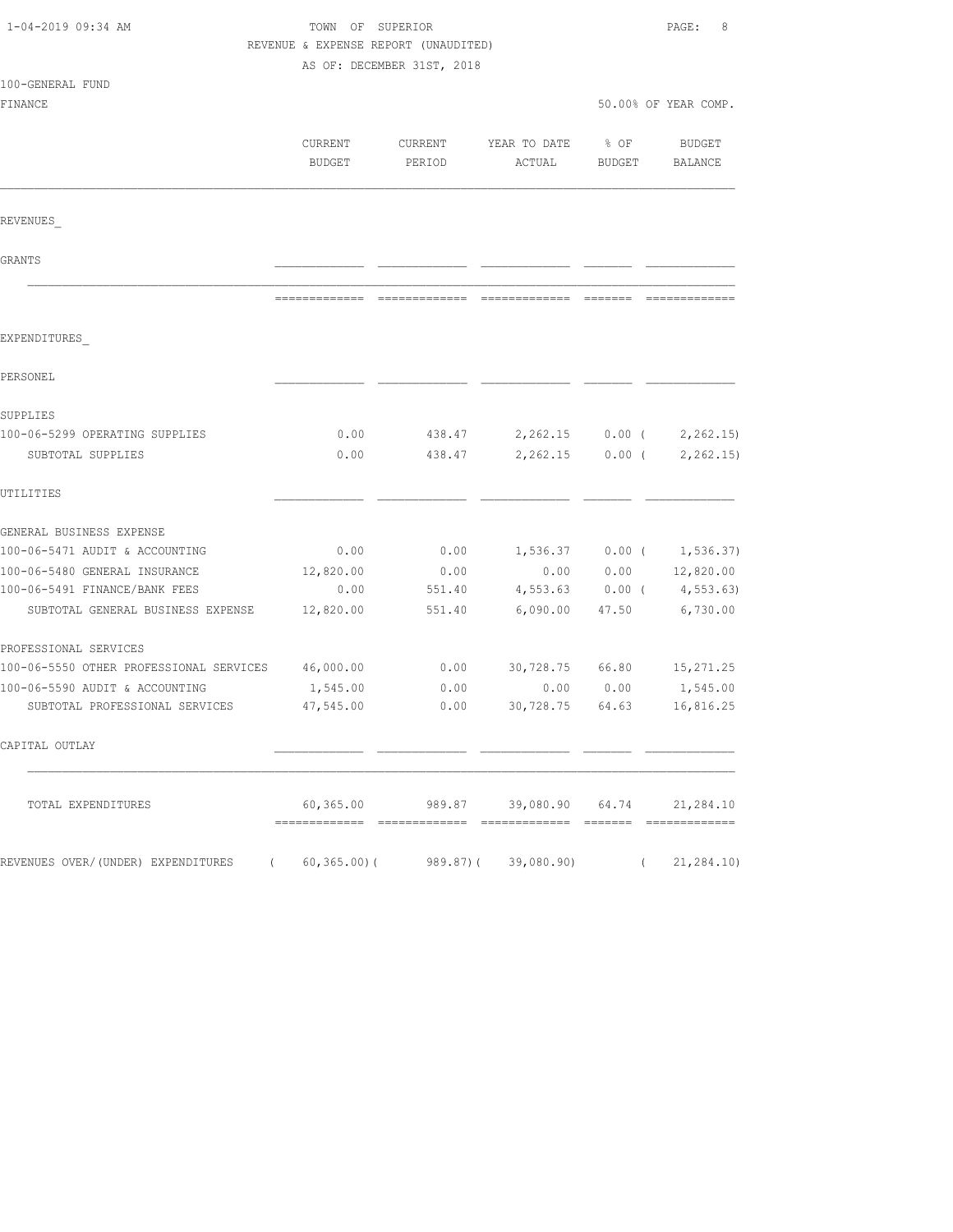| 1-04-2019 09:34 AM                                                | TOWN OF SUPERIOR<br>REVENUE & EXPENSE REPORT (UNAUDITED)<br>AS OF: DECEMBER 31ST, 2018 |                               |                                              |                      | PAGE:<br>8                  |  |
|-------------------------------------------------------------------|----------------------------------------------------------------------------------------|-------------------------------|----------------------------------------------|----------------------|-----------------------------|--|
| 100-GENERAL FUND<br>FINANCE                                       |                                                                                        |                               |                                              | 50.00% OF YEAR COMP. |                             |  |
|                                                                   | CURRENT<br>BUDGET                                                                      | CURRENT<br>PERIOD             | YEAR TO DATE<br>ACTUAL                       | % OF<br>BUDGET       | BUDGET<br>BALANCE           |  |
| REVENUES                                                          |                                                                                        |                               |                                              |                      |                             |  |
| GRANTS                                                            |                                                                                        |                               |                                              |                      |                             |  |
|                                                                   |                                                                                        | ============================= |                                              |                      |                             |  |
| EXPENDITURES                                                      |                                                                                        |                               |                                              |                      |                             |  |
| PERSONEL                                                          |                                                                                        |                               |                                              |                      |                             |  |
| SUPPLIES                                                          |                                                                                        |                               |                                              |                      |                             |  |
| 100-06-5299 OPERATING SUPPLIES                                    | 0.00                                                                                   |                               | 438.47 2,262.15 0.00 (                       |                      | 2, 262.15                   |  |
| SUBTOTAL SUPPLIES                                                 | 0.00                                                                                   | 438.47                        | 2,262.15                                     | $0.00$ (             | 2, 262.15                   |  |
| UTILITIES                                                         |                                                                                        |                               |                                              |                      |                             |  |
| GENERAL BUSINESS EXPENSE                                          |                                                                                        |                               |                                              |                      |                             |  |
| 100-06-5471 AUDIT & ACCOUNTING                                    | 0.00                                                                                   | 0.00                          |                                              |                      | $1,536.37$ 0.00 ( 1,536.37) |  |
| 100-06-5480 GENERAL INSURANCE                                     | 12,820.00                                                                              | 0.00                          | 0.00                                         |                      | $0.00$ $12,820.00$          |  |
| 100-06-5491 FINANCE/BANK FEES                                     | 0.00                                                                                   | 551.40                        | 4,553.63                                     |                      | $0.00$ ( $4,553.63$ )       |  |
| SUBTOTAL GENERAL BUSINESS EXPENSE                                 | 12,820.00                                                                              | 551.40                        | 6,090.00                                     | 47.50                | 6,730.00                    |  |
| PROFESSIONAL SERVICES                                             |                                                                                        |                               |                                              |                      |                             |  |
| 100-06-5550 OTHER PROFESSIONAL SERVICES                           | 46,000.00                                                                              | 0.00                          | 30,728.75 66.80                              |                      | 15,271.25                   |  |
| 100-06-5590 AUDIT & ACCOUNTING                                    | 1,545.00                                                                               | 0.00                          | 0.00                                         | 0.00                 | 1,545.00                    |  |
| SUBTOTAL PROFESSIONAL SERVICES                                    | 47,545.00                                                                              | 0.00                          | 30,728.75 64.63                              |                      | 16,816.25                   |  |
| CAPITAL OUTLAY                                                    |                                                                                        |                               |                                              |                      |                             |  |
| TOTAL EXPENDITURES                                                |                                                                                        |                               | $60,365.00$ 989.87 39,080.90 64.74 21,284.10 |                      |                             |  |
| REVENUES OVER/(UNDER) EXPENDITURES (60,365.00)(989.87)(39,080.90) |                                                                                        |                               |                                              |                      | (21, 284.10)                |  |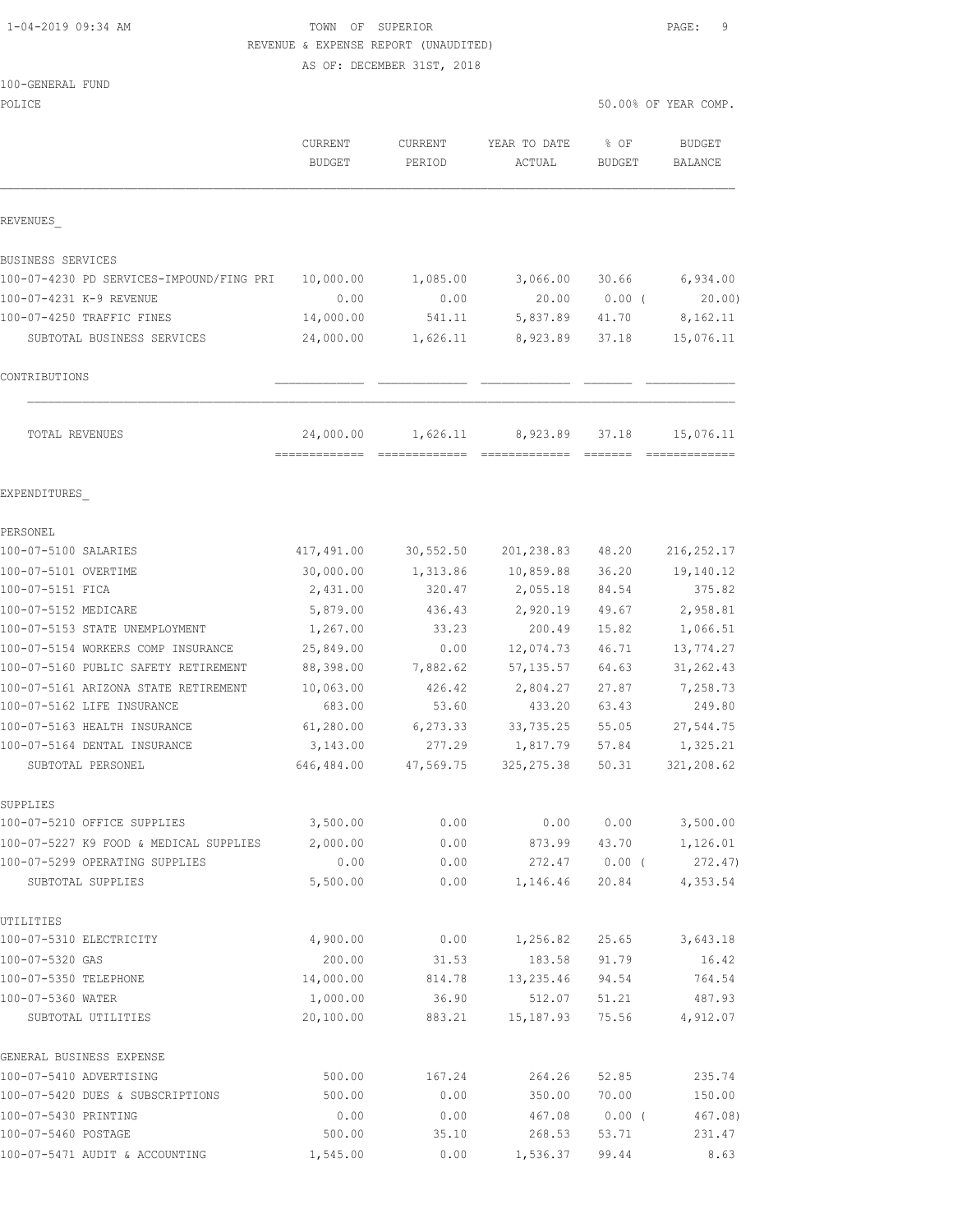## 1-04-2019 09:34 AM TOWN OF SUPERIOR PAGE: 9 REVENUE & EXPENSE REPORT (UNAUDITED)

AS OF: DECEMBER 31ST, 2018

POLICE 50.00% OF YEAR COMP.

|                                                               | CURRENT<br><b>BUDGET</b> | CURRENT<br>PERIOD | YEAR TO DATE<br>ACTUAL | % OF<br><b>BUDGET</b> | <b>BUDGET</b><br><b>BALANCE</b> |
|---------------------------------------------------------------|--------------------------|-------------------|------------------------|-----------------------|---------------------------------|
| REVENUES                                                      |                          |                   |                        |                       |                                 |
|                                                               |                          |                   |                        |                       |                                 |
| BUSINESS SERVICES<br>100-07-4230 PD SERVICES-IMPOUND/FING PRI | 10,000.00                | 1,085.00          | 3,066.00               | 30.66                 | 6,934.00                        |
| 100-07-4231 K-9 REVENUE                                       | 0.00                     | 0.00              | 20.00                  | $0.00$ (              | 20.00                           |
| 100-07-4250 TRAFFIC FINES                                     | 14,000.00                | 541.11            | 5,837.89               | 41.70                 | 8,162.11                        |
| SUBTOTAL BUSINESS SERVICES                                    | 24,000.00                | 1,626.11          | 8,923.89               | 37.18                 | 15,076.11                       |
| CONTRIBUTIONS                                                 |                          |                   |                        |                       |                                 |
| TOTAL REVENUES                                                | 24,000.00                | 1,626.11          | 8,923.89               | 37.18                 | 15,076.11                       |
| EXPENDITURES                                                  |                          |                   |                        |                       |                                 |
| PERSONEL                                                      |                          |                   |                        |                       |                                 |
| 100-07-5100 SALARIES                                          | 417,491.00               | 30, 552.50        | 201,238.83             | 48.20                 | 216, 252.17                     |
| 100-07-5101 OVERTIME                                          | 30,000.00                | 1,313.86          | 10,859.88              | 36.20                 | 19,140.12                       |
| 100-07-5151 FICA                                              | 2,431.00                 | 320.47            | 2,055.18               | 84.54                 | 375.82                          |
| 100-07-5152 MEDICARE                                          | 5,879.00                 | 436.43            | 2,920.19               | 49.67                 | 2,958.81                        |
| 100-07-5153 STATE UNEMPLOYMENT                                | 1,267.00                 | 33.23             | 200.49                 | 15.82                 | 1,066.51                        |
| 100-07-5154 WORKERS COMP INSURANCE                            | 25,849.00                | 0.00              | 12,074.73              | 46.71                 | 13,774.27                       |
| 100-07-5160 PUBLIC SAFETY RETIREMENT                          | 88,398.00                | 7,882.62          | 57, 135.57             | 64.63                 | 31, 262.43                      |
| 100-07-5161 ARIZONA STATE RETIREMENT                          | 10,063.00                | 426.42            | 2,804.27               | 27.87                 | 7,258.73                        |
| 100-07-5162 LIFE INSURANCE                                    | 683.00                   | 53.60             | 433.20                 | 63.43                 | 249.80                          |
| 100-07-5163 HEALTH INSURANCE                                  | 61,280.00                | 6,273.33          | 33,735.25              | 55.05                 | 27,544.75                       |
| 100-07-5164 DENTAL INSURANCE                                  | 3,143.00                 | 277.29            | 1,817.79               | 57.84                 | 1,325.21                        |
| SUBTOTAL PERSONEL                                             | 646,484.00               | 47,569.75         | 325, 275.38            | 50.31                 | 321,208.62                      |
| SUPPLIES                                                      |                          |                   |                        |                       |                                 |
| 100-07-5210 OFFICE SUPPLIES                                   | 3,500.00                 | 0.00              | 0.00                   | 0.00                  | 3,500.00                        |
| 100-07-5227 K9 FOOD & MEDICAL SUPPLIES                        | 2,000.00                 | 0.00              | 873.99                 | 43.70                 | 1,126.01                        |
| 100-07-5299 OPERATING SUPPLIES                                | 0.00                     | 0.00              | 272.47                 | $0.00$ (              | 272.47)                         |
| SUBTOTAL SUPPLIES                                             | 5,500.00                 | 0.00              | 1,146.46               | 20.84                 | 4,353.54                        |
| UTILITIES                                                     |                          |                   |                        |                       |                                 |
| 100-07-5310 ELECTRICITY                                       | 4,900.00                 | 0.00              | 1,256.82               | 25.65                 | 3,643.18                        |
| 100-07-5320 GAS                                               | 200.00                   | 31.53             | 183.58                 | 91.79                 | 16.42                           |
| 100-07-5350 TELEPHONE                                         | 14,000.00                | 814.78            | 13,235.46              | 94.54                 | 764.54                          |
| 100-07-5360 WATER                                             | 1,000.00                 | 36.90             | 512.07                 | 51.21                 | 487.93                          |
| SUBTOTAL UTILITIES                                            | 20,100.00                | 883.21            | 15, 187.93             | 75.56                 | 4,912.07                        |
| GENERAL BUSINESS EXPENSE                                      |                          |                   |                        |                       |                                 |
| 100-07-5410 ADVERTISING                                       | 500.00                   | 167.24            | 264.26                 | 52.85                 | 235.74                          |
| 100-07-5420 DUES & SUBSCRIPTIONS                              | 500.00                   | 0.00              | 350.00                 | 70.00                 | 150.00                          |
| 100-07-5430 PRINTING                                          | 0.00                     | 0.00              | 467.08                 | 0.00(                 | 467.08)                         |

100-07-5460 POSTAGE 500.00 35.10 268.53 53.71 231.47 100-07-5471 AUDIT & ACCOUNTING 1,545.00 0.00 1,536.37 99.44 8.63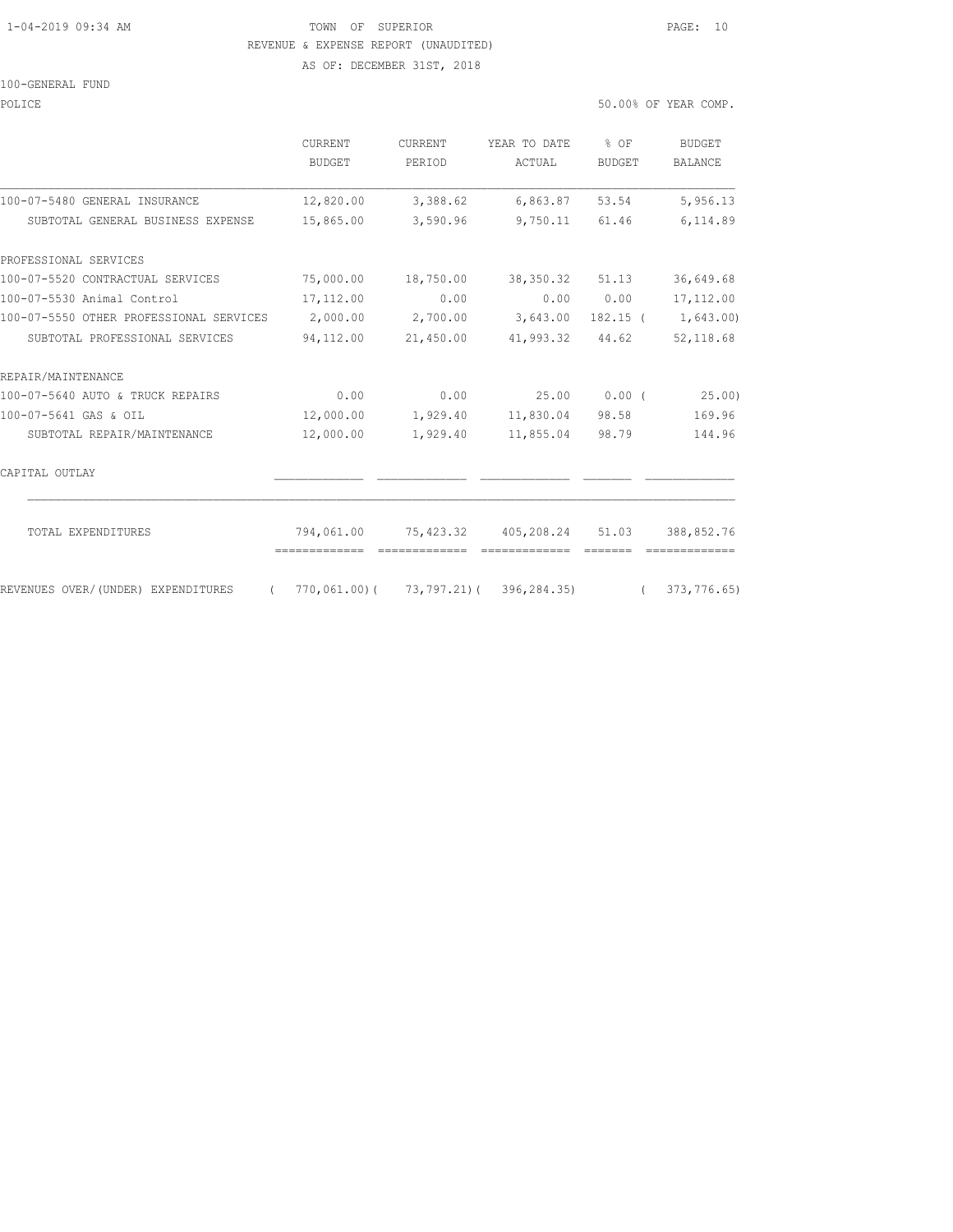### 1-04-2019 09:34 AM TOWN OF SUPERIOR PAGE: 10 REVENUE & EXPENSE REPORT (UNAUDITED)

AS OF: DECEMBER 31ST, 2018

#### 100-GENERAL FUND

| 50.00% OF YEAR COMP. |
|----------------------|
|                      |

|                                                  | CURRENT<br><b>BUDGET</b> | <b>CURRENT</b><br>PERIOD | YEAR TO DATE<br>ACTUAL                                       | $8$ OF<br>BUDGET | <b>BUDGET</b><br><b>BALANCE</b> |
|--------------------------------------------------|--------------------------|--------------------------|--------------------------------------------------------------|------------------|---------------------------------|
| 100-07-5480 GENERAL INSURANCE                    | 12,820.00                | 3,388.62                 | 6,863.87                                                     | 53.54            | 5,956.13                        |
| SUBTOTAL GENERAL BUSINESS EXPENSE                | 15,865.00                | 3,590.96                 | 9,750.11                                                     | 61.46            | 6,114.89                        |
| PROFESSIONAL SERVICES                            |                          |                          |                                                              |                  |                                 |
| 100-07-5520 CONTRACTUAL SERVICES                 | 75,000.00                | 18,750.00                | 38,350.32                                                    | 51.13            | 36,649.68                       |
| 100-07-5530 Animal Control                       | 17,112.00                | 0.00                     | 0.00                                                         | 0.00             | 17, 112, 00                     |
| 100-07-5550 OTHER PROFESSIONAL SERVICES          | 2,000.00                 | 2,700.00                 | 3,643.00                                                     | $182.15$ (       | 1,643.00)                       |
| SUBTOTAL PROFESSIONAL SERVICES                   | 94,112.00                | 21,450.00                | 41,993.32                                                    | 44.62            | 52, 118.68                      |
| REPAIR/MAINTENANCE                               |                          |                          |                                                              |                  |                                 |
| 100-07-5640 AUTO & TRUCK REPAIRS                 | 0.00                     | 0.00                     | 25.00                                                        | $0.00$ (         | 25.00)                          |
| 100-07-5641 GAS & OIL                            | 12,000.00                | 1,929.40                 | 11,830.04                                                    | 98.58            | 169.96                          |
| SUBTOTAL REPAIR/MAINTENANCE                      | 12,000.00                | 1,929.40                 | 11,855.04                                                    | 98.79            | 144.96                          |
| CAPITAL OUTLAY                                   |                          |                          |                                                              |                  |                                 |
| TOTAL EXPENDITURES                               |                          |                          | 794,061.00 75,423.32 405,208.24 51.03                        |                  | 388,852.76                      |
| REVENUES OVER/(UNDER) EXPENDITURES<br>$\sqrt{2}$ | -------------            |                          | $770,061,00$ ( $73,797,21$ ( $396,284,35$ ) ( $373,776,65$ ) | =======          |                                 |
|                                                  |                          |                          |                                                              |                  |                                 |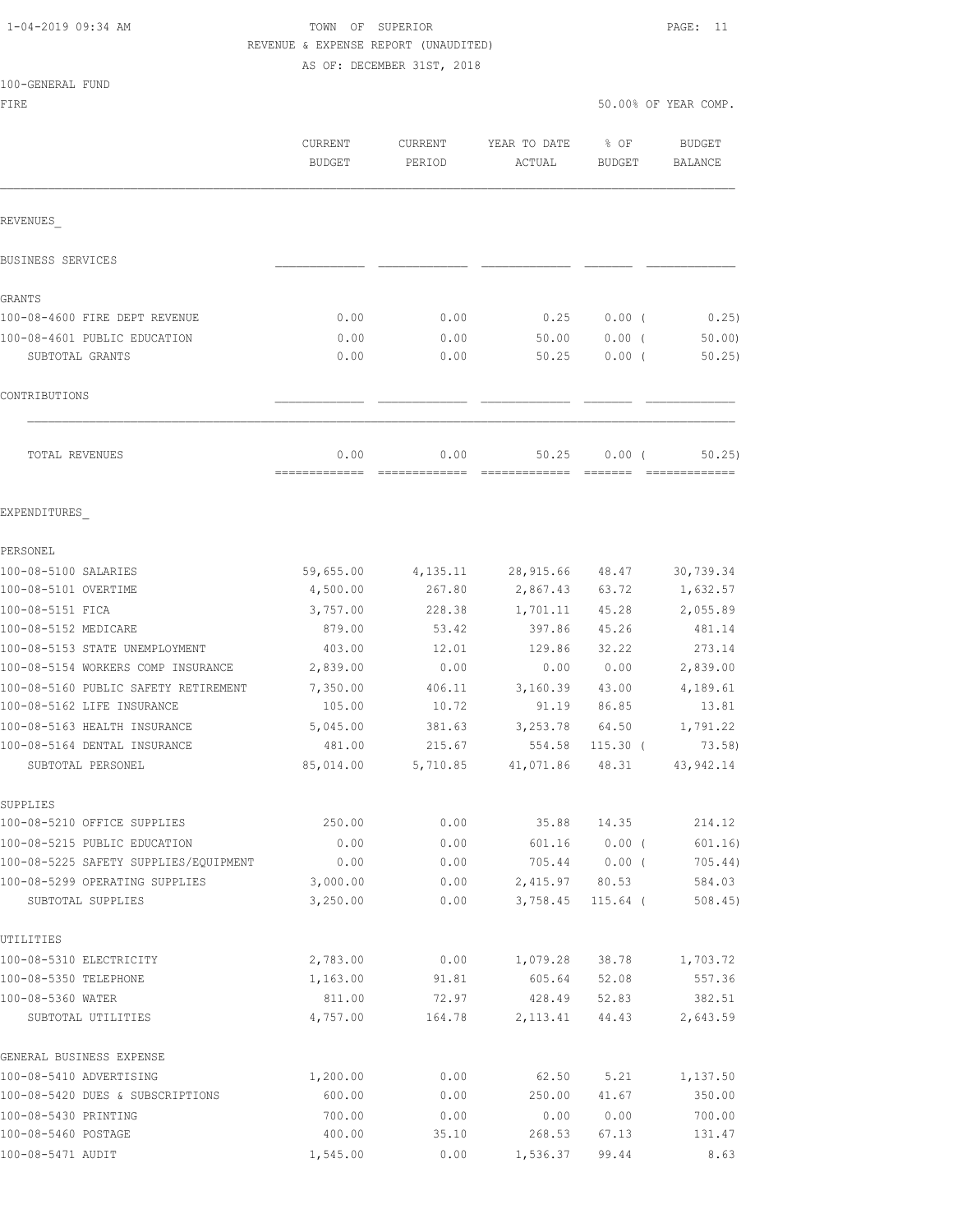100-GENERAL FUND

### TOWN OF SUPERIOR **PAGE:** 11 REVENUE & EXPENSE REPORT (UNAUDITED) AS OF: DECEMBER 31ST, 2018

FIRE 50.00% OF YEAR COMP.

|                                       | <b>CURRENT</b><br><b>BUDGET</b> | <b>CURRENT</b><br>PERIOD | YEAR TO DATE<br>ACTUAL | % OF<br><b>BUDGET</b> | <b>BUDGET</b><br><b>BALANCE</b> |
|---------------------------------------|---------------------------------|--------------------------|------------------------|-----------------------|---------------------------------|
| REVENUES                              |                                 |                          |                        |                       |                                 |
| BUSINESS SERVICES                     |                                 |                          |                        |                       |                                 |
| GRANTS                                |                                 |                          |                        |                       |                                 |
| 100-08-4600 FIRE DEPT REVENUE         | 0.00                            | 0.00                     | 0.25                   | $0.00$ (              | 0.25)                           |
| 100-08-4601 PUBLIC EDUCATION          | 0.00                            | 0.00                     | 50.00                  | 0.00(                 | 50.00                           |
| SUBTOTAL GRANTS                       | 0.00                            | 0.00                     | 50.25                  | 0.00(                 | 50.25                           |
| CONTRIBUTIONS                         |                                 |                          |                        |                       |                                 |
| TOTAL REVENUES                        | 0.00                            | 0.00                     | 50.25                  | 0.00(                 | 50, 25)                         |
| EXPENDITURES                          |                                 |                          |                        |                       |                                 |
| PERSONEL                              |                                 |                          |                        |                       |                                 |
| 100-08-5100 SALARIES                  | 59,655.00                       | 4,135.11                 | 28,915.66              | 48.47                 | 30,739.34                       |
| 100-08-5101 OVERTIME                  | 4,500.00                        | 267.80                   | 2,867.43               | 63.72                 | 1,632.57                        |
| 100-08-5151 FICA                      | 3,757.00                        | 228.38                   | 1,701.11               | 45.28                 | 2,055.89                        |
| 100-08-5152 MEDICARE                  | 879.00                          | 53.42                    | 397.86                 | 45.26                 | 481.14                          |
| 100-08-5153 STATE UNEMPLOYMENT        | 403.00                          | 12.01                    | 129.86                 | 32.22                 | 273.14                          |
| 100-08-5154 WORKERS COMP INSURANCE    | 2,839.00                        | 0.00                     | 0.00                   | 0.00                  | 2,839.00                        |
| 100-08-5160 PUBLIC SAFETY RETIREMENT  | 7,350.00                        | 406.11                   | 3,160.39               | 43.00                 | 4,189.61                        |
| 100-08-5162 LIFE INSURANCE            | 105.00                          | 10.72                    | 91.19                  | 86.85                 | 13.81                           |
| 100-08-5163 HEALTH INSURANCE          | 5,045.00                        | 381.63                   | 3,253.78               | 64.50                 | 1,791.22                        |
| 100-08-5164 DENTAL INSURANCE          | 481.00                          | 215.67                   | 554.58                 | $115.30$ (            | 73.58                           |
| SUBTOTAL PERSONEL                     | 85,014.00                       | 5,710.85                 | 41,071.86              | 48.31                 | 43, 942.14                      |
| SUPPLIES                              |                                 |                          |                        |                       |                                 |
| 100-08-5210 OFFICE SUPPLIES           | 250.00                          | 0.00                     | 35.88                  | 14.35                 | 214.12                          |
| 100-08-5215 PUBLIC EDUCATION          | 0.00                            | 0.00                     | 601.16                 | $0.00$ (              | 601.16)                         |
| 100-08-5225 SAFETY SUPPLIES/EQUIPMENT | 0.00                            | 0.00                     | 705.44                 | $0.00$ (              | 705.44)                         |
| 100-08-5299 OPERATING SUPPLIES        | 3,000.00                        | 0.00                     | 2,415.97               | 80.53                 | 584.03                          |
| SUBTOTAL SUPPLIES                     | 3,250.00                        | 0.00                     | 3,758.45               | $115.64$ (            | 508.45                          |
| UTILITIES                             |                                 |                          |                        |                       |                                 |
| 100-08-5310 ELECTRICITY               | 2,783.00                        | 0.00                     | 1,079.28               | 38.78                 | 1,703.72                        |
| 100-08-5350 TELEPHONE                 | 1,163.00                        | 91.81                    | 605.64                 | 52.08                 | 557.36                          |
| 100-08-5360 WATER                     | 811.00                          | 72.97                    | 428.49                 | 52.83                 | 382.51                          |
| SUBTOTAL UTILITIES                    | 4,757.00                        | 164.78                   | 2, 113.41              | 44.43                 | 2,643.59                        |
| GENERAL BUSINESS EXPENSE              |                                 |                          |                        |                       |                                 |
| 100-08-5410 ADVERTISING               | 1,200.00                        | 0.00                     | 62.50                  | 5.21                  | 1,137.50                        |
| 100-08-5420 DUES & SUBSCRIPTIONS      | 600.00                          | 0.00                     | 250.00                 | 41.67                 | 350.00                          |
| 100-08-5430 PRINTING                  | 700.00                          | 0.00                     | 0.00                   | 0.00                  | 700.00                          |
| 100-08-5460 POSTAGE                   | 400.00                          | 35.10                    | 268.53                 | 67.13                 | 131.47                          |
| 100-08-5471 AUDIT                     | 1,545.00                        | 0.00                     | 1,536.37               | 99.44                 | 8.63                            |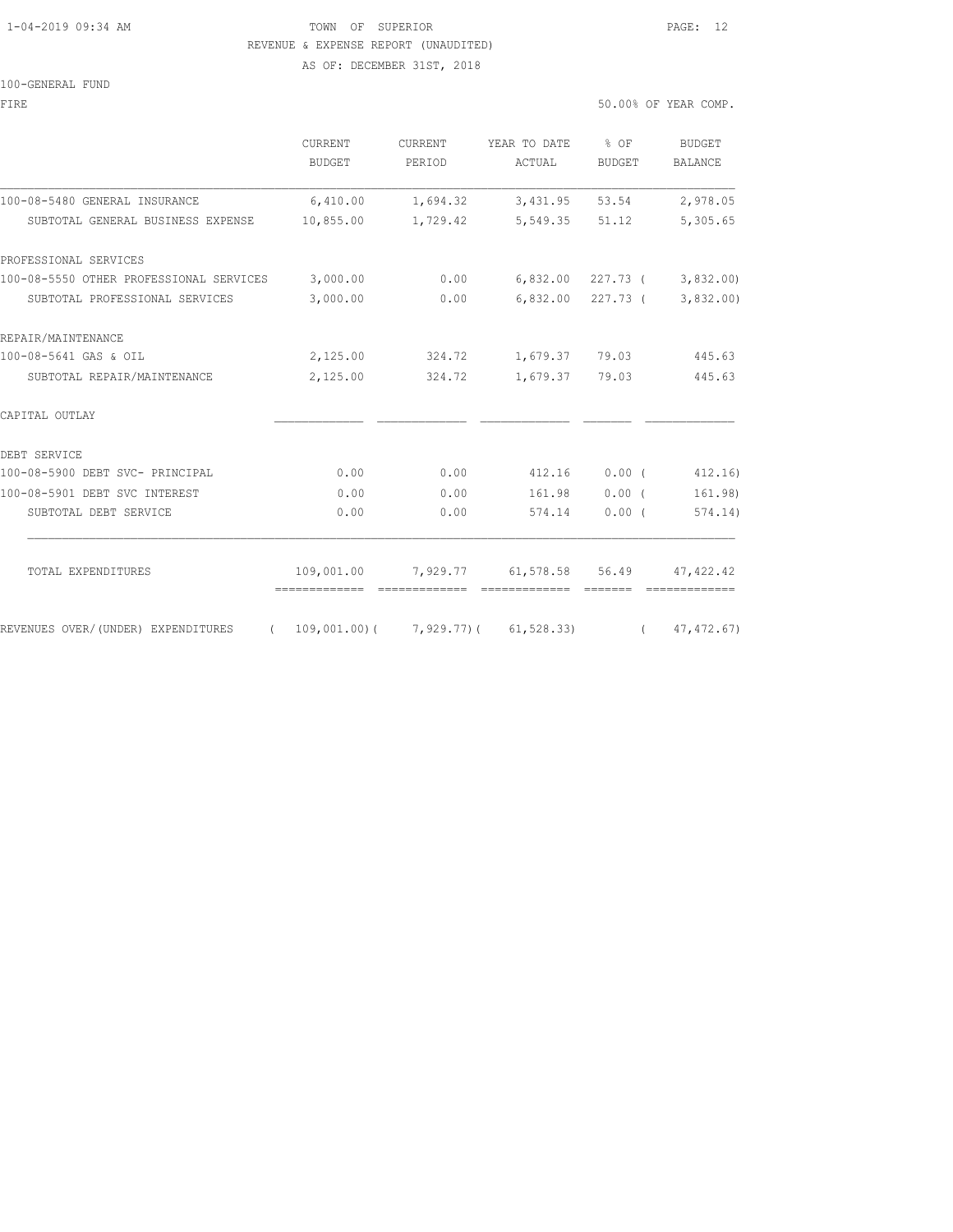### 1-04-2019 09:34 AM TOWN OF SUPERIOR PAGE: 12 REVENUE & EXPENSE REPORT (UNAUDITED) AS OF: DECEMBER 31ST, 2018

### 100-GENERAL FUND

| FIRE                                    |                                                                               |                   |                                                                                                                                                                                                                                                                                                                                                                                                                                                                                | 50.00% OF YEAR COMP. |                               |  |
|-----------------------------------------|-------------------------------------------------------------------------------|-------------------|--------------------------------------------------------------------------------------------------------------------------------------------------------------------------------------------------------------------------------------------------------------------------------------------------------------------------------------------------------------------------------------------------------------------------------------------------------------------------------|----------------------|-------------------------------|--|
|                                         | CURRENT<br>BUDGET                                                             | CURRENT<br>PERIOD | YEAR TO DATE % OF<br>ACTUAL                                                                                                                                                                                                                                                                                                                                                                                                                                                    | BUDGET               | BUDGET<br>BALANCE             |  |
| 100-08-5480 GENERAL INSURANCE           |                                                                               | 6,410.00 1,694.32 |                                                                                                                                                                                                                                                                                                                                                                                                                                                                                | 3,431.95 53.54       | 2,978.05                      |  |
| SUBTOTAL GENERAL BUSINESS EXPENSE       | 10,855.00                                                                     | 1,729.42          |                                                                                                                                                                                                                                                                                                                                                                                                                                                                                | 5,549.35 51.12       | 5,305.65                      |  |
| PROFESSIONAL SERVICES                   |                                                                               |                   |                                                                                                                                                                                                                                                                                                                                                                                                                                                                                |                      |                               |  |
| 100-08-5550 OTHER PROFESSIONAL SERVICES | 3,000.00                                                                      |                   | $0.00$ 6,832.00 227.73 ( 3,832.00)                                                                                                                                                                                                                                                                                                                                                                                                                                             |                      |                               |  |
| SUBTOTAL PROFESSIONAL SERVICES          | 3,000.00                                                                      | 0.00              |                                                                                                                                                                                                                                                                                                                                                                                                                                                                                |                      | $6,832.00$ 227.73 ( 3,832.00) |  |
| REPAIR/MAINTENANCE                      |                                                                               |                   |                                                                                                                                                                                                                                                                                                                                                                                                                                                                                |                      |                               |  |
| 100-08-5641 GAS & OIL                   |                                                                               |                   | 2,125.00 324.72 1,679.37 79.03                                                                                                                                                                                                                                                                                                                                                                                                                                                 |                      | 445.63                        |  |
| SUBTOTAL REPAIR/MAINTENANCE             | 2,125.00                                                                      | 324.72            | 1,679.37 79.03                                                                                                                                                                                                                                                                                                                                                                                                                                                                 |                      | 445.63                        |  |
| CAPITAL OUTLAY                          |                                                                               |                   |                                                                                                                                                                                                                                                                                                                                                                                                                                                                                |                      |                               |  |
| DEBT SERVICE                            |                                                                               |                   |                                                                                                                                                                                                                                                                                                                                                                                                                                                                                |                      |                               |  |
| 100-08-5900 DEBT SVC- PRINCIPAL         | 0.00                                                                          | 0.00              | 412.16 0.00 (                                                                                                                                                                                                                                                                                                                                                                                                                                                                  |                      | 412.16)                       |  |
| 100-08-5901 DEBT SVC INTEREST           | 0.00                                                                          | 0.00              |                                                                                                                                                                                                                                                                                                                                                                                                                                                                                | 161.98 0.00 (        | 161.98)                       |  |
| SUBTOTAL DEBT SERVICE                   | 0.00                                                                          | 0.00              | 574.14                                                                                                                                                                                                                                                                                                                                                                                                                                                                         | 0.00(                | 574.14)                       |  |
| TOTAL EXPENDITURES                      |                                                                               |                   | 109,001.00 7,929.77 61,578.58 56.49 47,422.42                                                                                                                                                                                                                                                                                                                                                                                                                                  |                      |                               |  |
| REVENUES OVER/(UNDER) EXPENDITURES      | -------------- -------------<br>$(109,001.00)$ $(7,929.77)$ $(61,528.33)$ $($ |                   | $\begin{minipage}{0.03\textwidth} \begin{tabular}{@{}l@{}} \hline \multicolumn{3}{c}{\textbf{2.43\textwidth} \begin{tabular}{@{}l@{}} \hline \multicolumn{3}{c}{\textbf{2.53\textwidth} \begin{tabular}{@{}l@{}} \hline \multicolumn{3}{c}{\textbf{2.53\textwidth} \begin{tabular}{@{}l@{}} \hline \multicolumn{3}{c}{\textbf{2.53\textwidth} \begin{tabular}{@{}l@{}} \hline \multicolumn{3}{c}{\textbf{2.53\textwidth} \begin{tabular}{@{}l@{}} \hline \multicolumn{3}{c}{\$ |                      | 47, 472.67)                   |  |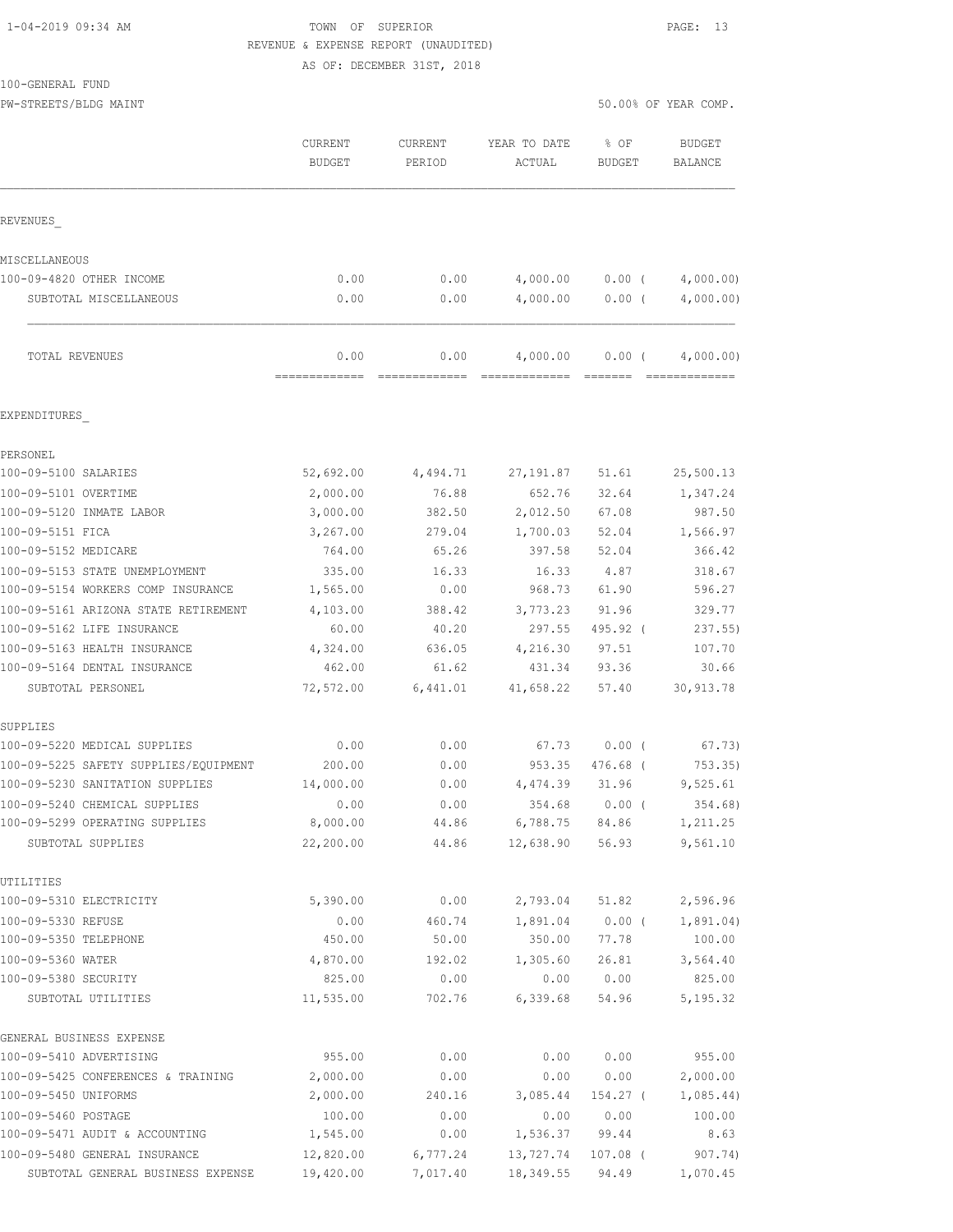# 1-04-2019 09:34 AM TOWN OF SUPERIOR PAGE: 13 REVENUE & EXPENSE REPORT (UNAUDITED)

AS OF: DECEMBER 31ST, 2018

PW-STREETS/BLDG MAINT SERVICES OF YEAR COMP.

|                                                                    | <b>CURRENT</b><br><b>BUDGET</b> | CURRENT<br>PERIOD     | YEAR TO DATE<br>ACTUAL            | % OF<br><b>BUDGET</b> | <b>BUDGET</b><br>BALANCE   |
|--------------------------------------------------------------------|---------------------------------|-----------------------|-----------------------------------|-----------------------|----------------------------|
| REVENUES                                                           |                                 |                       |                                   |                       |                            |
| MISCELLANEOUS                                                      |                                 |                       |                                   |                       |                            |
| 100-09-4820 OTHER INCOME                                           | 0.00                            | 0.00                  | 4,000.00                          | $0.00$ (              | 4,000.00)                  |
| SUBTOTAL MISCELLANEOUS                                             | 0.00                            | 0.00                  | 4,000.00                          | $0.00$ (              | 4,000.00)                  |
| TOTAL REVENUES                                                     | 0.00<br>=============           | 0.00<br>============= | 4,000.00<br>-------------- ------ | $0.00$ (              | 4,000.00)<br>============= |
| EXPENDITURES                                                       |                                 |                       |                                   |                       |                            |
| PERSONEL                                                           |                                 |                       |                                   |                       |                            |
| 100-09-5100 SALARIES                                               | 52,692.00                       | 4,494.71              | 27,191.87                         | 51.61                 | 25,500.13                  |
| 100-09-5101 OVERTIME                                               | 2,000.00                        | 76.88                 | 652.76                            | 32.64                 | 1,347.24                   |
| 100-09-5120 INMATE LABOR                                           | 3,000.00                        | 382.50                | 2,012.50                          | 67.08                 | 987.50                     |
| 100-09-5151 FICA                                                   | 3,267.00                        | 279.04                | 1,700.03                          | 52.04                 | 1,566.97                   |
| 100-09-5152 MEDICARE                                               | 764.00                          | 65.26                 | 397.58                            | 52.04                 | 366.42                     |
| 100-09-5153 STATE UNEMPLOYMENT                                     | 335.00                          | 16.33                 | 16.33                             | 4.87                  | 318.67                     |
| 100-09-5154 WORKERS COMP INSURANCE                                 | 1,565.00                        | 0.00                  | 968.73                            | 61.90                 | 596.27                     |
| 100-09-5161 ARIZONA STATE RETIREMENT<br>100-09-5162 LIFE INSURANCE | 4,103.00<br>60.00               | 388.42<br>40.20       | 3,773.23<br>297.55                | 91.96<br>495.92 (     | 329.77<br>237.55           |
| 100-09-5163 HEALTH INSURANCE                                       | 4,324.00                        | 636.05                | 4,216.30                          | 97.51                 | 107.70                     |
| 100-09-5164 DENTAL INSURANCE                                       | 462.00                          | 61.62                 | 431.34                            | 93.36                 | 30.66                      |
| SUBTOTAL PERSONEL                                                  | 72,572.00                       | 6,441.01              | 41,658.22                         | 57.40                 | 30, 913.78                 |
| SUPPLIES                                                           |                                 |                       |                                   |                       |                            |
| 100-09-5220 MEDICAL SUPPLIES                                       | 0.00                            | 0.00                  | 67.73                             | $0.00$ (              | 67.73)                     |
| 100-09-5225 SAFETY SUPPLIES/EQUIPMENT                              | 200.00                          | 0.00                  | 953.35                            | 476.68 (              | 753.35                     |
| 100-09-5230 SANITATION SUPPLIES                                    | 14,000.00                       | 0.00                  | 4,474.39                          | 31.96                 | 9,525.61                   |
| 100-09-5240 CHEMICAL SUPPLIES                                      | 0.00                            | 0.00                  | 354.68                            | 0.00(                 | 354.68)                    |
| 100-09-5299 OPERATING SUPPLIES<br>SUBTOTAL SUPPLIES                | 8,000.00<br>22,200.00           | 44.86<br>44.86        | 6,788.75<br>12,638.90             | 84.86<br>56.93        | 1,211.25<br>9,561.10       |
|                                                                    |                                 |                       |                                   |                       |                            |
| UTILITIES<br>100-09-5310 ELECTRICITY                               | 5,390.00                        | 0.00                  | 2,793.04                          | 51.82                 | 2,596.96                   |
| 100-09-5330 REFUSE                                                 | 0.00                            | 460.74                | 1,891.04                          | $0.00$ (              | 1,891.04)                  |
| 100-09-5350 TELEPHONE                                              | 450.00                          | 50.00                 | 350.00                            | 77.78                 | 100.00                     |
| 100-09-5360 WATER                                                  | 4,870.00                        | 192.02                | 1,305.60                          | 26.81                 | 3,564.40                   |
| 100-09-5380 SECURITY                                               | 825.00                          | 0.00                  | 0.00                              | 0.00                  | 825.00                     |
| SUBTOTAL UTILITIES                                                 | 11,535.00                       | 702.76                | 6,339.68                          | 54.96                 | 5, 195.32                  |
| GENERAL BUSINESS EXPENSE                                           |                                 |                       |                                   |                       |                            |
| 100-09-5410 ADVERTISING                                            | 955.00                          | 0.00                  | 0.00                              | 0.00                  | 955.00                     |
| 100-09-5425 CONFERENCES & TRAINING                                 | 2,000.00                        | 0.00                  | 0.00                              | 0.00                  | 2,000.00                   |
| 100-09-5450 UNIFORMS                                               | 2,000.00                        | 240.16                | 3,085.44                          | 154.27 (              | 1,085.44)                  |
| 100-09-5460 POSTAGE                                                | 100.00                          | 0.00                  | 0.00                              | 0.00                  | 100.00                     |
| 100-09-5471 AUDIT & ACCOUNTING<br>100-09-5480 GENERAL INSURANCE    | 1,545.00<br>12,820.00           | 0.00                  | 1,536.37                          | 99.44                 | 8.63                       |
| SUBTOTAL GENERAL BUSINESS EXPENSE                                  | 19,420.00                       | 6,777.24<br>7,017.40  | 13,727.74<br>18,349.55            | $107.08$ (<br>94.49   | 907.74)<br>1,070.45        |
|                                                                    |                                 |                       |                                   |                       |                            |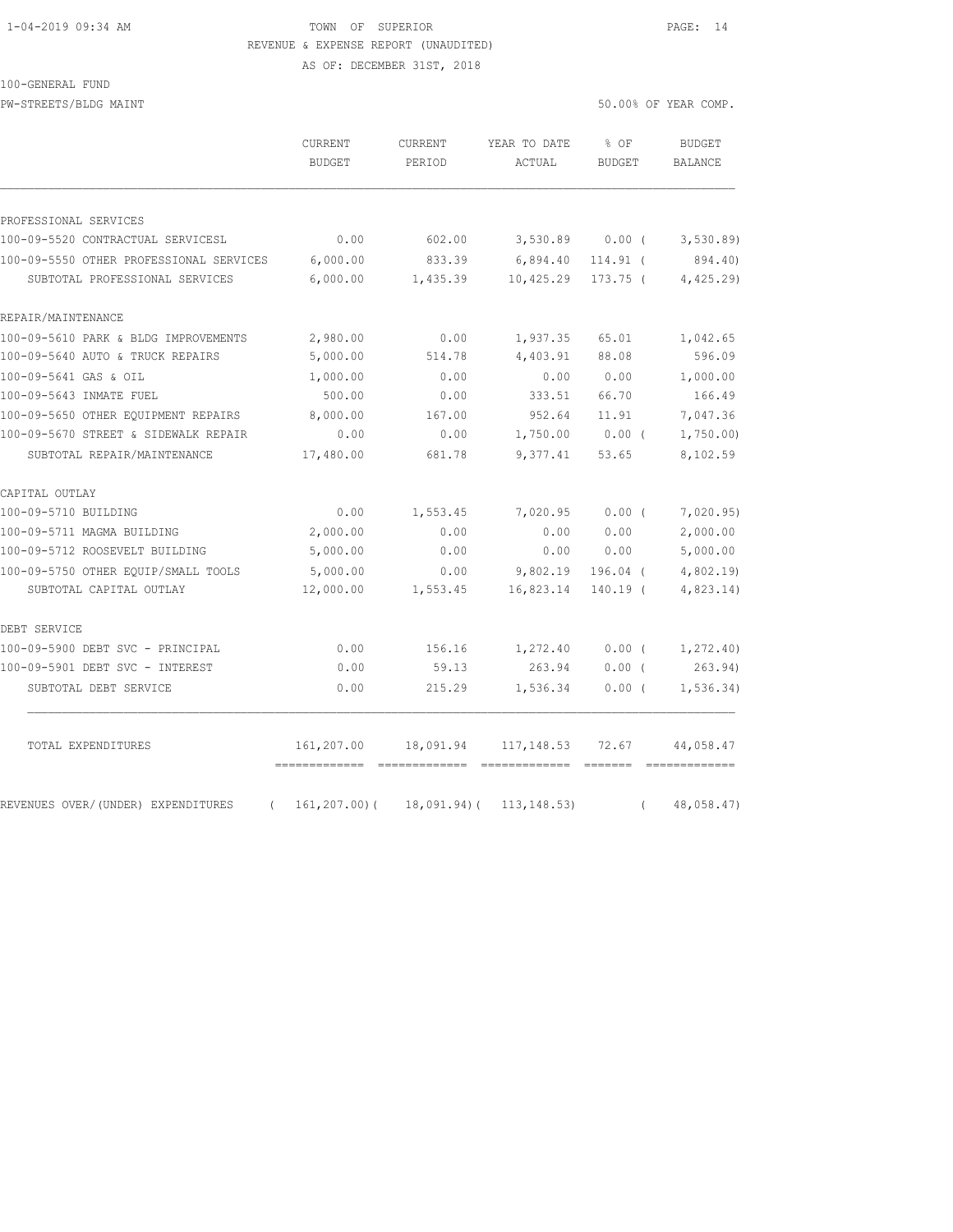## 1-04-2019 09:34 AM TOWN OF SUPERIOR PAGE: 14 REVENUE & EXPENSE REPORT (UNAUDITED)

AS OF: DECEMBER 31ST, 2018

#### 100-GENERAL FUND

PW-STREETS/BLDG MAINT SERVICES OF YEAR COMP.

|                                                | CURRENT<br><b>BUDGET</b> | CURRENT<br>PERIOD | YEAR TO DATE<br>ACTUAL | % OF<br><b>BUDGET</b> | <b>BUDGET</b><br><b>BALANCE</b> |
|------------------------------------------------|--------------------------|-------------------|------------------------|-----------------------|---------------------------------|
| PROFESSIONAL SERVICES                          |                          |                   |                        |                       |                                 |
| 100-09-5520 CONTRACTUAL SERVICESL              | 0.00                     | 602.00            | 3,530.89               | 0.00(                 | 3, 530.89                       |
| 100-09-5550 OTHER PROFESSIONAL SERVICES        | 6,000.00                 | 833.39            | 6,894.40               | 114.91 (              | 894.40)                         |
| SUBTOTAL PROFESSIONAL SERVICES                 | 6,000.00                 | 1,435.39          | 10,425.29              | $173.75$ (            | 4,425.29                        |
| REPAIR/MAINTENANCE                             |                          |                   |                        |                       |                                 |
| 100-09-5610 PARK & BLDG IMPROVEMENTS           | 2,980.00                 | 0.00              | 1,937.35               | 65.01                 | 1,042.65                        |
| 100-09-5640 AUTO & TRUCK REPAIRS               | 5,000.00                 | 514.78            | 4,403.91               | 88.08                 | 596.09                          |
| 100-09-5641 GAS & OIL                          | 1,000.00                 | 0.00              | 0.00                   | 0.00                  | 1,000.00                        |
| 100-09-5643 INMATE FUEL                        | 500.00                   | 0.00              | 333.51                 | 66.70                 | 166.49                          |
| 100-09-5650 OTHER EOUIPMENT REPAIRS            | 8,000.00                 | 167.00            | 952.64                 | 11.91                 | 7,047.36                        |
| 100-09-5670 STREET & SIDEWALK REPAIR           | 0.00                     | 0.00              | 1,750.00               | $0.00$ (              | 1,750.00                        |
| SUBTOTAL REPAIR/MAINTENANCE                    | 17,480.00                | 681.78            | 9,377.41               | 53.65                 | 8,102.59                        |
| CAPITAL OUTLAY                                 |                          |                   |                        |                       |                                 |
| 100-09-5710 BUILDING                           | 0.00                     | 1,553.45          | 7,020.95               | 0.00(                 | 7,020.95)                       |
| 100-09-5711 MAGMA BUILDING                     | 2,000.00                 | 0.00              | 0.00                   | 0.00                  | 2,000.00                        |
| 100-09-5712 ROOSEVELT BUILDING                 | 5,000.00                 | 0.00              | 0.00                   | 0.00                  | 5,000.00                        |
| 100-09-5750 OTHER EQUIP/SMALL TOOLS            | 5,000.00                 | 0.00              | 9,802.19               | $196.04$ (            | 4,802.19                        |
| SUBTOTAL CAPITAL OUTLAY                        | 12,000.00                | 1,553.45          | 16,823.14              | $140.19$ (            | 4,823.14)                       |
| DEBT SERVICE                                   |                          |                   |                        |                       |                                 |
| 100-09-5900 DEBT SVC - PRINCIPAL               | 0.00                     | 156.16            | 1,272.40               | $0.00$ (              | 1, 272.40                       |
| 100-09-5901 DEBT SVC - INTEREST                | 0.00                     | 59.13             | 263.94                 | $0.00$ (              | 263.94)                         |
| SUBTOTAL DEBT SERVICE                          | 0.00                     | 215.29            | 1,536.34               | $0.00$ (              | 1, 536.34)                      |
| TOTAL EXPENDITURES                             | 161,207.00               | 18,091.94         | 117,148.53             | 72.67                 | 44,058.47                       |
| REVENUES OVER/(UNDER) EXPENDITURES<br>$\left($ | $161, 207.00$ (          | $18,091.94)$ (    | 113, 148.53            | $\left($              | -------------<br>48,058.47)     |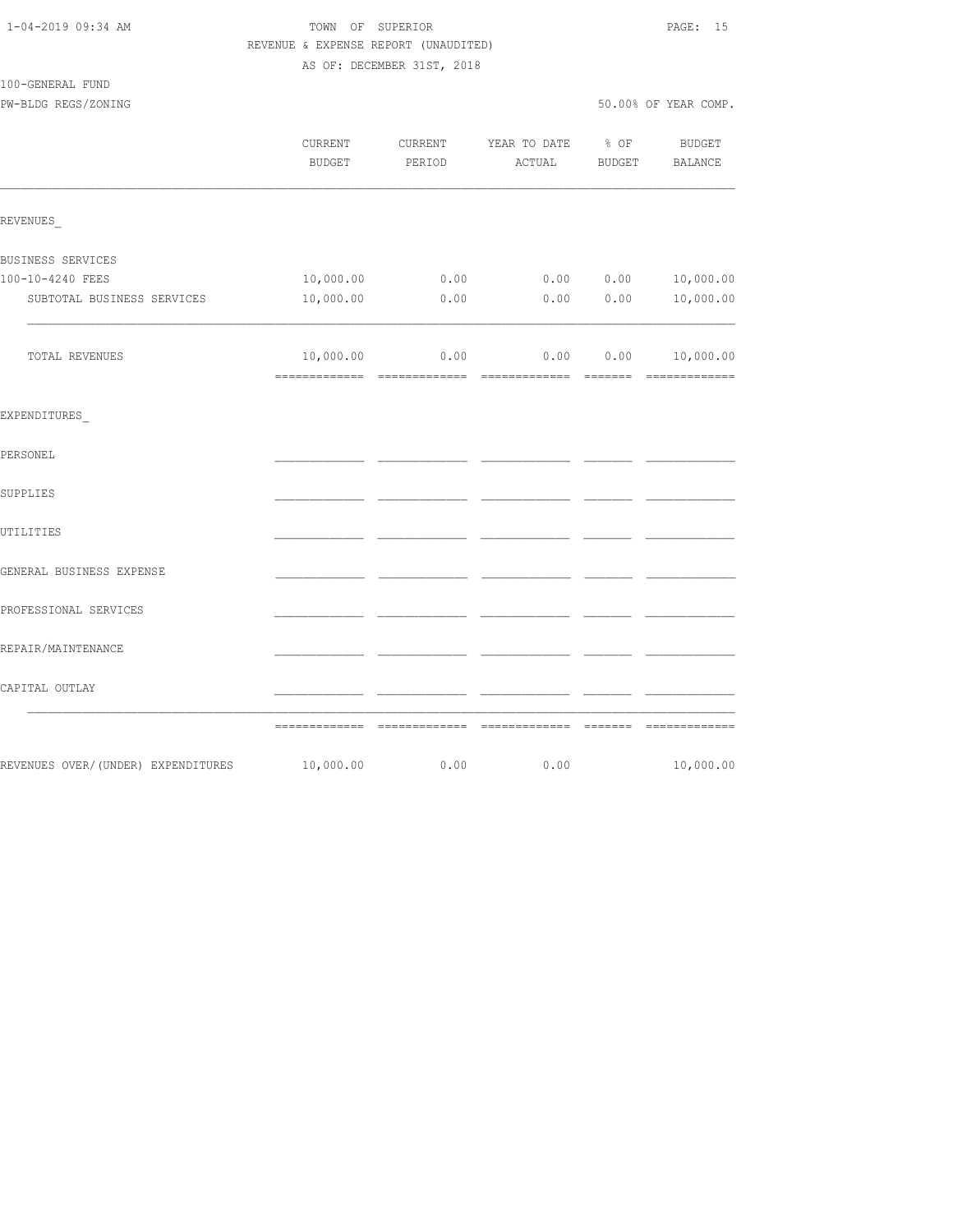|                                    | REVENUE & EXPENSE REPORT (UNAUDITED) |                            |                                  |                                                                                                                                                                                                                                                                                                                                                                                                                                                                                        |                          |
|------------------------------------|--------------------------------------|----------------------------|----------------------------------|----------------------------------------------------------------------------------------------------------------------------------------------------------------------------------------------------------------------------------------------------------------------------------------------------------------------------------------------------------------------------------------------------------------------------------------------------------------------------------------|--------------------------|
|                                    |                                      | AS OF: DECEMBER 31ST, 2018 |                                  |                                                                                                                                                                                                                                                                                                                                                                                                                                                                                        |                          |
| 100-GENERAL FUND                   |                                      |                            |                                  |                                                                                                                                                                                                                                                                                                                                                                                                                                                                                        |                          |
| PW-BLDG REGS/ZONING                |                                      |                            |                                  |                                                                                                                                                                                                                                                                                                                                                                                                                                                                                        | 50.00% OF YEAR COMP.     |
|                                    | CURRENT<br><b>BUDGET</b>             | CURRENT<br>PERIOD          | YEAR TO DATE<br>ACTUAL           | % OF<br><b>BUDGET</b>                                                                                                                                                                                                                                                                                                                                                                                                                                                                  | BUDGET<br><b>BALANCE</b> |
| REVENUES                           |                                      |                            |                                  |                                                                                                                                                                                                                                                                                                                                                                                                                                                                                        |                          |
| BUSINESS SERVICES                  |                                      |                            |                                  |                                                                                                                                                                                                                                                                                                                                                                                                                                                                                        |                          |
| 100-10-4240 FEES                   | 10,000.00                            | 0.00                       | 0.00                             | 0.00                                                                                                                                                                                                                                                                                                                                                                                                                                                                                   | 10,000.00                |
| SUBTOTAL BUSINESS SERVICES         | 10,000.00                            | 0.00                       | 0.00                             | 0.00                                                                                                                                                                                                                                                                                                                                                                                                                                                                                   | 10,000.00                |
| TOTAL REVENUES                     | 10,000.00                            |                            | $0.00$ $0.00$ $0.00$ $10,000.00$ |                                                                                                                                                                                                                                                                                                                                                                                                                                                                                        |                          |
| EXPENDITURES                       |                                      |                            |                                  |                                                                                                                                                                                                                                                                                                                                                                                                                                                                                        |                          |
| PERSONEL                           |                                      |                            |                                  |                                                                                                                                                                                                                                                                                                                                                                                                                                                                                        |                          |
| SUPPLIES                           |                                      |                            |                                  |                                                                                                                                                                                                                                                                                                                                                                                                                                                                                        |                          |
| UTILITIES                          |                                      |                            |                                  |                                                                                                                                                                                                                                                                                                                                                                                                                                                                                        |                          |
| GENERAL BUSINESS EXPENSE           |                                      |                            |                                  |                                                                                                                                                                                                                                                                                                                                                                                                                                                                                        |                          |
| PROFESSIONAL SERVICES              |                                      |                            |                                  |                                                                                                                                                                                                                                                                                                                                                                                                                                                                                        |                          |
| REPAIR/MAINTENANCE                 |                                      |                            |                                  |                                                                                                                                                                                                                                                                                                                                                                                                                                                                                        |                          |
| CAPITAL OUTLAY                     |                                      |                            |                                  |                                                                                                                                                                                                                                                                                                                                                                                                                                                                                        |                          |
|                                    |                                      |                            |                                  | $\begin{array}{cccccccccc} \multicolumn{2}{c}{} & \multicolumn{2}{c}{} & \multicolumn{2}{c}{} & \multicolumn{2}{c}{} & \multicolumn{2}{c}{} & \multicolumn{2}{c}{} & \multicolumn{2}{c}{} & \multicolumn{2}{c}{} & \multicolumn{2}{c}{} & \multicolumn{2}{c}{} & \multicolumn{2}{c}{} & \multicolumn{2}{c}{} & \multicolumn{2}{c}{} & \multicolumn{2}{c}{} & \multicolumn{2}{c}{} & \multicolumn{2}{c}{} & \multicolumn{2}{c}{} & \multicolumn{2}{c}{} & \multicolumn{2}{c}{} & \mult$ |                          |
| REVENUES OVER/(UNDER) EXPENDITURES | 10,000.00                            | 0.00                       | 0.00                             |                                                                                                                                                                                                                                                                                                                                                                                                                                                                                        | 10,000.00                |

1-04-2019 09:34 AM TOWN OF SUPERIOR PAGE: 15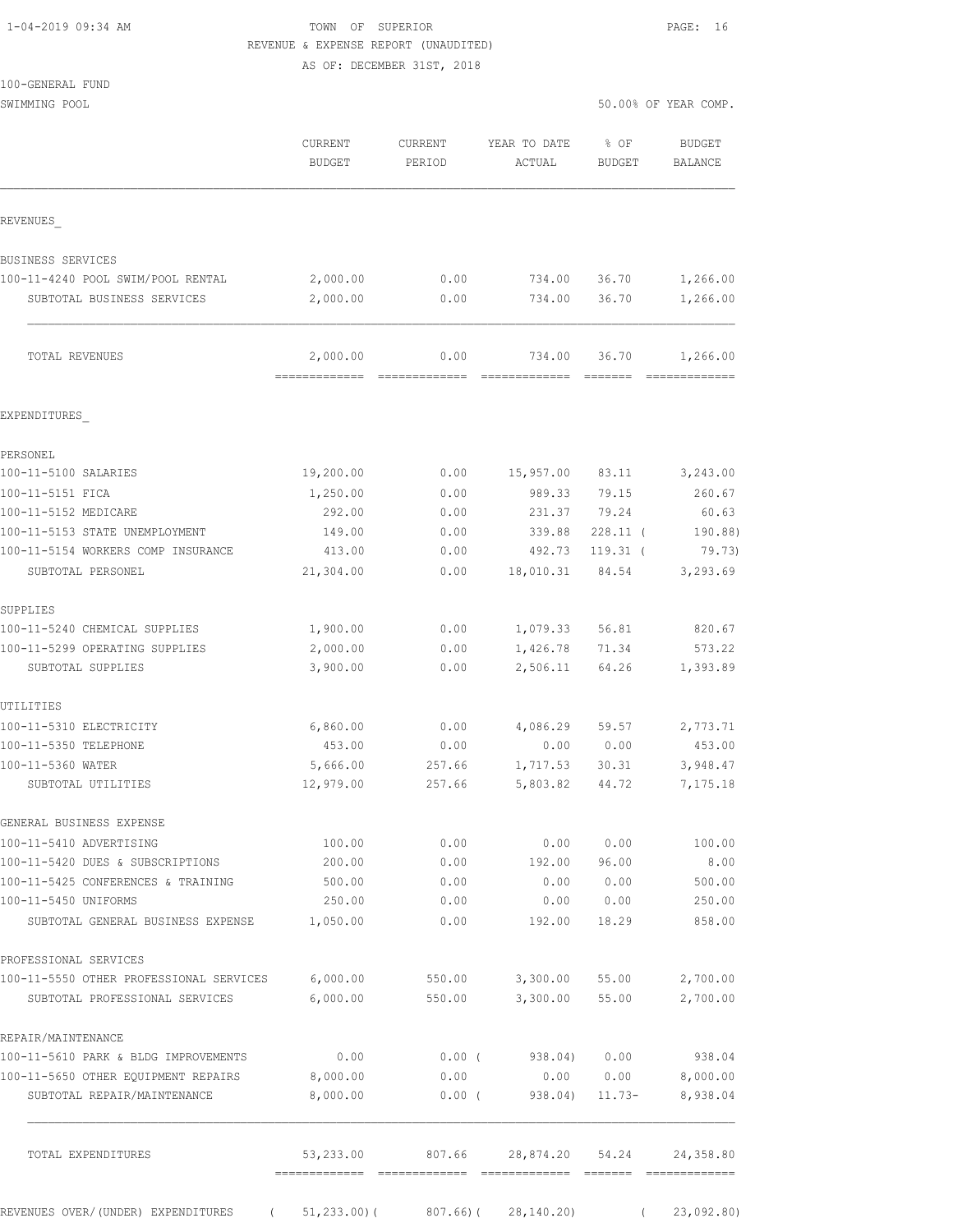| 1-04-2019 09:34 AM |  |
|--------------------|--|
|                    |  |

TOWN OF SUPERIOR **PAGE:** 16 REVENUE & EXPENSE REPORT (UNAUDITED)

AS OF: DECEMBER 31ST, 2018

SWIMMING POOL 50.00% OF YEAR COMP.

|                                                            | <b>CURRENT</b><br><b>BUDGET</b> | <b>CURRENT</b><br>PERIOD                                                                                                                                                                                                                                                                                                                                                                                                                                                                       | YEAR TO DATE<br>ACTUAL     | % OF<br><b>BUDGET</b>                                                                                                                                                                                                                                                                                                                                                                                                                                                                           | <b>BUDGET</b><br><b>BALANCE</b> |
|------------------------------------------------------------|---------------------------------|------------------------------------------------------------------------------------------------------------------------------------------------------------------------------------------------------------------------------------------------------------------------------------------------------------------------------------------------------------------------------------------------------------------------------------------------------------------------------------------------|----------------------------|-------------------------------------------------------------------------------------------------------------------------------------------------------------------------------------------------------------------------------------------------------------------------------------------------------------------------------------------------------------------------------------------------------------------------------------------------------------------------------------------------|---------------------------------|
| REVENUES                                                   |                                 |                                                                                                                                                                                                                                                                                                                                                                                                                                                                                                |                            |                                                                                                                                                                                                                                                                                                                                                                                                                                                                                                 |                                 |
| BUSINESS SERVICES                                          |                                 |                                                                                                                                                                                                                                                                                                                                                                                                                                                                                                |                            |                                                                                                                                                                                                                                                                                                                                                                                                                                                                                                 |                                 |
| 100-11-4240 POOL SWIM/POOL RENTAL                          | 2,000.00                        | 0.00                                                                                                                                                                                                                                                                                                                                                                                                                                                                                           | 734.00                     | 36.70                                                                                                                                                                                                                                                                                                                                                                                                                                                                                           | 1,266.00                        |
| SUBTOTAL BUSINESS SERVICES                                 | 2,000.00                        | 0.00                                                                                                                                                                                                                                                                                                                                                                                                                                                                                           | 734.00                     | 36.70                                                                                                                                                                                                                                                                                                                                                                                                                                                                                           | 1,266.00                        |
| TOTAL REVENUES                                             | 2,000.00<br>=============       | 0.00<br>$\begin{array}{cccccccccc} \multicolumn{2}{c}{} & \multicolumn{2}{c}{} & \multicolumn{2}{c}{} & \multicolumn{2}{c}{} & \multicolumn{2}{c}{} & \multicolumn{2}{c}{} & \multicolumn{2}{c}{} & \multicolumn{2}{c}{} & \multicolumn{2}{c}{} & \multicolumn{2}{c}{} & \multicolumn{2}{c}{} & \multicolumn{2}{c}{} & \multicolumn{2}{c}{} & \multicolumn{2}{c}{} & \multicolumn{2}{c}{} & \multicolumn{2}{c}{} & \multicolumn{2}{c}{} & \multicolumn{2}{c}{} & \multicolumn{2}{c}{} & \mult$ | 734.00<br>-------------    | 36.70<br>$\begin{array}{cccccccccc} \multicolumn{2}{c}{} & \multicolumn{2}{c}{} & \multicolumn{2}{c}{} & \multicolumn{2}{c}{} & \multicolumn{2}{c}{} & \multicolumn{2}{c}{} & \multicolumn{2}{c}{} & \multicolumn{2}{c}{} & \multicolumn{2}{c}{} & \multicolumn{2}{c}{} & \multicolumn{2}{c}{} & \multicolumn{2}{c}{} & \multicolumn{2}{c}{} & \multicolumn{2}{c}{} & \multicolumn{2}{c}{} & \multicolumn{2}{c}{} & \multicolumn{2}{c}{} & \multicolumn{2}{c}{} & \multicolumn{2}{c}{} & \mult$ | 1,266.00<br>--------------      |
| EXPENDITURES                                               |                                 |                                                                                                                                                                                                                                                                                                                                                                                                                                                                                                |                            |                                                                                                                                                                                                                                                                                                                                                                                                                                                                                                 |                                 |
| PERSONEL                                                   |                                 |                                                                                                                                                                                                                                                                                                                                                                                                                                                                                                |                            |                                                                                                                                                                                                                                                                                                                                                                                                                                                                                                 |                                 |
| 100-11-5100 SALARIES                                       | 19,200.00                       | 0.00                                                                                                                                                                                                                                                                                                                                                                                                                                                                                           | 15,957.00                  | 83.11                                                                                                                                                                                                                                                                                                                                                                                                                                                                                           | 3,243.00                        |
| 100-11-5151 FICA                                           | 1,250.00                        | 0.00                                                                                                                                                                                                                                                                                                                                                                                                                                                                                           | 989.33                     | 79.15                                                                                                                                                                                                                                                                                                                                                                                                                                                                                           | 260.67                          |
| 100-11-5152 MEDICARE                                       | 292.00                          | 0.00                                                                                                                                                                                                                                                                                                                                                                                                                                                                                           | 231.37                     | 79.24                                                                                                                                                                                                                                                                                                                                                                                                                                                                                           | 60.63                           |
| 100-11-5153 STATE UNEMPLOYMENT                             | 149.00                          | 0.00                                                                                                                                                                                                                                                                                                                                                                                                                                                                                           | 339.88                     | $228.11$ (                                                                                                                                                                                                                                                                                                                                                                                                                                                                                      | 190.88)                         |
| 100-11-5154 WORKERS COMP INSURANCE                         | 413.00                          | 0.00                                                                                                                                                                                                                                                                                                                                                                                                                                                                                           | 492.73                     | $119.31$ (                                                                                                                                                                                                                                                                                                                                                                                                                                                                                      | 79.73)                          |
| SUBTOTAL PERSONEL                                          | 21,304.00                       | 0.00                                                                                                                                                                                                                                                                                                                                                                                                                                                                                           | 18,010.31                  | 84.54                                                                                                                                                                                                                                                                                                                                                                                                                                                                                           | 3,293.69                        |
| SUPPLIES                                                   |                                 |                                                                                                                                                                                                                                                                                                                                                                                                                                                                                                |                            |                                                                                                                                                                                                                                                                                                                                                                                                                                                                                                 |                                 |
| 100-11-5240 CHEMICAL SUPPLIES                              | 1,900.00                        | 0.00                                                                                                                                                                                                                                                                                                                                                                                                                                                                                           | 1,079.33                   | 56.81                                                                                                                                                                                                                                                                                                                                                                                                                                                                                           | 820.67                          |
| 100-11-5299 OPERATING SUPPLIES                             | 2,000.00                        | 0.00                                                                                                                                                                                                                                                                                                                                                                                                                                                                                           | 1,426.78                   | 71.34                                                                                                                                                                                                                                                                                                                                                                                                                                                                                           | 573.22                          |
| SUBTOTAL SUPPLIES                                          | 3,900.00                        | 0.00                                                                                                                                                                                                                                                                                                                                                                                                                                                                                           | 2,506.11                   | 64.26                                                                                                                                                                                                                                                                                                                                                                                                                                                                                           | 1,393.89                        |
| UTILITIES                                                  |                                 |                                                                                                                                                                                                                                                                                                                                                                                                                                                                                                |                            |                                                                                                                                                                                                                                                                                                                                                                                                                                                                                                 |                                 |
| 100-11-5310 ELECTRICITY                                    | 6,860.00                        | 0.00                                                                                                                                                                                                                                                                                                                                                                                                                                                                                           | 4,086.29                   | 59.57                                                                                                                                                                                                                                                                                                                                                                                                                                                                                           | 2,773.71                        |
| 100-11-5350 TELEPHONE                                      | 453.00                          | 0.00                                                                                                                                                                                                                                                                                                                                                                                                                                                                                           | 0.00                       | 0.00                                                                                                                                                                                                                                                                                                                                                                                                                                                                                            | 453.00                          |
| 100-11-5360 WATER<br>SUBTOTAL UTILITIES                    | 5,666.00<br>12,979.00           | 257.66<br>257.66                                                                                                                                                                                                                                                                                                                                                                                                                                                                               | 1,717.53<br>5,803.82       | 30.31<br>44.72                                                                                                                                                                                                                                                                                                                                                                                                                                                                                  | 3,948.47<br>7,175.18            |
|                                                            |                                 |                                                                                                                                                                                                                                                                                                                                                                                                                                                                                                |                            |                                                                                                                                                                                                                                                                                                                                                                                                                                                                                                 |                                 |
| GENERAL BUSINESS EXPENSE                                   |                                 |                                                                                                                                                                                                                                                                                                                                                                                                                                                                                                |                            |                                                                                                                                                                                                                                                                                                                                                                                                                                                                                                 |                                 |
| 100-11-5410 ADVERTISING                                    | 100.00                          | 0.00                                                                                                                                                                                                                                                                                                                                                                                                                                                                                           | 0.00                       | 0.00                                                                                                                                                                                                                                                                                                                                                                                                                                                                                            | 100.00                          |
| 100-11-5420 DUES & SUBSCRIPTIONS                           | 200.00                          | 0.00                                                                                                                                                                                                                                                                                                                                                                                                                                                                                           | 192.00                     | 96.00                                                                                                                                                                                                                                                                                                                                                                                                                                                                                           | 8.00                            |
| 100-11-5425 CONFERENCES & TRAINING<br>100-11-5450 UNIFORMS | 500.00<br>250.00                | 0.00<br>0.00                                                                                                                                                                                                                                                                                                                                                                                                                                                                                   | 0.00<br>0.00               | 0.00<br>0.00                                                                                                                                                                                                                                                                                                                                                                                                                                                                                    | 500.00<br>250.00                |
| SUBTOTAL GENERAL BUSINESS EXPENSE                          | 1,050.00                        | 0.00                                                                                                                                                                                                                                                                                                                                                                                                                                                                                           | 192.00                     | 18.29                                                                                                                                                                                                                                                                                                                                                                                                                                                                                           | 858.00                          |
| PROFESSIONAL SERVICES                                      |                                 |                                                                                                                                                                                                                                                                                                                                                                                                                                                                                                |                            |                                                                                                                                                                                                                                                                                                                                                                                                                                                                                                 |                                 |
| 100-11-5550 OTHER PROFESSIONAL SERVICES                    | 6,000.00                        | 550.00                                                                                                                                                                                                                                                                                                                                                                                                                                                                                         | 3,300.00                   | 55.00                                                                                                                                                                                                                                                                                                                                                                                                                                                                                           | 2,700.00                        |
| SUBTOTAL PROFESSIONAL SERVICES                             | 6,000.00                        | 550.00                                                                                                                                                                                                                                                                                                                                                                                                                                                                                         | 3,300.00                   | 55.00                                                                                                                                                                                                                                                                                                                                                                                                                                                                                           | 2,700.00                        |
| REPAIR/MAINTENANCE                                         |                                 |                                                                                                                                                                                                                                                                                                                                                                                                                                                                                                |                            |                                                                                                                                                                                                                                                                                                                                                                                                                                                                                                 |                                 |
| 100-11-5610 PARK & BLDG IMPROVEMENTS                       | 0.00                            | $0.00$ (                                                                                                                                                                                                                                                                                                                                                                                                                                                                                       |                            | 938.04) 0.00                                                                                                                                                                                                                                                                                                                                                                                                                                                                                    | 938.04                          |
| 100-11-5650 OTHER EQUIPMENT REPAIRS                        | 8,000.00                        | 0.00                                                                                                                                                                                                                                                                                                                                                                                                                                                                                           | 0.00                       | 0.00                                                                                                                                                                                                                                                                                                                                                                                                                                                                                            | 8,000.00                        |
| SUBTOTAL REPAIR/MAINTENANCE                                | 8,000.00                        | $0.00$ (                                                                                                                                                                                                                                                                                                                                                                                                                                                                                       | 938.04)                    | 11.73-                                                                                                                                                                                                                                                                                                                                                                                                                                                                                          | 8,938.04                        |
| TOTAL EXPENDITURES                                         | 53,233.00                       | 807.66                                                                                                                                                                                                                                                                                                                                                                                                                                                                                         | 28,874.20 54.24            |                                                                                                                                                                                                                                                                                                                                                                                                                                                                                                 | 24,358.80                       |
| REVENUES OVER/(UNDER) EXPENDITURES (                       | $51, 233.00$ ) (                | 807.66)(                                                                                                                                                                                                                                                                                                                                                                                                                                                                                       | ---- -------<br>28,140.20) | $\left($                                                                                                                                                                                                                                                                                                                                                                                                                                                                                        | 23,092.80                       |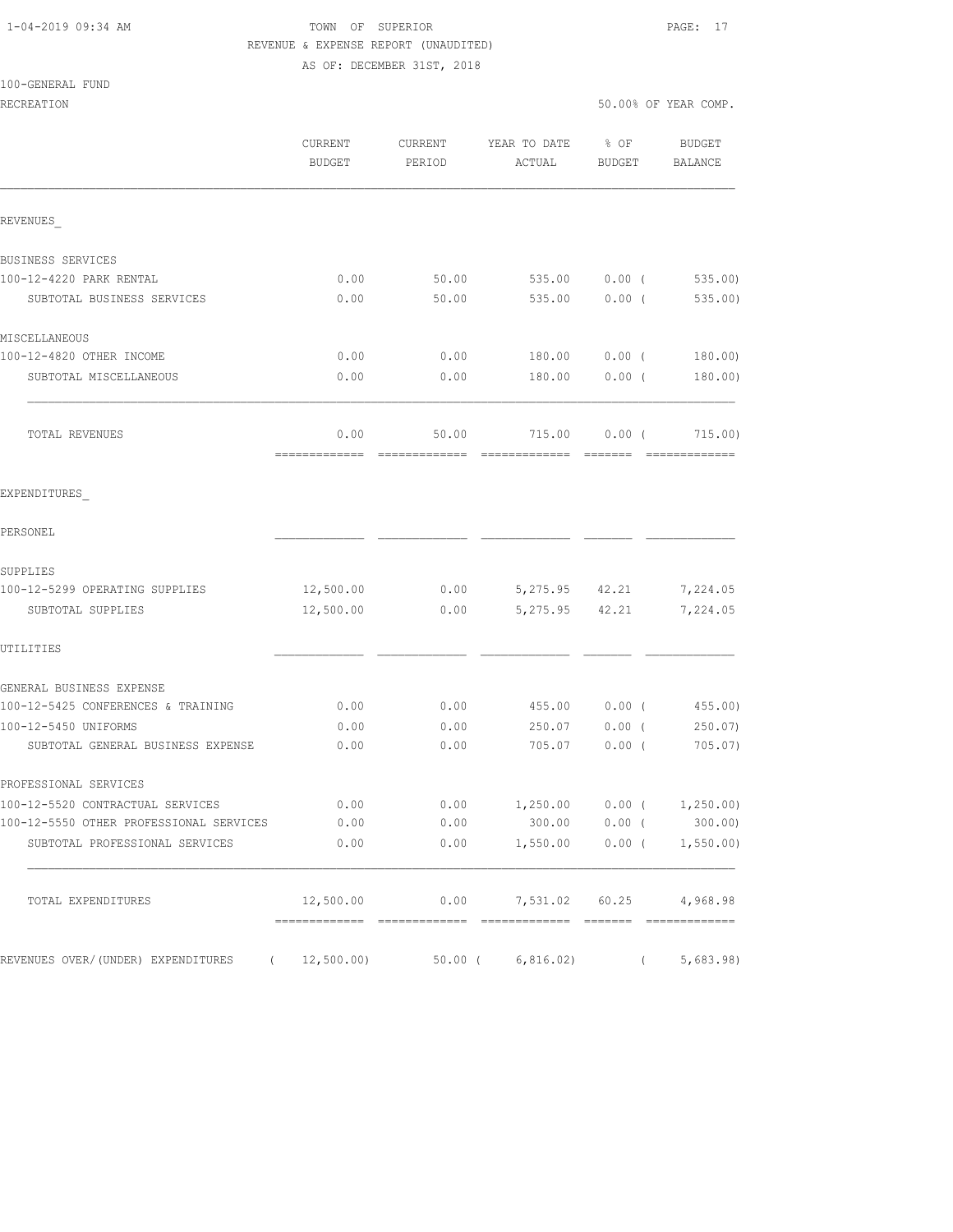### 1-04-2019 09:34 AM TOWN OF SUPERIOR PAGE: 17 REVENUE & EXPENSE REPORT (UNAUDITED) AS OF: DECEMBER 31ST, 2018

| 100-GENERAL FUND |  |
|------------------|--|
|------------------|--|

|                                                | CURRENT<br><b>BUDGET</b> | CURRENT<br>PERIOD | YEAR TO DATE<br>ACTUAL           | $8$ OF<br>BUDGET | BUDGET<br>BALANCE     |
|------------------------------------------------|--------------------------|-------------------|----------------------------------|------------------|-----------------------|
| REVENUES                                       |                          |                   |                                  |                  |                       |
| BUSINESS SERVICES                              |                          |                   |                                  |                  |                       |
| 100-12-4220 PARK RENTAL                        | 0.00                     | 50.00             | 535.00                           | $0.00$ (         | 535.00                |
| SUBTOTAL BUSINESS SERVICES                     | 0.00                     | 50.00             | 535.00                           | $0.00$ (         | 535.00                |
| MISCELLANEOUS                                  |                          |                   |                                  |                  |                       |
| 100-12-4820 OTHER INCOME                       | 0.00                     | 0.00              | 180.00                           | $0.00$ (         | 180.00)               |
| SUBTOTAL MISCELLANEOUS                         | 0.00                     | 0.00              | 180.00                           | $0.00$ (         | 180.00)               |
| TOTAL REVENUES                                 | 0.00                     | 50.00             | 715.00                           | $0.00$ (         | 715.00)               |
| EXPENDITURES                                   |                          |                   |                                  |                  |                       |
| PERSONEL                                       |                          |                   |                                  |                  |                       |
| SUPPLIES                                       |                          |                   |                                  |                  |                       |
| 100-12-5299 OPERATING SUPPLIES                 | 12,500.00                | 0.00              | 5,275.95 42.21                   |                  | 7,224.05              |
| SUBTOTAL SUPPLIES                              | 12,500.00                | 0.00              | 5,275.95                         | 42.21            | 7,224.05              |
| UTILITIES                                      |                          |                   |                                  |                  |                       |
| GENERAL BUSINESS EXPENSE                       |                          |                   |                                  |                  |                       |
| 100-12-5425 CONFERENCES & TRAINING             | 0.00                     | 0.00              | 455.00                           | $0.00$ (         | 455.00)               |
| 100-12-5450 UNIFORMS                           | 0.00                     | 0.00              | 250.07                           | $0.00$ (         | 250.07                |
| SUBTOTAL GENERAL BUSINESS EXPENSE              | 0.00                     | 0.00              | 705.07                           | 0.00(            | 705.07                |
| PROFESSIONAL SERVICES                          |                          |                   |                                  |                  |                       |
| 100-12-5520 CONTRACTUAL SERVICES               | 0.00                     | 0.00              | 1,250.00                         |                  | $0.00$ ( $1,250.00$ ) |
| 100-12-5550 OTHER PROFESSIONAL SERVICES        | 0.00                     | 0.00              | 300.00   0.00   (300.00)         |                  |                       |
| SUBTOTAL PROFESSIONAL SERVICES                 | 0.00                     |                   | $0.00$ 1,550.00 0.00 ( 1,550.00) |                  |                       |
| TOTAL EXPENDITURES                             |                          |                   |                                  |                  |                       |
| REVENUES OVER/(UNDER) EXPENDITURES (12,500.00) |                          |                   | $50.00$ ( 6,816.02) ( 5,683.98)  |                  |                       |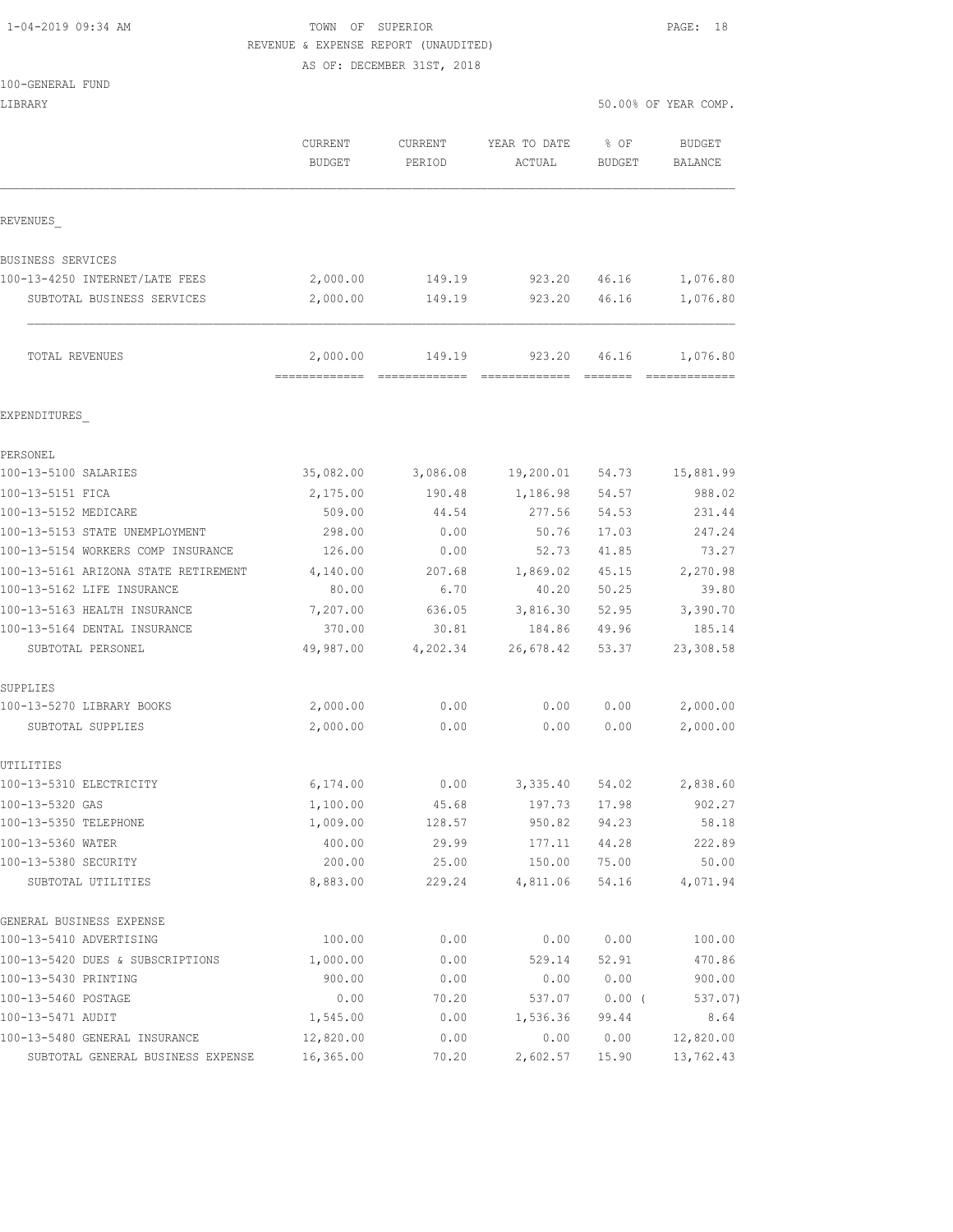## 1-04-2019 09:34 AM TOWN OF SUPERIOR PAGE: 18 REVENUE & EXPENSE REPORT (UNAUDITED)

AS OF: DECEMBER 31ST, 2018

| $100 - GENERAT.$<br>FUND |  |
|--------------------------|--|
|--------------------------|--|

|                                      | CURRENT<br><b>BUDGET</b> | <b>CURRENT</b><br>PERIOD | YEAR TO DATE<br>ACTUAL | % OF<br>BUDGET | <b>BUDGET</b><br>BALANCE |
|--------------------------------------|--------------------------|--------------------------|------------------------|----------------|--------------------------|
| REVENUES                             |                          |                          |                        |                |                          |
| BUSINESS SERVICES                    |                          |                          |                        |                |                          |
| 100-13-4250 INTERNET/LATE FEES       | 2,000.00                 | 149.19                   | 923.20                 | 46.16          | 1,076.80                 |
| SUBTOTAL BUSINESS SERVICES           | 2,000.00                 | 149.19                   | 923.20                 | 46.16          | 1,076.80                 |
| TOTAL REVENUES                       | 2,000.00                 | 149.19                   | 923.20                 | 46.16          | 1,076.80                 |
| EXPENDITURES                         |                          |                          |                        |                |                          |
| PERSONEL                             |                          |                          |                        |                |                          |
| 100-13-5100 SALARIES                 | 35,082.00                | 3,086.08                 | 19,200.01              | 54.73          | 15,881.99                |
| 100-13-5151 FICA                     | 2,175.00                 | 190.48                   | 1,186.98               | 54.57          | 988.02                   |
| 100-13-5152 MEDICARE                 | 509.00                   | 44.54                    | 277.56                 | 54.53          | 231.44                   |
| 100-13-5153 STATE UNEMPLOYMENT       | 298.00                   | 0.00                     | 50.76                  | 17.03          | 247.24                   |
| 100-13-5154 WORKERS COMP INSURANCE   | 126.00                   | 0.00                     | 52.73                  | 41.85          | 73.27                    |
| 100-13-5161 ARIZONA STATE RETIREMENT | 4,140.00                 | 207.68                   | 1,869.02               | 45.15          | 2,270.98                 |
| 100-13-5162 LIFE INSURANCE           | 80.00                    | 6.70                     | 40.20                  | 50.25          | 39.80                    |
| 100-13-5163 HEALTH INSURANCE         | 7,207.00                 | 636.05                   | 3,816.30               | 52.95          | 3,390.70                 |
| 100-13-5164 DENTAL INSURANCE         | 370.00                   | 30.81                    | 184.86                 | 49.96          | 185.14                   |
| SUBTOTAL PERSONEL                    | 49,987.00                | 4,202.34                 | 26,678.42              | 53.37          | 23,308.58                |
| SUPPLIES                             |                          |                          |                        |                |                          |
| 100-13-5270 LIBRARY BOOKS            | 2,000.00                 | 0.00                     | 0.00                   | 0.00           | 2,000.00                 |
| SUBTOTAL SUPPLIES                    | 2,000.00                 | 0.00                     | 0.00                   | 0.00           | 2,000.00                 |
| UTILITIES                            |                          |                          |                        |                |                          |
| 100-13-5310 ELECTRICITY              | 6,174.00                 | 0.00                     | 3,335.40               | 54.02          | 2,838.60                 |
| 100-13-5320 GAS                      | 1,100.00                 | 45.68                    | 197.73                 | 17.98          | 902.27                   |
| 100-13-5350 TELEPHONE                | 1,009.00                 | 128.57                   | 950.82                 | 94.23          | 58.18                    |
| 100-13-5360 WATER                    | 400.00                   | 29.99                    | 177.11                 | 44.28          | 222.89                   |
| 100-13-5380 SECURITY                 | 200.00                   | 25.00                    | 150.00                 | 75.00          | 50.00                    |
| SUBTOTAL UTILITIES                   | 8,883.00                 | 229.24                   | 4,811.06               | 54.16          | 4,071.94                 |
| GENERAL BUSINESS EXPENSE             |                          |                          |                        |                |                          |
| 100-13-5410 ADVERTISING              | 100.00                   | 0.00                     | 0.00                   | 0.00           | 100.00                   |
| 100-13-5420 DUES & SUBSCRIPTIONS     | 1,000.00                 | 0.00                     | 529.14                 | 52.91          | 470.86                   |
| 100-13-5430 PRINTING                 | 900.00                   | 0.00                     | 0.00                   | 0.00           | 900.00                   |
| 100-13-5460 POSTAGE                  | 0.00                     | 70.20                    | 537.07                 | $0.00$ (       | 537.07)                  |
| 100-13-5471 AUDIT                    | 1,545.00                 | 0.00                     | 1,536.36               | 99.44          | 8.64                     |
| 100-13-5480 GENERAL INSURANCE        | 12,820.00                | 0.00                     | 0.00                   | 0.00           | 12,820.00                |
| SUBTOTAL GENERAL BUSINESS EXPENSE    | 16,365.00                | 70.20                    | 2,602.57               | 15.90          | 13,762.43                |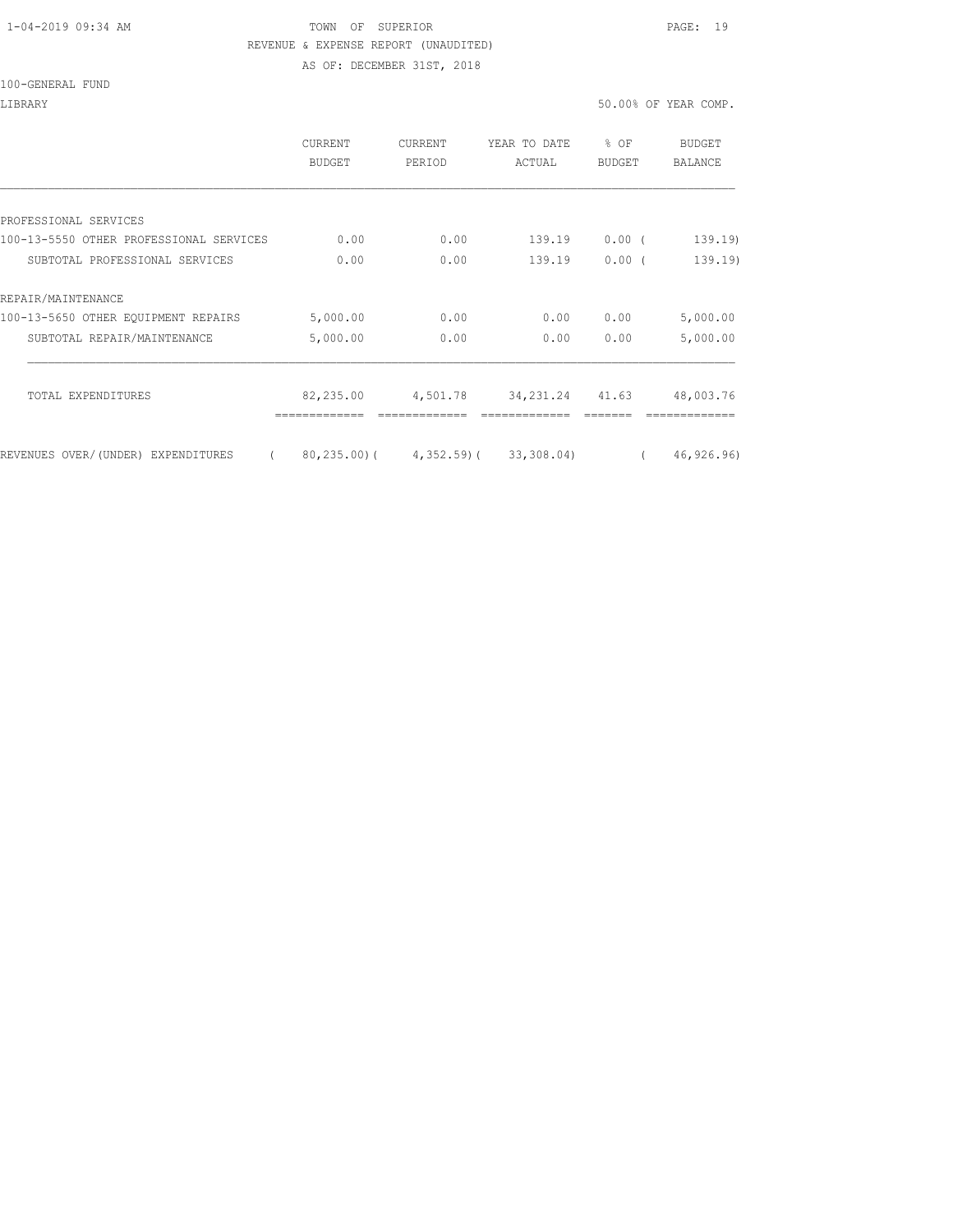### 1-04-2019 09:34 AM TOWN OF SUPERIOR PAGE: 19 REVENUE & EXPENSE REPORT (UNAUDITED)

AS OF: DECEMBER 31ST, 2018

|                                         | <b>CURRENT</b><br><b>BUDGET</b> | <b>CURRENT</b><br>PERIOD | YEAR TO DATE<br>ACTUAL                         | $8$ OF<br><b>BUDGET</b> | BUDGET<br><b>BALANCE</b> |
|-----------------------------------------|---------------------------------|--------------------------|------------------------------------------------|-------------------------|--------------------------|
|                                         |                                 |                          |                                                |                         |                          |
| PROFESSIONAL SERVICES                   |                                 |                          |                                                |                         |                          |
| 100-13-5550 OTHER PROFESSIONAL SERVICES | 0.00                            | 0.00                     | 139.19                                         | 0.00(                   | 139.19                   |
| SUBTOTAL PROFESSIONAL SERVICES          | 0.00                            | 0.00                     | 139.19                                         | $0.00$ (                | 139.19)                  |
| REPAIR/MAINTENANCE                      |                                 |                          |                                                |                         |                          |
| 100-13-5650 OTHER EOUIPMENT REPAIRS     | 5,000.00                        | 0.00                     | 0.00                                           | 0.00                    | 5,000.00                 |
| SUBTOTAL REPAIR/MAINTENANCE             | 5,000.00                        | 0.00                     | 0.00                                           | 0.00                    | 5,000.00                 |
| TOTAL EXPENDITURES                      | 82,235.00                       | 4,501.78                 | 34, 231. 24                                    | 41.63                   | 48,003.76                |
|                                         |                                 |                          |                                                |                         |                          |
| REVENUES OVER/(UNDER) EXPENDITURES      |                                 |                          | $80, 235, 00$ ( $4, 352, 59$ ( $33, 308, 04$ ) |                         | 46,926.96)               |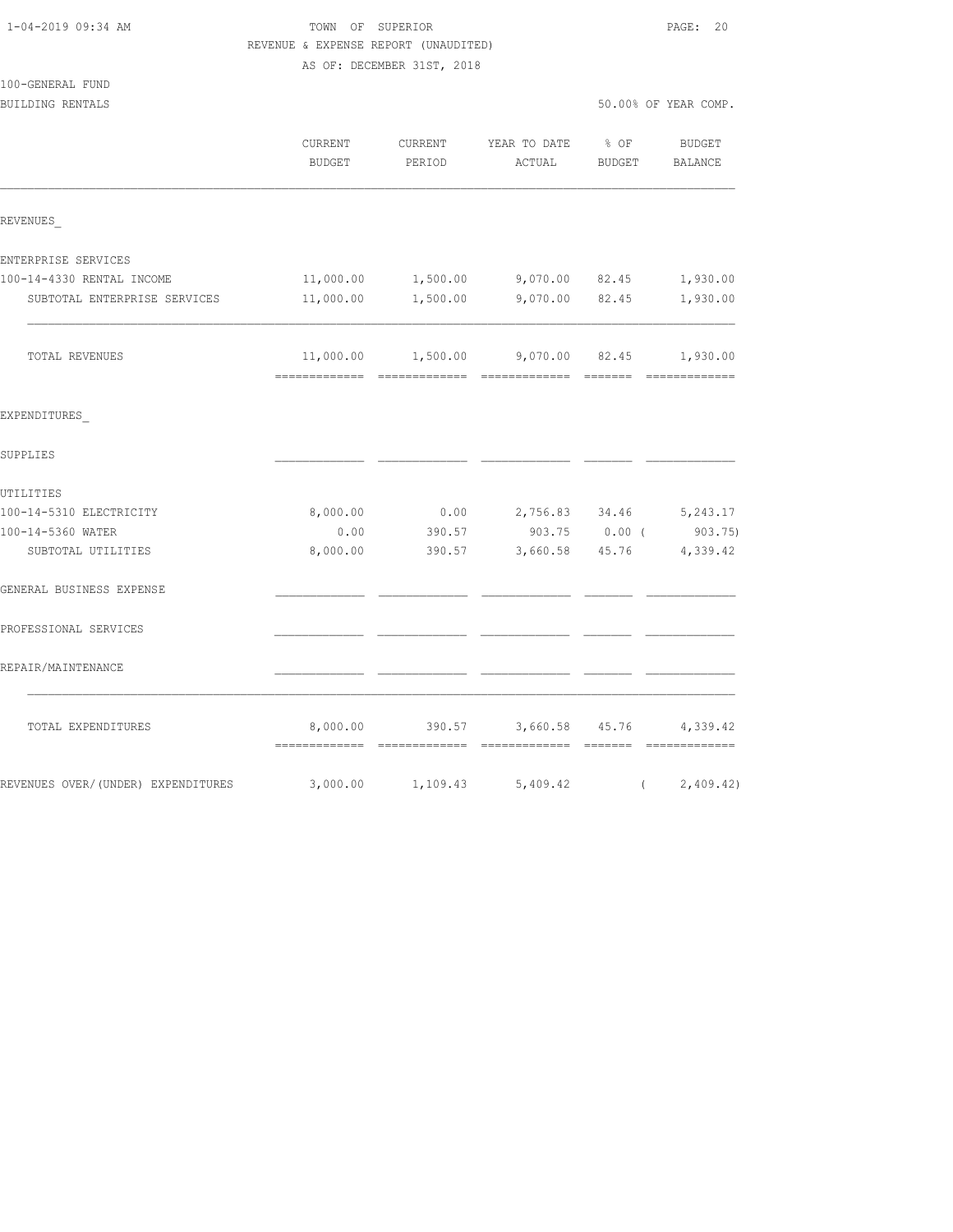|                                    | REVENUE & EXPENSE REPORT (UNAUDITED) |                            |                                                      |               |                          |
|------------------------------------|--------------------------------------|----------------------------|------------------------------------------------------|---------------|--------------------------|
|                                    |                                      | AS OF: DECEMBER 31ST, 2018 |                                                      |               |                          |
| 100-GENERAL FUND                   |                                      |                            |                                                      |               |                          |
| BUILDING RENTALS                   |                                      |                            |                                                      |               | 50.00% OF YEAR COMP.     |
|                                    | CURRENT<br>BUDGET                    | CURRENT<br>PERIOD          | YEAR TO DATE<br>ACTUAL                               | $8$ OF        | BUDGET<br>BUDGET BALANCE |
| REVENUES                           |                                      |                            |                                                      |               |                          |
| ENTERPRISE SERVICES                |                                      |                            |                                                      |               |                          |
| 100-14-4330 RENTAL INCOME          |                                      |                            | $11,000.00$ $1,500.00$ $9,070.00$ $82.45$ $1,930.00$ |               |                          |
| SUBTOTAL ENTERPRISE SERVICES       | 11,000.00                            |                            | 1,500.00 9,070.00 82.45                              |               | 1,930.00                 |
| TOTAL REVENUES                     |                                      |                            | $11,000.00$ $1,500.00$ $9,070.00$ $82.45$ $1,930.00$ |               |                          |
| EXPENDITURES                       |                                      |                            |                                                      |               |                          |
| SUPPLIES                           |                                      |                            |                                                      |               |                          |
| UTILITIES                          |                                      |                            |                                                      |               |                          |
| 100-14-5310 ELECTRICITY            | 8,000.00                             | 0.00                       | 2,756.83 34.46 5,243.17                              |               |                          |
| 100-14-5360 WATER                  | 0.00                                 | 390.57                     |                                                      | 903.75 0.00 ( | 903.75)                  |
| SUBTOTAL UTILITIES                 | 8,000.00                             | 390.57                     | 3,660.58 45.76 4,339.42                              |               |                          |
| GENERAL BUSINESS EXPENSE           |                                      |                            |                                                      |               |                          |
| PROFESSIONAL SERVICES              |                                      |                            |                                                      |               |                          |
| REPAIR/MAINTENANCE                 |                                      |                            |                                                      |               |                          |
| TOTAL EXPENDITURES                 |                                      |                            | 8,000.00 390.57 3,660.58 45.76 4,339.42              |               |                          |
| REVENUES OVER/(UNDER) EXPENDITURES |                                      |                            | 3,000.00 1,109.43 5,409.42                           | $\sqrt{2}$    | 2,409.42)                |

1-04-2019 09:34 AM TOWN OF SUPERIOR PAGE: 20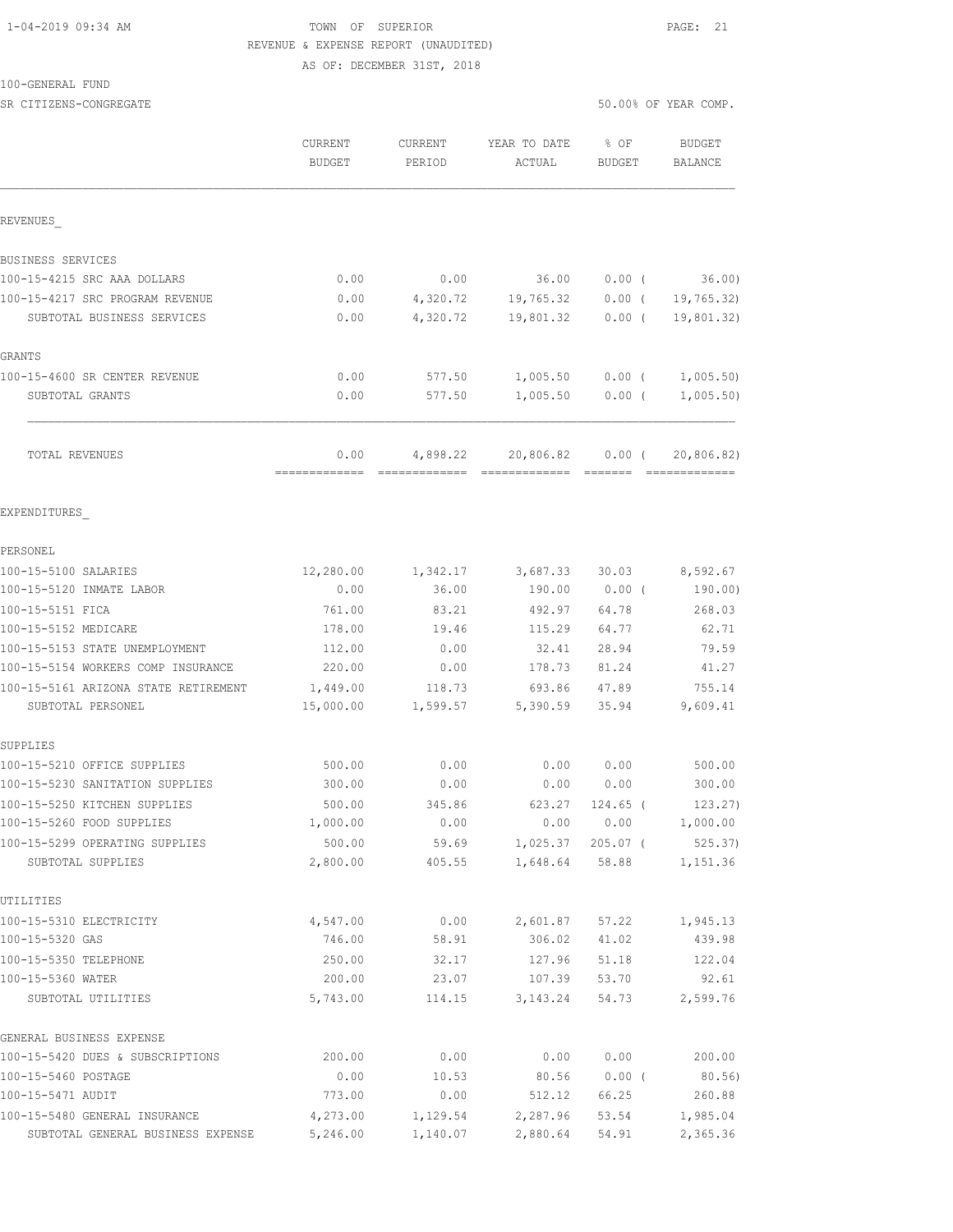# 1-04-2019 09:34 AM TOWN OF SUPERIOR PAGE: 21 REVENUE & EXPENSE REPORT (UNAUDITED)

AS OF: DECEMBER 31ST, 2018

#### 100-GENERAL FUND

SR CITIZENS-CONGREGATE SERVICES AND SOLUTION OF SOLUTION OF SOLUTION OF YEAR COMP.

|                                      | CURRENT<br><b>BUDGET</b> | CURRENT<br>PERIOD | YEAR TO DATE<br>ACTUAL         | $8$ OF<br><b>BUDGET</b> | <b>BUDGET</b><br>BALANCE |
|--------------------------------------|--------------------------|-------------------|--------------------------------|-------------------------|--------------------------|
| REVENUES                             |                          |                   |                                |                         |                          |
| BUSINESS SERVICES                    |                          |                   |                                |                         |                          |
| 100-15-4215 SRC AAA DOLLARS          | 0.00                     | 0.00              | 36.00                          | $0.00$ (                | 36.00                    |
| 100-15-4217 SRC PROGRAM REVENUE      | 0.00                     | 4,320.72          | 19,765.32                      | $0.00$ (                | 19,765.32)               |
| SUBTOTAL BUSINESS SERVICES           | 0.00                     | 4,320.72          | 19,801.32                      | $0.00$ (                | 19,801.32)               |
| GRANTS                               |                          |                   |                                |                         |                          |
| 100-15-4600 SR CENTER REVENUE        | 0.00                     | 577.50            | 1,005.50                       | $0.00$ (                | 1,005.50)                |
| SUBTOTAL GRANTS                      | 0.00                     | 577.50            | 1,005.50                       | $0.00$ (                | 1,005.50)                |
| TOTAL REVENUES                       | 0.00<br>=============    |                   | 4,898.22 20,806.82             | $0.00$ (                | 20,806.82)               |
| EXPENDITURES                         |                          |                   |                                |                         |                          |
| PERSONEL                             |                          |                   |                                |                         |                          |
| 100-15-5100 SALARIES                 | 12,280.00                | 1,342.17          | 3,687.33                       | 30.03                   | 8,592.67                 |
| 100-15-5120 INMATE LABOR             | 0.00                     | 36.00             | 190.00                         | $0.00$ (                | 190.00)                  |
| 100-15-5151 FICA                     | 761.00                   | 83.21             | 492.97                         | 64.78                   | 268.03                   |
| 100-15-5152 MEDICARE                 | 178.00                   | 19.46             | 115.29                         | 64.77                   | 62.71                    |
| 100-15-5153 STATE UNEMPLOYMENT       | 112.00                   | 0.00              | 32.41                          | 28.94                   | 79.59                    |
| 100-15-5154 WORKERS COMP INSURANCE   | 220.00                   | 0.00              | 178.73                         | 81.24                   | 41.27                    |
| 100-15-5161 ARIZONA STATE RETIREMENT | 1,449.00                 | 118.73            | 693.86                         | 47.89                   | 755.14                   |
| SUBTOTAL PERSONEL                    | 15,000.00                | 1,599.57          | 5,390.59                       | 35.94                   | 9,609.41                 |
| SUPPLIES                             |                          |                   |                                |                         |                          |
| 100-15-5210 OFFICE SUPPLIES          | 500.00                   | 0.00              | 0.00                           | 0.00                    | 500.00                   |
| 100-15-5230 SANITATION SUPPLIES      | 300.00                   | 0.00              | 0.00                           | 0.00                    | 300.00                   |
| 100-15-5250 KITCHEN SUPPLIES         | 500.00                   | 345.86            | 623.27                         | $124.65$ (              | 123.27)                  |
| 100-15-5260 FOOD SUPPLIES            | 1,000.00                 | 0.00              |                                | 0.00 0.00               | 1,000.00                 |
| 100-15-5299 OPERATING SUPPLIES       | 500.00                   |                   | 59.69 1,025.37 205.07 (        |                         | 525.37)                  |
| SUBTOTAL SUPPLIES                    | 2,800.00                 |                   | 405.55 1,648.64 58.88 1,151.36 |                         |                          |
| UTILITIES                            |                          |                   |                                |                         |                          |
| 100-15-5310 ELECTRICITY              | 4,547.00                 |                   | $0.00$ 2,601.87 57.22 1,945.13 |                         |                          |
| 100-15-5320 GAS                      | 746.00                   | 58.91             |                                | 306.02 41.02            | 439.98                   |
| 100-15-5350 TELEPHONE                | 250.00                   | 32.17             | 127.96 51.18                   |                         | 122.04                   |
| 100-15-5360 WATER                    | 200.00                   |                   |                                |                         | 92.61                    |
| SUBTOTAL UTILITIES                   | 5,743.00                 |                   | 114.15 3, 143.24               | 54.73                   | 2,599.76                 |
| GENERAL BUSINESS EXPENSE             |                          |                   |                                |                         |                          |
| 100-15-5420 DUES & SUBSCRIPTIONS     | 200.00                   | 0.00              | 0.00                           | 0.00                    | 200.00                   |
| 100-15-5460 POSTAGE                  | 0.00                     | 10.53             |                                | 80.56 0.00 (            | 80.56)                   |
| 100-15-5471 AUDIT                    | 773.00                   | 0.00              | 512.12                         | 66.25                   | 260.88                   |
| 100-15-5480 GENERAL INSURANCE        | 4,273.00                 | 1,129.54          | 2,287.96                       | 53.54                   | 1,985.04                 |
| SUBTOTAL GENERAL BUSINESS EXPENSE    | 5,246.00                 | 1,140.07          | 2,880.64                       | 54.91                   | 2,365.36                 |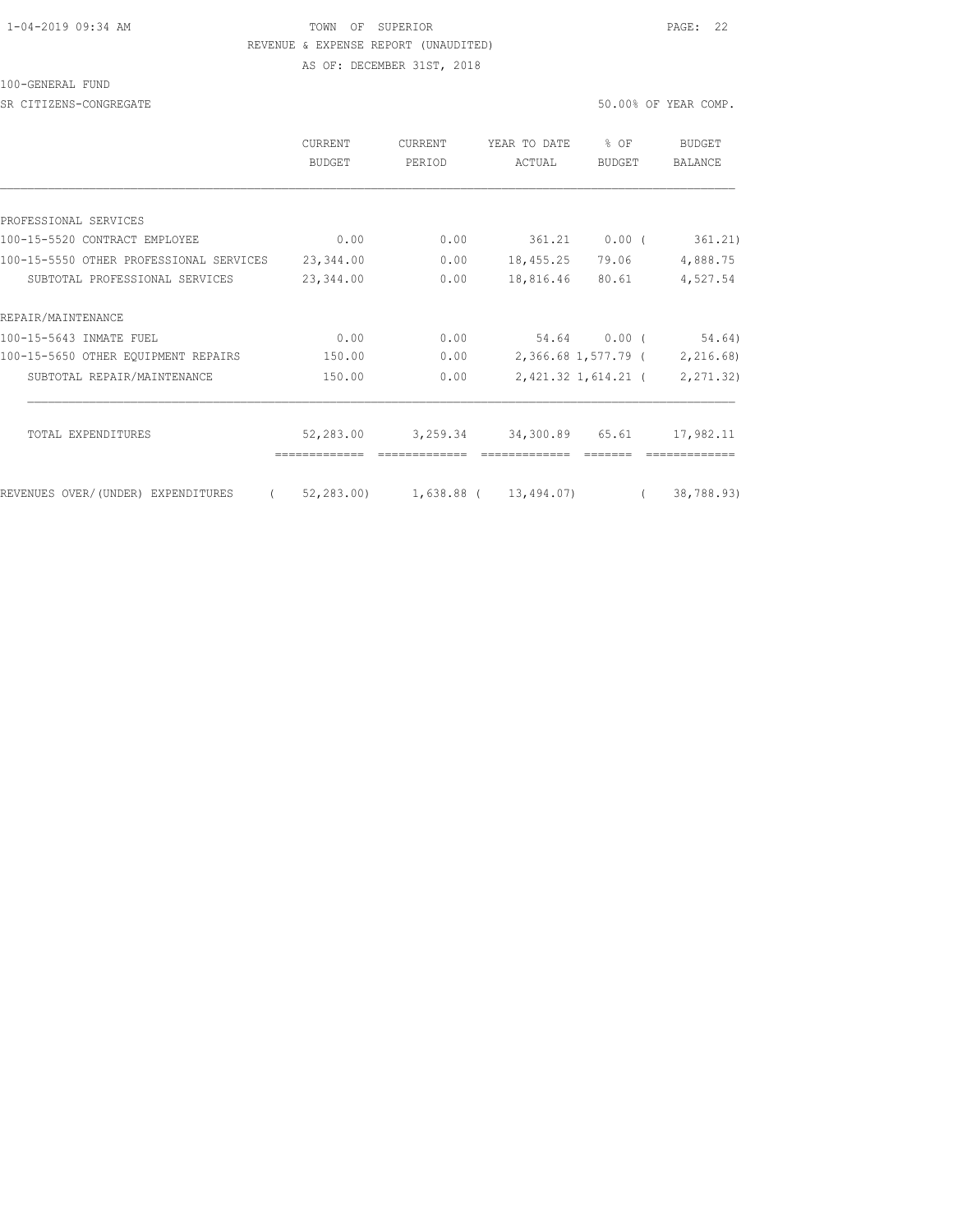# 1-04-2019 09:34 AM TOWN OF SUPERIOR PAGE: 22 REVENUE & EXPENSE REPORT (UNAUDITED)

AS OF: DECEMBER 31ST, 2018

#### 100-GENERAL FUND

SR CITIZENS-CONGREGATE SERVICES AND SOLUTION OF SOLUTION OF SOLUTION OF YEAR COMP.

|                                                | <b>CURRENT</b><br><b>BUDGET</b> | <b>CURRENT</b><br>PERIOD           | YEAR TO DATE<br>ACTUAL | $%$ $OF$<br><b>BUDGET</b> | <b>BUDGET</b><br><b>BALANCE</b> |
|------------------------------------------------|---------------------------------|------------------------------------|------------------------|---------------------------|---------------------------------|
|                                                |                                 |                                    |                        |                           |                                 |
| PROFESSIONAL SERVICES                          |                                 |                                    |                        |                           |                                 |
| 100-15-5520 CONTRACT EMPLOYEE                  | 0.00                            | 0.00                               |                        | 361.21 0.00 (             | 361.21)                         |
| 100-15-5550 OTHER PROFESSIONAL SERVICES        | 23,344.00                       | 0.00                               | 18,455.25              | 79.06                     | 4,888.75                        |
| SUBTOTAL PROFESSIONAL SERVICES                 | 23,344.00                       | 0.00                               | 18,816.46              | 80.61                     | 4,527.54                        |
| REPAIR/MAINTENANCE                             |                                 |                                    |                        |                           |                                 |
| 100-15-5643 INMATE FUEL                        | 0.00                            | 0.00                               |                        | 54.64 0.00 (              | 54.64)                          |
| 100-15-5650 OTHER EOUIPMENT REPAIRS            | 150.00                          | 0.00                               |                        | 2,366.68 1,577.79 (       | 2,216.68)                       |
| SUBTOTAL REPAIR/MAINTENANCE                    | 150.00                          | 0.00                               |                        | 2,421.32 1,614.21 (       | 2, 271.32)                      |
|                                                |                                 |                                    |                        |                           |                                 |
| TOTAL EXPENDITURES                             | 52,283.00                       | 3,259.34                           | 34,300.89 65.61        |                           | 17,982.11                       |
| $\left($<br>REVENUES OVER/(UNDER) EXPENDITURES |                                 | 52,283.00) 1,638.88 ( 13,494.07) ( |                        |                           | 38,788.93)                      |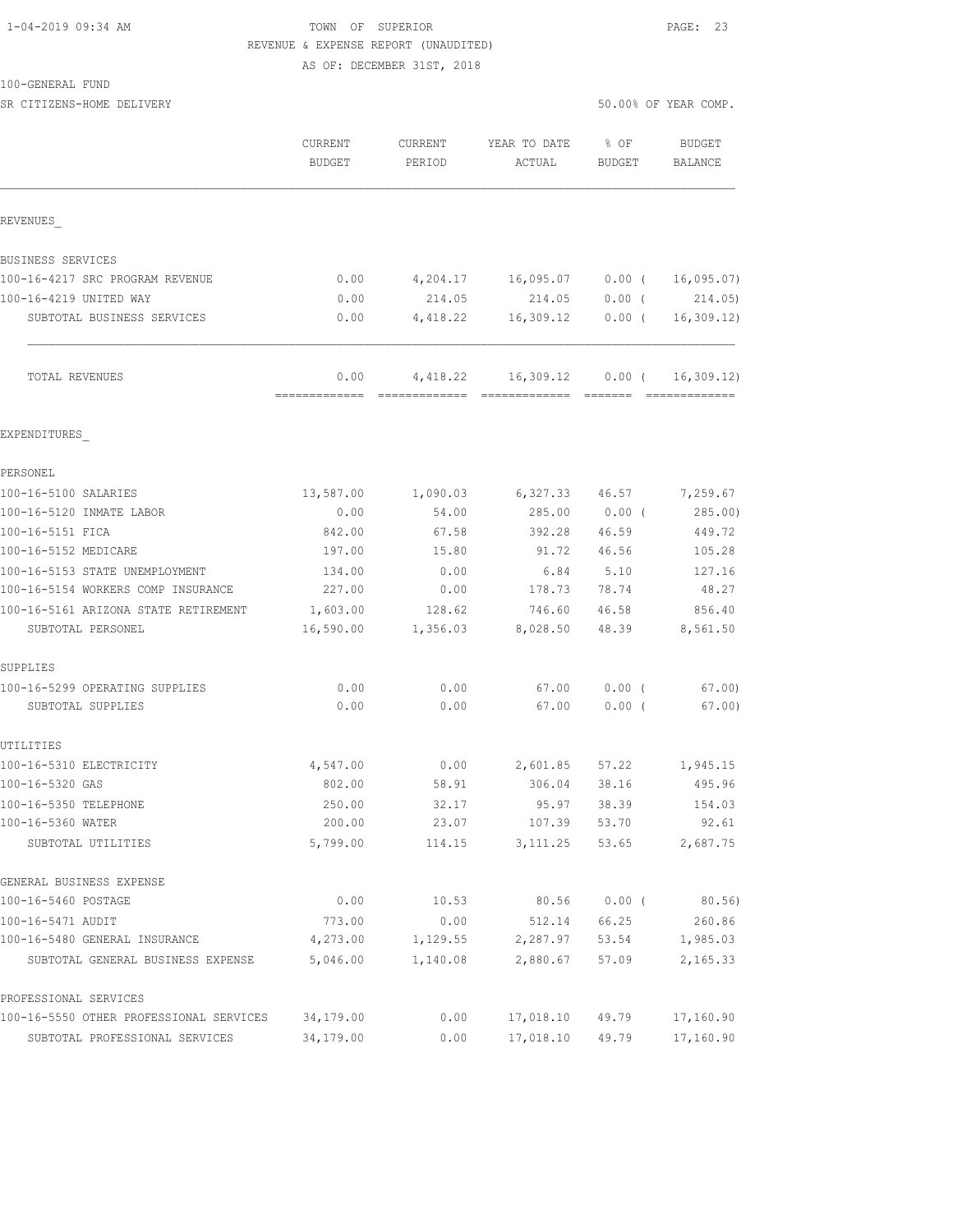## 1-04-2019 09:34 AM TOWN OF SUPERIOR PAGE: 23 REVENUE & EXPENSE REPORT (UNAUDITED)

AS OF: DECEMBER 31ST, 2018

| 100-GENERAL | FUND |
|-------------|------|
|-------------|------|

GENERAL BUSINESS EXPENSE

PROFESSIONAL SERVICES

| 100-GENERAL FUND<br>SR CITIZENS-HOME DELIVERY |                   |                   |                        |                         | 50.00% OF YEAR COMP. |
|-----------------------------------------------|-------------------|-------------------|------------------------|-------------------------|----------------------|
|                                               |                   |                   |                        |                         |                      |
|                                               | CURRENT<br>BUDGET | CURRENT<br>PERIOD | YEAR TO DATE<br>ACTUAL | $8$ OF<br><b>BUDGET</b> | BUDGET<br>BALANCE    |
|                                               |                   |                   |                        |                         |                      |
| REVENUES                                      |                   |                   |                        |                         |                      |
| BUSINESS SERVICES                             |                   |                   |                        |                         |                      |
| 100-16-4217 SRC PROGRAM REVENUE               | 0.00              | 4,204.17          | 16,095.07              | $0.00$ (                | 16,095.07)           |
| 100-16-4219 UNITED WAY                        | 0.00              | 214.05            | 214.05                 | $0.00$ (                | 214.05)              |
| SUBTOTAL BUSINESS SERVICES                    | 0.00              | 4,418.22          | 16,309.12              | $0.00$ (                | 16, 309.12           |
| TOTAL REVENUES                                | 0.00              | 4,418.22          | 16,309.12              | $0.00$ (                | 16, 309.12)          |
| EXPENDITURES                                  |                   |                   |                        |                         |                      |
| PERSONEL                                      |                   |                   |                        |                         |                      |
| 100-16-5100 SALARIES                          | 13,587.00         | 1,090.03          | 6,327.33               | 46.57                   | 7,259.67             |
| 100-16-5120 INMATE LABOR                      | 0.00              | 54.00             | 285.00                 | $0.00$ (                | 285.00)              |
| 100-16-5151 FICA                              | 842.00            | 67.58             | 392.28                 | 46.59                   | 449.72               |
| 100-16-5152 MEDICARE                          | 197.00            | 15.80             | 91.72                  | 46.56                   | 105.28               |
| 100-16-5153 STATE UNEMPLOYMENT                | 134.00            | 0.00              | 6.84                   | 5.10                    | 127.16               |
| 100-16-5154 WORKERS COMP INSURANCE            | 227.00            | 0.00              | 178.73                 | 78.74                   | 48.27                |
| 100-16-5161 ARIZONA STATE RETIREMENT          | 1,603.00          | 128.62            | 746.60                 | 46.58                   | 856.40               |
| SUBTOTAL PERSONEL                             | 16,590.00         | 1,356.03          | 8,028.50               | 48.39                   | 8,561.50             |
| SUPPLIES                                      |                   |                   |                        |                         |                      |
| 100-16-5299 OPERATING SUPPLIES                | 0.00              | 0.00              | 67.00                  | $0.00$ (                | 67.00                |
| SUBTOTAL SUPPLIES                             | 0.00              | 0.00              | 67.00                  | $0.00$ (                | 67.00)               |
| UTILITIES                                     |                   |                   |                        |                         |                      |
| 100-16-5310 ELECTRICITY                       | 4,547.00          | 0.00              | 2,601.85               | 57.22                   | 1,945.15             |
| 100-16-5320 GAS                               | 802.00            | 58.91             | 306.04                 | 38.16                   | 495.96               |
| 100-16-5350 TELEPHONE                         | 250.00            | 32.17             | 95.97                  | 38.39                   | 154.03               |
| 100-16-5360 WATER                             | 200.00            | 23.07             | 107.39                 | 53.70                   | 92.61                |
| SUBTOTAL UTILITIES                            | 5,799.00          | 114.15            | 3, 111.25              | 53.65                   | 2,687.75             |

100-16-5460 POSTAGE 0.00 10.53 80.56 0.00 16-5460 POSTAGE 0.00<br>100-16-5471 AUDIT 773.00 0.00 512.14 66.25 260.86<br>1,129.55 2,287.97 53.54 1,985.03 100-16-5471 AUDIT 773.00 0.00 512.14 66.25 260.86 100-16-5480 GENERAL INSURANCE 4,273.00 1,129.55 2,287.97 53.54 1,985.03 SUBTOTAL GENERAL BUSINESS EXPENSE 5,046.00 1,140.08 2,880.67 57.09 2,165.33

100-16-5550 OTHER PROFESSIONAL SERVICES 34,179.00 0.00 17,018.10 49.79 17,160.90 SUBTOTAL PROFESSIONAL SERVICES 34,179.00 0.00 17,018.10 49.79 17,160.90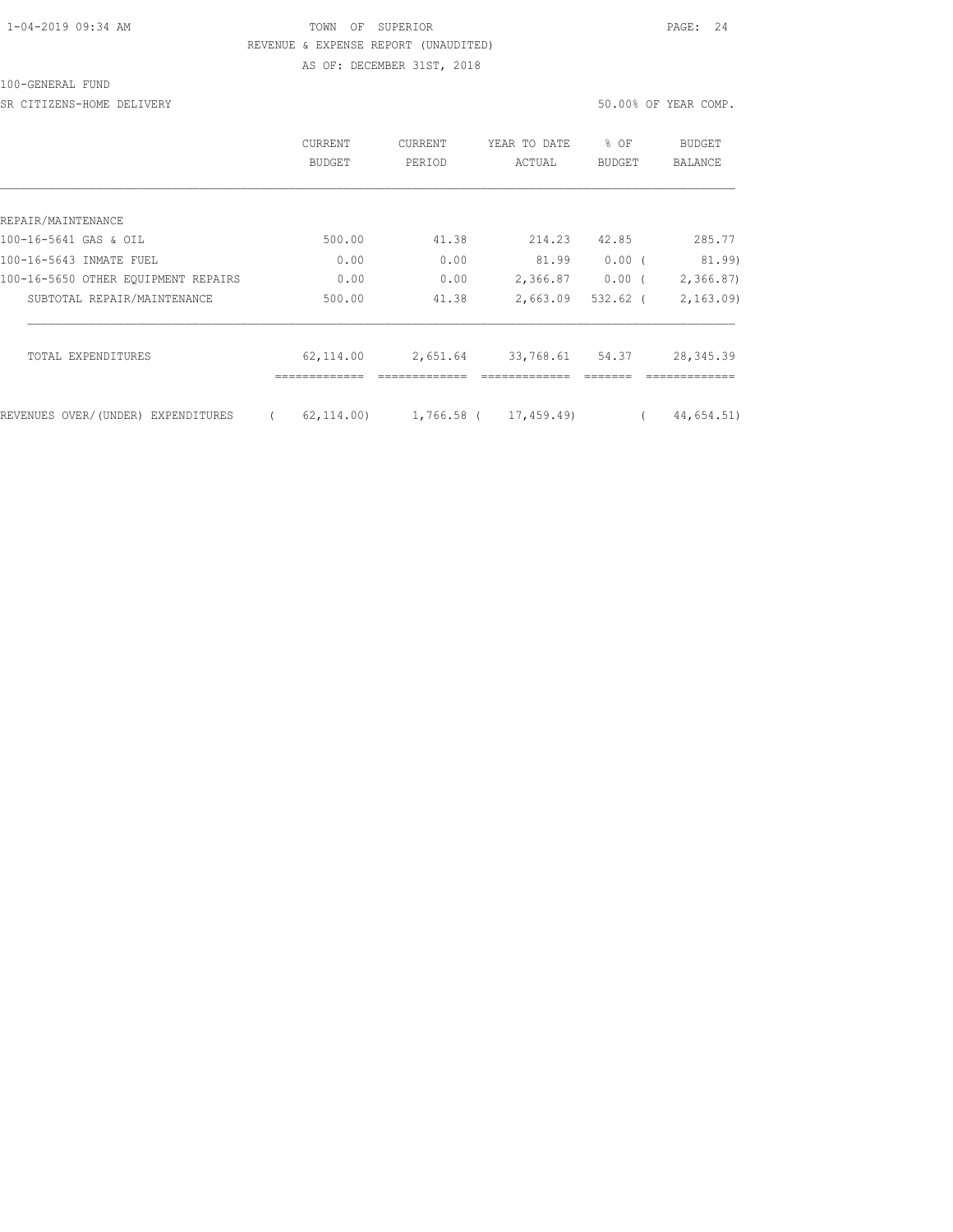### 1-04-2019 09:34 AM TOWN OF SUPERIOR PAGE: 24 REVENUE & EXPENSE REPORT (UNAUDITED) AS OF: DECEMBER 31ST, 2018

#### 100-GENERAL FUND

SR CITIZENS-HOME DELIVERY 50.00% OF YEAR COMP.

|                                     | CURRENT<br><b>BUDGET</b> | <b>CURRENT</b><br>PERIOD | YEAR TO DATE<br>ACTUAL | % OF<br><b>BUDGET</b> | BUDGET<br>BALANCE |
|-------------------------------------|--------------------------|--------------------------|------------------------|-----------------------|-------------------|
|                                     |                          |                          |                        |                       |                   |
| REPAIR/MAINTENANCE                  |                          |                          |                        |                       |                   |
| 100-16-5641 GAS & OIL               | 500.00                   | 41.38                    | 214.23                 | 42.85                 | 285.77            |
| 100-16-5643 INMATE FUEL             | 0.00                     | 0.00                     | 81.99                  | 0.00(                 | 81.99)            |
| 100-16-5650 OTHER EOUIPMENT REPAIRS | 0.00                     | 0.00                     | 2,366.87               | $0.00$ (              | 2,366.87)         |
| SUBTOTAL REPAIR/MAINTENANCE         | 500.00                   | 41.38                    | 2,663.09               | $532.62$ (            | 2, 163, 09        |
| TOTAL EXPENDITURES                  | 62,114.00                | 2,651.64                 | 33,768.61              | 54.37                 | 28, 345.39        |
| REVENUES OVER/(UNDER) EXPENDITURES  | 62, 114, 00)             | 1,766.58 (               | 17,459.49)             |                       | 44,654.51)        |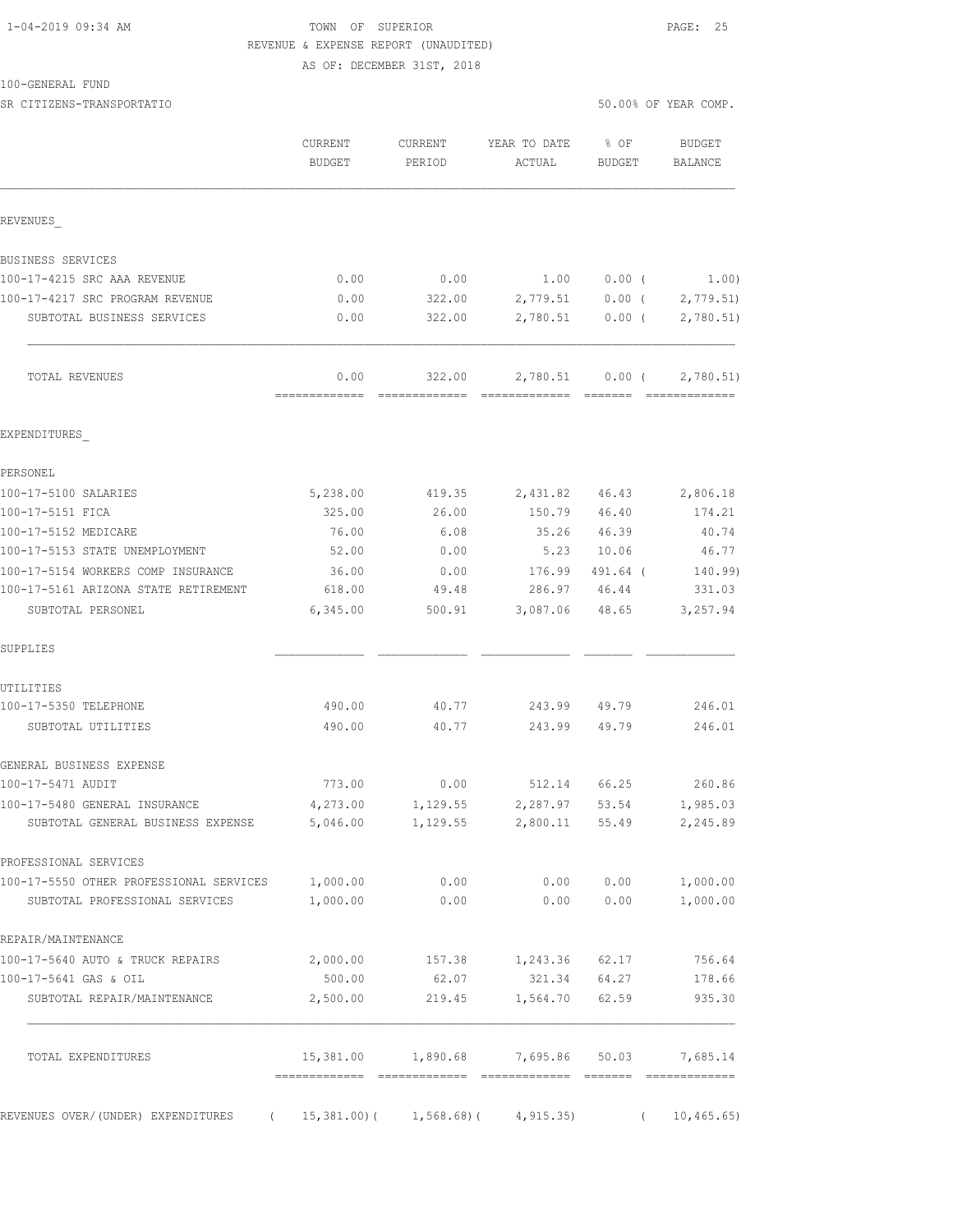# 1-04-2019 09:34 AM TOWN OF SUPERIOR PAGE: 25 REVENUE & EXPENSE REPORT (UNAUDITED)

AS OF: DECEMBER 31ST, 2018

| 100-GENERAL FUND |  |
|------------------|--|
|------------------|--|

SR CITIZENS-TRANSPORTATIO 50.00% OF YEAR COMP.

|                                                | <b>CURRENT</b><br><b>BUDGET</b>     | CURRENT<br>PERIOD | YEAR TO DATE<br>ACTUAL | $8$ OF<br><b>BUDGET</b> | BUDGET<br><b>BALANCE</b>  |
|------------------------------------------------|-------------------------------------|-------------------|------------------------|-------------------------|---------------------------|
| REVENUES                                       |                                     |                   |                        |                         |                           |
| BUSINESS SERVICES                              |                                     |                   |                        |                         |                           |
| 100-17-4215 SRC AAA REVENUE                    | 0.00                                | 0.00              | 1.00                   | $0.00$ (                | 1.00)                     |
| 100-17-4217 SRC PROGRAM REVENUE                | 0.00                                | 322.00            |                        | 2,779.51 0.00 (         | 2,779.51                  |
| SUBTOTAL BUSINESS SERVICES                     | 0.00                                | 322.00            | 2,780.51               | $0.00$ (                | 2,780.51)                 |
| TOTAL REVENUES                                 | 0.00                                | 322.00            | 2,780.51               | $0.00$ (                | 2,780.51                  |
| EXPENDITURES                                   |                                     |                   |                        |                         |                           |
| PERSONEL                                       |                                     |                   |                        |                         |                           |
| 100-17-5100 SALARIES                           | 5,238.00                            | 419.35            | 2,431.82               | 46.43                   | 2,806.18                  |
| 100-17-5151 FICA                               | 325.00                              | 26.00             | 150.79                 | 46.40                   | 174.21                    |
| 100-17-5152 MEDICARE                           | 76.00                               | 6.08              | 35.26                  | 46.39                   | 40.74                     |
| 100-17-5153 STATE UNEMPLOYMENT                 | 52.00                               | 0.00              | 5.23                   | 10.06                   | 46.77                     |
| 100-17-5154 WORKERS COMP INSURANCE             | 36.00                               | 0.00              | 176.99                 | 491.64 (                | 140.99)                   |
| 100-17-5161 ARIZONA STATE RETIREMENT           | 618.00                              | 49.48             | 286.97 46.44           |                         | 331.03                    |
| SUBTOTAL PERSONEL                              | 6,345.00                            | 500.91            | 3,087.06               | 48.65                   | 3,257.94                  |
| SUPPLIES                                       |                                     |                   |                        |                         |                           |
| UTILITIES                                      |                                     |                   |                        |                         |                           |
| 100-17-5350 TELEPHONE                          | 490.00                              | 40.77             | 243.99                 | 49.79                   | 246.01                    |
| SUBTOTAL UTILITIES                             | 490.00                              | 40.77             | 243.99                 | 49.79                   | 246.01                    |
| GENERAL BUSINESS EXPENSE                       |                                     |                   |                        |                         |                           |
| 100-17-5471 AUDIT                              | 773.00                              | 0.00              | 512.14                 | 66.25                   | 260.86                    |
| 100-17-5480 GENERAL INSURANCE                  | 4,273.00                            | 1,129.55          | 2,287.97               | 53.54                   | 1,985.03                  |
| SUBTOTAL GENERAL BUSINESS EXPENSE              | 5,046.00                            | 1,129.55          | 2,800.11 55.49         |                         | 2,245.89                  |
| PROFESSIONAL SERVICES                          |                                     |                   |                        |                         |                           |
| 100-17-5550 OTHER PROFESSIONAL SERVICES        | 1,000.00                            | 0.00              | 0.00                   | 0.00                    | 1,000.00                  |
| SUBTOTAL PROFESSIONAL SERVICES                 | 1,000.00                            | 0.00              | 0.00                   | 0.00                    | 1,000.00                  |
| REPAIR/MAINTENANCE                             |                                     |                   |                        |                         |                           |
| 100-17-5640 AUTO & TRUCK REPAIRS               | 2,000.00                            | 157.38            | 1,243.36               | 62.17                   | 756.64                    |
| 100-17-5641 GAS & OIL                          | 500.00                              | 62.07             | 321.34                 | 64.27                   | 178.66                    |
| SUBTOTAL REPAIR/MAINTENANCE                    | 2,500.00                            | 219.45            | 1,564.70               | 62.59                   | 935.30                    |
| TOTAL EXPENDITURES                             | 15,381.00<br>====================== | 1,890.68          | 7,695.86               | 50.03                   | 7,685.14<br>============= |
| REVENUES OVER/(UNDER) EXPENDITURES<br>$\left($ | $15,381.00$ ) (                     | $1,568.68$ )(     | 4, 915.35              | $\left($                | 10, 465.65)               |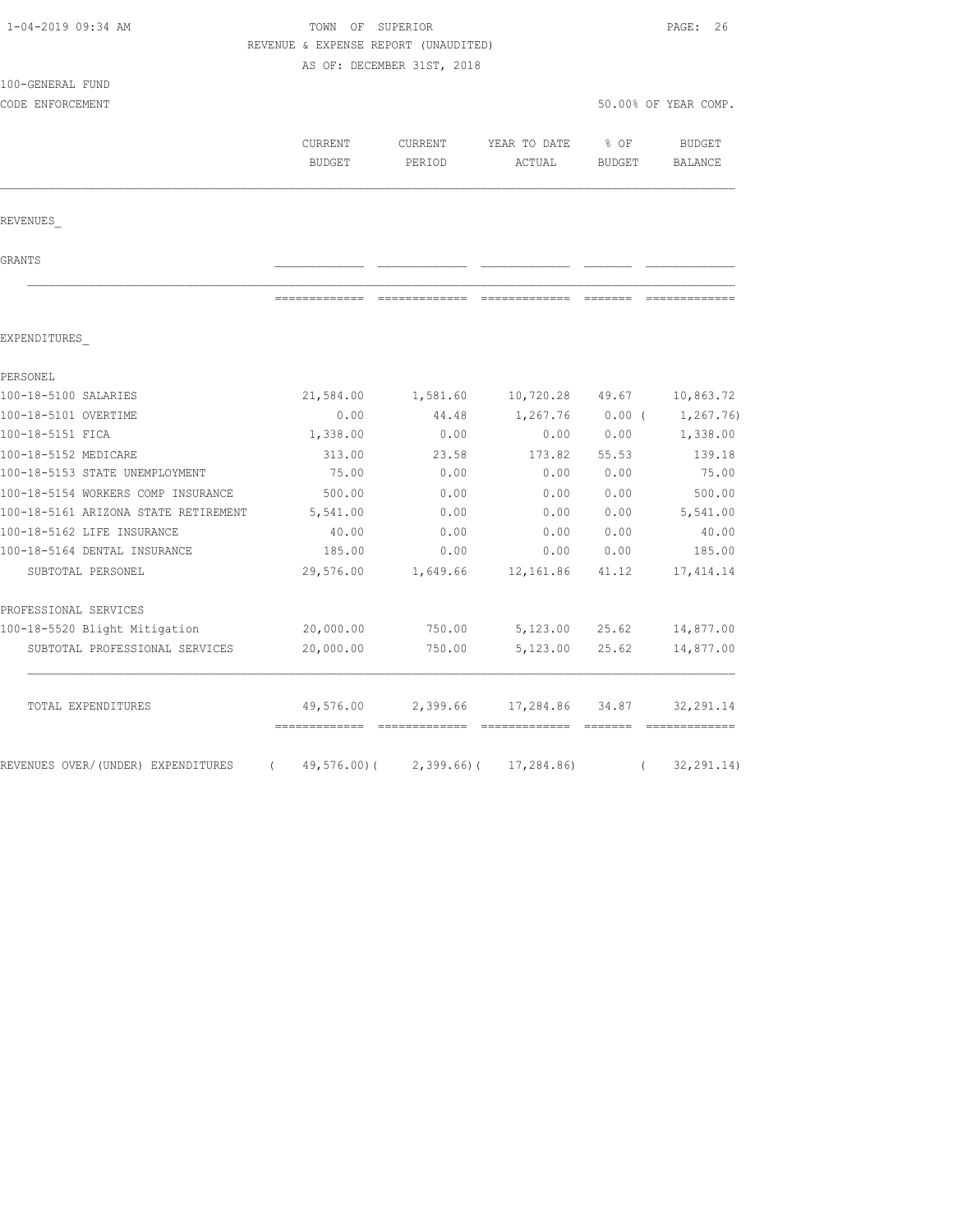| 1-04-2019 09:34 AM                   |               | TOWN OF SUPERIOR<br>REVENUE & EXPENSE REPORT (UNAUDITED) |                          |               |                      |  |
|--------------------------------------|---------------|----------------------------------------------------------|--------------------------|---------------|----------------------|--|
|                                      |               |                                                          |                          |               |                      |  |
| 100-GENERAL FUND                     |               | AS OF: DECEMBER 31ST, 2018                               |                          |               |                      |  |
| CODE ENFORCEMENT                     |               |                                                          |                          |               | 50.00% OF YEAR COMP. |  |
|                                      |               |                                                          |                          |               |                      |  |
|                                      | CURRENT       | CURRENT                                                  | YEAR TO DATE             | % OF          | <b>BUDGET</b>        |  |
|                                      | <b>BUDGET</b> | PERIOD                                                   | ACTUAL                   | <b>BUDGET</b> | BALANCE              |  |
|                                      |               |                                                          |                          |               |                      |  |
| REVENUES                             |               |                                                          |                          |               |                      |  |
| GRANTS                               |               |                                                          |                          |               |                      |  |
|                                      | ------------- | -------------                                            | ======================== |               |                      |  |
| EXPENDITURES                         |               |                                                          |                          |               |                      |  |
| PERSONEL                             |               |                                                          |                          |               |                      |  |
| 100-18-5100 SALARIES                 | 21,584.00     | 1,581.60                                                 | 10,720.28                | 49.67         | 10,863.72            |  |
| 100-18-5101 OVERTIME                 | 0.00          | 44.48                                                    | 1,267.76                 | $0.00$ (      | 1,267.76)            |  |
| 100-18-5151 FICA                     | 1,338.00      | 0.00                                                     | 0.00                     | 0.00          | 1,338.00             |  |
| 100-18-5152 MEDICARE                 | 313.00        | 23.58                                                    | 173.82                   | 55.53         | 139.18               |  |
| 100-18-5153 STATE UNEMPLOYMENT       | 75.00         | 0.00                                                     | 0.00                     | 0.00          | 75.00                |  |
| 100-18-5154 WORKERS COMP INSURANCE   | 500.00        | 0.00                                                     | 0.00                     | 0.00          | 500.00               |  |
| 100-18-5161 ARIZONA STATE RETIREMENT | 5,541.00      | 0.00                                                     | 0.00                     | 0.00          | 5,541.00             |  |
| 100-18-5162 LIFE INSURANCE           | 40.00         | 0.00                                                     | 0.00                     | 0.00          | 40.00                |  |
| 100-18-5164 DENTAL INSURANCE         | 185.00        | 0.00                                                     | 0.00                     | 0.00          | 185.00               |  |
| SUBTOTAL PERSONEL                    | 29,576.00     | 1,649.66                                                 | 12,161.86                | 41.12         | 17, 414.14           |  |
| PROFESSIONAL SERVICES                |               |                                                          |                          |               |                      |  |
| 100-18-5520 Blight Mitigation        | 20,000.00     | 750.00                                                   | 5,123.00                 | 25.62         | 14,877.00            |  |
| SUBTOTAL PROFESSIONAL SERVICES       | 20,000.00     | 750.00                                                   | 5,123.00                 | 25.62         | 14,877.00            |  |
| TOTAL EXPENDITURES                   | 49,576.00     | 2,399.66                                                 | 17,284.86                | 34.87         | 32, 291.14           |  |
|                                      |               |                                                          |                          |               |                      |  |
| REVENUES OVER/(UNDER) EXPENDITURES   | $\left($      | $49,576.00$ ( 2,399.66) (                                | 17,284.86)               | $\left($      | 32, 291.14)          |  |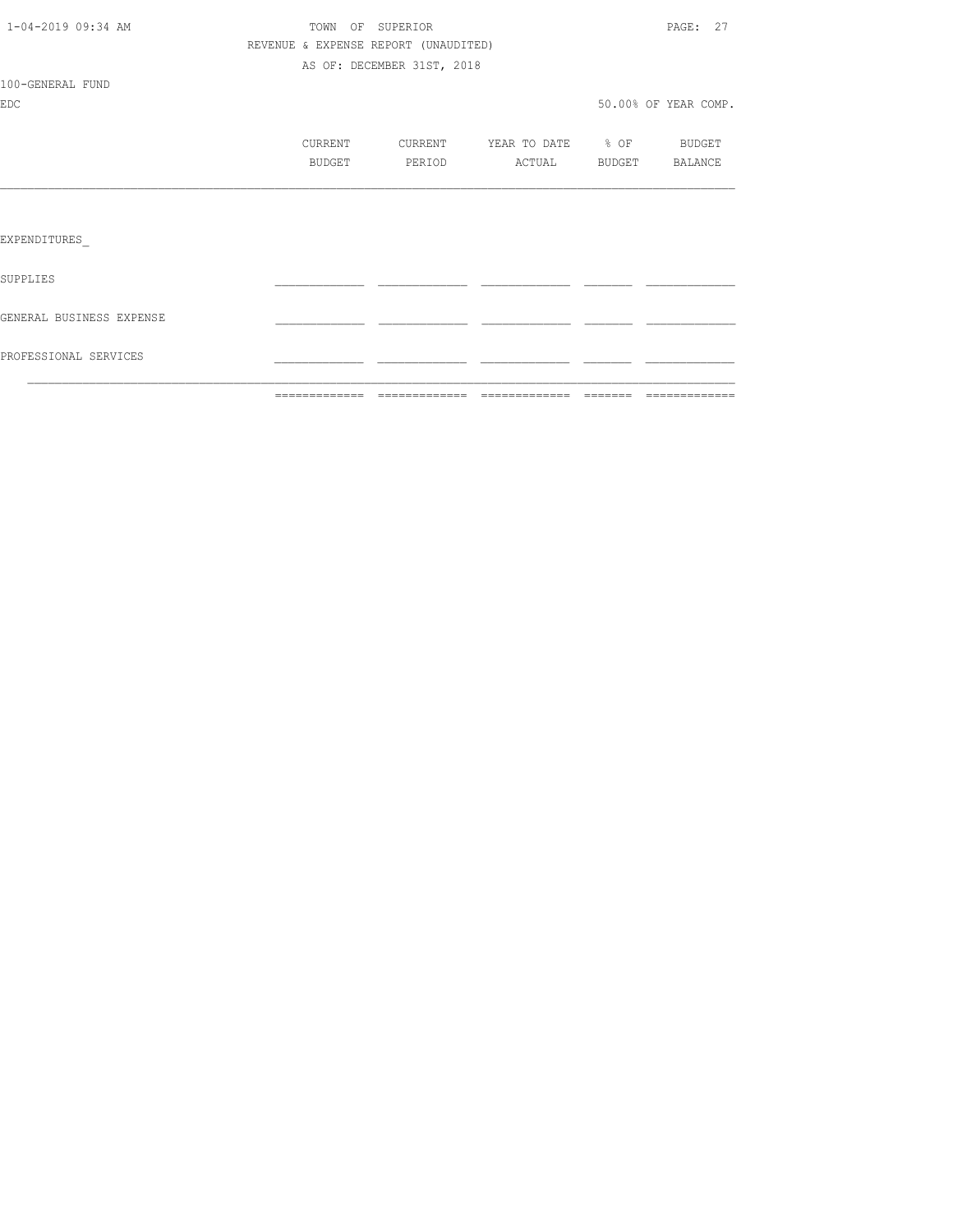|                          | =============                        |                            |                   |        |                      |
|--------------------------|--------------------------------------|----------------------------|-------------------|--------|----------------------|
| PROFESSIONAL SERVICES    |                                      |                            |                   |        |                      |
| GENERAL BUSINESS EXPENSE |                                      |                            |                   |        |                      |
| SUPPLIES                 |                                      |                            |                   |        |                      |
| EXPENDITURES             |                                      |                            |                   |        |                      |
|                          |                                      |                            |                   |        |                      |
|                          | BUDGET                               | PERIOD                     | ACTUAL            | BUDGET | BALANCE              |
|                          | CURRENT                              | CURRENT                    | YEAR TO DATE % OF |        | <b>BUDGET</b>        |
| <b>EDC</b>               |                                      |                            |                   |        | 50.00% OF YEAR COMP. |
| 100-GENERAL FUND         |                                      |                            |                   |        |                      |
|                          |                                      | AS OF: DECEMBER 31ST, 2018 |                   |        |                      |
|                          | REVENUE & EXPENSE REPORT (UNAUDITED) |                            |                   |        |                      |
| 1-04-2019 09:34 AM       | TOWN OF SUPERIOR                     |                            |                   |        | PAGE: 27             |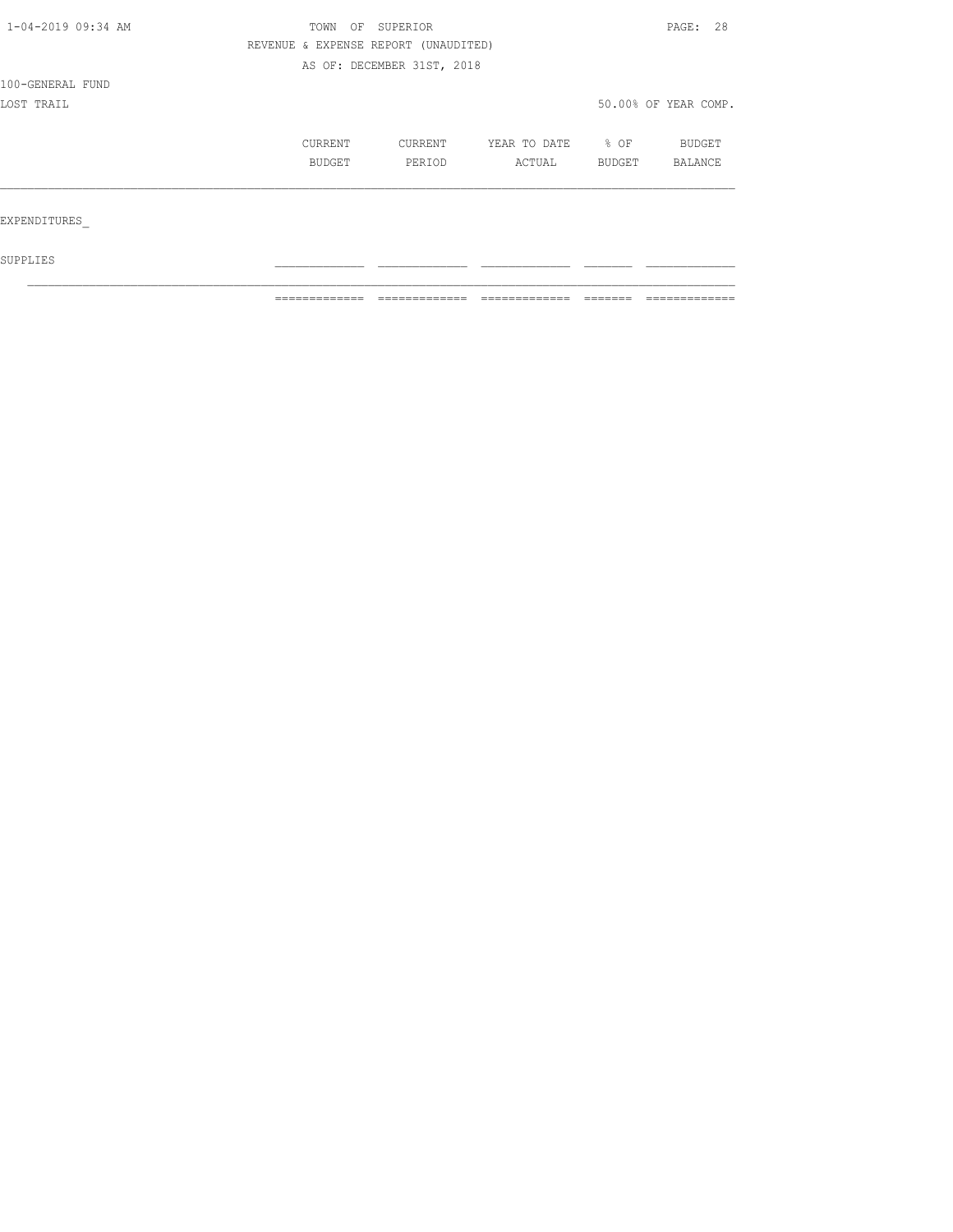| 1-04-2019 09:34 AM | TOWN<br>OF | SUPERIOR                             |                   |        |                      |  |  |
|--------------------|------------|--------------------------------------|-------------------|--------|----------------------|--|--|
|                    |            | REVENUE & EXPENSE REPORT (UNAUDITED) |                   |        |                      |  |  |
|                    |            | AS OF: DECEMBER 31ST, 2018           |                   |        |                      |  |  |
| 100-GENERAL FUND   |            |                                      |                   |        |                      |  |  |
| LOST TRAIL         |            |                                      |                   |        | 50.00% OF YEAR COMP. |  |  |
|                    | CURRENT    | CURRENT                              | YEAR TO DATE % OF |        | BUDGET               |  |  |
|                    | BUDGET     | PERIOD                               | ACTUAL            | BUDGET | BALANCE              |  |  |
|                    |            |                                      |                   |        |                      |  |  |
| EXPENDITURES       |            |                                      |                   |        |                      |  |  |
| SUPPLIES           |            |                                      |                   |        |                      |  |  |

 $\mathcal{L}_\text{max}$ 

 $\blacksquare$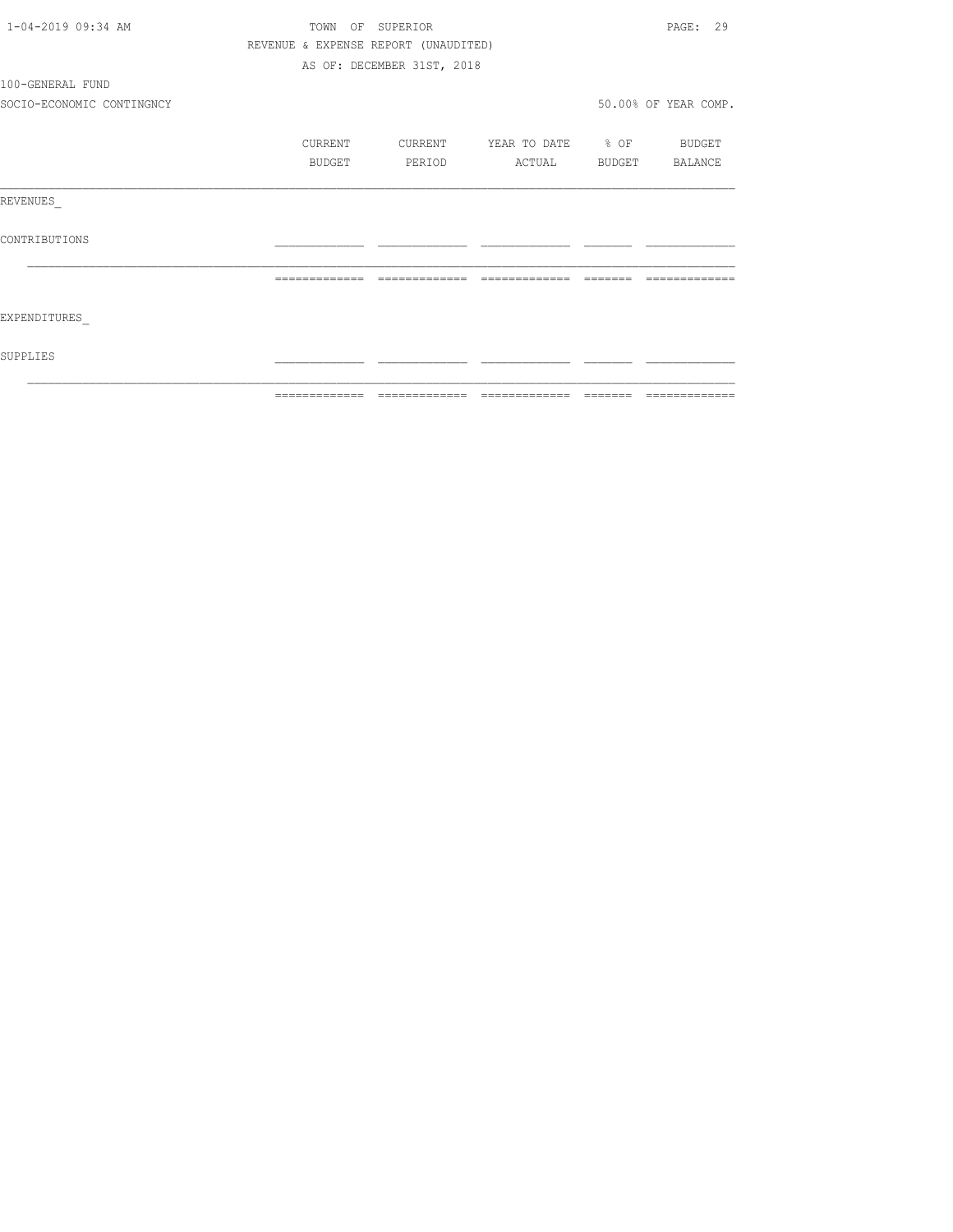| 1-04-2019 09:34 AM        |                                      | TOWN OF SUPERIOR           |                          |          | PAGE: 29             |
|---------------------------|--------------------------------------|----------------------------|--------------------------|----------|----------------------|
|                           | REVENUE & EXPENSE REPORT (UNAUDITED) |                            |                          |          |                      |
|                           |                                      | AS OF: DECEMBER 31ST, 2018 |                          |          |                      |
| 100-GENERAL FUND          |                                      |                            |                          |          |                      |
| SOCIO-ECONOMIC CONTINGNCY |                                      |                            |                          |          | 50.00% OF YEAR COMP. |
|                           | CURRENT                              | CURRENT                    | YEAR TO DATE % OF BUDGET |          |                      |
|                           | BUDGET                               | PERIOD                     | ACTUAL                   |          | BUDGET BALANCE       |
| REVENUES                  |                                      |                            |                          |          |                      |
| CONTRIBUTIONS             |                                      |                            |                          |          |                      |
|                           |                                      | -------------              |                          |          |                      |
| EXPENDITURES              |                                      |                            |                          |          |                      |
| SUPPLIES                  |                                      |                            |                          |          |                      |
|                           |                                      |                            |                          | -------- |                      |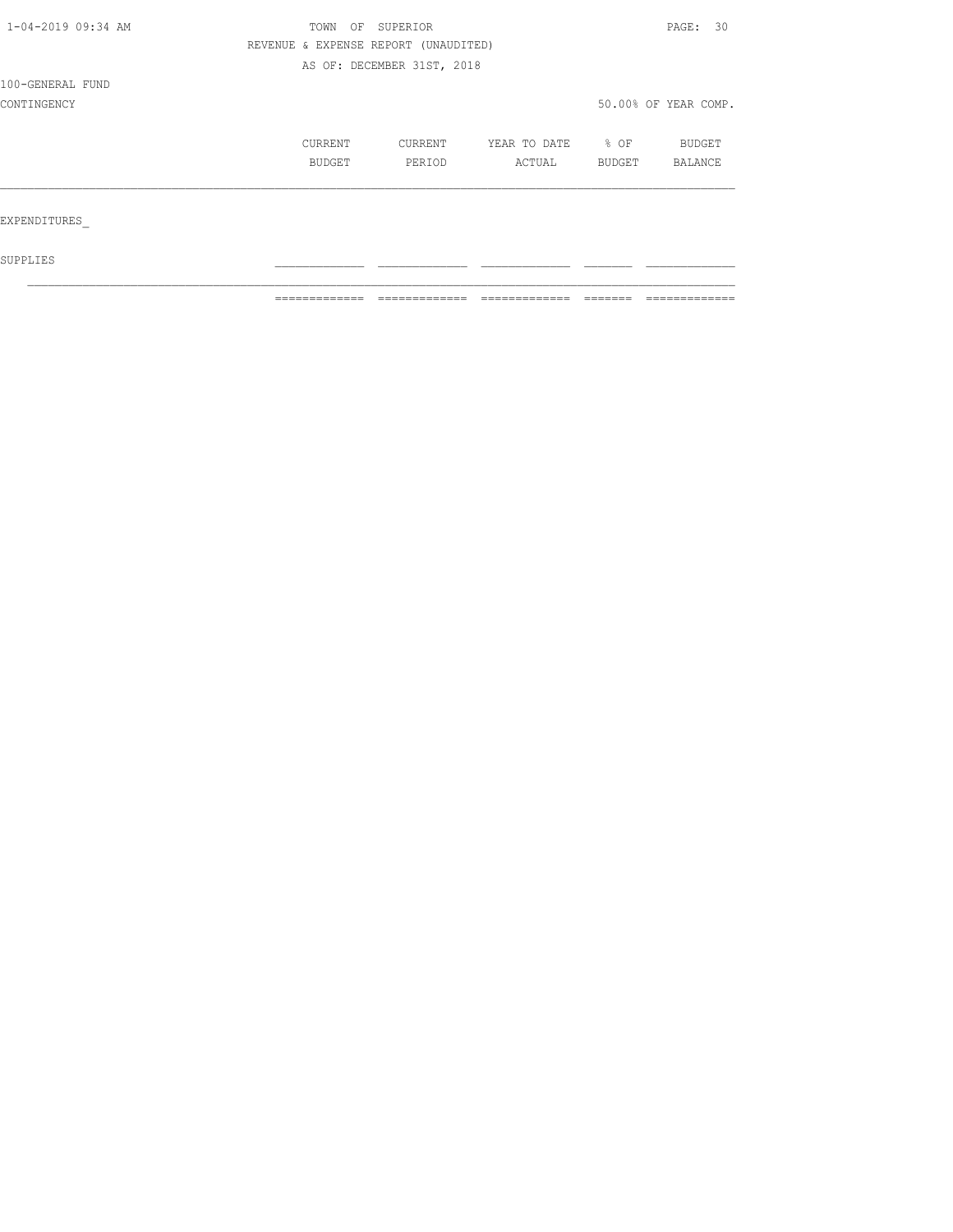| 1-04-2019 09:34 AM | TOWN<br>OF                           | PAGE: 30                   |              |                  |                      |
|--------------------|--------------------------------------|----------------------------|--------------|------------------|----------------------|
|                    | REVENUE & EXPENSE REPORT (UNAUDITED) |                            |              |                  |                      |
|                    |                                      | AS OF: DECEMBER 31ST, 2018 |              |                  |                      |
| 100-GENERAL FUND   |                                      |                            |              |                  |                      |
| CONTINGENCY        |                                      |                            |              |                  | 50.00% OF YEAR COMP. |
|                    | CURRENT                              | CURRENT                    | YEAR TO DATE | $\frac{1}{6}$ OF | <b>BUDGET</b>        |
|                    | BUDGET                               | PERIOD                     | ACTUAL       | BUDGET           | BALANCE              |
|                    |                                      |                            |              |                  |                      |
| EXPENDITURES       |                                      |                            |              |                  |                      |
| SUPPLIES           |                                      |                            |              |                  |                      |

 $\mathcal{L}_\text{max}$ 

 $\blacksquare$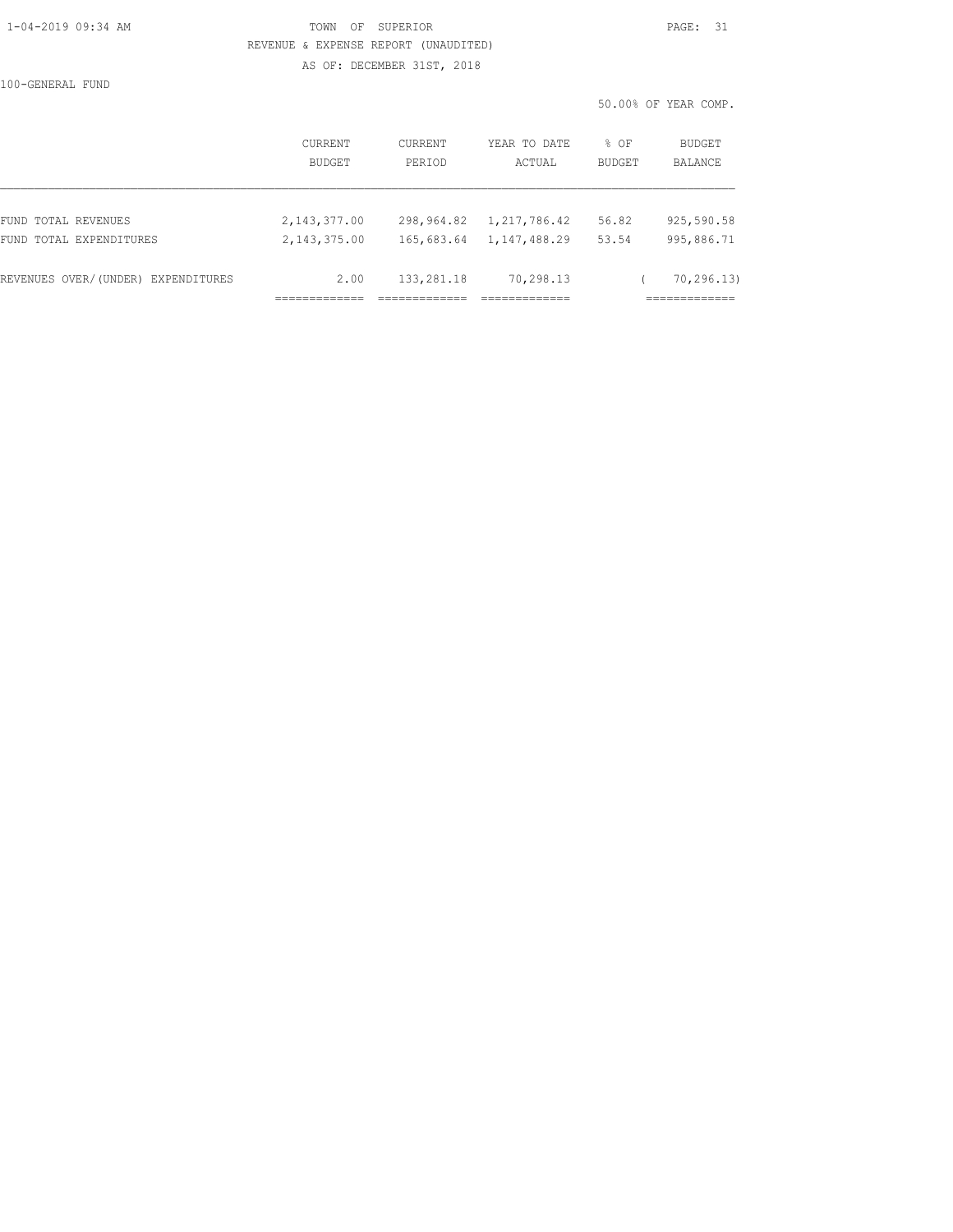### 1-04-2019 09:34 AM TOWN OF SUPERIOR PAGE: 31 REVENUE & EXPENSE REPORT (UNAUDITED) AS OF: DECEMBER 31ST, 2018

100-GENERAL FUND

|                                    |                          |                   |                        | 50.00% OF YEAR COMP. |                          |  |
|------------------------------------|--------------------------|-------------------|------------------------|----------------------|--------------------------|--|
|                                    | <b>CURRENT</b><br>BUDGET | CURRENT<br>PERIOD | YEAR TO DATE<br>ACTUAL | % OF<br>BUDGET       | <b>BUDGET</b><br>BALANCE |  |
|                                    |                          |                   |                        |                      |                          |  |
| FUND TOTAL REVENUES                | 2, 143, 377.00           | 298,964.82        | 1,217,786.42           | 56.82                | 925,590.58               |  |
| FUND TOTAL EXPENDITURES            | 2, 143, 375, 00          | 165,683.64        | 1,147,488.29           | 53.54                | 995,886.71               |  |
| REVENUES OVER/(UNDER) EXPENDITURES | 2.00                     | 133,281.18        | 70,298.13              |                      | 70, 296, 13)             |  |
|                                    |                          |                   |                        |                      | ===========              |  |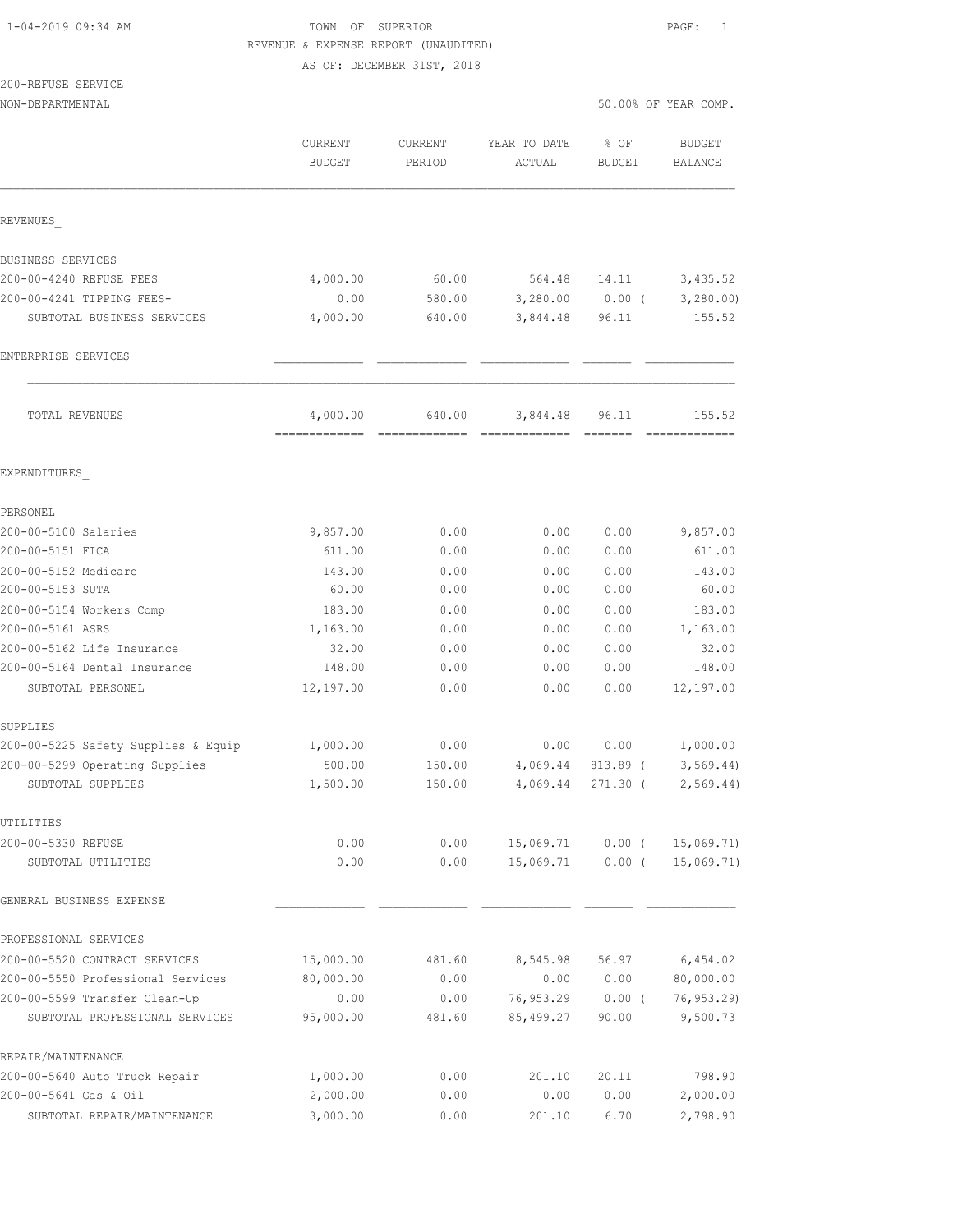# 1-04-2019 09:34 AM TOWN OF SUPERIOR PAGE: 1 REVENUE & EXPENSE REPORT (UNAUDITED)

AS OF: DECEMBER 31ST, 2018

## 200-REFUSE SERVICE

| NON-DEPARTMENTAL                         |                                 |                                                                                                                                                                                                                                                                                                                                                                                                                                                                                        |                                                                                                                                                                                                                                                                                                                                                                                                                                                                                        | 50.00% OF YEAR COMP.                                                                                                                                                                                                                                                                                                                                                                                                                                                                   |                                 |  |
|------------------------------------------|---------------------------------|----------------------------------------------------------------------------------------------------------------------------------------------------------------------------------------------------------------------------------------------------------------------------------------------------------------------------------------------------------------------------------------------------------------------------------------------------------------------------------------|----------------------------------------------------------------------------------------------------------------------------------------------------------------------------------------------------------------------------------------------------------------------------------------------------------------------------------------------------------------------------------------------------------------------------------------------------------------------------------------|----------------------------------------------------------------------------------------------------------------------------------------------------------------------------------------------------------------------------------------------------------------------------------------------------------------------------------------------------------------------------------------------------------------------------------------------------------------------------------------|---------------------------------|--|
|                                          | <b>CURRENT</b><br><b>BUDGET</b> | <b>CURRENT</b><br>PERIOD                                                                                                                                                                                                                                                                                                                                                                                                                                                               | YEAR TO DATE<br>ACTUAL                                                                                                                                                                                                                                                                                                                                                                                                                                                                 | % OF<br><b>BUDGET</b>                                                                                                                                                                                                                                                                                                                                                                                                                                                                  | <b>BUDGET</b><br><b>BALANCE</b> |  |
| REVENUES                                 |                                 |                                                                                                                                                                                                                                                                                                                                                                                                                                                                                        |                                                                                                                                                                                                                                                                                                                                                                                                                                                                                        |                                                                                                                                                                                                                                                                                                                                                                                                                                                                                        |                                 |  |
| BUSINESS SERVICES                        |                                 |                                                                                                                                                                                                                                                                                                                                                                                                                                                                                        |                                                                                                                                                                                                                                                                                                                                                                                                                                                                                        |                                                                                                                                                                                                                                                                                                                                                                                                                                                                                        |                                 |  |
| 200-00-4240 REFUSE FEES                  | 4,000.00                        | 60.00                                                                                                                                                                                                                                                                                                                                                                                                                                                                                  | 564.48                                                                                                                                                                                                                                                                                                                                                                                                                                                                                 | 14.11                                                                                                                                                                                                                                                                                                                                                                                                                                                                                  | 3,435.52                        |  |
| 200-00-4241 TIPPING FEES-                | 0.00                            | 580.00                                                                                                                                                                                                                                                                                                                                                                                                                                                                                 | 3,280.00                                                                                                                                                                                                                                                                                                                                                                                                                                                                               | $0.00$ (                                                                                                                                                                                                                                                                                                                                                                                                                                                                               | 3,280.00                        |  |
| SUBTOTAL BUSINESS SERVICES               | 4,000.00                        | 640.00                                                                                                                                                                                                                                                                                                                                                                                                                                                                                 | 3,844.48                                                                                                                                                                                                                                                                                                                                                                                                                                                                               | 96.11                                                                                                                                                                                                                                                                                                                                                                                                                                                                                  | 155.52                          |  |
| ENTERPRISE SERVICES                      |                                 |                                                                                                                                                                                                                                                                                                                                                                                                                                                                                        |                                                                                                                                                                                                                                                                                                                                                                                                                                                                                        |                                                                                                                                                                                                                                                                                                                                                                                                                                                                                        |                                 |  |
| <b>TOTAL REVENUES</b>                    | 4,000.00                        | 640.00                                                                                                                                                                                                                                                                                                                                                                                                                                                                                 | 3,844.48                                                                                                                                                                                                                                                                                                                                                                                                                                                                               | 96.11                                                                                                                                                                                                                                                                                                                                                                                                                                                                                  | 155.52                          |  |
| EXPENDITURES                             | =============                   | $\begin{array}{cccccccccccccc} \multicolumn{2}{c}{} & \multicolumn{2}{c}{} & \multicolumn{2}{c}{} & \multicolumn{2}{c}{} & \multicolumn{2}{c}{} & \multicolumn{2}{c}{} & \multicolumn{2}{c}{} & \multicolumn{2}{c}{} & \multicolumn{2}{c}{} & \multicolumn{2}{c}{} & \multicolumn{2}{c}{} & \multicolumn{2}{c}{} & \multicolumn{2}{c}{} & \multicolumn{2}{c}{} & \multicolumn{2}{c}{} & \multicolumn{2}{c}{} & \multicolumn{2}{c}{} & \multicolumn{2}{c}{} & \multicolumn{2}{c}{} & \$ | $\begin{array}{cccccccccccccc} \multicolumn{2}{c}{} & \multicolumn{2}{c}{} & \multicolumn{2}{c}{} & \multicolumn{2}{c}{} & \multicolumn{2}{c}{} & \multicolumn{2}{c}{} & \multicolumn{2}{c}{} & \multicolumn{2}{c}{} & \multicolumn{2}{c}{} & \multicolumn{2}{c}{} & \multicolumn{2}{c}{} & \multicolumn{2}{c}{} & \multicolumn{2}{c}{} & \multicolumn{2}{c}{} & \multicolumn{2}{c}{} & \multicolumn{2}{c}{} & \multicolumn{2}{c}{} & \multicolumn{2}{c}{} & \multicolumn{2}{c}{} & \$ | $\begin{array}{cccccccccc} \multicolumn{2}{c}{} & \multicolumn{2}{c}{} & \multicolumn{2}{c}{} & \multicolumn{2}{c}{} & \multicolumn{2}{c}{} & \multicolumn{2}{c}{} & \multicolumn{2}{c}{} & \multicolumn{2}{c}{} & \multicolumn{2}{c}{} & \multicolumn{2}{c}{} & \multicolumn{2}{c}{} & \multicolumn{2}{c}{} & \multicolumn{2}{c}{} & \multicolumn{2}{c}{} & \multicolumn{2}{c}{} & \multicolumn{2}{c}{} & \multicolumn{2}{c}{} & \multicolumn{2}{c}{} & \multicolumn{2}{c}{} & \mult$ | =============                   |  |
|                                          |                                 |                                                                                                                                                                                                                                                                                                                                                                                                                                                                                        |                                                                                                                                                                                                                                                                                                                                                                                                                                                                                        |                                                                                                                                                                                                                                                                                                                                                                                                                                                                                        |                                 |  |
| PERSONEL                                 |                                 |                                                                                                                                                                                                                                                                                                                                                                                                                                                                                        |                                                                                                                                                                                                                                                                                                                                                                                                                                                                                        |                                                                                                                                                                                                                                                                                                                                                                                                                                                                                        |                                 |  |
| 200-00-5100 Salaries<br>200-00-5151 FICA | 9,857.00<br>611.00              | 0.00<br>0.00                                                                                                                                                                                                                                                                                                                                                                                                                                                                           | 0.00<br>0.00                                                                                                                                                                                                                                                                                                                                                                                                                                                                           | 0.00<br>0.00                                                                                                                                                                                                                                                                                                                                                                                                                                                                           | 9,857.00<br>611.00              |  |
| 200-00-5152 Medicare                     | 143.00                          |                                                                                                                                                                                                                                                                                                                                                                                                                                                                                        | 0.00                                                                                                                                                                                                                                                                                                                                                                                                                                                                                   | 0.00                                                                                                                                                                                                                                                                                                                                                                                                                                                                                   | 143.00                          |  |
| 200-00-5153 SUTA                         | 60.00                           | 0.00<br>0.00                                                                                                                                                                                                                                                                                                                                                                                                                                                                           | 0.00                                                                                                                                                                                                                                                                                                                                                                                                                                                                                   | 0.00                                                                                                                                                                                                                                                                                                                                                                                                                                                                                   | 60.00                           |  |
| 200-00-5154 Workers Comp                 | 183.00                          | 0.00                                                                                                                                                                                                                                                                                                                                                                                                                                                                                   | 0.00                                                                                                                                                                                                                                                                                                                                                                                                                                                                                   | 0.00                                                                                                                                                                                                                                                                                                                                                                                                                                                                                   | 183.00                          |  |
| 200-00-5161 ASRS                         | 1,163.00                        | 0.00                                                                                                                                                                                                                                                                                                                                                                                                                                                                                   | 0.00                                                                                                                                                                                                                                                                                                                                                                                                                                                                                   | 0.00                                                                                                                                                                                                                                                                                                                                                                                                                                                                                   | 1,163.00                        |  |
| 200-00-5162 Life Insurance               | 32.00                           | 0.00                                                                                                                                                                                                                                                                                                                                                                                                                                                                                   | 0.00                                                                                                                                                                                                                                                                                                                                                                                                                                                                                   | 0.00                                                                                                                                                                                                                                                                                                                                                                                                                                                                                   | 32.00                           |  |
| 200-00-5164 Dental Insurance             | 148.00                          | 0.00                                                                                                                                                                                                                                                                                                                                                                                                                                                                                   | 0.00                                                                                                                                                                                                                                                                                                                                                                                                                                                                                   | 0.00                                                                                                                                                                                                                                                                                                                                                                                                                                                                                   | 148.00                          |  |
| SUBTOTAL PERSONEL                        | 12,197.00                       | 0.00                                                                                                                                                                                                                                                                                                                                                                                                                                                                                   | 0.00                                                                                                                                                                                                                                                                                                                                                                                                                                                                                   | 0.00                                                                                                                                                                                                                                                                                                                                                                                                                                                                                   | 12,197.00                       |  |
| SUPPLIES                                 |                                 |                                                                                                                                                                                                                                                                                                                                                                                                                                                                                        |                                                                                                                                                                                                                                                                                                                                                                                                                                                                                        |                                                                                                                                                                                                                                                                                                                                                                                                                                                                                        |                                 |  |
| 200-00-5225 Safety Supplies & Equip      | 1,000.00                        | 0.00                                                                                                                                                                                                                                                                                                                                                                                                                                                                                   | 0.00                                                                                                                                                                                                                                                                                                                                                                                                                                                                                   | 0.00                                                                                                                                                                                                                                                                                                                                                                                                                                                                                   | 1,000.00                        |  |
| 200-00-5299 Operating Supplies           | 500.00                          | 150.00                                                                                                                                                                                                                                                                                                                                                                                                                                                                                 | 4,069.44                                                                                                                                                                                                                                                                                                                                                                                                                                                                               | 813.89 (                                                                                                                                                                                                                                                                                                                                                                                                                                                                               | 3, 569.44                       |  |
| SUBTOTAL SUPPLIES                        | 1,500.00                        | 150.00                                                                                                                                                                                                                                                                                                                                                                                                                                                                                 | 4,069.44                                                                                                                                                                                                                                                                                                                                                                                                                                                                               | 271.30 (                                                                                                                                                                                                                                                                                                                                                                                                                                                                               | 2,569.44)                       |  |
| UTILITIES                                |                                 |                                                                                                                                                                                                                                                                                                                                                                                                                                                                                        |                                                                                                                                                                                                                                                                                                                                                                                                                                                                                        |                                                                                                                                                                                                                                                                                                                                                                                                                                                                                        |                                 |  |
| 200-00-5330 REFUSE                       | 0.00                            | 0.00                                                                                                                                                                                                                                                                                                                                                                                                                                                                                   | 15,069.71                                                                                                                                                                                                                                                                                                                                                                                                                                                                              | $0.00$ (                                                                                                                                                                                                                                                                                                                                                                                                                                                                               | 15,069.71)                      |  |
| SUBTOTAL UTILITIES                       | 0.00                            | 0.00                                                                                                                                                                                                                                                                                                                                                                                                                                                                                   | 15,069.71                                                                                                                                                                                                                                                                                                                                                                                                                                                                              | $0.00$ (                                                                                                                                                                                                                                                                                                                                                                                                                                                                               | 15,069.71)                      |  |
| GENERAL BUSINESS EXPENSE                 |                                 |                                                                                                                                                                                                                                                                                                                                                                                                                                                                                        |                                                                                                                                                                                                                                                                                                                                                                                                                                                                                        |                                                                                                                                                                                                                                                                                                                                                                                                                                                                                        |                                 |  |
| PROFESSIONAL SERVICES                    |                                 |                                                                                                                                                                                                                                                                                                                                                                                                                                                                                        |                                                                                                                                                                                                                                                                                                                                                                                                                                                                                        |                                                                                                                                                                                                                                                                                                                                                                                                                                                                                        |                                 |  |
| 200-00-5520 CONTRACT SERVICES            | 15,000.00                       | 481.60                                                                                                                                                                                                                                                                                                                                                                                                                                                                                 | 8,545.98                                                                                                                                                                                                                                                                                                                                                                                                                                                                               | 56.97                                                                                                                                                                                                                                                                                                                                                                                                                                                                                  | 6,454.02                        |  |
| 200-00-5550 Professional Services        | 80,000.00                       | 0.00                                                                                                                                                                                                                                                                                                                                                                                                                                                                                   | 0.00                                                                                                                                                                                                                                                                                                                                                                                                                                                                                   | 0.00                                                                                                                                                                                                                                                                                                                                                                                                                                                                                   | 80,000.00                       |  |
| 200-00-5599 Transfer Clean-Up            | 0.00                            | 0.00                                                                                                                                                                                                                                                                                                                                                                                                                                                                                   | 76,953.29                                                                                                                                                                                                                                                                                                                                                                                                                                                                              | $0.00$ (                                                                                                                                                                                                                                                                                                                                                                                                                                                                               | 76, 953.29)                     |  |
| SUBTOTAL PROFESSIONAL SERVICES           | 95,000.00                       | 481.60                                                                                                                                                                                                                                                                                                                                                                                                                                                                                 | 85,499.27                                                                                                                                                                                                                                                                                                                                                                                                                                                                              | 90.00                                                                                                                                                                                                                                                                                                                                                                                                                                                                                  | 9,500.73                        |  |
| REPAIR/MAINTENANCE                       |                                 |                                                                                                                                                                                                                                                                                                                                                                                                                                                                                        |                                                                                                                                                                                                                                                                                                                                                                                                                                                                                        |                                                                                                                                                                                                                                                                                                                                                                                                                                                                                        |                                 |  |
| 200-00-5640 Auto Truck Repair            | 1,000.00                        | 0.00                                                                                                                                                                                                                                                                                                                                                                                                                                                                                   | 201.10                                                                                                                                                                                                                                                                                                                                                                                                                                                                                 | 20.11                                                                                                                                                                                                                                                                                                                                                                                                                                                                                  | 798.90                          |  |
| 200-00-5641 Gas & Oil                    | 2,000.00                        | 0.00                                                                                                                                                                                                                                                                                                                                                                                                                                                                                   | 0.00                                                                                                                                                                                                                                                                                                                                                                                                                                                                                   | 0.00                                                                                                                                                                                                                                                                                                                                                                                                                                                                                   | 2,000.00                        |  |

SUBTOTAL REPAIR/MAINTENANCE 3,000.00 0.00 201.10 6.70 2,798.90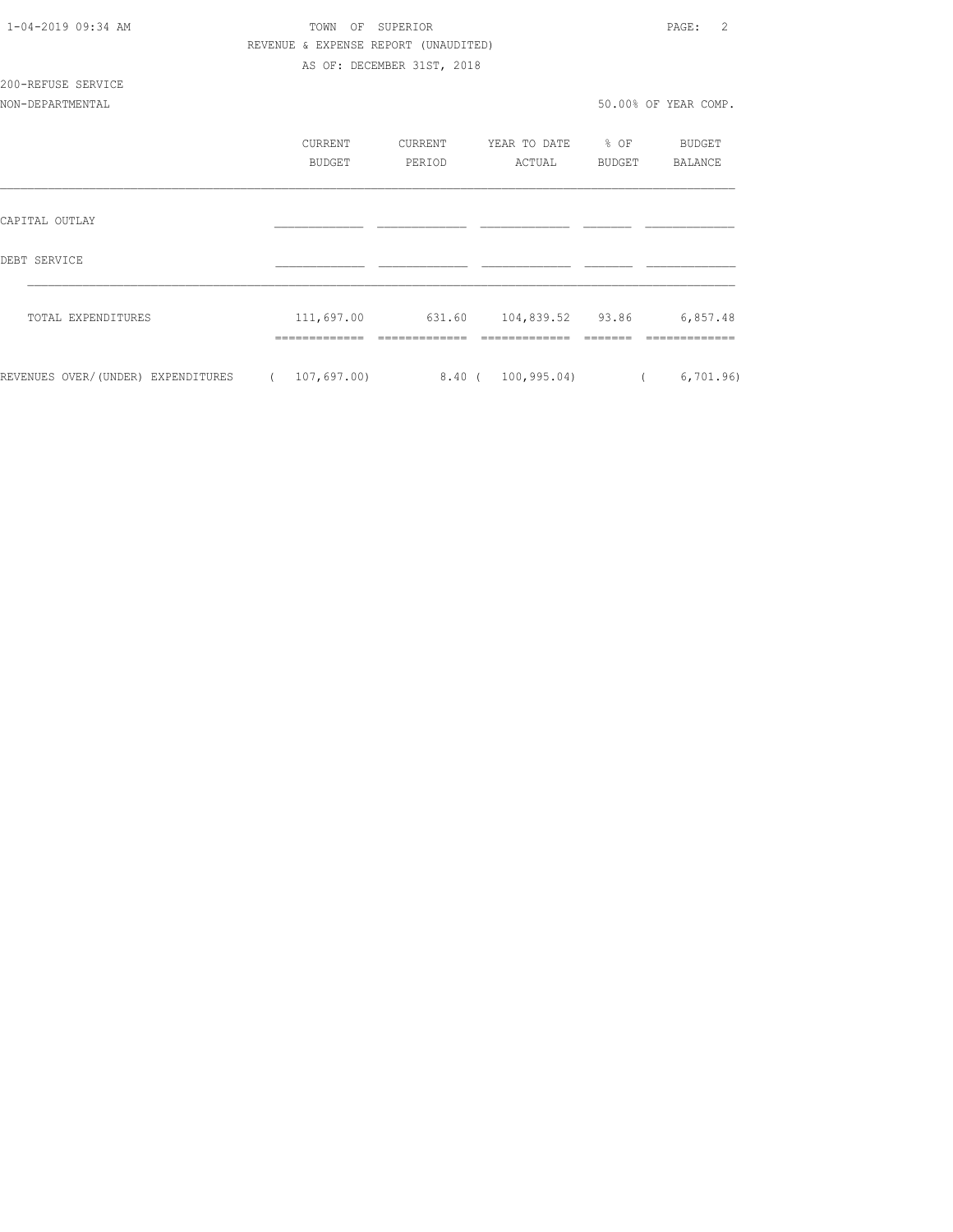| $1 - 04 - 2019$ $09:34$ AM                                          | TOWN<br>$\bigcirc$ $\bigcirc$ $\bigcirc$<br>REVENUE & EXPENSE REPORT (UNAUDITED) | SUPERTOR                   |                                             |        | PAGE:<br>2           |
|---------------------------------------------------------------------|----------------------------------------------------------------------------------|----------------------------|---------------------------------------------|--------|----------------------|
|                                                                     |                                                                                  | AS OF: DECEMBER 31ST, 2018 |                                             |        |                      |
| 200-REFUSE SERVICE                                                  |                                                                                  |                            |                                             |        |                      |
| NON-DEPARTMENTAL                                                    |                                                                                  |                            |                                             |        | 50.00% OF YEAR COMP. |
|                                                                     | CURRENT                                                                          | CURRENT                    | YEAR TO DATE % OF                           |        | BUDGET               |
|                                                                     | BUDGET                                                                           | PERIOD                     | ACTUAL                                      | BUDGET | BALANCE              |
| CAPITAL OUTLAY                                                      |                                                                                  |                            |                                             |        |                      |
| DEBT SERVICE                                                        |                                                                                  |                            |                                             |        |                      |
| TOTAL EXPENDITURES                                                  |                                                                                  |                            | 111,697.00 631.60 104,839.52 93.86 6,857.48 |        |                      |
| REVENUES OVER/(UNDER) EXPENDITURES (107,697.00) 8.40 (100,995.04) ( |                                                                                  |                            |                                             |        | 6,701.96)            |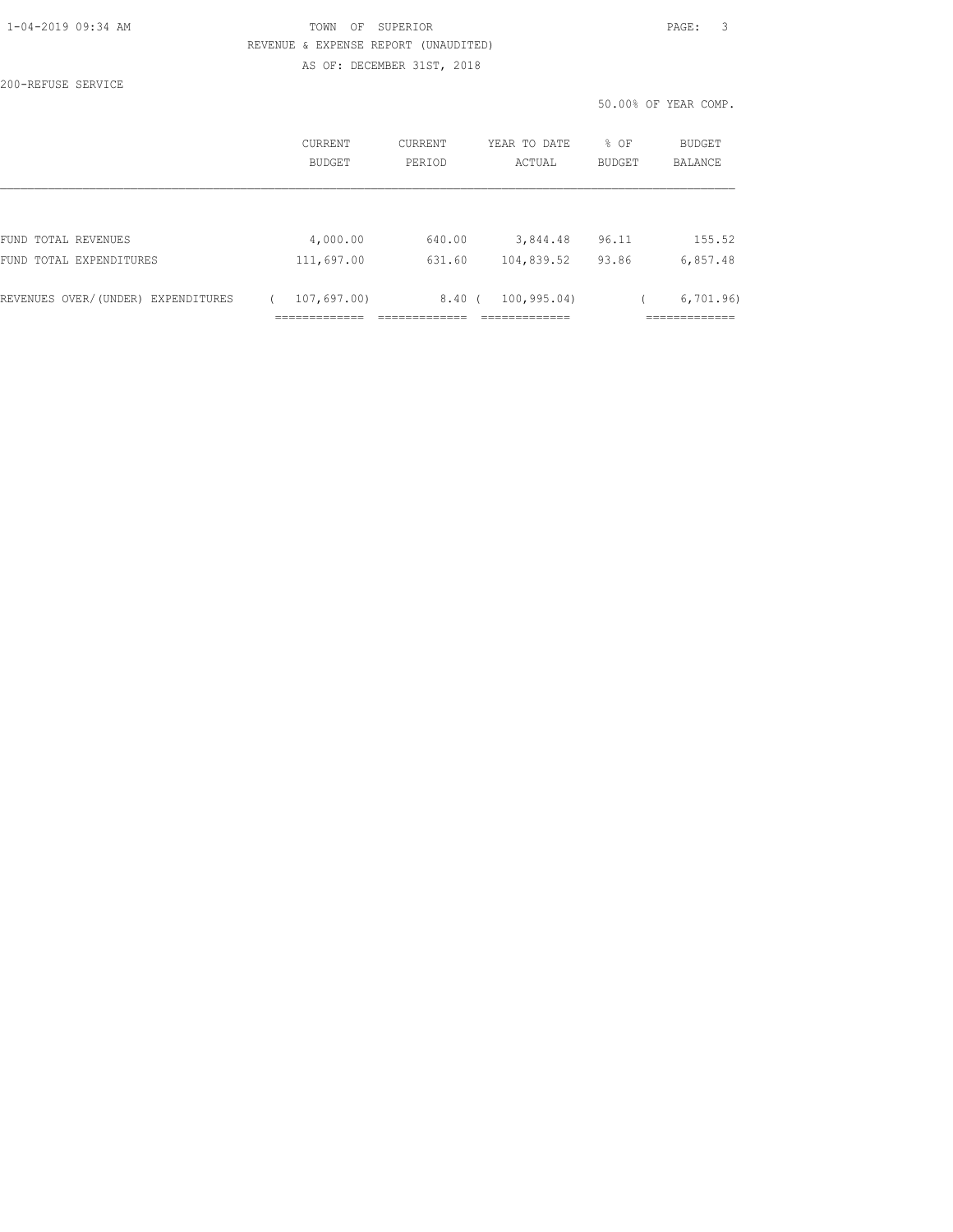| 1-04-2019 09:34 AM |  |
|--------------------|--|
|                    |  |

### TOWN OF SUPERIOR **PAGE:** 3 REVENUE & EXPENSE REPORT (UNAUDITED) AS OF: DECEMBER 31ST, 2018

200-REFUSE SERVICE

50.00% OF YEAR COMP.

|                                    | CURRENT<br><b>BUDGET</b> | CURRENT<br>PERIOD | YEAR TO DATE<br>ACTUAL | % OF<br><b>BUDGET</b> | BUDGET<br><b>BALANCE</b> |
|------------------------------------|--------------------------|-------------------|------------------------|-----------------------|--------------------------|
|                                    |                          |                   |                        |                       |                          |
| FUND TOTAL REVENUES                | 4,000.00                 | 640.00            | 3,844.48               | 96.11                 | 155.52                   |
| FUND TOTAL EXPENDITURES            | 111,697.00               | 631.60            | 104,839.52             | 93.86                 | 6,857.48                 |
| REVENUES OVER/(UNDER) EXPENDITURES | 107,697.00)              | $8,40$ (          | 100, 995.04)           |                       | 6,701.96                 |
|                                    |                          |                   |                        |                       |                          |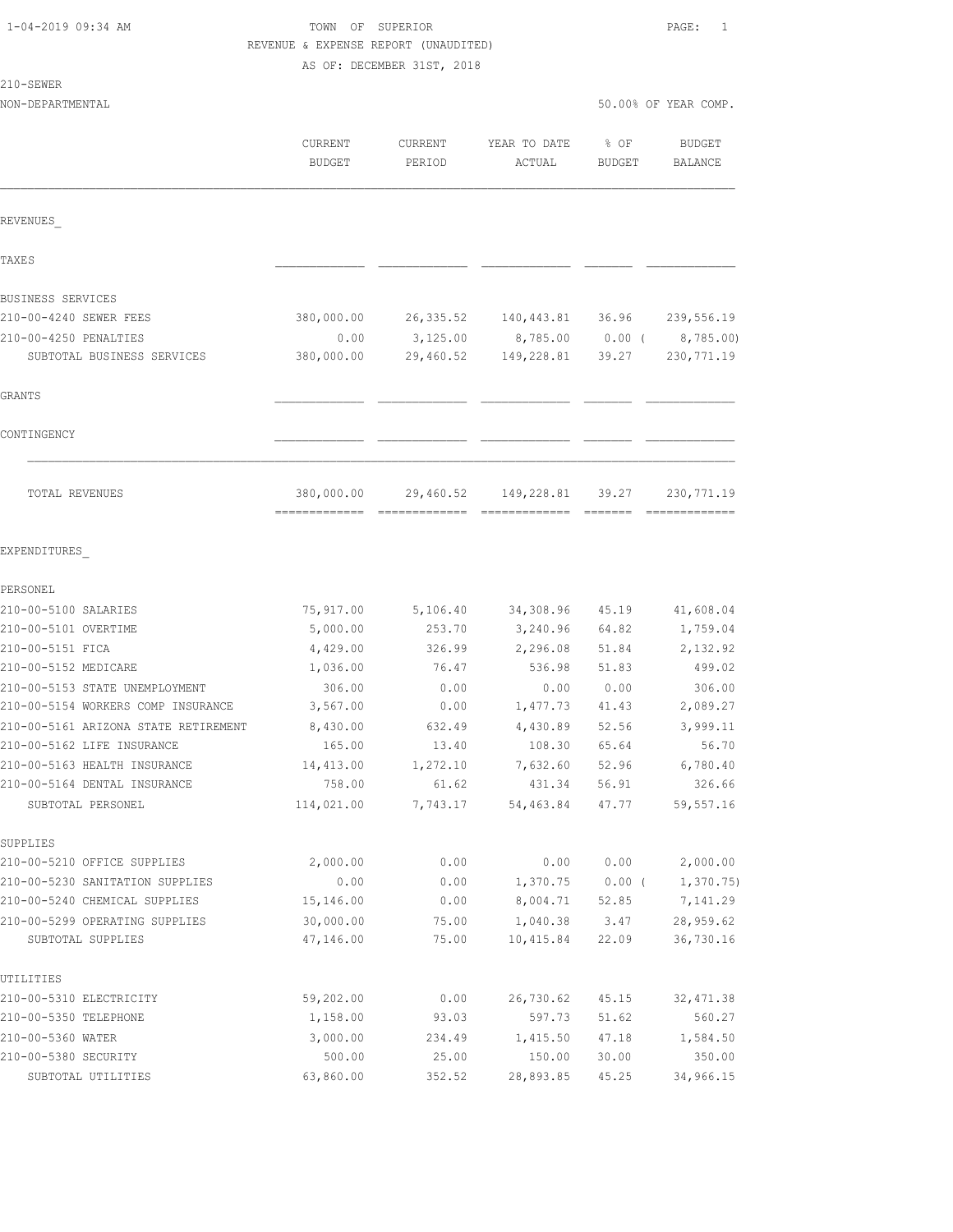| 1-04-2019 09:34 AM |
|--------------------|
|--------------------|

210-SEWER

# TOWN OF SUPERIOR **PAGE:** 1 REVENUE & EXPENSE REPORT (UNAUDITED)

AS OF: DECEMBER 31ST, 2018

NON-DEPARTMENTAL 50.00% OF YEAR COMP.

|                                                              | CURRENT<br><b>BUDGET</b> | <b>CURRENT</b><br>PERIOD | YEAR TO DATE<br>ACTUAL | % OF<br><b>BUDGET</b> | <b>BUDGET</b><br><b>BALANCE</b> |
|--------------------------------------------------------------|--------------------------|--------------------------|------------------------|-----------------------|---------------------------------|
| REVENUES                                                     |                          |                          |                        |                       |                                 |
| TAXE S                                                       |                          |                          |                        |                       |                                 |
| BUSINESS SERVICES                                            |                          |                          |                        |                       |                                 |
| 210-00-4240 SEWER FEES                                       | 380,000.00               | 26, 335.52               | 140,443.81 36.96       |                       | 239,556.19                      |
| 210-00-4250 PENALTIES                                        | 0.00                     | 3,125.00                 |                        | 8,785.00 0.00 (       | 8,785.00)                       |
| SUBTOTAL BUSINESS SERVICES                                   | 380,000.00               | 29,460.52                | 149,228.81             | 39.27                 | 230, 771.19                     |
| GRANTS                                                       |                          |                          |                        |                       |                                 |
| CONTINGENCY                                                  |                          |                          |                        |                       |                                 |
| TOTAL REVENUES                                               | 380,000.00               | 29,460.52                | 149,228.81             | 39.27                 | 230, 771.19                     |
| EXPENDITURES                                                 |                          |                          |                        |                       |                                 |
| PERSONEL                                                     |                          |                          |                        |                       |                                 |
| 210-00-5100 SALARIES                                         | 75,917.00                | 5,106.40                 | 34,308.96              | 45.19                 | 41,608.04                       |
| 210-00-5101 OVERTIME                                         | 5,000.00                 | 253.70                   | 3,240.96               | 64.82                 | 1,759.04                        |
| 210-00-5151 FICA                                             | 4,429.00                 | 326.99                   | 2,296.08               | 51.84                 | 2,132.92                        |
| 210-00-5152 MEDICARE                                         | 1,036.00                 | 76.47                    | 536.98                 | 51.83                 | 499.02                          |
| 210-00-5153 STATE UNEMPLOYMENT                               | 306.00                   | 0.00                     | 0.00                   | 0.00                  | 306.00                          |
| 210-00-5154 WORKERS COMP INSURANCE                           | 3,567.00                 | 0.00                     | 1,477.73               | 41.43                 | 2,089.27                        |
| 210-00-5161 ARIZONA STATE RETIREMENT                         | 8,430.00                 | 632.49                   | 4,430.89               | 52.56                 | 3,999.11                        |
| 210-00-5162 LIFE INSURANCE                                   | 165.00                   | 13.40                    | 108.30                 | 65.64                 | 56.70                           |
| 210-00-5163 HEALTH INSURANCE<br>210-00-5164 DENTAL INSURANCE | 14,413.00                | 1,272.10                 | 7,632.60               | 52.96                 | 6,780.40<br>326.66              |
| SUBTOTAL PERSONEL                                            | 758.00<br>114,021.00     | 61.62<br>7,743.17        | 431.34<br>54,463.84    | 56.91<br>47.77        | 59, 557.16                      |
| SUPPLIES                                                     |                          |                          |                        |                       |                                 |
| 210-00-5210 OFFICE SUPPLIES                                  | 2,000.00                 | 0.00                     | 0.00                   | 0.00                  | 2,000.00                        |
| 210-00-5230 SANITATION SUPPLIES                              | 0.00                     | 0.00                     | 1,370.75               | $0.00$ (              | 1,370.75                        |
| 210-00-5240 CHEMICAL SUPPLIES                                | 15,146.00                | 0.00                     | 8,004.71               | 52.85                 | 7,141.29                        |
| 210-00-5299 OPERATING SUPPLIES                               | 30,000.00                | 75.00                    | 1,040.38               | 3.47                  | 28,959.62                       |
| SUBTOTAL SUPPLIES                                            | 47,146.00                | 75.00                    | 10,415.84              | 22.09                 | 36,730.16                       |
| UTILITIES                                                    |                          |                          |                        |                       |                                 |
| 210-00-5310 ELECTRICITY                                      | 59,202.00                | 0.00                     | 26,730.62              | 45.15                 | 32, 471.38                      |
| 210-00-5350 TELEPHONE                                        | 1,158.00                 | 93.03                    | 597.73                 | 51.62                 | 560.27                          |
| 210-00-5360 WATER                                            | 3,000.00                 | 234.49                   | 1,415.50               | 47.18                 | 1,584.50                        |
| 210-00-5380 SECURITY                                         | 500.00                   | 25.00                    | 150.00                 | 30.00                 | 350.00                          |
| SUBTOTAL UTILITIES                                           | 63,860.00                | 352.52                   | 28,893.85              | 45.25                 | 34,966.15                       |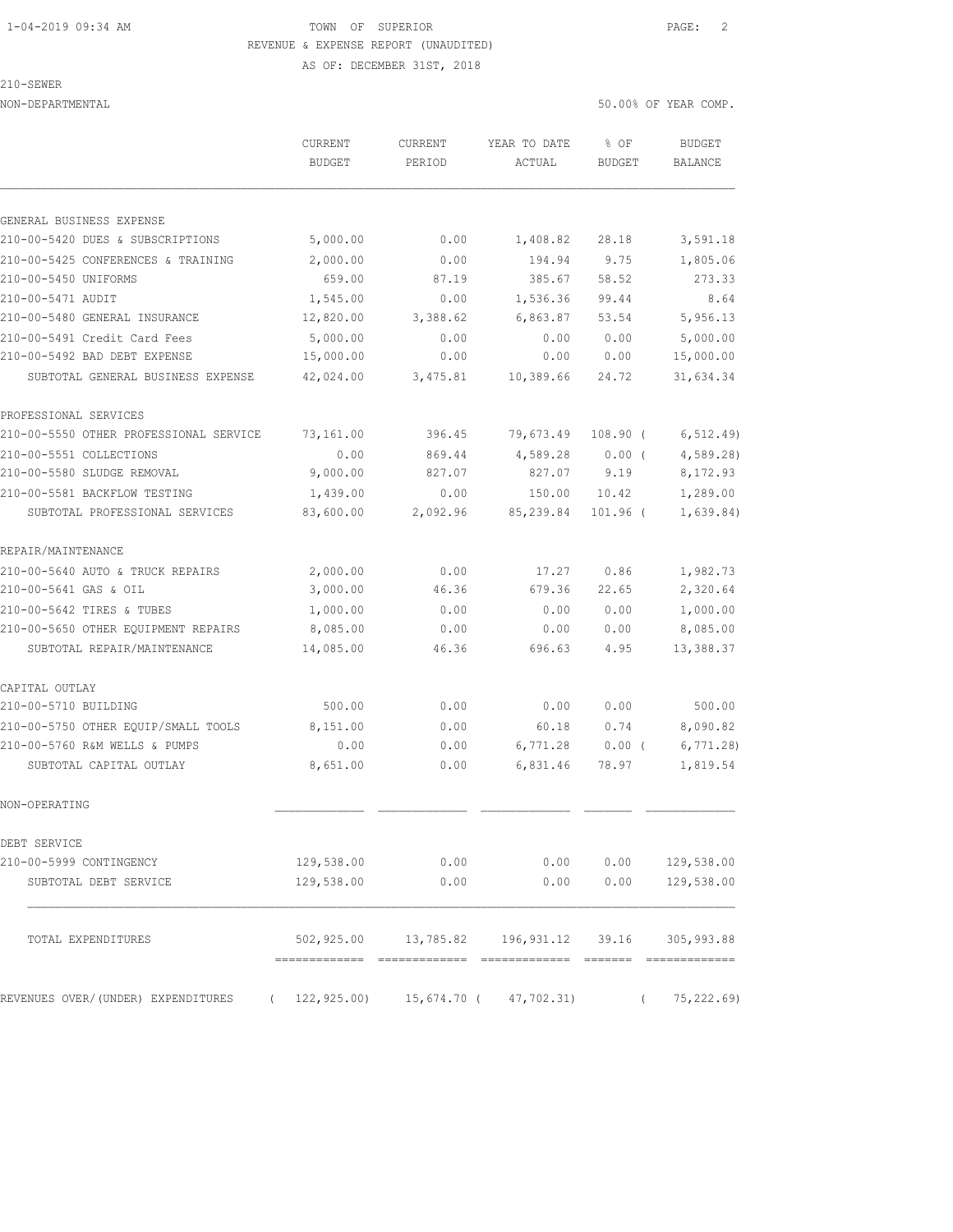### 1-04-2019 09:34 AM TOWN OF SUPERIOR PAGE: 2 REVENUE & EXPENSE REPORT (UNAUDITED)

AS OF: DECEMBER 31ST, 2018

|  | 3 F.W.F |  |
|--|---------|--|
|  |         |  |

NON-DEPARTMENTAL 50.00% OF YEAR COMP.

|                                        | CURRENT<br><b>BUDGET</b> | <b>CURRENT</b><br>PERIOD | YEAR TO DATE<br>ACTUAL                               | % OF<br><b>BUDGET</b> | <b>BUDGET</b><br><b>BALANCE</b> |
|----------------------------------------|--------------------------|--------------------------|------------------------------------------------------|-----------------------|---------------------------------|
|                                        |                          |                          |                                                      |                       |                                 |
| GENERAL BUSINESS EXPENSE               |                          |                          |                                                      |                       |                                 |
| 210-00-5420 DUES & SUBSCRIPTIONS       | 5,000.00                 | 0.00                     | 1,408.82                                             | 28.18                 | 3,591.18                        |
| 210-00-5425 CONFERENCES & TRAINING     | 2,000.00                 | 0.00                     | 194.94                                               | 9.75                  | 1,805.06                        |
| 210-00-5450 UNIFORMS                   | 659.00                   | 87.19                    | 385.67                                               | 58.52                 | 273.33                          |
| 210-00-5471 AUDIT                      | 1,545.00                 | 0.00                     | 1,536.36                                             | 99.44                 | 8.64                            |
| 210-00-5480 GENERAL INSURANCE          | 12,820.00                | 3,388.62                 | 6,863.87                                             | 53.54                 | 5,956.13                        |
| 210-00-5491 Credit Card Fees           | 5,000.00                 | 0.00                     | 0.00                                                 | 0.00                  | 5,000.00                        |
| 210-00-5492 BAD DEBT EXPENSE           | 15,000.00                | 0.00                     | 0.00                                                 | 0.00                  | 15,000.00                       |
| SUBTOTAL GENERAL BUSINESS EXPENSE      | 42,024.00                | 3,475.81                 | 10,389.66                                            | 24.72                 | 31,634.34                       |
| PROFESSIONAL SERVICES                  |                          |                          |                                                      |                       |                                 |
| 210-00-5550 OTHER PROFESSIONAL SERVICE | 73,161.00                | 396.45                   | 79,673.49                                            | 108.90 (              | 6, 512.49)                      |
| 210-00-5551 COLLECTIONS                | 0.00                     | 869.44                   | 4,589.28                                             | $0.00$ (              | 4,589.28                        |
| 210-00-5580 SLUDGE REMOVAL             | 9,000.00                 | 827.07                   | 827.07                                               | 9.19                  | 8,172.93                        |
| 210-00-5581 BACKFLOW TESTING           | 1,439.00                 | 0.00                     | 150.00                                               | 10.42                 | 1,289.00                        |
| SUBTOTAL PROFESSIONAL SERVICES         | 83,600.00                | 2,092.96                 | 85,239.84                                            | $101.96$ (            | 1,639.84)                       |
| REPAIR/MAINTENANCE                     |                          |                          |                                                      |                       |                                 |
| 210-00-5640 AUTO & TRUCK REPAIRS       | 2,000.00                 | 0.00                     | 17.27                                                | 0.86                  | 1,982.73                        |
| 210-00-5641 GAS & OIL                  | 3,000.00                 | 46.36                    | 679.36                                               | 22.65                 | 2,320.64                        |
| 210-00-5642 TIRES & TUBES              | 1,000.00                 | 0.00                     | 0.00                                                 | 0.00                  | 1,000.00                        |
| 210-00-5650 OTHER EQUIPMENT REPAIRS    | 8,085.00                 | 0.00                     | 0.00                                                 | 0.00                  | 8,085.00                        |
| SUBTOTAL REPAIR/MAINTENANCE            | 14,085.00                | 46.36                    | 696.63                                               | 4.95                  | 13,388.37                       |
| CAPITAL OUTLAY                         |                          |                          |                                                      |                       |                                 |
| 210-00-5710 BUILDING                   | 500.00                   | 0.00                     | 0.00                                                 | 0.00                  | 500.00                          |
| 210-00-5750 OTHER EQUIP/SMALL TOOLS    | 8,151.00                 | 0.00                     | 60.18                                                | 0.74                  | 8,090.82                        |
| 210-00-5760 R&M WELLS & PUMPS          | 0.00                     | 0.00                     | 6,771.28                                             | $0.00$ (              | 6,771.28                        |
| SUBTOTAL CAPITAL OUTLAY                | 8,651.00                 | 0.00                     | 6,831.46                                             | 78.97                 | 1,819.54                        |
| NON-OPERATING                          |                          |                          |                                                      |                       |                                 |
| DEBT SERVICE                           |                          |                          |                                                      |                       |                                 |
| 210-00-5999 CONTINGENCY                | 129,538.00               | 0.00                     | 0.00                                                 | 0.00                  | 129,538.00                      |
| SUBTOTAL DEBT SERVICE                  | 129,538.00               | 0.00                     | 0.00                                                 | 0.00                  | 129,538.00                      |
| TOTAL EXPENDITURES                     |                          |                          | 502,925.00  13,785.82  196,931.12  39.16  305,993.88 |                       |                                 |
| REVENUES OVER/(UNDER) EXPENDITURES     | 122,925.00)              |                          | 15,674.70 ( 47,702.31)                               |                       | 75,222.69)                      |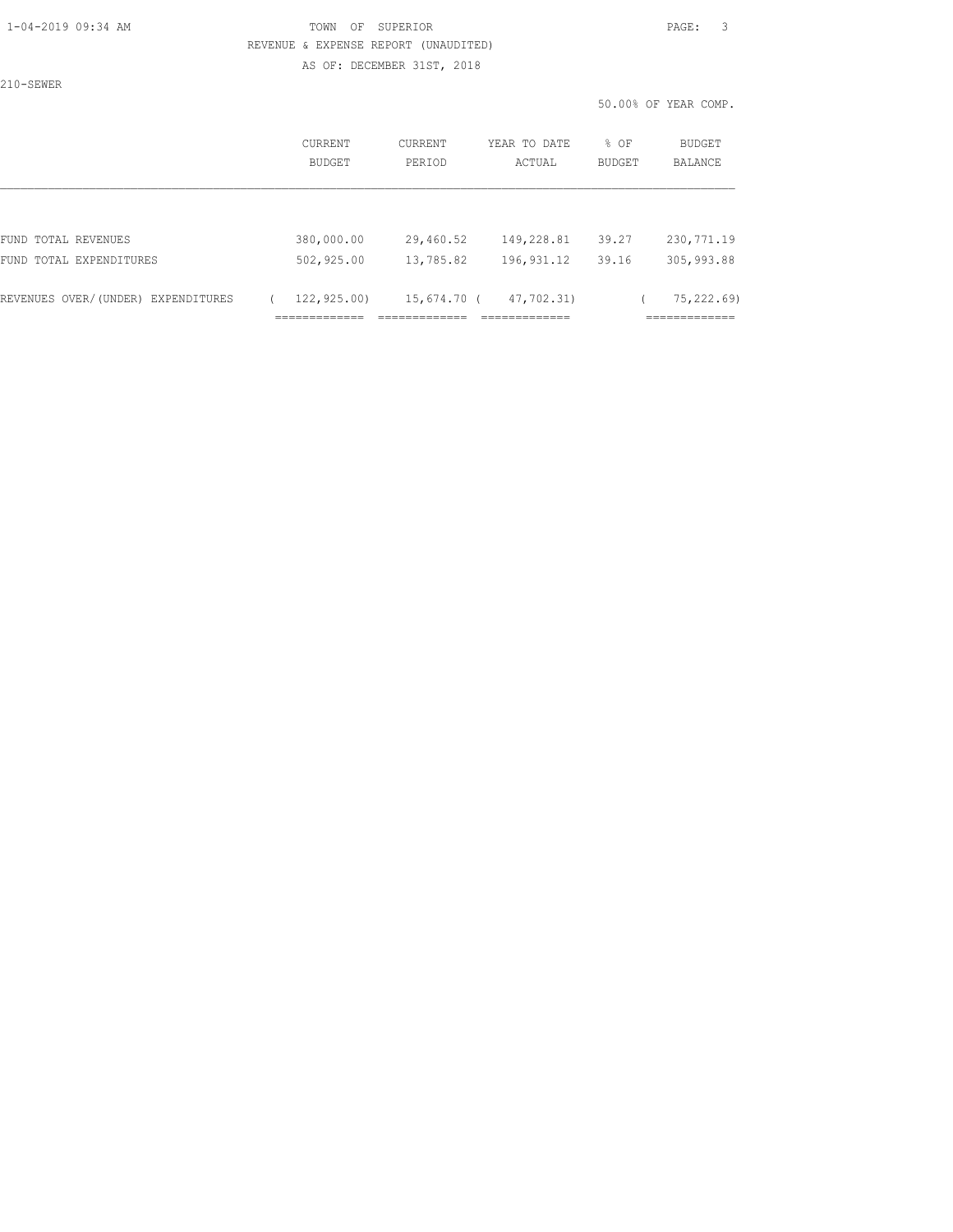## 1-04-2019 09:34 AM TOWN OF SUPERIOR PAGE: 3 REVENUE & EXPENSE REPORT (UNAUDITED)

AS OF: DECEMBER 31ST, 2018

210-SEWER

50.00% OF YEAR COMP.

|                                    | <b>CURRENT</b><br>BUDGET                     | CURRENT<br>PERIOD                  | YEAR TO DATE<br>ACTUAL                      | % OF<br>BUDGET | <b>BUDGET</b><br>BALANCE                   |
|------------------------------------|----------------------------------------------|------------------------------------|---------------------------------------------|----------------|--------------------------------------------|
|                                    |                                              |                                    |                                             |                |                                            |
| FUND TOTAL REVENUES                | 380,000.00                                   | 29,460.52                          | 149,228.81                                  | 39.27          | 230, 771.19                                |
| FUND TOTAL EXPENDITURES            | 502,925.00                                   | 13,785.82                          | 196, 931.12                                 | 39.16          | 305,993.88                                 |
| REVENUES OVER/(UNDER) EXPENDITURES | 122,925.00)<br>_____________<br>------------ | 15,674.70 (<br>--------------<br>. | 47,702.31)<br>_____________<br>------------ |                | 75,222.69)<br>____________<br>------------ |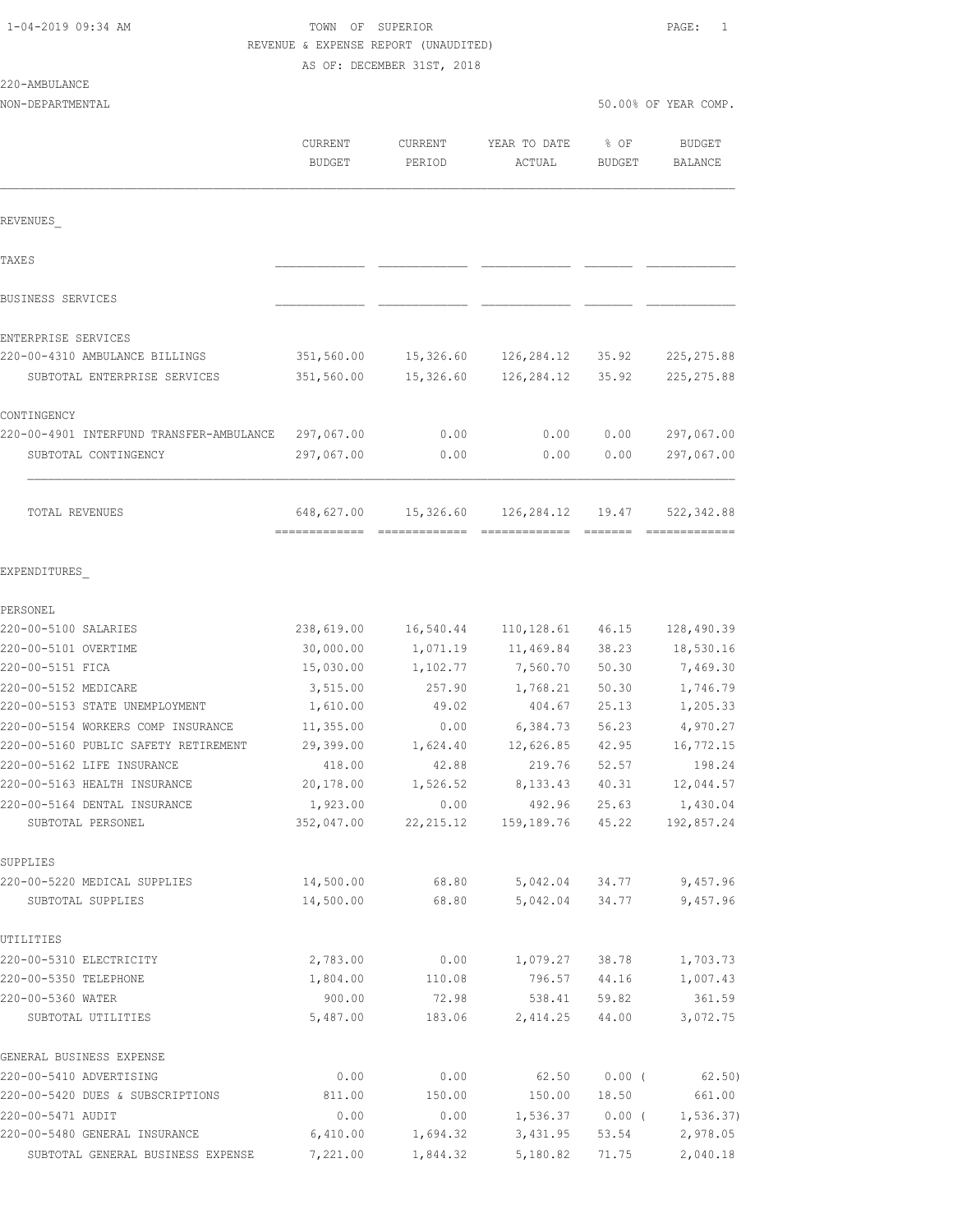| 1-04-2019 09:34 AM |  |  |
|--------------------|--|--|
|--------------------|--|--|

# TOWN OF SUPERIOR **PAGE:** 1 REVENUE & EXPENSE REPORT (UNAUDITED)

AS OF: DECEMBER 31ST, 2018

### 220-AMBULANCE

| ZZU-AMBULANUL                                                              |                          |                      |                        |                       |                                 |
|----------------------------------------------------------------------------|--------------------------|----------------------|------------------------|-----------------------|---------------------------------|
| NON-DEPARTMENTAL                                                           |                          |                      |                        |                       | 50.00% OF YEAR COMP.            |
|                                                                            | CURRENT<br><b>BUDGET</b> | CURRENT<br>PERIOD    | YEAR TO DATE<br>ACTUAL | % OF<br><b>BUDGET</b> | <b>BUDGET</b><br><b>BALANCE</b> |
| REVENUES                                                                   |                          |                      |                        |                       |                                 |
| TAXE S                                                                     |                          |                      |                        |                       |                                 |
| BUSINESS SERVICES                                                          |                          |                      |                        |                       |                                 |
| ENTERPRISE SERVICES                                                        |                          |                      |                        |                       |                                 |
| 220-00-4310 AMBULANCE BILLINGS                                             | 351,560.00               | 15,326.60            | 126,284.12             | 35.92                 | 225, 275.88                     |
| SUBTOTAL ENTERPRISE SERVICES                                               | 351,560.00               | 15,326.60            | 126,284.12             | 35.92                 | 225, 275.88                     |
| CONTINGENCY                                                                |                          |                      |                        |                       |                                 |
| 220-00-4901 INTERFUND TRANSFER-AMBULANCE                                   | 297,067.00               | 0.00                 | 0.00                   | 0.00                  | 297,067.00                      |
| SUBTOTAL CONTINGENCY                                                       | 297,067.00               | 0.00                 | 0.00                   | 0.00                  | 297,067.00                      |
| TOTAL REVENUES                                                             |                          | 648,627.00 15,326.60 | 126,284.12             | 19.47                 | 522,342.88                      |
| EXPENDITURES                                                               |                          |                      |                        |                       |                                 |
| PERSONEL                                                                   |                          |                      |                        |                       |                                 |
| 220-00-5100 SALARIES                                                       | 238,619.00               | 16,540.44            | 110,128.61             | 46.15                 | 128,490.39                      |
| 220-00-5101 OVERTIME                                                       | 30,000.00                | 1,071.19             | 11,469.84              | 38.23                 | 18,530.16                       |
| 220-00-5151 FICA                                                           | 15,030.00                | 1,102.77             | 7,560.70               | 50.30                 | 7,469.30                        |
| 220-00-5152 MEDICARE                                                       | 3,515.00                 | 257.90               | 1,768.21               | 50.30                 | 1,746.79                        |
| 220-00-5153 STATE UNEMPLOYMENT                                             | 1,610.00                 | 49.02                | 404.67                 | 25.13                 | 1,205.33                        |
| 220-00-5154 WORKERS COMP INSURANCE<br>220-00-5160 PUBLIC SAFETY RETIREMENT | 11,355.00<br>29,399.00   | 0.00<br>1,624.40     | 6,384.73<br>12,626.85  | 56.23<br>42.95        | 4,970.27<br>16,772.15           |
| 220-00-5162 LIFE INSURANCE                                                 | 418.00                   | 42.88                | 219.76                 | 52.57                 | 198.24                          |
| 220-00-5163 HEALTH INSURANCE                                               | 20,178.00                | 1,526.52             | 8, 133. 43             | 40.31                 | 12,044.57                       |
| 220-00-5164 DENTAL INSURANCE                                               | 1,923.00                 | 0.00                 | 492.96                 | 25.63                 | 1,430.04                        |
| SUBTOTAL PERSONEL                                                          | 352,047.00               | 22, 215.12           | 159,189.76             | 45.22                 | 192,857.24                      |
| SUPPLIES                                                                   |                          |                      |                        |                       |                                 |
| 220-00-5220 MEDICAL SUPPLIES<br>SUBTOTAL SUPPLIES                          | 14,500.00<br>14,500.00   | 68.80<br>68.80       | 5,042.04<br>5,042.04   | 34.77<br>34.77        | 9,457.96<br>9,457.96            |
| UTILITIES                                                                  |                          |                      |                        |                       |                                 |
| 220-00-5310 ELECTRICITY                                                    | 2,783.00                 | 0.00                 | 1,079.27               | 38.78                 | 1,703.73                        |
| 220-00-5350 TELEPHONE                                                      | 1,804.00                 | 110.08               | 796.57                 | 44.16                 | 1,007.43                        |
| 220-00-5360 WATER                                                          | 900.00                   | 72.98                | 538.41                 | 59.82                 | 361.59                          |
| SUBTOTAL UTILITIES                                                         | 5,487.00                 | 183.06               | 2,414.25               | 44.00                 | 3,072.75                        |
| GENERAL BUSINESS EXPENSE                                                   |                          |                      |                        |                       |                                 |
| 220-00-5410 ADVERTISING                                                    | 0.00                     | 0.00                 | 62.50                  | $0.00$ (              | 62.50)                          |
| 220-00-5420 DUES & SUBSCRIPTIONS                                           | 811.00                   | 150.00               | 150.00                 | 18.50                 | 661.00                          |

220-00-5471 AUDIT 0.00 0.00 1,536.37 0.00 ( 1,536.37) 220-00-5480 GENERAL INSURANCE 6,410.00 1,694.32 3,431.95 53.54 2,978.05 SUBTOTAL GENERAL BUSINESS EXPENSE 7,221.00 1,844.32 5,180.82 71.75 2,040.18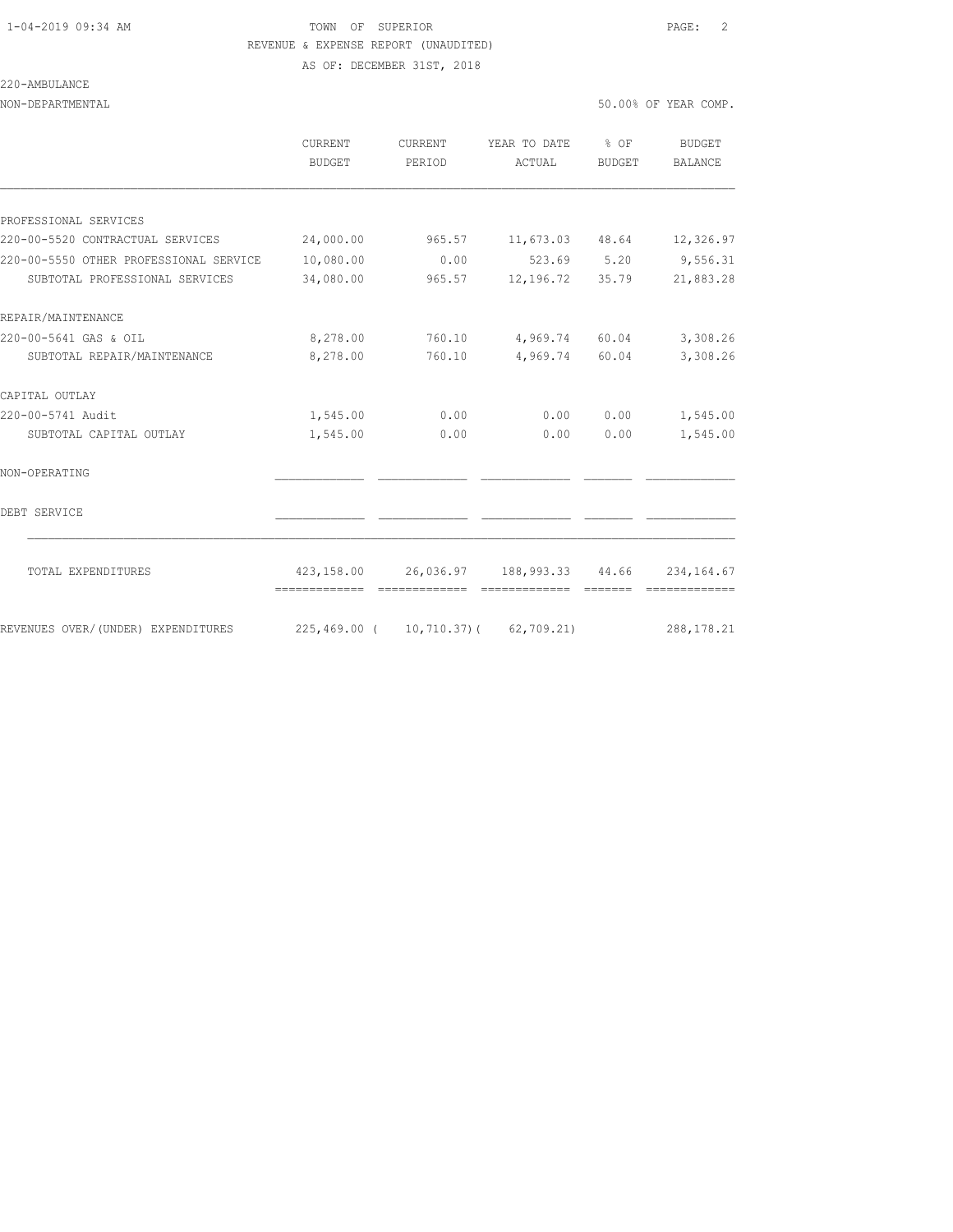## 1-04-2019 09:34 AM TOWN OF SUPERIOR PAGE: 2 REVENUE & EXPENSE REPORT (UNAUDITED)

AS OF: DECEMBER 31ST, 2018

#### 220-AMBULANCE

| NON-DEPARTMENTAL                                                         |                                      |                |                                                                          |                | 50.00% OF YEAR COMP.  |
|--------------------------------------------------------------------------|--------------------------------------|----------------|--------------------------------------------------------------------------|----------------|-----------------------|
|                                                                          | CURRENT<br>BUDGET                    | PERIOD         | CURRENT YEAR TO DATE % OF<br>ACTUAL                                      | BUDGET         | BUDGET<br>BALANCE     |
|                                                                          |                                      |                |                                                                          |                |                       |
| PROFESSIONAL SERVICES                                                    |                                      |                |                                                                          |                |                       |
| 220-00-5520 CONTRACTUAL SERVICES                                         | 24,000.00                            |                | $965.57$ 11,673.03 48.64 12,326.97                                       |                |                       |
| 220-00-5550 OTHER PROFESSIONAL SERVICE<br>SUBTOTAL PROFESSIONAL SERVICES | 10,080.00<br>34,080.00               | 0.00<br>965.57 | 523.69 5.20<br>12,196.72 35.79                                           |                | 9,556.31<br>21,883.28 |
| REPAIR/MAINTENANCE                                                       |                                      |                |                                                                          |                |                       |
| 220-00-5641 GAS & OIL                                                    | 8,278.00                             | 760.10         | 4,969.74 60.04                                                           |                | 3,308.26              |
| SUBTOTAL REPAIR/MAINTENANCE                                              | 8,278.00                             | 760.10         | 4,969.74 60.04                                                           |                | 3,308.26              |
| CAPITAL OUTLAY                                                           |                                      |                |                                                                          |                |                       |
| 220-00-5741 Audit                                                        | 1,545.00 0.00                        |                | 0.00                                                                     |                | $0.00$ 1,545.00       |
| SUBTOTAL CAPITAL OUTLAY                                                  | 1,545.00                             | 0.00           | 0.00                                                                     | 0.00           | 1,545.00              |
| NON-OPERATING                                                            |                                      |                |                                                                          |                |                       |
| DEBT SERVICE                                                             |                                      |                |                                                                          |                |                       |
| TOTAL EXPENDITURES                                                       |                                      |                | 423,158.00  26,036.97  188,993.33  44.66  234,164.67<br>________________ | <b>COOCCOO</b> |                       |
| REVENUES OVER/(UNDER) EXPENDITURES                                       | 225,469.00 ( 10,710.37) ( 62,709.21) |                |                                                                          |                | 288, 178.21           |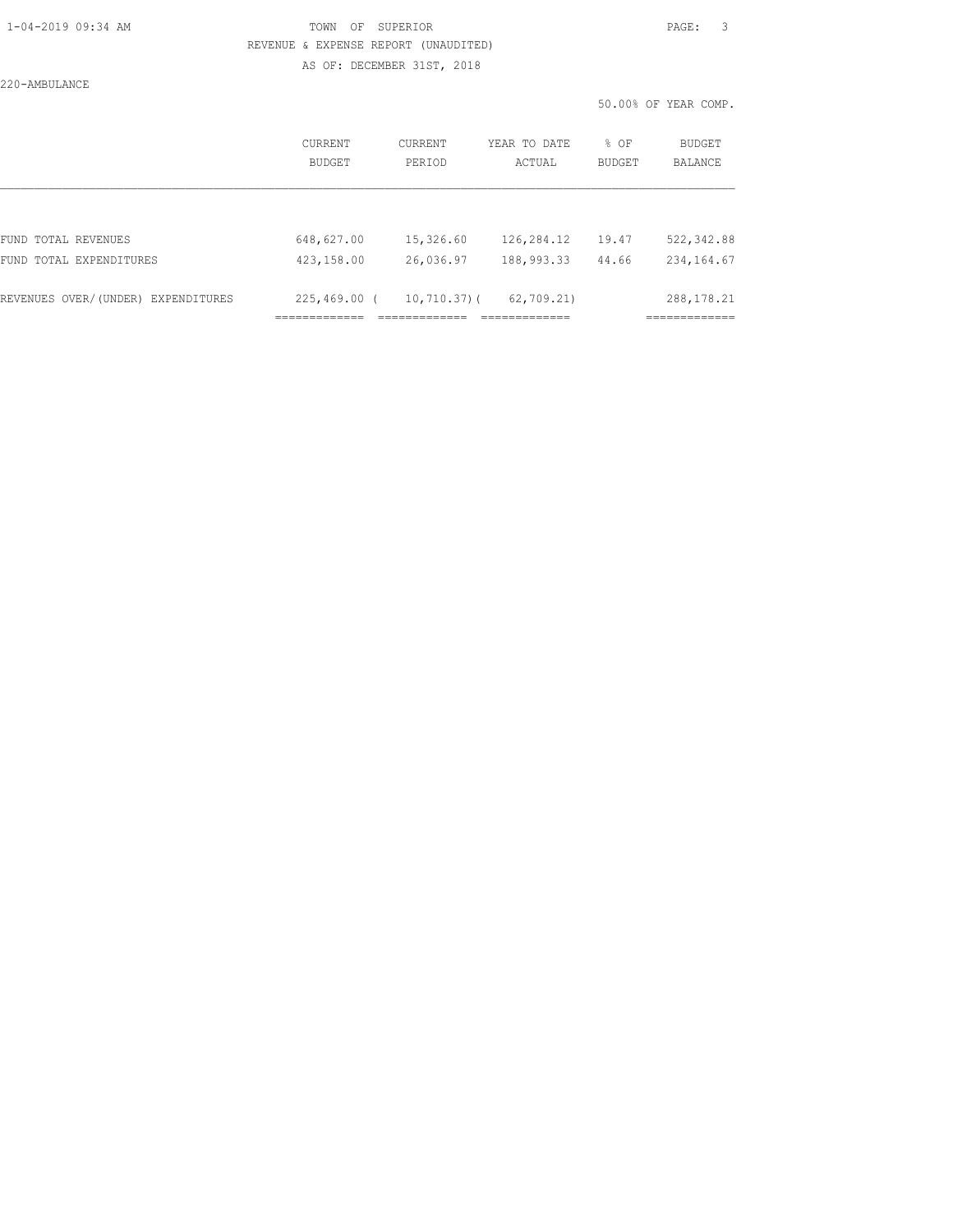#### 1-04-2019 09:34 AM TOWN OF SUPERIOR PAGE: 3 REVENUE & EXPENSE REPORT (UNAUDITED) AS OF: DECEMBER 31ST, 2018

220-AMBULANCE

50.00% OF YEAR COMP.

|                                       | CURRENT<br><b>BUDGET</b> | CURRENT<br>PERIOD  | YEAR TO DATE<br>ACTUAL        | % OF<br><b>BUDGET</b> | BUDGET<br><b>BALANCE</b> |
|---------------------------------------|--------------------------|--------------------|-------------------------------|-----------------------|--------------------------|
|                                       |                          |                    |                               |                       |                          |
| FUND TOTAL REVENUES                   | 648,627.00               | 15,326.60          | 126,284.12                    | 19.47                 | 522, 342.88              |
| FUND TOTAL EXPENDITURES               | 423,158.00               | 26,036.97          | 188,993.33                    | 44.66                 | 234, 164.67              |
|                                       |                          |                    |                               |                       |                          |
| REVENUES OVER/(UNDER)<br>EXPENDITURES | $225,469.00$ (           | $10, 710.37$ ) (   | 62,709.21                     |                       | 288, 178. 21             |
|                                       | --------------<br>.      | _____________<br>. | _____________<br>------------ |                       | ____________<br>.        |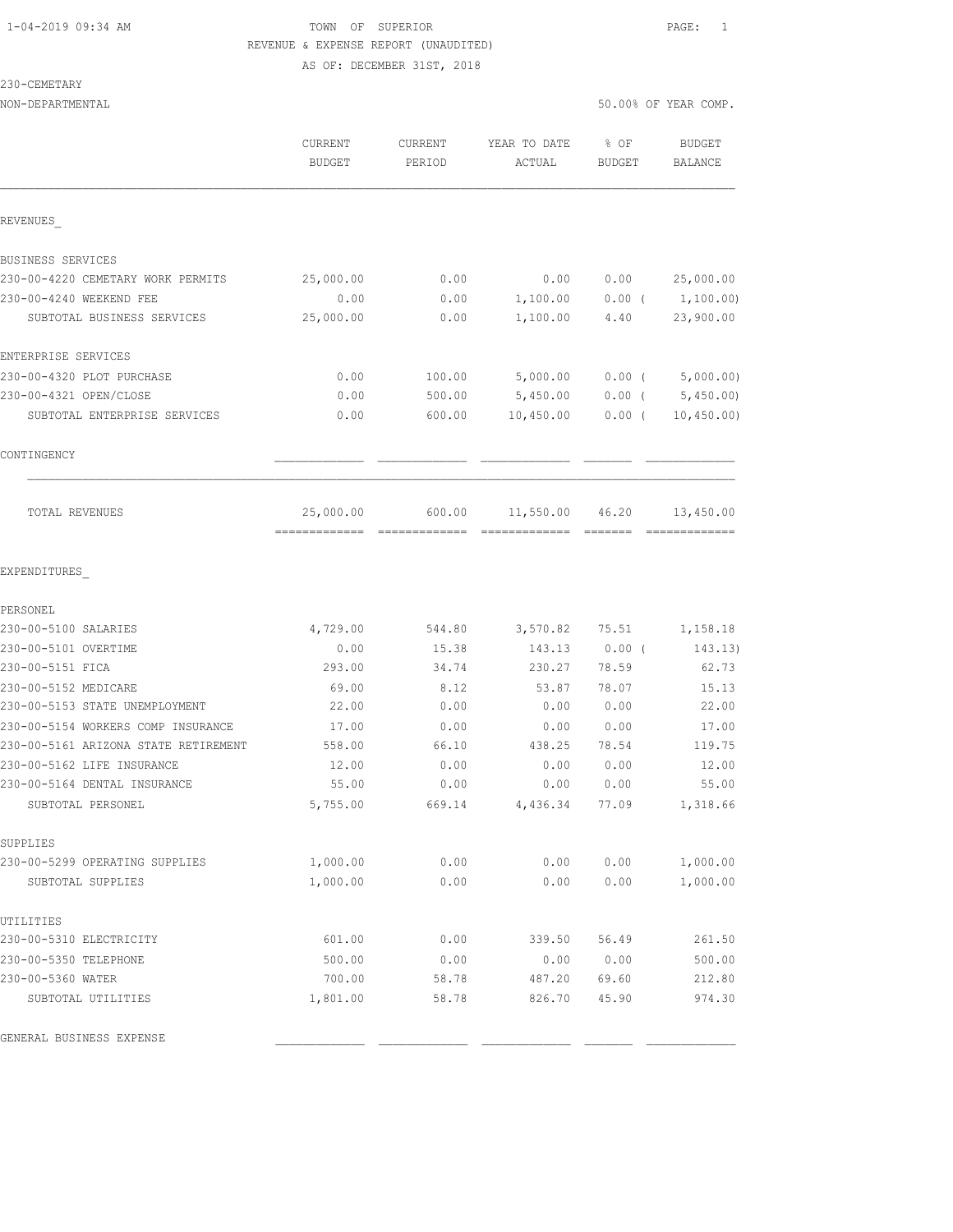#### 1-04-2019 09:34 AM TOWN OF SUPERIOR PAGE: 1 REVENUE & EXPENSE REPORT (UNAUDITED) AS OF: DECEMBER 31ST, 2018

| CEMETAR' |  |
|----------|--|
|----------|--|

|                                      | CURRENT<br><b>BUDGET</b>                  | CURRENT<br>PERIOD | YEAR TO DATE<br>ACTUAL | % OF<br><b>BUDGET</b> | <b>BUDGET</b><br>BALANCE   |
|--------------------------------------|-------------------------------------------|-------------------|------------------------|-----------------------|----------------------------|
| REVENUES                             |                                           |                   |                        |                       |                            |
| BUSINESS SERVICES                    |                                           |                   |                        |                       |                            |
| 230-00-4220 CEMETARY WORK PERMITS    | 25,000.00                                 | 0.00              | 0.00                   | 0.00                  | 25,000.00                  |
| 230-00-4240 WEEKEND FEE              | 0.00                                      | 0.00              | 1,100.00               | $0.00$ (              | 1,100.00)                  |
| SUBTOTAL BUSINESS SERVICES           | 25,000.00                                 | 0.00              | 1,100.00               | 4.40                  | 23,900.00                  |
| ENTERPRISE SERVICES                  |                                           |                   |                        |                       |                            |
| 230-00-4320 PLOT PURCHASE            | 0.00                                      | 100.00            | 5,000.00               | $0.00$ (              | 5,000.00)                  |
| 230-00-4321 OPEN/CLOSE               | 0.00                                      | 500.00            | 5,450.00               | $0.00$ (              | 5,450.00                   |
| SUBTOTAL ENTERPRISE SERVICES         | 0.00                                      | 600.00            | 10,450.00              | $0.00$ (              | 10,450.00)                 |
| CONTINGENCY                          |                                           |                   |                        |                       |                            |
| <b>TOTAL REVENUES</b>                | 25,000.00<br>------------- -------------- | 600.00            | 11,550.00 46.20        |                       | 13,450.00<br>============= |
| EXPENDITURES                         |                                           |                   |                        |                       |                            |
| PERSONEL                             |                                           |                   |                        |                       |                            |
| 230-00-5100 SALARIES                 | 4,729.00                                  | 544.80            | 3,570.82               | 75.51                 | 1,158.18                   |
| 230-00-5101 OVERTIME                 | 0.00                                      | 15.38             | 143.13                 | $0.00$ (              | 143.13)                    |
| 230-00-5151 FICA                     | 293.00                                    | 34.74             | 230.27                 | 78.59                 | 62.73                      |
| 230-00-5152 MEDICARE                 | 69.00                                     | 8.12              | 53.87                  | 78.07                 | 15.13                      |
| 230-00-5153 STATE UNEMPLOYMENT       | 22.00                                     | 0.00              | 0.00                   | 0.00                  | 22.00                      |
| 230-00-5154 WORKERS COMP INSURANCE   | 17.00                                     | 0.00              | 0.00                   | 0.00                  | 17.00                      |
| 230-00-5161 ARIZONA STATE RETIREMENT | 558.00                                    | 66.10             | 438.25                 | 78.54                 | 119.75                     |
| 230-00-5162 LIFE INSURANCE           | 12.00                                     | 0.00              | 0.00                   | 0.00                  | 12.00                      |
| 230-00-5164 DENTAL INSURANCE         | 55.00                                     | 0.00              | 0.00                   | 0.00                  | 55.00                      |
| SUBTOTAL PERSONEL                    | 5,755.00                                  | 669.14            | 4,436.34               | 77.09                 | 1,318.66                   |
| SUPPLIES                             |                                           |                   |                        |                       |                            |
| 230-00-5299 OPERATING SUPPLIES       | 1,000.00                                  | 0.00              | 0.00                   | 0.00                  | 1,000.00                   |
| SUBTOTAL SUPPLIES                    | 1,000.00                                  | 0.00              | 0.00                   | 0.00                  | 1,000.00                   |
| UTILITIES                            |                                           |                   |                        |                       |                            |
| 230-00-5310 ELECTRICITY              | 601.00                                    | 0.00              | 339.50                 | 56.49                 | 261.50                     |
| 230-00-5350 TELEPHONE                | 500.00                                    | 0.00              | 0.00                   | 0.00                  | 500.00                     |
| 230-00-5360 WATER                    | 700.00                                    | 58.78             | 487.20                 | 69.60                 | 212.80                     |
| SUBTOTAL UTILITIES                   | 1,801.00                                  | 58.78             | 826.70                 | 45.90                 | 974.30                     |

GENERAL BUSINESS EXPENSE \_\_\_\_\_\_\_\_\_\_\_\_\_ \_\_\_\_\_\_\_\_\_\_\_\_\_ \_\_\_\_\_\_\_\_\_\_\_\_\_ \_\_\_\_\_\_\_ \_\_\_\_\_\_\_\_\_\_\_\_\_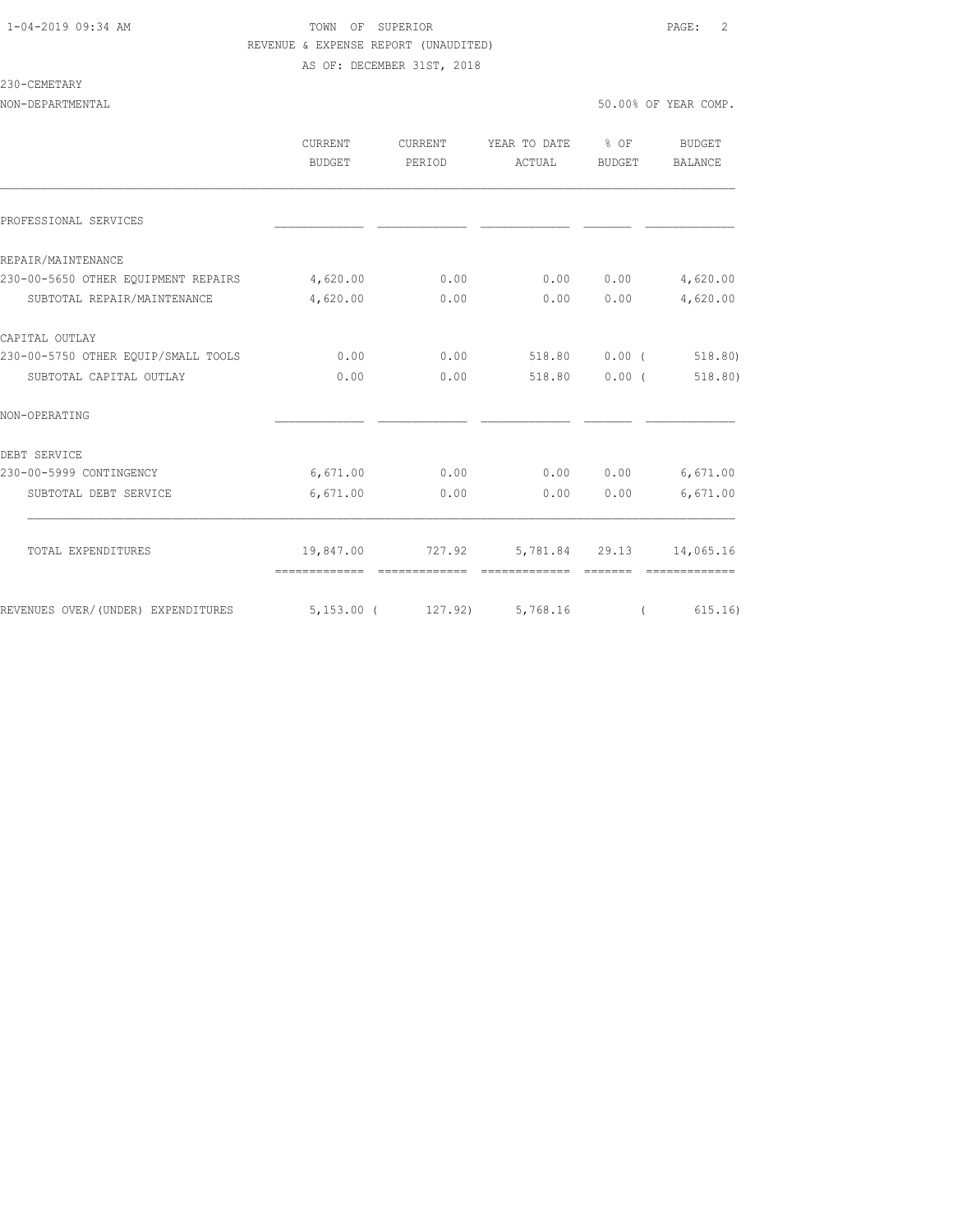#### 1-04-2019 09:34 AM TOWN OF SUPERIOR PAGE: 2 REVENUE & EXPENSE REPORT (UNAUDITED) AS OF: DECEMBER 31ST, 2018

#### 230-CEMETARY

|                                     | <b>CURRENT</b><br>BUDGET   | CURRENT<br>PERIOD | YEAR TO DATE<br>ACTUAL | $\frac{8}{3}$ OF<br>BUDGET | BUDGET<br>BALANCE     |
|-------------------------------------|----------------------------|-------------------|------------------------|----------------------------|-----------------------|
| PROFESSIONAL SERVICES               |                            |                   |                        |                            |                       |
| REPAIR/MAINTENANCE                  |                            |                   |                        |                            |                       |
| 230-00-5650 OTHER EOUIPMENT REPAIRS | 4,620.00                   | 0.00              | 0.00                   | 0.00                       | 4,620.00              |
| SUBTOTAL REPAIR/MAINTENANCE         | 4,620.00                   | 0.00              | 0.00                   | 0.00                       | 4,620.00              |
| CAPITAL OUTLAY                      |                            |                   |                        |                            |                       |
| 230-00-5750 OTHER EOUIP/SMALL TOOLS | 0.00                       | 0.00              | 518.80 0.00 (          |                            | 518.80                |
| SUBTOTAL CAPITAL OUTLAY             | 0.00                       | 0.00              | 518.80                 | $0.00$ (                   | 518.80)               |
| NON-OPERATING                       |                            |                   |                        |                            |                       |
| DEBT SERVICE                        |                            |                   |                        |                            |                       |
| 230-00-5999 CONTINGENCY             | 6,671.00                   | 0.00              | 0.00                   | 0.00                       | 6,671.00              |
| SUBTOTAL DEBT SERVICE               | 6,671.00                   | 0.00              | 0.00                   | 0.00                       | 6,671.00              |
| TOTAL EXPENDITURES                  |                            | 19,847.00 727.92  |                        | 5,781.84 29.13             | 14,065.16             |
|                                     | --------------             | --------------    | --------------         |                            |                       |
| REVENUES OVER/(UNDER) EXPENDITURES  | 5,153.00 (127.92) 5,768.16 |                   |                        |                            | 615.16)<br>$\sqrt{2}$ |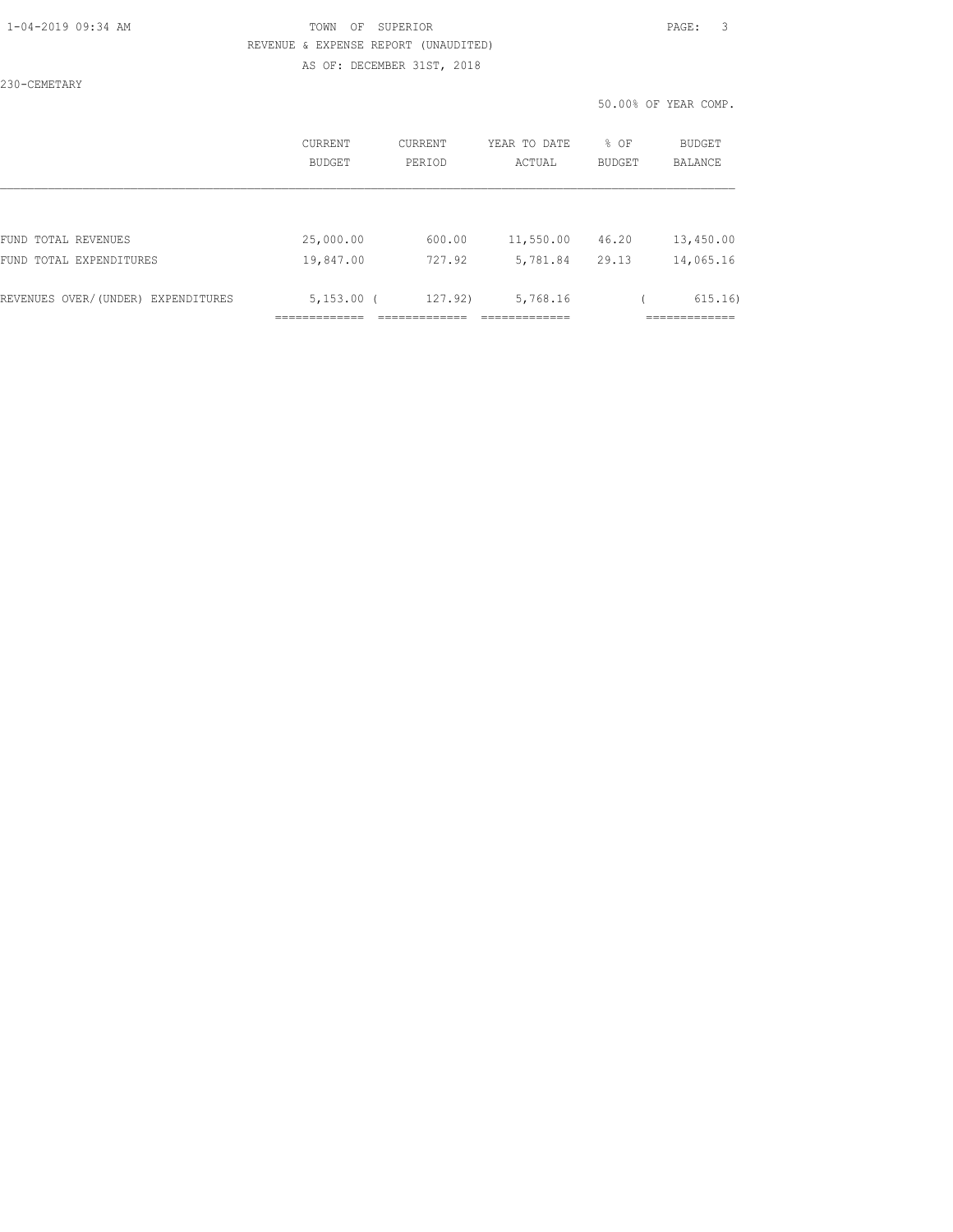#### 1-04-2019 09:34 AM TOWN OF SUPERIOR PAGE: 3 REVENUE & EXPENSE REPORT (UNAUDITED) AS OF: DECEMBER 31ST, 2018

230-CEMETARY

50.00% OF YEAR COMP.

|                                    | <b>CURRENT</b><br>BUDGET | CURRENT<br>PERIOD | YEAR TO DATE<br>ACTUAL | % OF<br><b>BUDGET</b> | <b>BUDGET</b><br><b>BALANCE</b> |
|------------------------------------|--------------------------|-------------------|------------------------|-----------------------|---------------------------------|
|                                    |                          |                   |                        |                       |                                 |
| FUND TOTAL REVENUES                | 25,000.00                | 600.00            | 11,550.00              | 46.20                 | 13,450.00                       |
| FUND TOTAL EXPENDITURES            | 19,847.00                | 727.92            | 5,781.84               | 29.13                 | 14,065.16                       |
| REVENUES OVER/(UNDER) EXPENDITURES | $5,153.00$ (             | 127.92)           | 5,768.16               |                       | 615.16)                         |
|                                    |                          |                   |                        |                       | _________                       |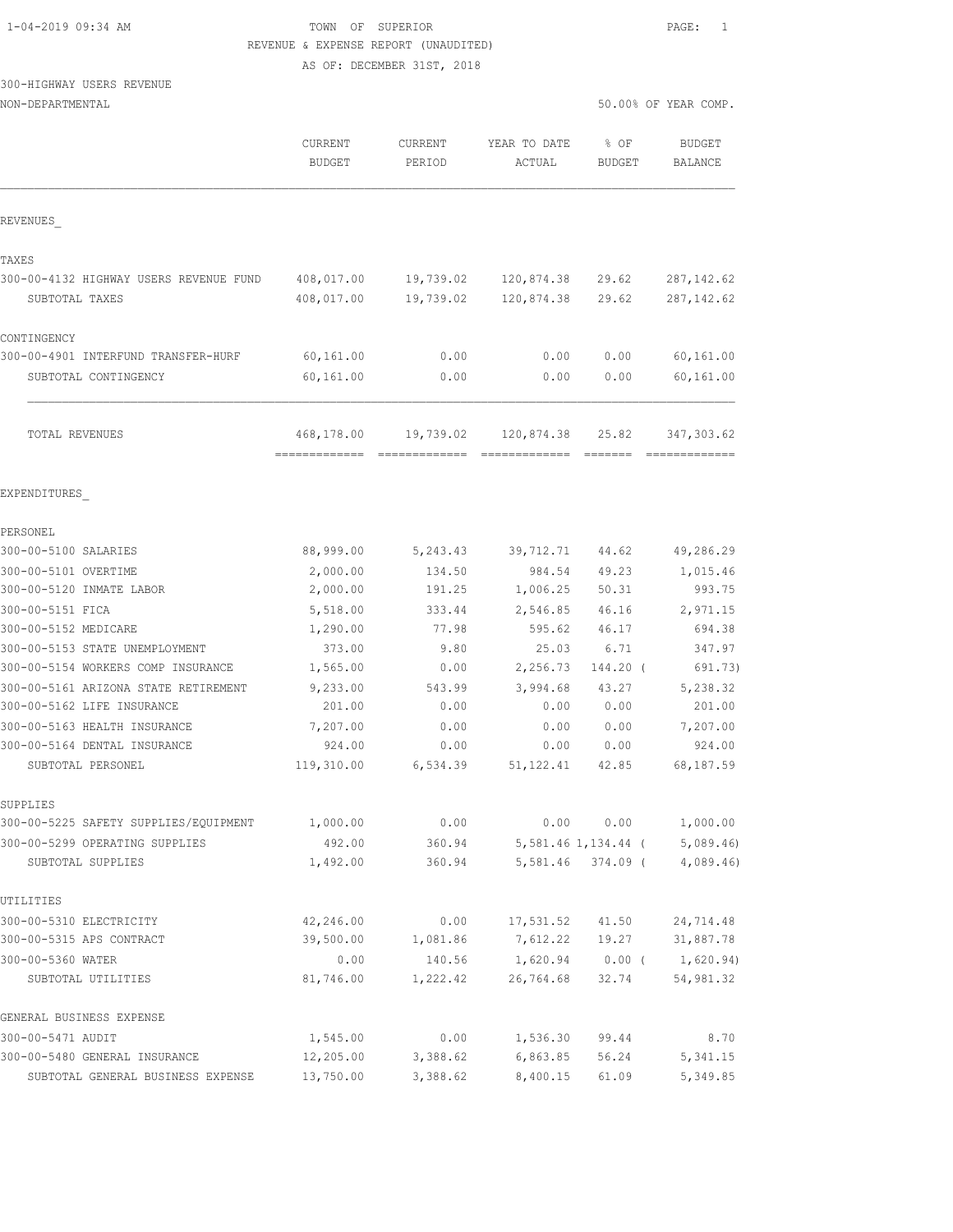## TOWN OF SUPERIOR **PAGE:** 1 REVENUE & EXPENSE REPORT (UNAUDITED)

AS OF: DECEMBER 31ST, 2018

## $300 -$

|                                        |                                            | AS OF: DECEMBER SIST, 2010 |                              |                                                                                                                                                                                                                                                                                                                                                                                                                                                                                                 |                              |
|----------------------------------------|--------------------------------------------|----------------------------|------------------------------|-------------------------------------------------------------------------------------------------------------------------------------------------------------------------------------------------------------------------------------------------------------------------------------------------------------------------------------------------------------------------------------------------------------------------------------------------------------------------------------------------|------------------------------|
| 300-HIGHWAY USERS REVENUE              |                                            |                            |                              |                                                                                                                                                                                                                                                                                                                                                                                                                                                                                                 |                              |
| NON-DEPARTMENTAL                       |                                            |                            |                              |                                                                                                                                                                                                                                                                                                                                                                                                                                                                                                 | 50.00% OF YEAR COMP.         |
|                                        | CURRENT<br><b>BUDGET</b>                   | CURRENT<br>PERIOD          | YEAR TO DATE<br>ACTUAL       | % OF<br><b>BUDGET</b>                                                                                                                                                                                                                                                                                                                                                                                                                                                                           | BUDGET<br>BALANCE            |
| REVENUES                               |                                            |                            |                              |                                                                                                                                                                                                                                                                                                                                                                                                                                                                                                 |                              |
| TAXES                                  |                                            |                            |                              |                                                                                                                                                                                                                                                                                                                                                                                                                                                                                                 |                              |
| 300-00-4132 HIGHWAY USERS REVENUE FUND | 408,017.00                                 | 19,739.02                  | 120,874.38                   | 29.62                                                                                                                                                                                                                                                                                                                                                                                                                                                                                           | 287, 142.62                  |
| SUBTOTAL TAXES                         | 408,017.00                                 | 19,739.02                  | 120,874.38                   | 29.62                                                                                                                                                                                                                                                                                                                                                                                                                                                                                           | 287, 142.62                  |
| CONTINGENCY                            |                                            |                            |                              |                                                                                                                                                                                                                                                                                                                                                                                                                                                                                                 |                              |
| 300-00-4901 INTERFUND TRANSFER-HURF    | 60,161.00                                  | 0.00                       | 0.00                         | 0.00                                                                                                                                                                                                                                                                                                                                                                                                                                                                                            | 60,161.00                    |
| SUBTOTAL CONTINGENCY                   | 60,161.00                                  | 0.00                       | 0.00                         | 0.00                                                                                                                                                                                                                                                                                                                                                                                                                                                                                            | 60,161.00                    |
| TOTAL REVENUES                         | 468,178.00<br>-------------- ------------- | 19,739.02                  | 120,874.38<br>- cocococococo | 25.82<br>$\begin{array}{cccccccccc} \multicolumn{2}{c}{} & \multicolumn{2}{c}{} & \multicolumn{2}{c}{} & \multicolumn{2}{c}{} & \multicolumn{2}{c}{} & \multicolumn{2}{c}{} & \multicolumn{2}{c}{} & \multicolumn{2}{c}{} & \multicolumn{2}{c}{} & \multicolumn{2}{c}{} & \multicolumn{2}{c}{} & \multicolumn{2}{c}{} & \multicolumn{2}{c}{} & \multicolumn{2}{c}{} & \multicolumn{2}{c}{} & \multicolumn{2}{c}{} & \multicolumn{2}{c}{} & \multicolumn{2}{c}{} & \multicolumn{2}{c}{} & \mult$ | 347, 303.62<br>============= |
| EXPENDITURES                           |                                            |                            |                              |                                                                                                                                                                                                                                                                                                                                                                                                                                                                                                 |                              |
| PERSONEL                               |                                            |                            |                              |                                                                                                                                                                                                                                                                                                                                                                                                                                                                                                 |                              |
| 300-00-5100 SALARIES                   | 88,999.00                                  | 5,243.43                   | 39,712.71                    | 44.62                                                                                                                                                                                                                                                                                                                                                                                                                                                                                           | 49,286.29                    |
| 300-00-5101 OVERTIME                   | 2,000.00                                   | 134.50                     | 984.54                       | 49.23                                                                                                                                                                                                                                                                                                                                                                                                                                                                                           | 1,015.46                     |
| 300-00-5120 INMATE LABOR               | 2,000.00                                   | 191.25                     | 1,006.25                     | 50.31                                                                                                                                                                                                                                                                                                                                                                                                                                                                                           | 993.75                       |
| 300-00-5151 FICA                       | 5,518.00                                   | 333.44                     | 2,546.85                     | 46.16                                                                                                                                                                                                                                                                                                                                                                                                                                                                                           | 2,971.15                     |
| 300-00-5152 MEDICARE                   | 1,290.00                                   | 77.98                      | 595.62                       | 46.17                                                                                                                                                                                                                                                                                                                                                                                                                                                                                           | 694.38                       |
| 300-00-5153 STATE UNEMPLOYMENT         | 373.00                                     | 9.80                       | 25.03                        | 6.71                                                                                                                                                                                                                                                                                                                                                                                                                                                                                            | 347.97                       |
| 300-00-5154 WORKERS COMP INSURANCE     | 1,565.00                                   | 0.00                       | 2,256.73                     | 144.20 (                                                                                                                                                                                                                                                                                                                                                                                                                                                                                        | 691.73)                      |
| 300-00-5161 ARIZONA STATE RETIREMENT   | 9,233.00                                   | 543.99                     | 3,994.68                     | 43.27                                                                                                                                                                                                                                                                                                                                                                                                                                                                                           | 5,238.32                     |
| 300-00-5162 LIFE INSURANCE             | 201 00                                     | $\cap$ $\cap$              |                              |                                                                                                                                                                                                                                                                                                                                                                                                                                                                                                 | 201 00                       |

| 300-00-5154 WORKERS COMP INSURANCE    | 1,565.00   | 0.00     | 2,256.73   | 144.20 (            | 691.73)   |
|---------------------------------------|------------|----------|------------|---------------------|-----------|
| 300-00-5161 ARIZONA STATE RETIREMENT  | 9,233.00   | 543.99   | 3,994.68   | 43.27               | 5,238.32  |
| 300-00-5162 LIFE INSURANCE            | 201.00     | 0.00     | 0.00       | 0.00                | 201.00    |
| 300-00-5163 HEALTH INSURANCE          | 7,207.00   | 0.00     | 0.00       | 0.00                | 7,207.00  |
| 300-00-5164 DENTAL INSURANCE          | 924.00     | 0.00     | 0.00       | 0.00                | 924.00    |
| SUBTOTAL PERSONEL                     | 119,310.00 | 6,534.39 | 51, 122.41 | 42.85               | 68,187.59 |
| SUPPLIES                              |            |          |            |                     |           |
| 300-00-5225 SAFETY SUPPLIES/EQUIPMENT | 1,000.00   | 0.00     | 0.00       | 0.00                | 1,000.00  |
| 300-00-5299 OPERATING SUPPLIES        | 492.00     | 360.94   |            | 5,581.46 1,134.44 ( | 5,089.46  |
| SUBTOTAL SUPPLIES                     | 1,492.00   | 360.94   |            | 5,581.46 374.09 (   | 4,089.46  |
| UTILITIES                             |            |          |            |                     |           |
| 300-00-5310 ELECTRICITY               | 42,246.00  | 0.00     | 17,531.52  | 41.50               | 24,714.48 |
| 300-00-5315 APS CONTRACT              | 39,500.00  | 1,081.86 | 7,612.22   | 19.27               | 31,887.78 |
| 300-00-5360 WATER                     | 0.00       | 140.56   | 1,620.94   | $0.00$ (            | 1,620.94) |
| SUBTOTAL UTILITIES                    | 81,746.00  | 1,222.42 | 26,764.68  | 32.74               | 54,981.32 |
| GENERAL BUSINESS EXPENSE              |            |          |            |                     |           |
| 300-00-5471 AUDIT                     | 1,545.00   | 0.00     | 1,536.30   | 99.44               | 8.70      |
| 300-00-5480 GENERAL INSURANCE         | 12,205.00  | 3,388.62 | 6,863.85   | 56.24               | 5,341.15  |
| SUBTOTAL GENERAL BUSINESS EXPENSE     | 13,750.00  | 3,388.62 | 8,400.15   | 61.09               | 5,349.85  |
|                                       |            |          |            |                     |           |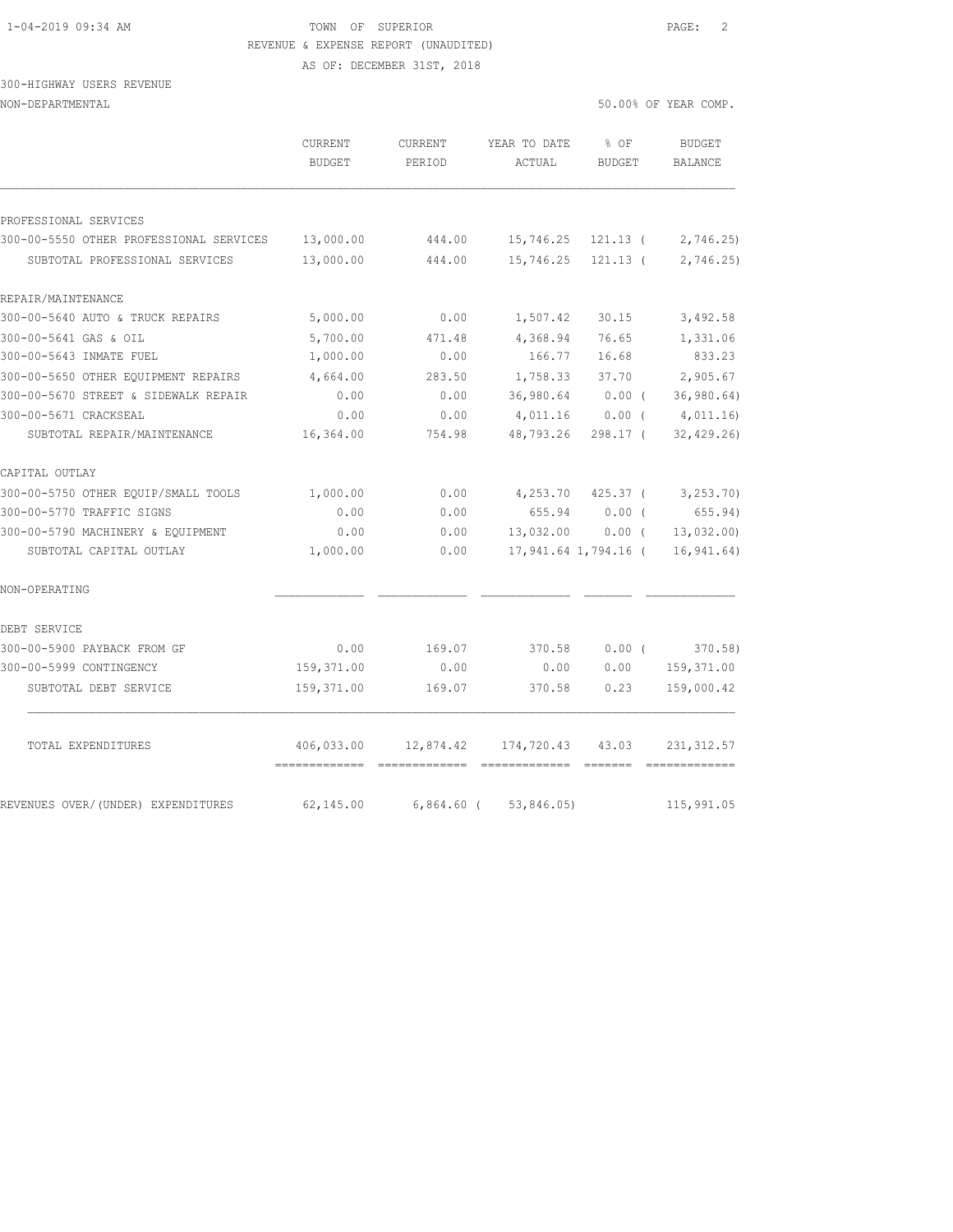## 1-04-2019 09:34 AM TOWN OF SUPERIOR PAGE: 2 REVENUE & EXPENSE REPORT (UNAUDITED)

AS OF: DECEMBER 31ST, 2018

#### 300-HIGHWAY USERS REVENUE NON-DEPARTMENTAL 50.00% OF YEAR COMP.

|                                         | CURRENT<br><b>BUDGET</b> | CURRENT<br>PERIOD | YEAR TO DATE<br>ACTUAL | % OF<br><b>BUDGET</b> | <b>BUDGET</b><br>BALANCE |
|-----------------------------------------|--------------------------|-------------------|------------------------|-----------------------|--------------------------|
|                                         |                          |                   |                        |                       |                          |
| PROFESSIONAL SERVICES                   |                          |                   |                        |                       |                          |
| 300-00-5550 OTHER PROFESSIONAL SERVICES | 13,000.00                | 444.00            | 15,746.25              | $121.13$ (            | 2,746.25                 |
| SUBTOTAL PROFESSIONAL SERVICES          | 13,000.00                | 444.00            | 15,746.25              | $121.13$ (            | 2,746.25                 |
| REPAIR/MAINTENANCE                      |                          |                   |                        |                       |                          |
| 300-00-5640 AUTO & TRUCK REPAIRS        | 5,000.00                 | 0.00              | 1,507.42               | 30.15                 | 3,492.58                 |
| 300-00-5641 GAS & OIL                   | 5,700.00                 | 471.48            | 4,368.94               | 76.65                 | 1,331.06                 |
| 300-00-5643 INMATE FUEL                 | 1,000.00                 | 0.00              | 166.77                 | 16.68                 | 833.23                   |
| 300-00-5650 OTHER EOUIPMENT REPAIRS     | 4,664.00                 | 283.50            | 1,758.33               | 37.70                 | 2,905.67                 |
| 300-00-5670 STREET & SIDEWALK REPAIR    | 0.00                     | 0.00              | 36,980.64              | $0.00$ (              | 36, 980.64)              |
| 300-00-5671 CRACKSEAL                   | 0.00                     | 0.00              | 4,011.16               | $0.00$ (              | 4,011.16                 |
| SUBTOTAL REPAIR/MAINTENANCE             | 16,364.00                | 754.98            | 48,793.26              | 298.17 (              | 32, 429.26               |
| CAPITAL OUTLAY                          |                          |                   |                        |                       |                          |
| 300-00-5750 OTHER EQUIP/SMALL TOOLS     | 1,000.00                 | 0.00              | 4,253.70               | $425.37$ (            | 3,253.70)                |
| 300-00-5770 TRAFFIC SIGNS               | 0.00                     | 0.00              | 655.94                 | 0.00(                 | 655.94)                  |
| 300-00-5790 MACHINERY & EQUIPMENT       | 0.00                     | 0.00              | 13,032.00              | 0.00(                 | 13,032.00)               |
| SUBTOTAL CAPITAL OUTLAY                 | 1,000.00                 | 0.00              |                        | 17,941.64 1,794.16 (  | 16, 941.64)              |
| NON-OPERATING                           |                          |                   |                        |                       |                          |
| DEBT SERVICE                            |                          |                   |                        |                       |                          |
| 300-00-5900 PAYBACK FROM GF             | 0.00                     | 169.07            | 370.58                 | $0.00$ (              | 370.58)                  |
| 300-00-5999 CONTINGENCY                 | 159,371.00               | 0.00              | 0.00                   | 0.00                  | 159,371.00               |
| SUBTOTAL DEBT SERVICE                   | 159,371.00               | 169.07            | 370.58                 | 0.23                  | 159,000.42               |
| TOTAL EXPENDITURES                      | 406,033.00               | 12,874.42         | 174,720.43             | 43.03                 | 231, 312.57              |
| REVENUES OVER/(UNDER) EXPENDITURES      | 62,145.00                | $6,864.60$ (      | 53,846.05)             |                       | 115,991.05               |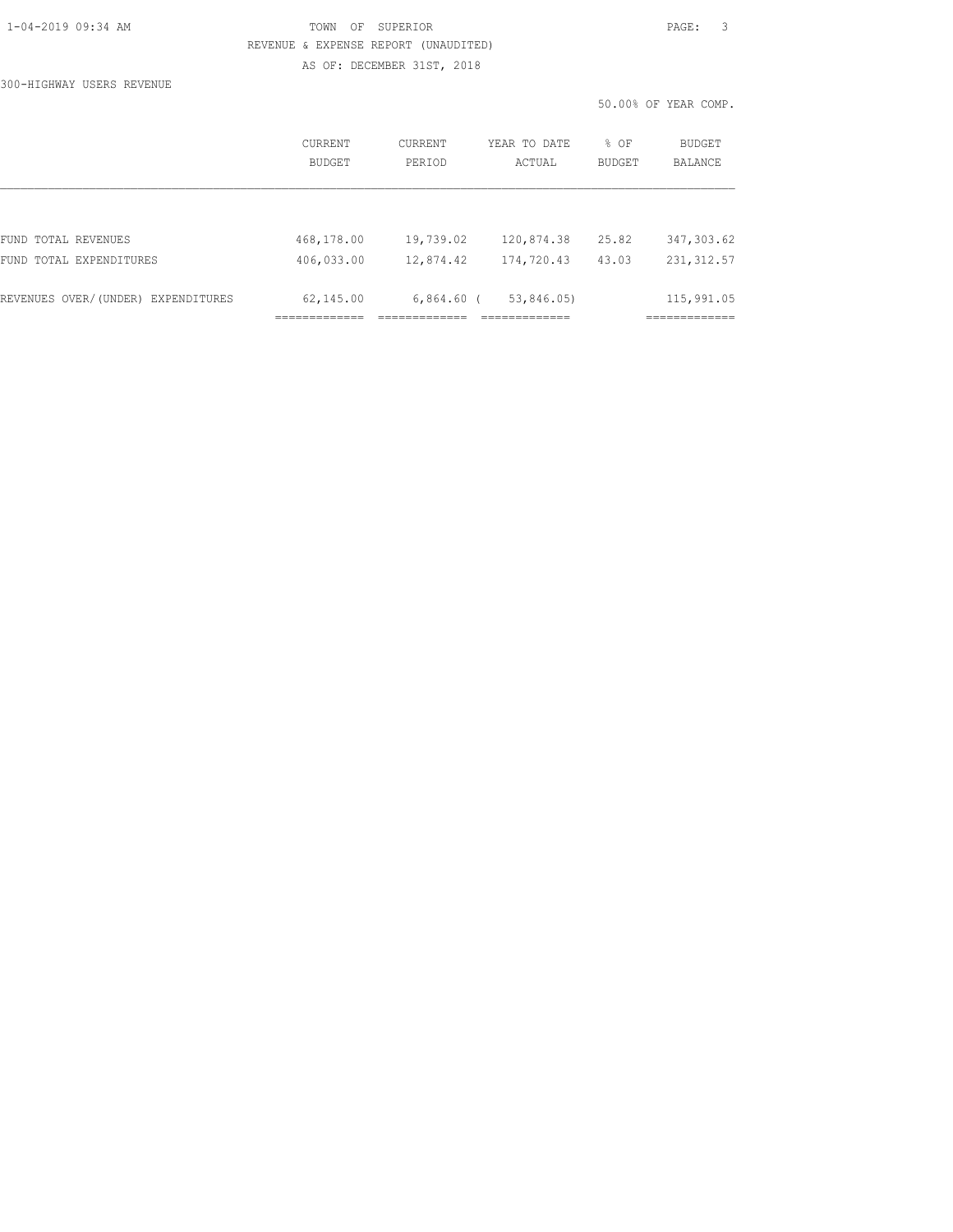#### TOWN OF SUPERIOR **Example 2019** PAGE: 3 REVENUE & EXPENSE REPORT (UNAUDITED) AS OF: DECEMBER 31ST, 2018

300-HIGHWAY USERS REVENUE

|         |         |                   | 50.00% OF YEAR COMP. |  |               |
|---------|---------|-------------------|----------------------|--|---------------|
| CURRENT | CURRENT | YEAR TO DATE % OF |                      |  | <b>BUDGET</b> |

|                                    | BUDGET     | PERIOD       | ACTUAL     | BUDGET | BALANCE     |
|------------------------------------|------------|--------------|------------|--------|-------------|
|                                    |            |              |            |        |             |
|                                    |            |              |            |        |             |
| FUND TOTAL REVENUES                | 468,178.00 | 19,739.02    | 120,874.38 | 25.82  | 347, 303.62 |
| FUND TOTAL EXPENDITURES            | 406,033.00 | 12,874.42    | 174,720.43 | 43.03  | 231, 312.57 |
| REVENUES OVER/(UNDER) EXPENDITURES | 62,145.00  | $6,864.60$ ( | 53,846.05) |        | 115,991.05  |
|                                    |            |              |            |        |             |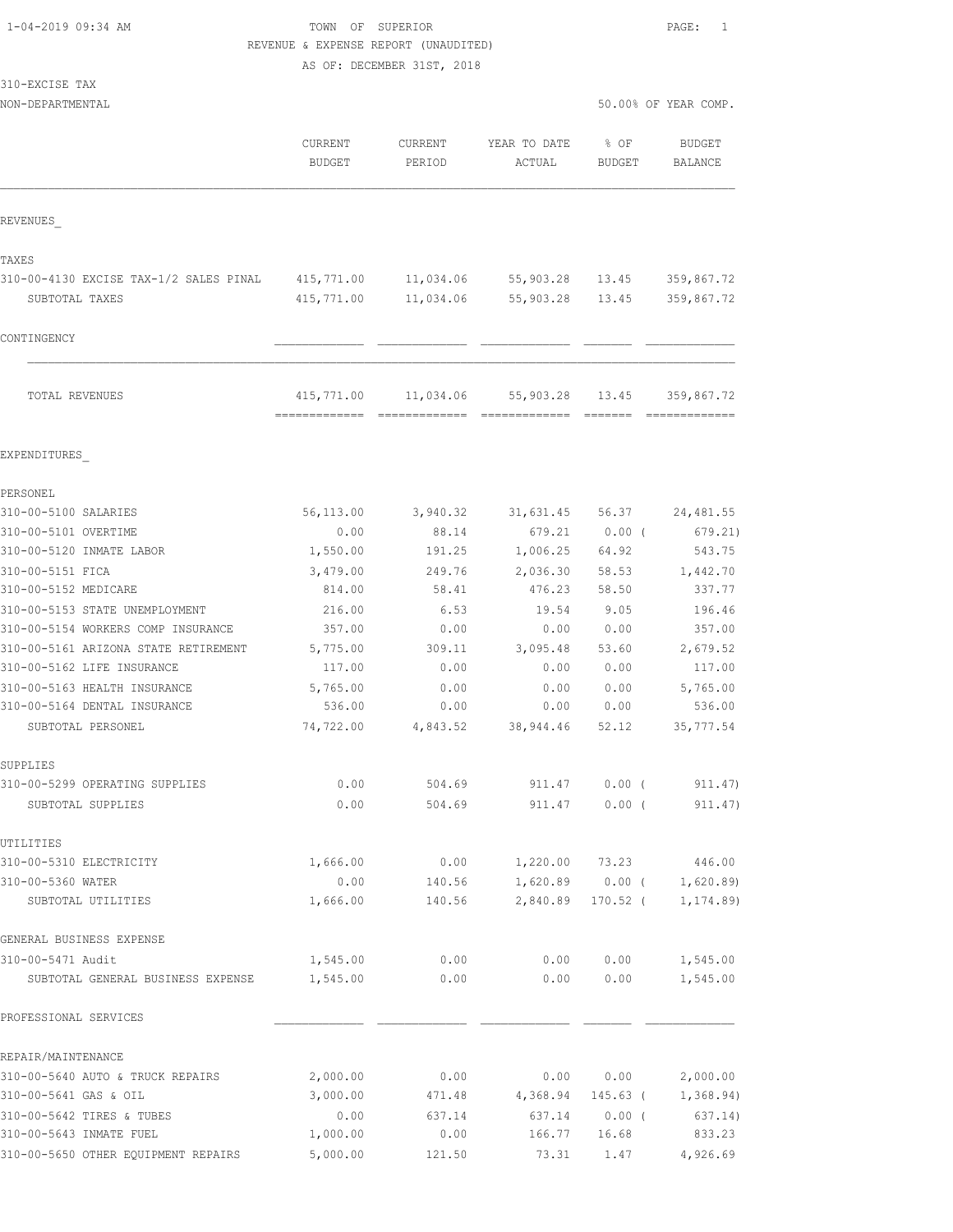## 1-04-2019 09:34 AM TOWN OF SUPERIOR PAGE: 1 REVENUE & EXPENSE REPORT (UNAUDITED)

AS OF: DECEMBER 31ST, 2018

| 310-EXCISE TAX |  |
|----------------|--|
|----------------|--|

|                                        | CURRENT<br><b>BUDGET</b> | <b>CURRENT</b><br>PERIOD | YEAR TO DATE<br>ACTUAL | % OF<br>BUDGET    | <b>BUDGET</b><br>BALANCE |
|----------------------------------------|--------------------------|--------------------------|------------------------|-------------------|--------------------------|
| REVENUES                               |                          |                          |                        |                   |                          |
| TAXES                                  |                          |                          |                        |                   |                          |
| 310-00-4130 EXCISE TAX-1/2 SALES PINAL | 415,771.00               |                          | 11,034.06 55,903.28    | 13.45             | 359,867.72               |
| SUBTOTAL TAXES                         | 415,771.00               | 11,034.06                | 55,903.28              | 13.45             | 359,867.72               |
| CONTINGENCY                            |                          |                          |                        |                   |                          |
| TOTAL REVENUES                         | 415,771.00               | 11,034.06                | 55,903.28              | 13.45             | 359,867.72               |
| EXPENDITURES                           |                          |                          |                        |                   |                          |
|                                        |                          |                          |                        |                   |                          |
| PERSONEL<br>310-00-5100 SALARIES       | 56,113.00                | 3,940.32                 | 31,631.45              | 56.37             | 24, 481.55               |
| 310-00-5101 OVERTIME                   | 0.00                     | 88.14                    | 679.21                 | $0.00$ (          | 679.21)                  |
| 310-00-5120 INMATE LABOR               | 1,550.00                 | 191.25                   | 1,006.25               | 64.92             | 543.75                   |
| 310-00-5151 FICA                       | 3,479.00                 | 249.76                   | 2,036.30               | 58.53             | 1,442.70                 |
| 310-00-5152 MEDICARE                   | 814.00                   | 58.41                    | 476.23                 | 58.50             | 337.77                   |
| 310-00-5153 STATE UNEMPLOYMENT         | 216.00                   | 6.53                     | 19.54                  | 9.05              | 196.46                   |
| 310-00-5154 WORKERS COMP INSURANCE     | 357.00                   | 0.00                     | 0.00                   | 0.00              | 357.00                   |
| 310-00-5161 ARIZONA STATE RETIREMENT   | 5,775.00                 | 309.11                   | 3,095.48               | 53.60             | 2,679.52                 |
| 310-00-5162 LIFE INSURANCE             | 117.00                   | 0.00                     | 0.00                   | 0.00              | 117.00                   |
| 310-00-5163 HEALTH INSURANCE           | 5,765.00                 | 0.00                     | 0.00                   | 0.00              | 5,765.00                 |
| 310-00-5164 DENTAL INSURANCE           | 536.00                   | 0.00                     | 0.00                   | 0.00              | 536.00                   |
| SUBTOTAL PERSONEL                      | 74,722.00                | 4,843.52                 | 38,944.46              | 52.12             | 35, 777.54               |
| SUPPLIES                               |                          |                          |                        |                   |                          |
| 310-00-5299 OPERATING SUPPLIES         | 0.00                     | 504.69                   | 911.47                 | $0.00$ (          | 911.47)                  |
| SUBTOTAL SUPPLIES                      | 0.00                     | 504.69                   | 911.47                 | $0.00$ (          | 911.47)                  |
| UTILITIES                              |                          |                          |                        |                   |                          |
| 310-00-5310 ELECTRICITY                | 1,666.00                 | 0.00                     |                        | 1,220.00 73.23    | 446.00                   |
| 310-00-5360 WATER                      | 0.00                     | 140.56                   |                        | $1,620.89$ 0.00 ( | 1,620.89                 |
| SUBTOTAL UTILITIES                     | 1,666.00                 | 140.56                   | 2,840.89               | $170.52$ (        | 1, 174.89)               |
| GENERAL BUSINESS EXPENSE               |                          |                          |                        |                   |                          |
| 310-00-5471 Audit                      | 1,545.00                 | 0.00                     | 0.00                   | 0.00              | 1,545.00                 |
| SUBTOTAL GENERAL BUSINESS EXPENSE      | 1,545.00                 | 0.00                     | 0.00                   | 0.00              | 1,545.00                 |
| PROFESSIONAL SERVICES                  |                          |                          |                        |                   |                          |
| REPAIR/MAINTENANCE                     |                          |                          |                        |                   |                          |
| 310-00-5640 AUTO & TRUCK REPAIRS       | 2,000.00                 | 0.00                     | 0.00                   | 0.00              | 2,000.00                 |
| 310-00-5641 GAS & OIL                  | 3,000.00                 | 471.48                   | 4,368.94               | 145.63 (          | 1,368.94)                |
| 310-00-5642 TIRES & TUBES              | 0.00                     | 637.14                   | 637.14                 | $0.00$ (          | 637.14)                  |
| 310-00-5643 INMATE FUEL                | 1,000.00                 | 0.00                     | 166.77                 | 16.68             | 833.23                   |
| 310-00-5650 OTHER EQUIPMENT REPAIRS    | 5,000.00                 | 121.50                   | 73.31                  | 1.47              | 4,926.69                 |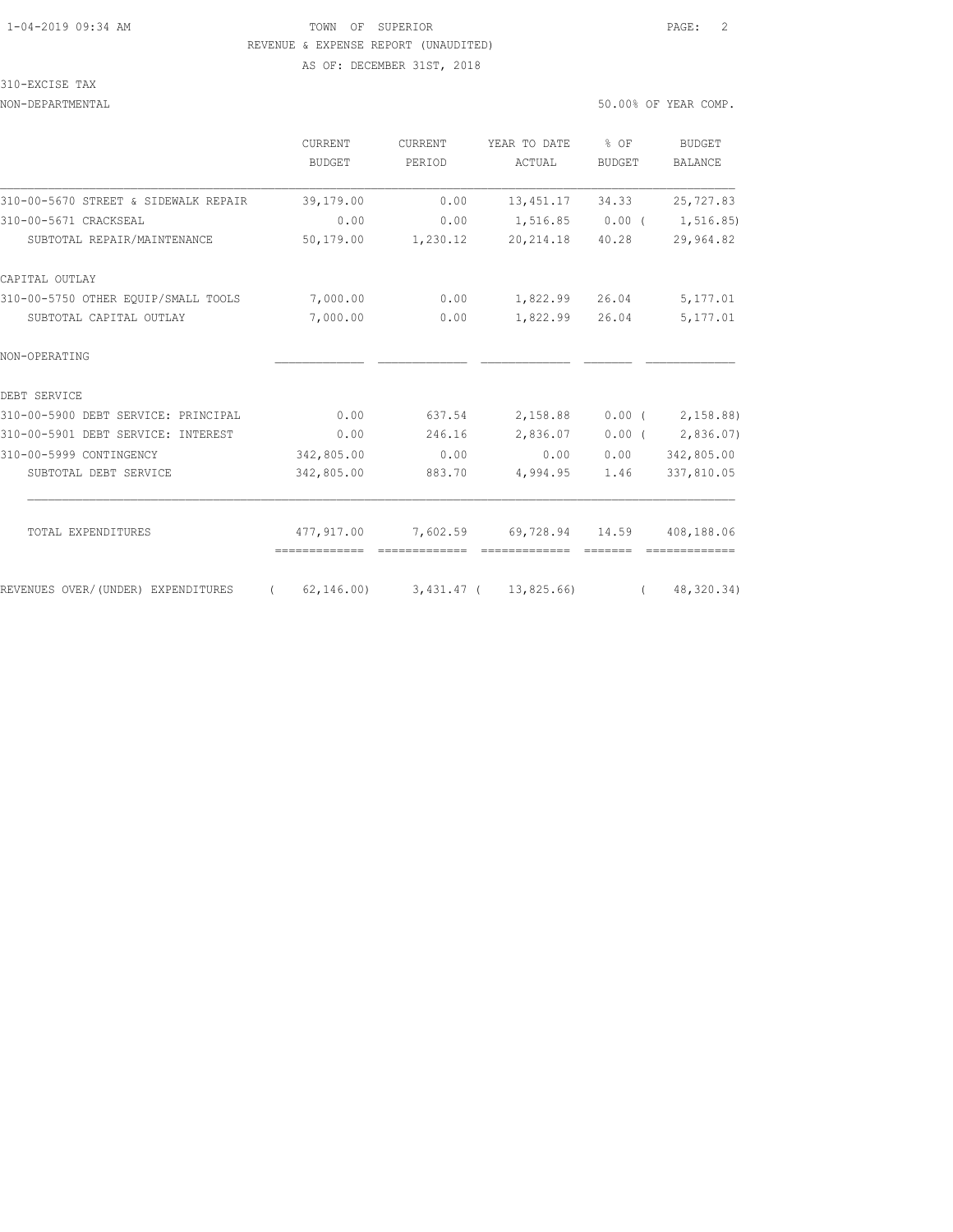## 1-04-2019 09:34 AM TOWN OF SUPERIOR PAGE: 2 REVENUE & EXPENSE REPORT (UNAUDITED)

AS OF: DECEMBER 31ST, 2018

#### 310-EXCISE TAX

NON-DEPARTMENTAL 50.000 OF YEAR COMP.

|  |  | 0.00% OF YEAR COMP. |  |
|--|--|---------------------|--|
|  |  |                     |  |

|                                      | CURRENT<br><b>BUDGET</b> | CURRENT<br>PERIOD | YEAR TO DATE<br>ACTUAL              | $8$ OF<br><b>BUDGET</b> | <b>BUDGET</b><br>BALANCE |
|--------------------------------------|--------------------------|-------------------|-------------------------------------|-------------------------|--------------------------|
| 310-00-5670 STREET & SIDEWALK REPAIR | 39,179.00                | 0.00              | 13, 451.17                          | 34.33                   | 25,727.83                |
| 310-00-5671 CRACKSEAL                | 0.00                     | 0.00              | 1,516.85 0.00 (                     |                         | 1,516.85)                |
| SUBTOTAL REPAIR/MAINTENANCE          | 50,179.00                | 1,230.12          | 20, 214.18                          | 40.28                   | 29,964.82                |
| CAPITAL OUTLAY                       |                          |                   |                                     |                         |                          |
| 310-00-5750 OTHER EOUIP/SMALL TOOLS  | 7,000.00                 | 0.00              | 1,822.99                            | 26.04                   | 5,177.01                 |
| SUBTOTAL CAPITAL OUTLAY              | 7,000.00                 | 0.00              | 1,822.99                            | 26.04                   | 5,177.01                 |
| NON-OPERATING                        |                          |                   |                                     |                         |                          |
| DEBT SERVICE                         |                          |                   |                                     |                         |                          |
| 310-00-5900 DEBT SERVICE: PRINCIPAL  | 0.00                     | 637.54            | 2,158.88                            |                         | $0.00$ ( $2,158.88$ )    |
| 310-00-5901 DEBT SERVICE: INTEREST   | 0.00                     | 246.16            | 2,836.07                            | $0.00$ (                | 2,836.07)                |
| 310-00-5999 CONTINGENCY              | 342,805.00               | 0.00              | 0.00                                | 0.00                    | 342,805.00               |
| SUBTOTAL DEBT SERVICE                | 342,805.00               | 883.70            | 4,994.95                            | 1.46                    | 337,810.05               |
| TOTAL EXPENDITURES                   | 477,917.00               | 7,602.59          | 69,728.94 14.59                     |                         | 408,188.06               |
|                                      | =============            |                   |                                     |                         |                          |
| REVENUES OVER/(UNDER) EXPENDITURES   | $\sqrt{2}$               |                   | 62, 146.00) 3, 431.47 ( 13, 825.66) | $\sqrt{2}$              | 48,320.34)               |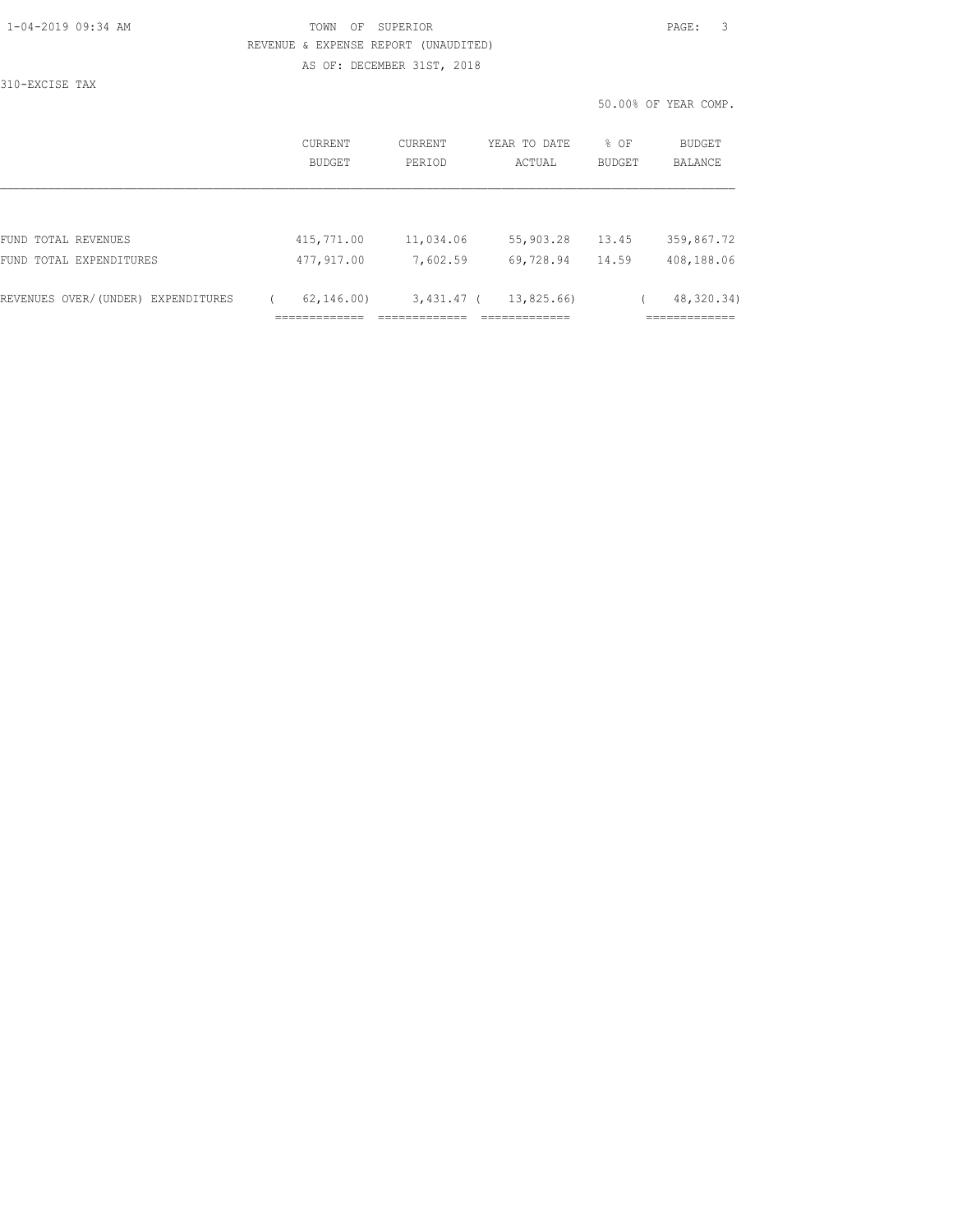310-EXCISE TAX

#### TOWN OF SUPERIOR **PAGE:** 3 REVENUE & EXPENSE REPORT (UNAUDITED) AS OF: DECEMBER 31ST, 2018

50.00% OF YEAR COMP.

|                                    | CURRENT<br><b>BUDGET</b> | CURRENT<br>PERIOD | YEAR TO DATE<br>ACTUAL | % OF<br>BUDGET | <b>BUDGET</b><br>BALANCE    |
|------------------------------------|--------------------------|-------------------|------------------------|----------------|-----------------------------|
|                                    |                          |                   |                        |                |                             |
| FUND TOTAL REVENUES                | 415,771.00               | 11,034.06         | 55,903.28              | 13.45          | 359,867.72                  |
| FUND TOTAL EXPENDITURES            | 477,917.00               | 7,602.59          | 69,728.94              | 14.59          | 408,188.06                  |
| REVENUES OVER/(UNDER) EXPENDITURES | 62, 146, 00              | $3,431.47$ (      | 13,825.66)             |                | 48, 320. 34)<br>----------- |
|                                    |                          |                   |                        |                | ---------                   |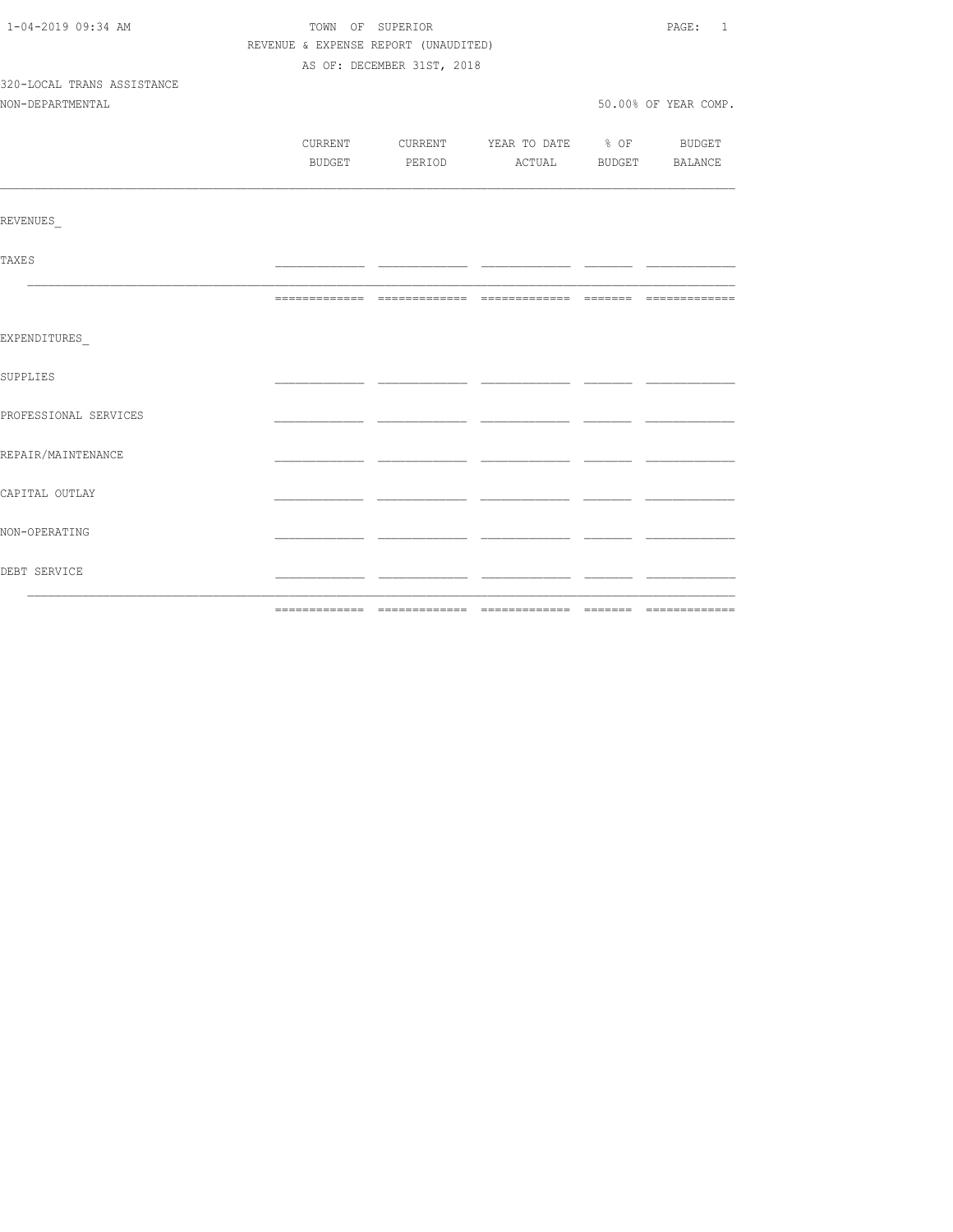| 1-04-2019 09:34 AM         |                                      | TOWN OF SUPERIOR           |                                          | PAGE: 1               |
|----------------------------|--------------------------------------|----------------------------|------------------------------------------|-----------------------|
|                            | REVENUE & EXPENSE REPORT (UNAUDITED) |                            |                                          |                       |
|                            |                                      | AS OF: DECEMBER 31ST, 2018 |                                          |                       |
| 320-LOCAL TRANS ASSISTANCE |                                      |                            |                                          |                       |
| NON-DEPARTMENTAL           |                                      |                            |                                          | 50.00% OF YEAR COMP.  |
|                            |                                      |                            |                                          |                       |
|                            |                                      |                            | CURRENT CURRENT YEAR TO DATE % OF BUDGET |                       |
|                            | BUDGET                               | PERIOD                     |                                          | ACTUAL BUDGET BALANCE |
|                            |                                      |                            |                                          |                       |
| <b>REVENUES</b>            |                                      |                            |                                          |                       |
| TAXE S                     |                                      |                            |                                          |                       |
|                            |                                      |                            |                                          |                       |
| EXPENDITURES               |                                      |                            |                                          |                       |
| SUPPLIES                   |                                      |                            |                                          |                       |
| PROFESSIONAL SERVICES      |                                      |                            |                                          |                       |
| REPAIR/MAINTENANCE         |                                      |                            |                                          |                       |
| CAPITAL OUTLAY             |                                      |                            |                                          |                       |
| NON-OPERATING              |                                      |                            |                                          |                       |
| DEBT SERVICE               |                                      |                            |                                          |                       |
|                            |                                      |                            |                                          |                       |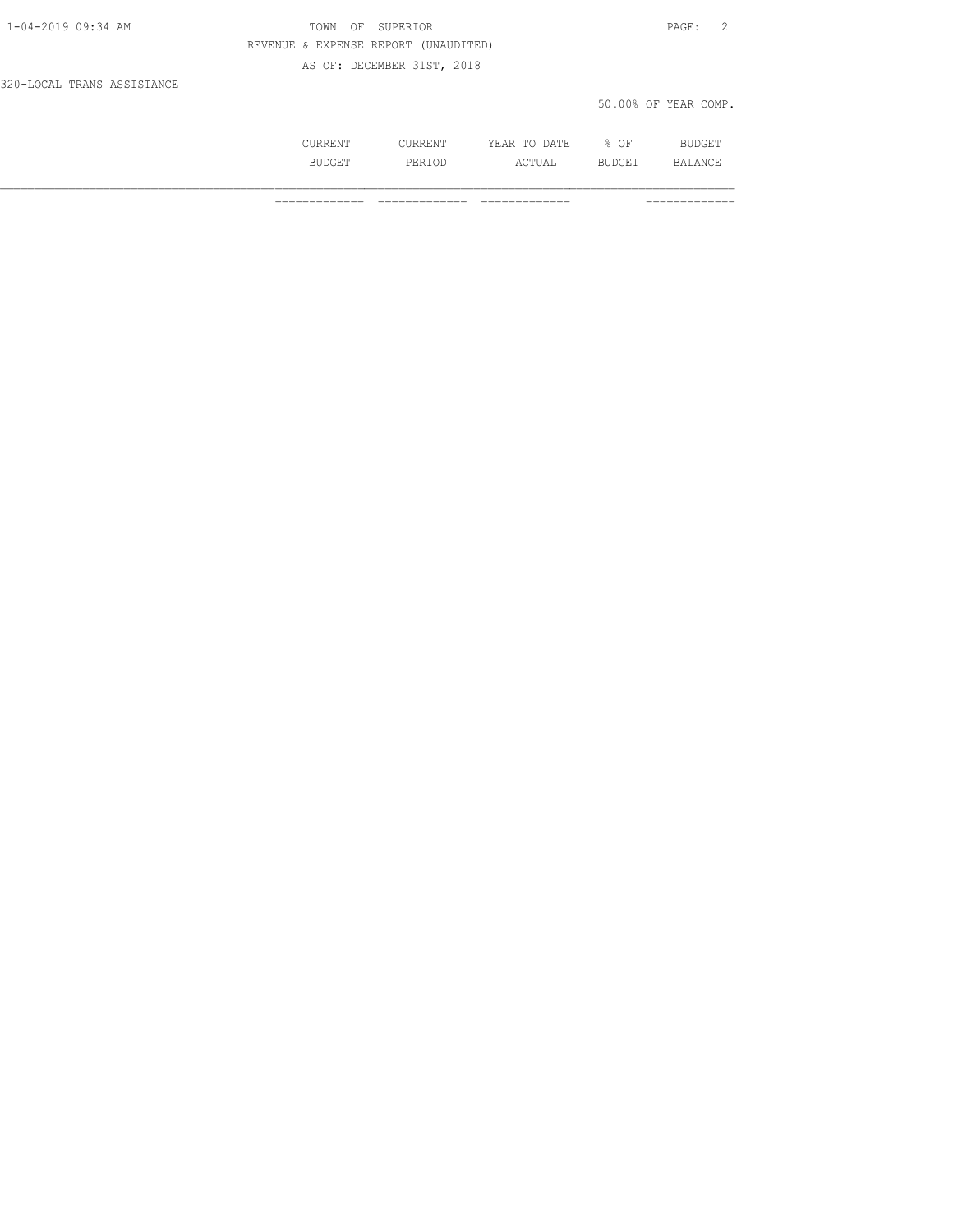| 1-04-2019 09:34 AM         | OF SUPERIOR<br>TOWN                  | PAGE: 2              |
|----------------------------|--------------------------------------|----------------------|
|                            | REVENUE & EXPENSE REPORT (UNAUDITED) |                      |
|                            | AS OF: DECEMBER 31ST, 2018           |                      |
| 320-LOCAL TRANS ASSISTANCE |                                      |                      |
|                            |                                      | 50.00% OF YEAR COMP. |

|   | -----   | 7. mm<br>∸<br>-----<br>-----      | OF<br>◡ | ---  |
|---|---------|-----------------------------------|---------|------|
| . | <br>◡∸◡ | $\cap$ m.<br>- - - - - - -<br>--- | ـ ـ ـ   | 12 ∧ |

============= ============= ============= =============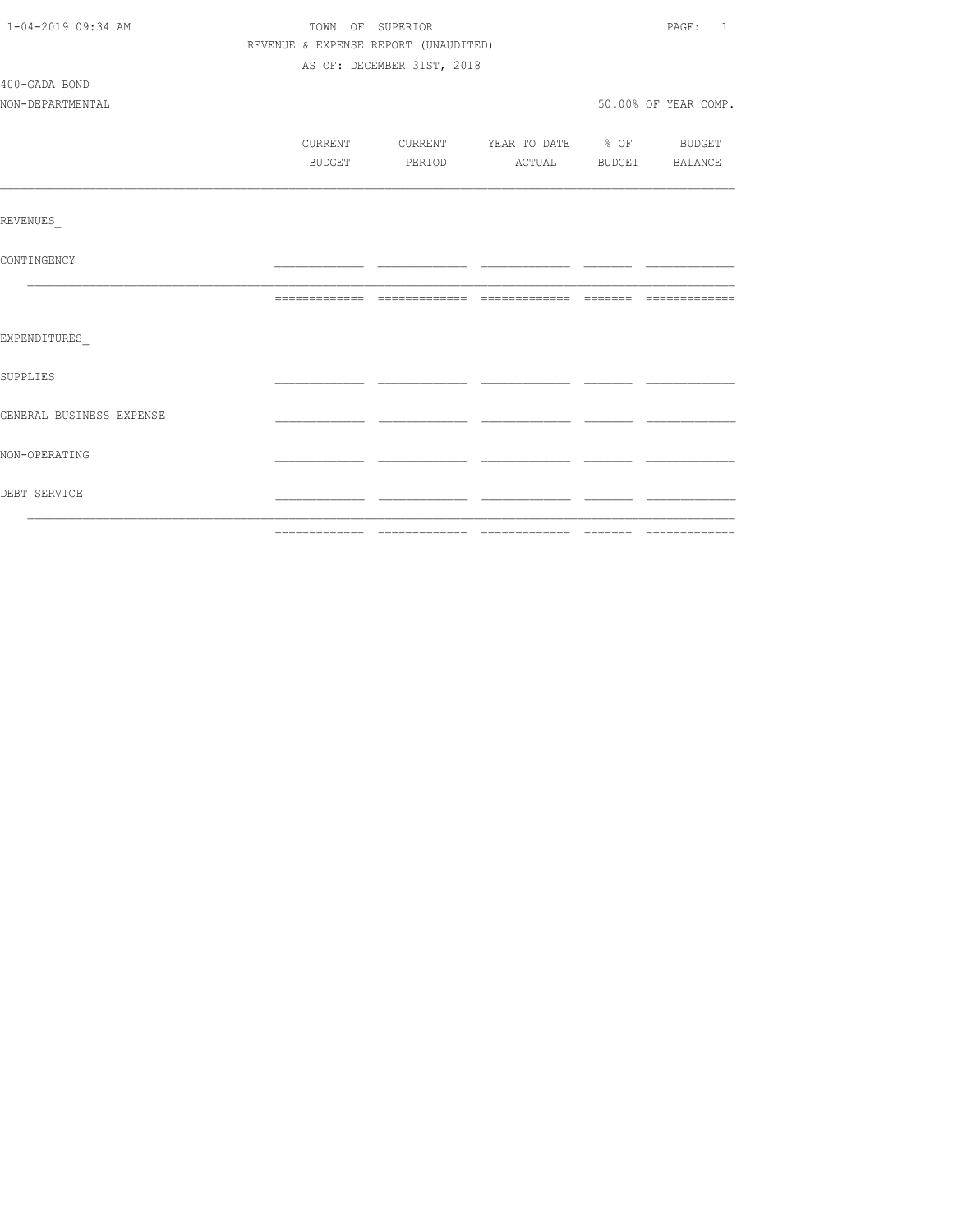| 1-04-2019 09:34 AM       |                                      | TOWN OF SUPERIOR           |                          |  | PAGE: 1              |
|--------------------------|--------------------------------------|----------------------------|--------------------------|--|----------------------|
|                          | REVENUE & EXPENSE REPORT (UNAUDITED) |                            |                          |  |                      |
|                          |                                      | AS OF: DECEMBER 31ST, 2018 |                          |  |                      |
| 400-GADA BOND            |                                      |                            |                          |  |                      |
| NON-DEPARTMENTAL         |                                      |                            |                          |  | 50.00% OF YEAR COMP. |
|                          |                                      |                            |                          |  |                      |
|                          | CURRENT                              | CURRENT                    | YEAR TO DATE % OF BUDGET |  |                      |
|                          | BUDGET                               | PERIOD                     | ACTUAL BUDGET BALANCE    |  |                      |
|                          |                                      |                            |                          |  |                      |
| REVENUES                 |                                      |                            |                          |  |                      |
| CONTINGENCY              |                                      |                            |                          |  |                      |
|                          |                                      |                            |                          |  |                      |
| EXPENDITURES             |                                      |                            |                          |  |                      |
| SUPPLIES                 |                                      |                            |                          |  |                      |
| GENERAL BUSINESS EXPENSE |                                      |                            |                          |  |                      |
| NON-OPERATING            |                                      |                            |                          |  |                      |
| DEBT SERVICE             |                                      |                            |                          |  |                      |
|                          |                                      |                            |                          |  |                      |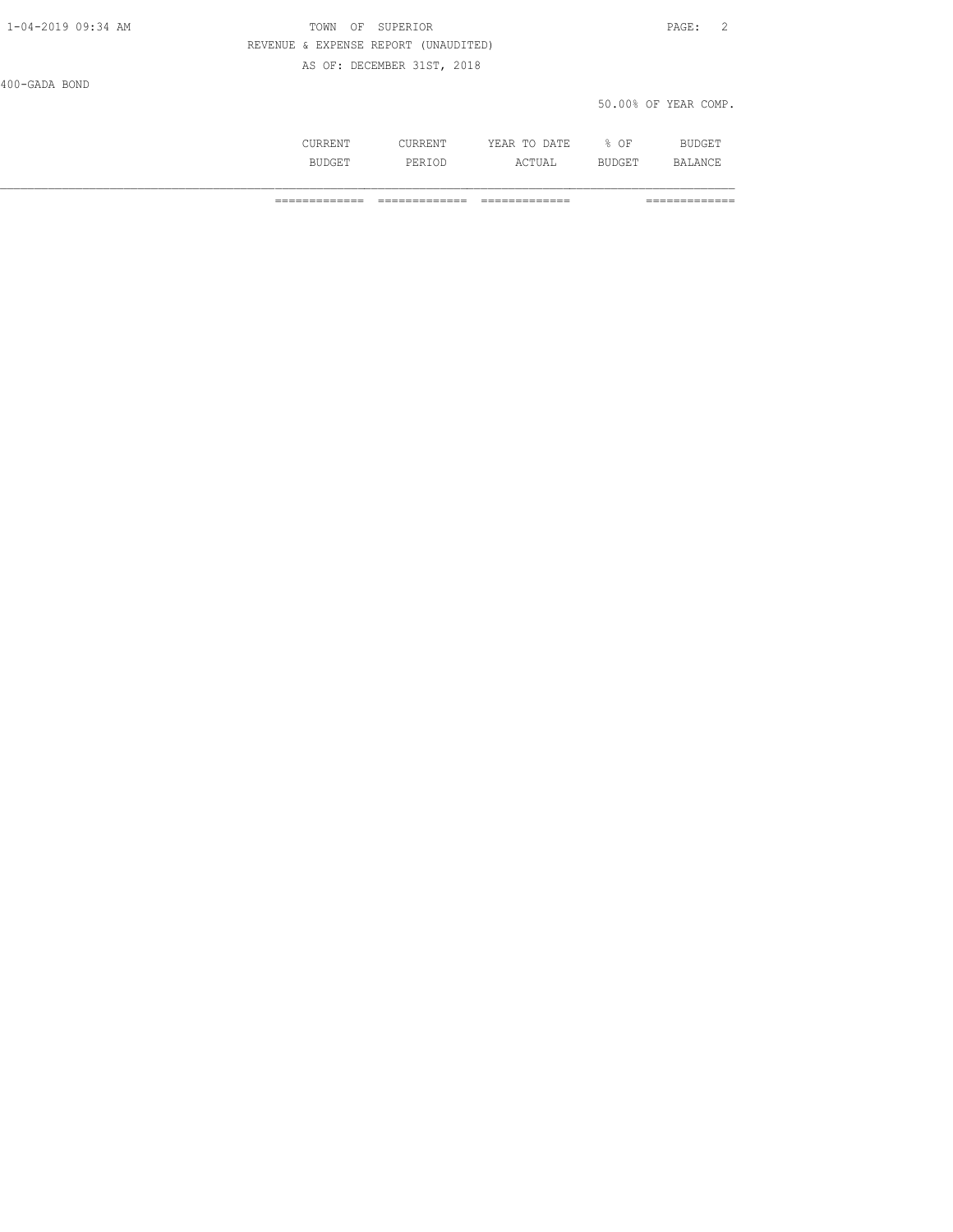| 1-04-2019 09:34 AM | TOWN<br>OF SUPERIOR                  | PAGE: 2              |
|--------------------|--------------------------------------|----------------------|
|                    | REVENUE & EXPENSE REPORT (UNAUDITED) |                      |
|                    | AS OF: DECEMBER 31ST, 2018           |                      |
| 400-GADA BOND      |                                      |                      |
|                    |                                      | 50.00% OF YEAR COMP. |
|                    |                                      |                      |

 CURRENT CURRENT YEAR TO DATE % OF BUDGET BUDGET PERIOD ACTUAL BUDGET BALANCE

============= ============= ============= =============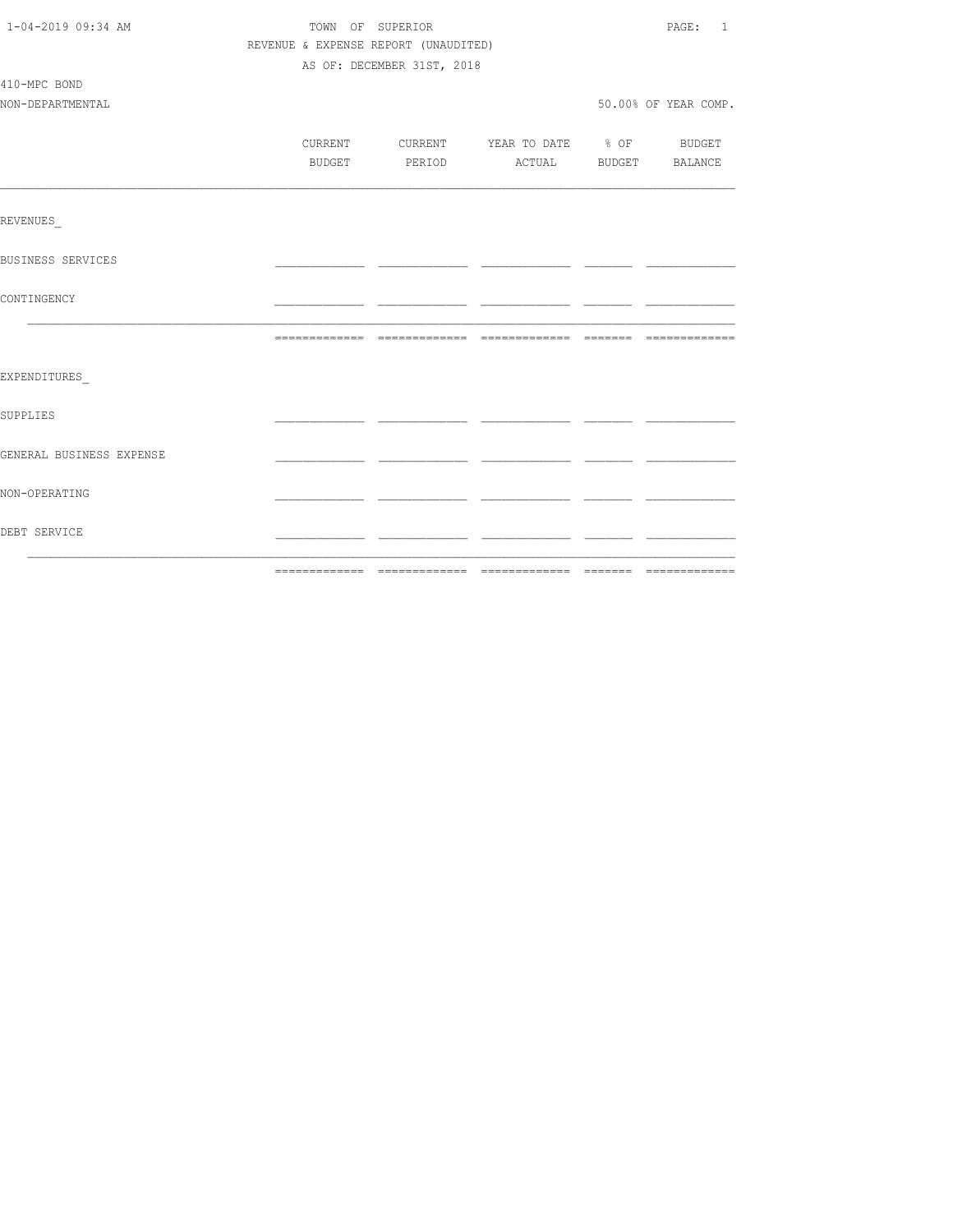| 1-04-2019 09:34 AM       | TOWN OF SUPERIOR |                                      |                                  | PAGE: 1              |
|--------------------------|------------------|--------------------------------------|----------------------------------|----------------------|
|                          |                  | REVENUE & EXPENSE REPORT (UNAUDITED) |                                  |                      |
|                          |                  | AS OF: DECEMBER 31ST, 2018           |                                  |                      |
| 410-MPC BOND             |                  |                                      |                                  |                      |
| NON-DEPARTMENTAL         |                  |                                      |                                  | 50.00% OF YEAR COMP. |
|                          |                  |                                      |                                  |                      |
|                          | <b>CURRENT</b>   |                                      | CURRENT YEAR TO DATE % OF BUDGET |                      |
|                          | BUDGET           |                                      | PERIOD ACTUAL BUDGET BALANCE     |                      |
|                          |                  |                                      |                                  |                      |
| REVENUES                 |                  |                                      |                                  |                      |
| BUSINESS SERVICES        |                  |                                      |                                  |                      |
| CONTINGENCY              |                  |                                      |                                  |                      |
|                          |                  |                                      |                                  |                      |
| EXPENDITURES             |                  |                                      |                                  |                      |
| SUPPLIES                 |                  |                                      |                                  |                      |
| GENERAL BUSINESS EXPENSE |                  |                                      |                                  |                      |
| NON-OPERATING            |                  |                                      |                                  |                      |
| DEBT SERVICE             |                  |                                      |                                  |                      |
|                          |                  |                                      |                                  |                      |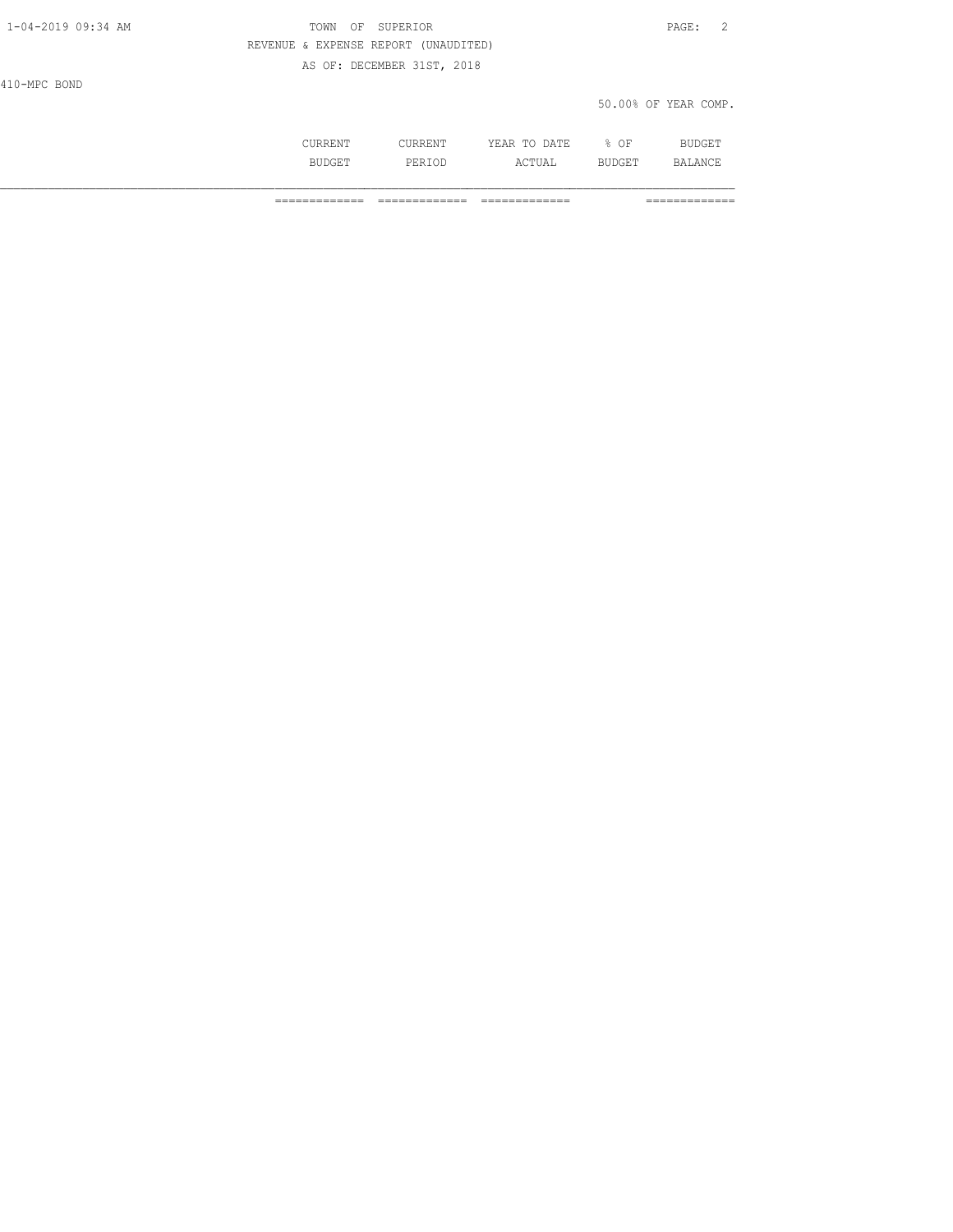| 1-04-2019 09:34 AM | TOWN<br>OF                           | SUPERIOR                   |              |      | - 2<br>$\texttt{PAGE}$ : |
|--------------------|--------------------------------------|----------------------------|--------------|------|--------------------------|
|                    | REVENUE & EXPENSE REPORT (UNAUDITED) |                            |              |      |                          |
|                    |                                      | AS OF: DECEMBER 31ST, 2018 |              |      |                          |
| 410-MPC BOND       |                                      |                            |              |      |                          |
|                    |                                      |                            |              |      | 50.00% OF YEAR COMP.     |
|                    |                                      |                            |              |      |                          |
|                    | CURRENT                              | CURRENT                    | YEAR TO DATE | % OF | BUDGET                   |

BUDGET PERIOD ACTUAL BUDGET BALANCE

============= ============= ============= =============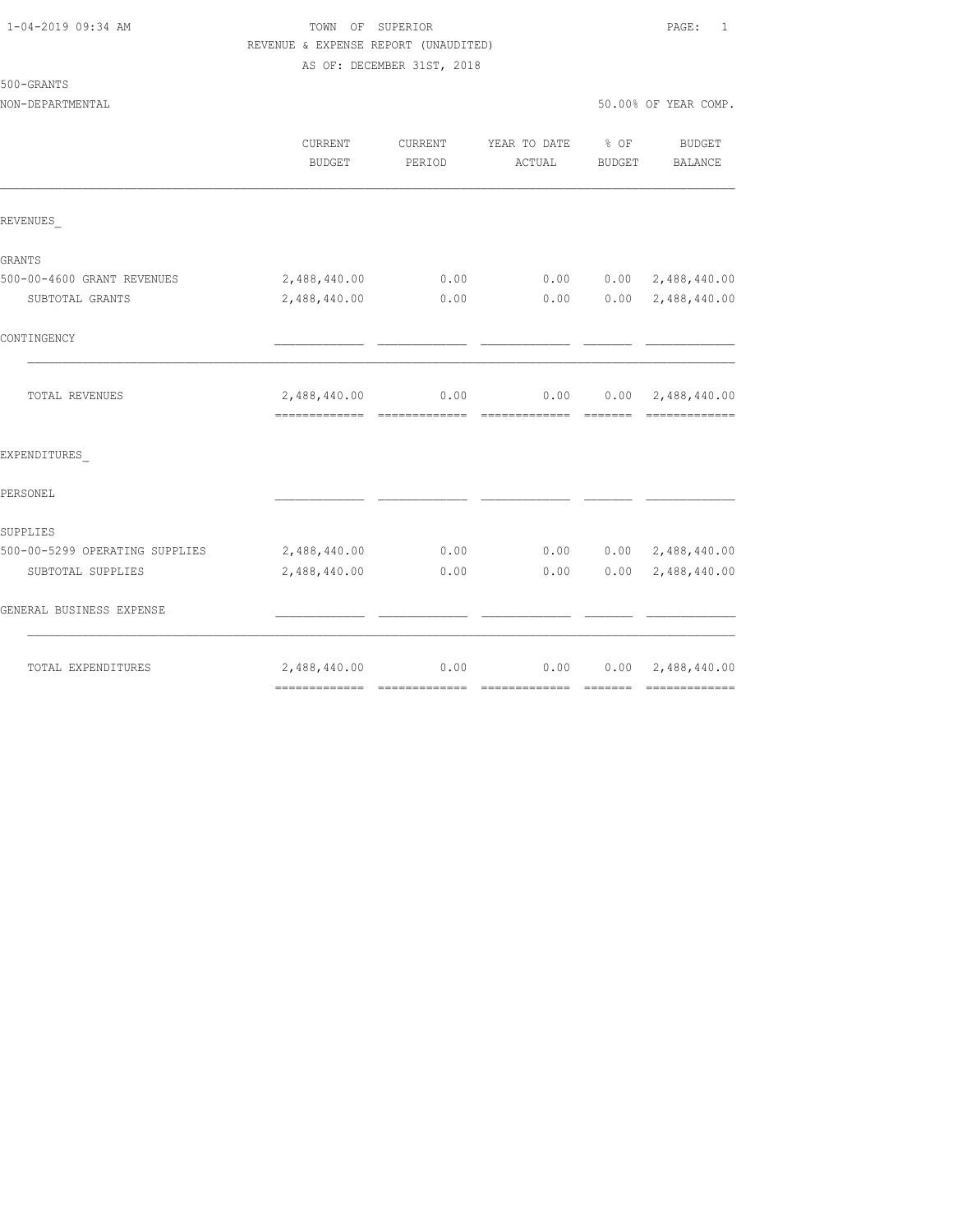500-GRANTS

# 1-04-2019 09:34 AM TOWN OF SUPERIOR PAGE: 1 REVENUE & EXPENSE REPORT (UNAUDITED)

AS OF: DECEMBER 31ST, 2018

NON-DEPARTMENTAL 50.00% OF YEAR COMP.

|                                | <b>CURRENT</b><br>BUDGET | CURRENT<br>PERIOD | YEAR TO DATE % OF<br>ACTUAL                | BUDGET | BUDGET<br>BALANCE            |
|--------------------------------|--------------------------|-------------------|--------------------------------------------|--------|------------------------------|
| REVENUES                       |                          |                   |                                            |        |                              |
| GRANTS                         |                          |                   |                                            |        |                              |
| 500-00-4600 GRANT REVENUES     | 2,488,440.00             | 0.00              | 0.00                                       |        | $0.00 \quad 2,488,440.00$    |
| SUBTOTAL GRANTS                | 2,488,440.00             | 0.00              | 0.00                                       |        | $0.00 \quad 2,488,440.00$    |
| CONTINGENCY                    |                          |                   |                                            |        |                              |
| TOTAL REVENUES                 |                          |                   | $2,488,440.00$ 0.00 0.00 0.00 2,488,440.00 |        | =============                |
| EXPENDITURES                   |                          |                   |                                            |        |                              |
| PERSONEL                       |                          |                   |                                            |        |                              |
| SUPPLIES                       |                          |                   |                                            |        |                              |
| 500-00-5299 OPERATING SUPPLIES | 2,488,440.00             | 0.00              |                                            |        | $0.00$ $0.00$ $2,488,440.00$ |
| SUBTOTAL SUPPLIES              | 2,488,440.00             | 0.00              | 0.00                                       |        | $0.00 \quad 2,488,440.00$    |
| GENERAL BUSINESS EXPENSE       |                          |                   |                                            |        |                              |
| TOTAL EXPENDITURES             | 2,488,440.00             | 0.00              | 0.00                                       |        | $0.00 \quad 2,488,440.00$    |
|                                |                          |                   |                                            |        |                              |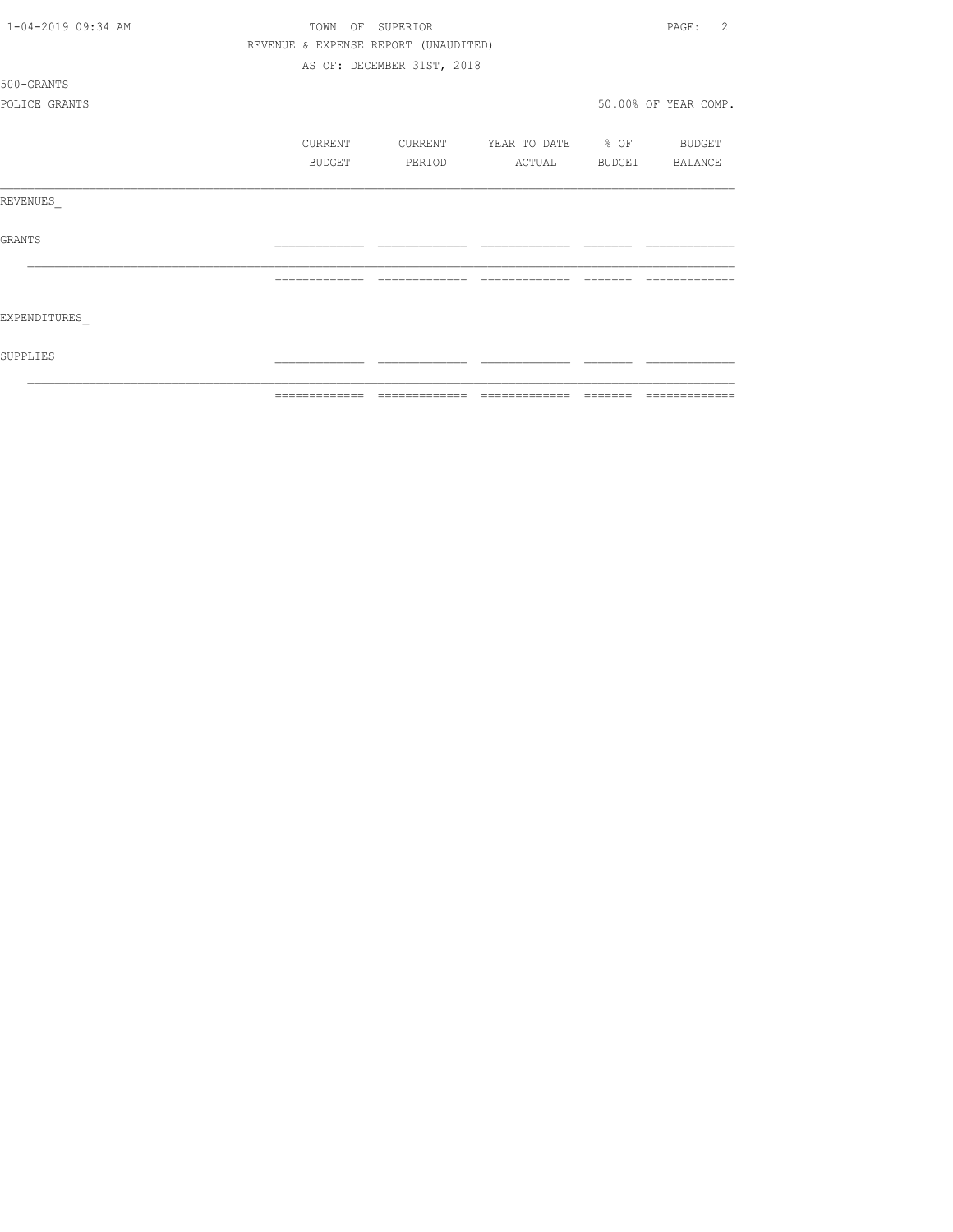| 1-04-2019 09:34 AM | TOWN<br>OF.   | SUPERIOR                             |                   |        | $\mathfrak{D}$<br>PAGE: |
|--------------------|---------------|--------------------------------------|-------------------|--------|-------------------------|
|                    |               | REVENUE & EXPENSE REPORT (UNAUDITED) |                   |        |                         |
|                    |               | AS OF: DECEMBER 31ST, 2018           |                   |        |                         |
| 500-GRANTS         |               |                                      |                   |        |                         |
| POLICE GRANTS      |               |                                      |                   |        | 50.00% OF YEAR COMP.    |
|                    | CURRENT       | CURRENT                              | YEAR TO DATE % OF |        | BUDGET                  |
|                    | BUDGET        | PERIOD                               | ACTUAL            | BUDGET | BALANCE                 |
| REVENUES           |               |                                      |                   |        |                         |
| <b>GRANTS</b>      |               |                                      |                   |        |                         |
|                    |               |                                      |                   |        |                         |
| EXPENDITURES       |               |                                      |                   |        |                         |
| SUPPLIES           |               |                                      |                   |        |                         |
|                    | ------------- |                                      |                   |        |                         |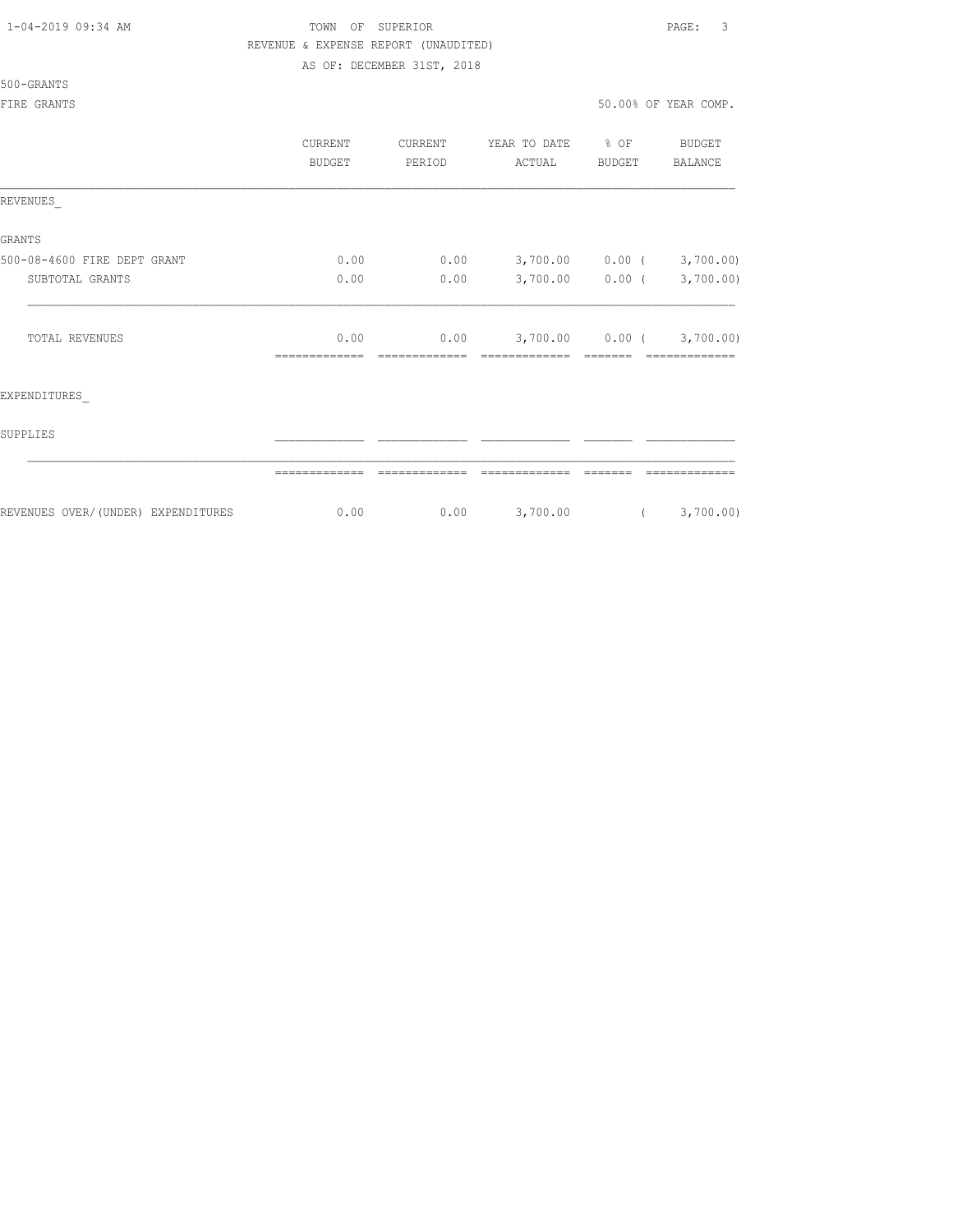| 1-04-2019 09:34 AM |  |  |  |  |
|--------------------|--|--|--|--|
|--------------------|--|--|--|--|

#### TOWN OF SUPERIOR **Example 2019** PAGE: 3 REVENUE & EXPENSE REPORT (UNAUDITED) AS OF: DECEMBER 31ST, 2018

#### 500-GRANTS

|                                    | CURRENT<br><b>BUDGET</b> | CURRENT<br>PERIOD | YEAR TO DATE<br>ACTUAL | $\div$ OF<br><b>BUDGET</b> | <b>BUDGET</b><br>BALANCE |
|------------------------------------|--------------------------|-------------------|------------------------|----------------------------|--------------------------|
| REVENUES                           |                          |                   |                        |                            |                          |
| <b>GRANTS</b>                      |                          |                   |                        |                            |                          |
| 500-08-4600 FIRE DEPT GRANT        | 0.00                     | 0.00              |                        | 3,700.00 0.00 (            | 3,700.00)                |
| SUBTOTAL GRANTS                    | 0.00                     | 0.00              |                        | 3,700.00 0.00 (            | 3,700.00)                |
| TOTAL REVENUES                     | 0.00                     | 0.00              |                        | $3,700.00$ 0.00 (          | 3,700.00)                |
| EXPENDITURES                       |                          |                   |                        |                            |                          |
| SUPPLIES                           |                          |                   |                        |                            |                          |
|                                    |                          |                   |                        |                            |                          |
| REVENUES OVER/(UNDER) EXPENDITURES | 0.00                     | 0.00              | 3,700.00               | $\sqrt{2}$                 | 3,700.00)                |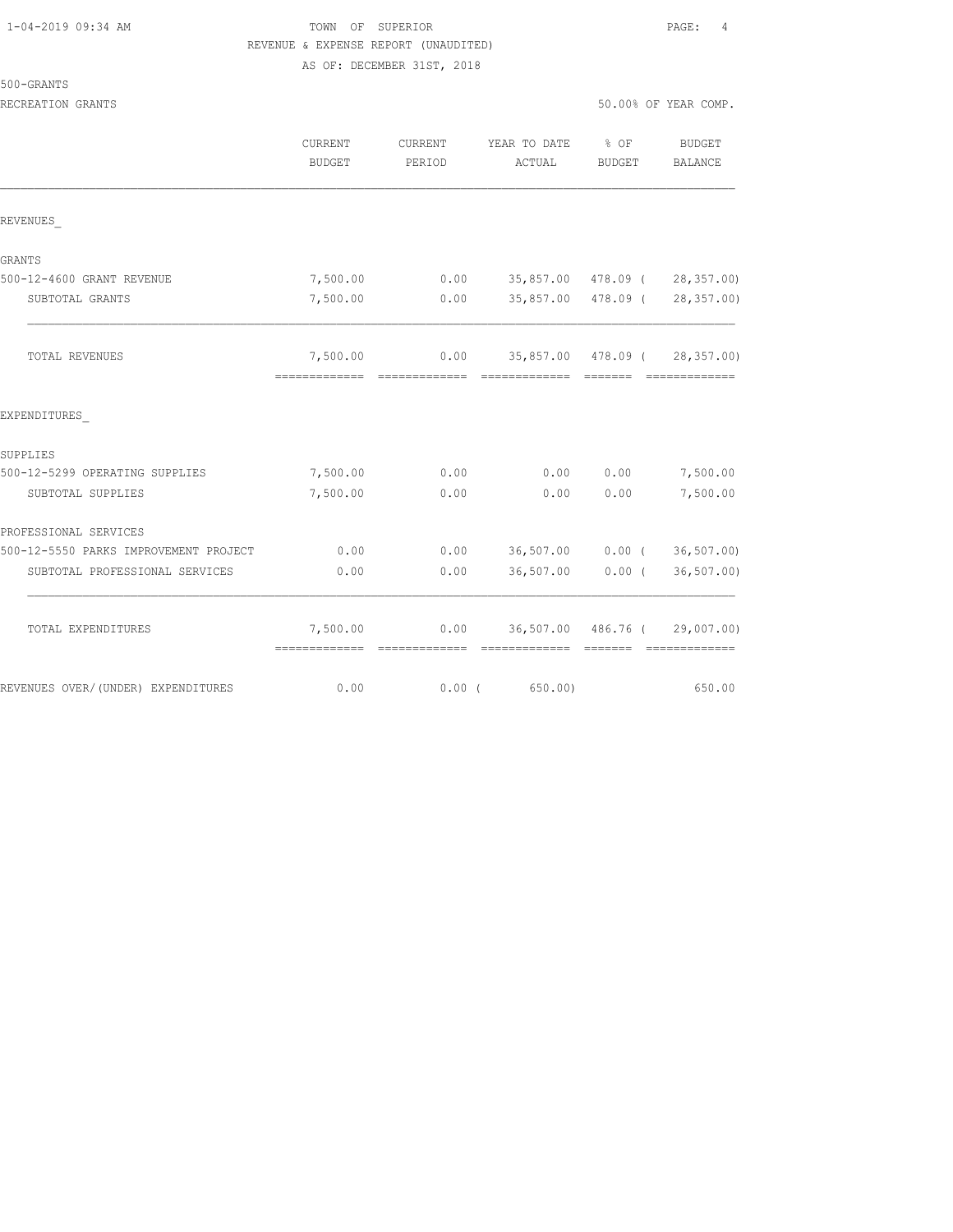# TOWN OF SUPERIOR **PAGE:** 4 REVENUE & EXPENSE REPORT (UNAUDITED)

AS OF: DECEMBER 31ST, 2018

RECREATION GRANTS 50.00% OF YEAR COMP.

|                                       | <b>CURRENT</b><br><b>BUDGET</b> | <b>CURRENT</b><br>PERIOD | YEAR TO DATE<br>ACTUAL               | $8$ OF<br><b>BUDGET</b> | BUDGET<br>BALANCE             |
|---------------------------------------|---------------------------------|--------------------------|--------------------------------------|-------------------------|-------------------------------|
| REVENUES                              |                                 |                          |                                      |                         |                               |
| GRANTS                                |                                 |                          |                                      |                         |                               |
| 500-12-4600 GRANT REVENUE             | 7,500.00                        | 0.00                     |                                      | 35,857.00 478.09 (      | 28, 357.00                    |
| SUBTOTAL GRANTS                       | 7,500.00                        | 0.00                     |                                      | 35,857.00 478.09 (      | 28, 357.00                    |
| TOTAL REVENUES                        | 7,500.00                        |                          | $0.00$ 35,857.00 478.09 ( 28,357.00) |                         |                               |
| EXPENDITURES                          |                                 |                          |                                      |                         |                               |
| SUPPLIES                              |                                 |                          |                                      |                         |                               |
| 500-12-5299 OPERATING SUPPLIES        | 7,500.00                        | 0.00                     | 0.00                                 | 0.00                    | 7,500.00                      |
| SUBTOTAL SUPPLIES                     | 7,500.00                        | 0.00                     | 0.00                                 | 0.00                    | 7,500.00                      |
| PROFESSIONAL SERVICES                 |                                 |                          |                                      |                         |                               |
| 500-12-5550 PARKS IMPROVEMENT PROJECT | 0.00                            | 0.00                     | 36,507.00 0.00 (                     |                         | 36,507.00)                    |
| SUBTOTAL PROFESSIONAL SERVICES        | 0.00                            | 0.00                     | 36,507.00                            | $0.00$ (                | 36, 507.00                    |
| TOTAL EXPENDITURES                    | 7,500.00                        | 0.00                     |                                      |                         | 36,507.00 486.76 ( 29,007.00) |
| REVENUES OVER/(UNDER) EXPENDITURES    | 0.00                            | 0.00(                    | 650.00)                              |                         | 650.00                        |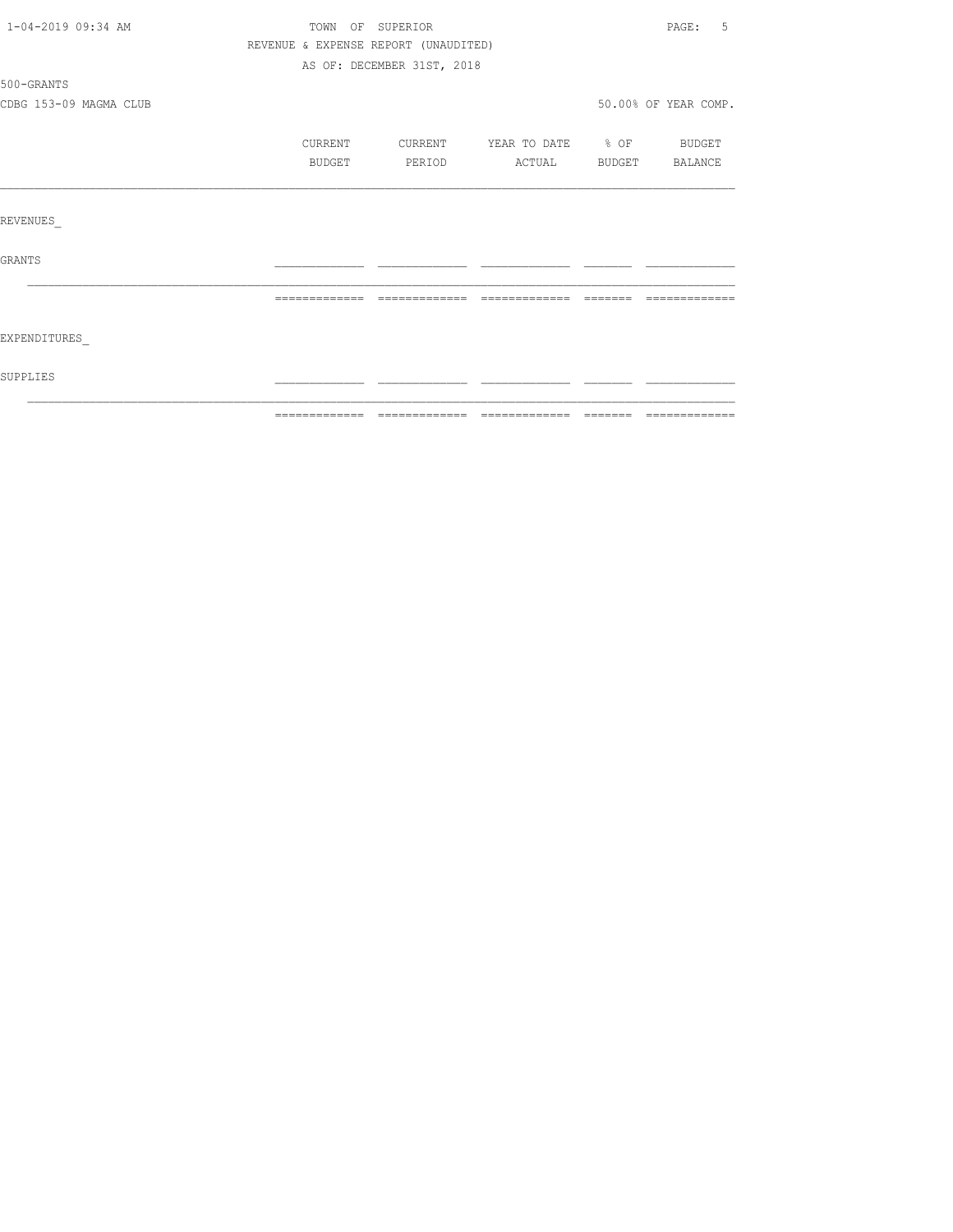| 1-04-2019 09:34 AM     | TOWN OF SUPERIOR                     |                            |              |                  | PAGE:<br>5           |
|------------------------|--------------------------------------|----------------------------|--------------|------------------|----------------------|
|                        | REVENUE & EXPENSE REPORT (UNAUDITED) |                            |              |                  |                      |
|                        |                                      | AS OF: DECEMBER 31ST, 2018 |              |                  |                      |
| 500-GRANTS             |                                      |                            |              |                  |                      |
| CDBG 153-09 MAGMA CLUB |                                      |                            |              |                  | 50.00% OF YEAR COMP. |
|                        | CURRENT                              | CURRENT                    | YEAR TO DATE | $\frac{1}{2}$ OF | BUDGET               |
|                        | BUDGET                               | PERIOD                     | ACTUAL       | BUDGET           | BALANCE              |
|                        |                                      |                            |              |                  |                      |
| REVENUES               |                                      |                            |              |                  |                      |
| GRANTS                 |                                      |                            |              |                  |                      |
|                        |                                      |                            |              |                  |                      |
| EXPENDITURES           |                                      |                            |              |                  |                      |
| SUPPLIES               |                                      |                            |              |                  |                      |
|                        |                                      |                            |              |                  |                      |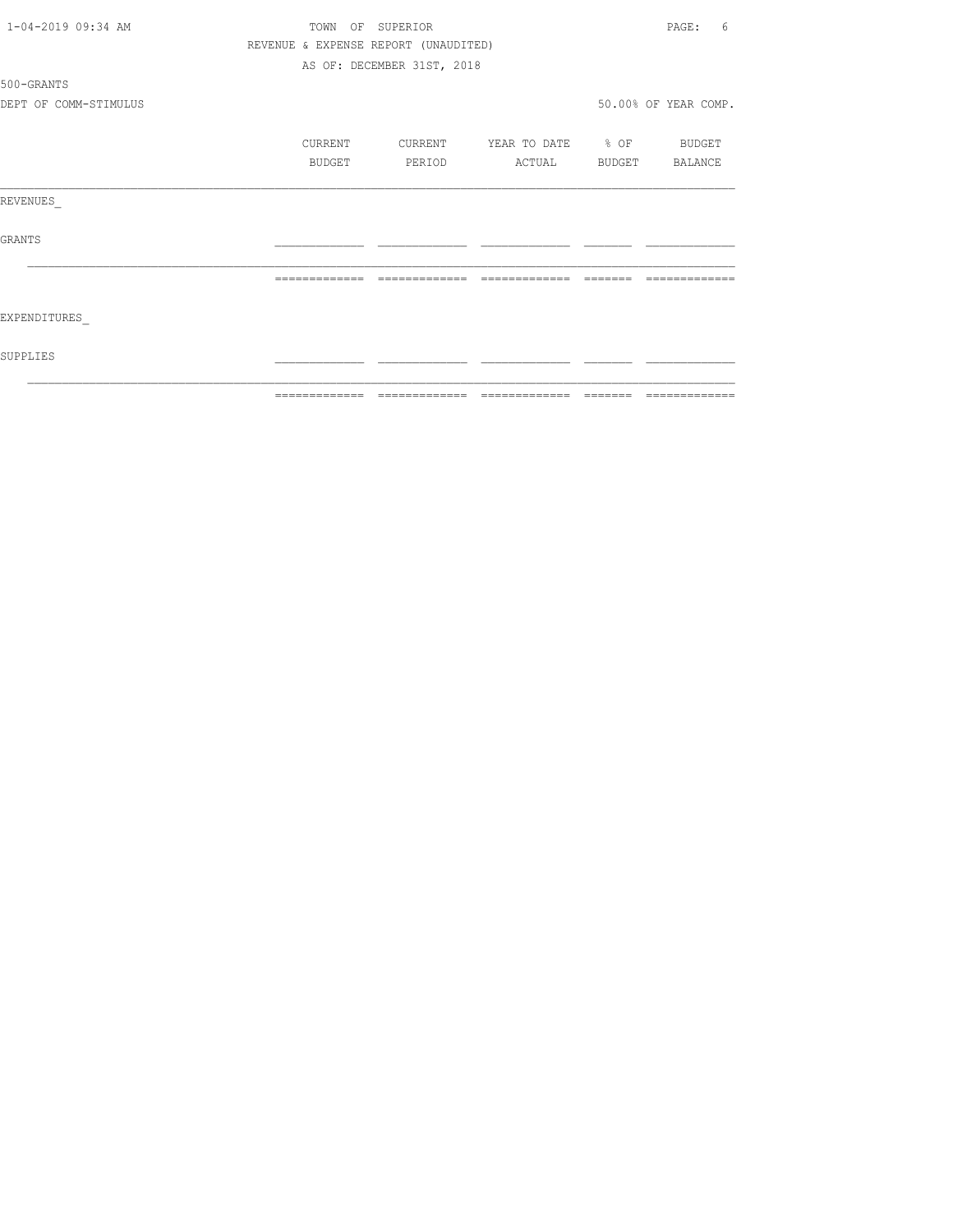| 1-04-2019 09:34 AM    | TOWN           | OF SUPERIOR                          |                   |         | PAGE:<br>6           |
|-----------------------|----------------|--------------------------------------|-------------------|---------|----------------------|
|                       |                | REVENUE & EXPENSE REPORT (UNAUDITED) |                   |         |                      |
|                       |                | AS OF: DECEMBER 31ST, 2018           |                   |         |                      |
| 500-GRANTS            |                |                                      |                   |         |                      |
| DEPT OF COMM-STIMULUS |                |                                      |                   |         | 50.00% OF YEAR COMP. |
|                       | CURRENT        | CURRENT                              | YEAR TO DATE % OF |         | BUDGET               |
|                       | BUDGET         | PERIOD                               | ACTUAL            |         | BUDGET BALANCE       |
| REVENUES              |                |                                      |                   |         |                      |
| GRANTS                |                |                                      |                   |         |                      |
|                       | -------------- | --------------                       | --------------    |         |                      |
| EXPENDITURES          |                |                                      |                   |         |                      |
| SUPPLIES              |                |                                      |                   |         |                      |
|                       | =============  | --------------                       | --------------    | ------- | --------------       |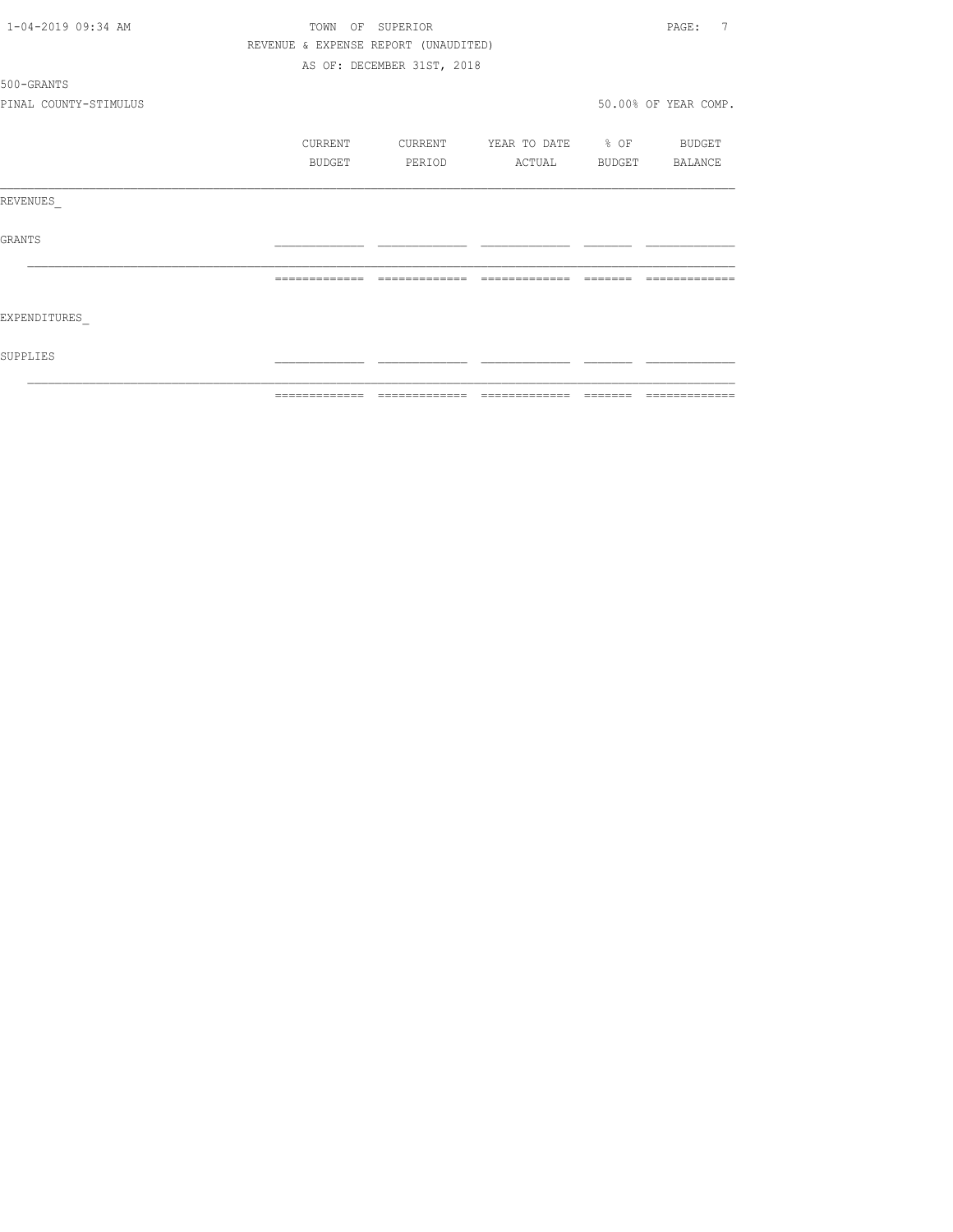| 1-04-2019 09:34 AM    |               | TOWN OF | SUPERIOR                             |                   |                                                                                                                                                                                                                                                                                                                                                                                                                                                                                            | 7<br>PAGE:           |
|-----------------------|---------------|---------|--------------------------------------|-------------------|--------------------------------------------------------------------------------------------------------------------------------------------------------------------------------------------------------------------------------------------------------------------------------------------------------------------------------------------------------------------------------------------------------------------------------------------------------------------------------------------|----------------------|
|                       |               |         | REVENUE & EXPENSE REPORT (UNAUDITED) |                   |                                                                                                                                                                                                                                                                                                                                                                                                                                                                                            |                      |
|                       |               |         | AS OF: DECEMBER 31ST, 2018           |                   |                                                                                                                                                                                                                                                                                                                                                                                                                                                                                            |                      |
| 500-GRANTS            |               |         |                                      |                   |                                                                                                                                                                                                                                                                                                                                                                                                                                                                                            |                      |
| PINAL COUNTY-STIMULUS |               |         |                                      |                   |                                                                                                                                                                                                                                                                                                                                                                                                                                                                                            | 50.00% OF YEAR COMP. |
|                       | CURRENT       |         | CURRENT                              | YEAR TO DATE % OF |                                                                                                                                                                                                                                                                                                                                                                                                                                                                                            | <b>BUDGET</b>        |
|                       |               | BUDGET  | PERIOD                               | ACTUAL            |                                                                                                                                                                                                                                                                                                                                                                                                                                                                                            | BUDGET BALANCE       |
| REVENUES              |               |         |                                      |                   |                                                                                                                                                                                                                                                                                                                                                                                                                                                                                            |                      |
| GRANTS                |               |         |                                      |                   |                                                                                                                                                                                                                                                                                                                                                                                                                                                                                            |                      |
|                       | ============= |         | =============                        | =============     | $\qquad \qquad \qquad =\qquad \qquad =\qquad \qquad =\qquad \qquad =\qquad \qquad =\qquad \qquad =\qquad \qquad =\qquad \qquad =\qquad \qquad =\qquad \qquad =\qquad \qquad =\qquad \qquad =\qquad \qquad =\qquad \qquad =\qquad \qquad =\qquad \qquad =\qquad \qquad =\qquad \qquad =\qquad \qquad =\qquad \qquad =\qquad \qquad =\qquad \qquad =\qquad \qquad =\qquad \qquad =\qquad \qquad =\qquad \qquad =\qquad \qquad =\qquad \qquad =\qquad \qquad =\qquad \qquad =\qquad \qquad =$ | -------------        |
| EXPENDITURES          |               |         |                                      |                   |                                                                                                                                                                                                                                                                                                                                                                                                                                                                                            |                      |
| SUPPLIES              |               |         |                                      |                   |                                                                                                                                                                                                                                                                                                                                                                                                                                                                                            |                      |
|                       |               |         |                                      |                   |                                                                                                                                                                                                                                                                                                                                                                                                                                                                                            |                      |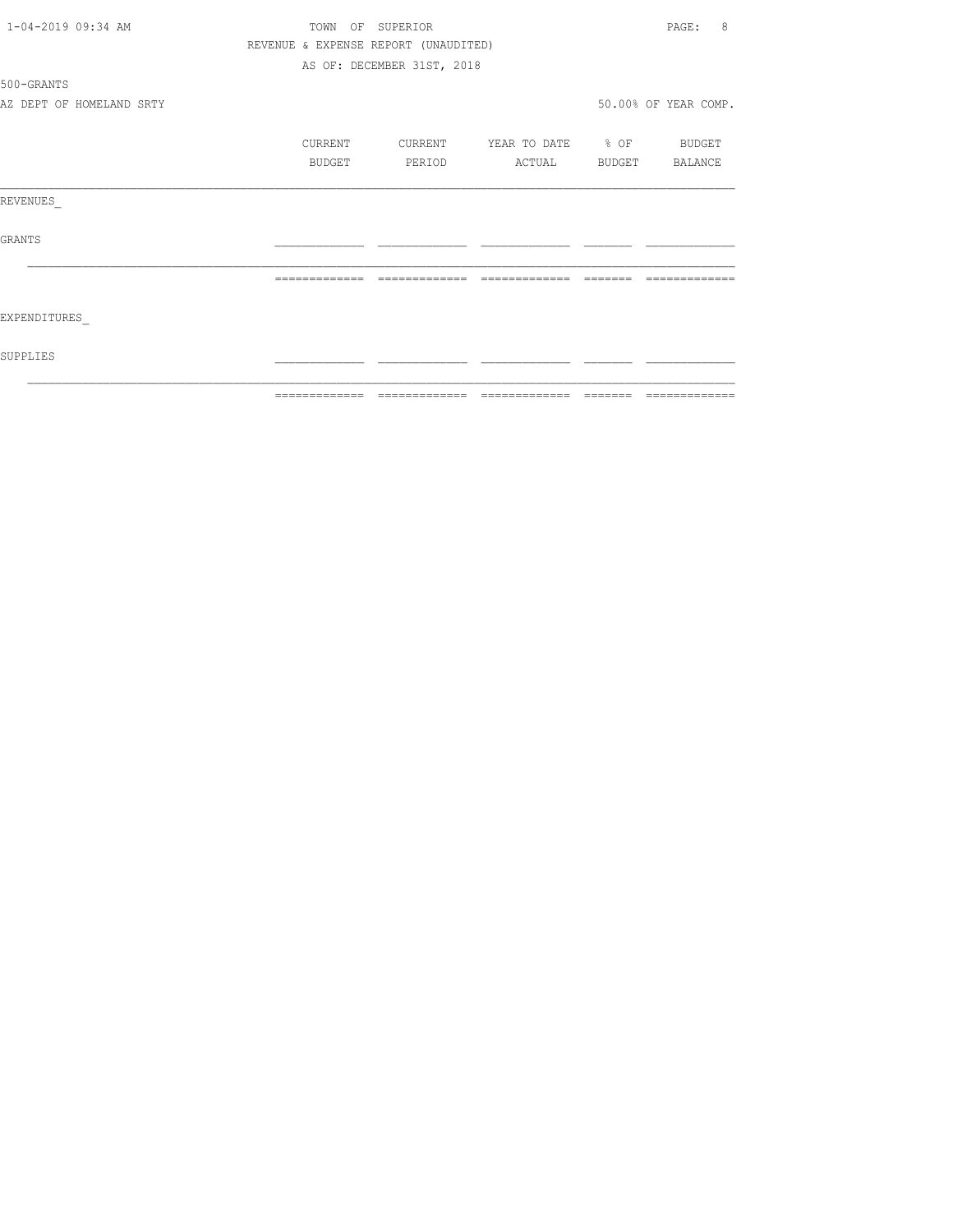| 1-04-2019 09:34 AM       | TOWN<br>OF                           | SUPERIOR                   |                   |        | 8<br>PAGE:           |
|--------------------------|--------------------------------------|----------------------------|-------------------|--------|----------------------|
|                          | REVENUE & EXPENSE REPORT (UNAUDITED) |                            |                   |        |                      |
|                          |                                      | AS OF: DECEMBER 31ST, 2018 |                   |        |                      |
| 500-GRANTS               |                                      |                            |                   |        |                      |
| AZ DEPT OF HOMELAND SRTY |                                      |                            |                   |        | 50.00% OF YEAR COMP. |
|                          | CURRENT                              | CURRENT                    | YEAR TO DATE % OF |        | BUDGET               |
|                          | BUDGET                               | PERIOD                     | ACTUAL            | BUDGET | BALANCE              |
| REVENUES                 |                                      |                            |                   |        |                      |
| GRANTS                   |                                      |                            |                   |        |                      |
|                          | -------------                        | --------------             | -------------     |        |                      |
| EXPENDITURES             |                                      |                            |                   |        |                      |
| SUPPLIES                 |                                      |                            |                   |        |                      |
|                          |                                      |                            |                   |        | =============        |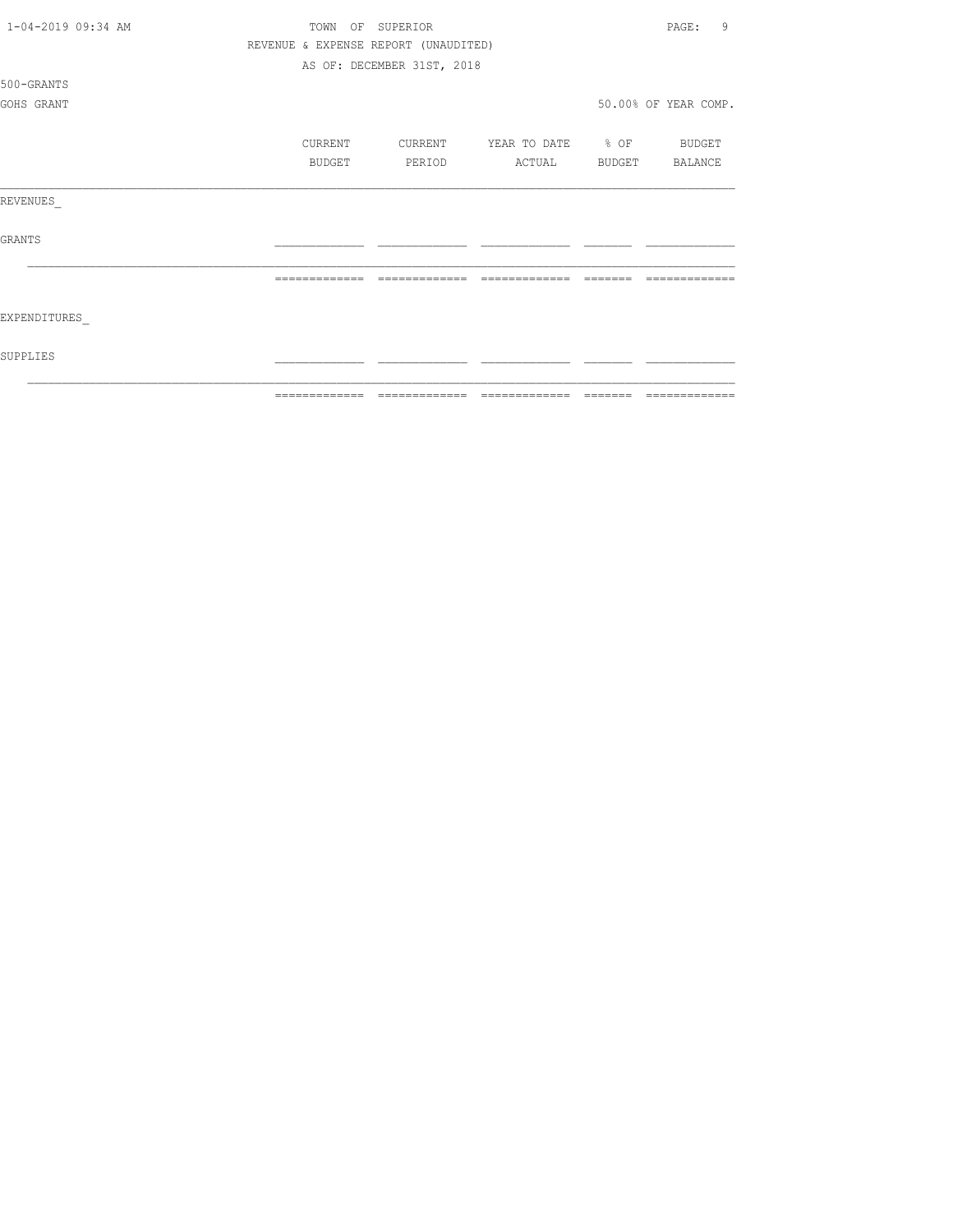| 1-04-2019 09:34 AM |               | TOWN<br>OF | SUPERIOR                             |                          |         | 9<br>PAGE:           |
|--------------------|---------------|------------|--------------------------------------|--------------------------|---------|----------------------|
|                    |               |            | REVENUE & EXPENSE REPORT (UNAUDITED) |                          |         |                      |
|                    |               |            | AS OF: DECEMBER 31ST, 2018           |                          |         |                      |
| 500-GRANTS         |               |            |                                      |                          |         |                      |
| GOHS GRANT         |               |            |                                      |                          |         | 50.00% OF YEAR COMP. |
|                    |               |            |                                      |                          |         |                      |
|                    |               | CURRENT    | CURRENT                              | YEAR TO DATE % OF BUDGET |         |                      |
|                    |               | BUDGET     | PERIOD                               | ACTUAL                   |         | BUDGET BALANCE       |
|                    |               |            |                                      |                          |         |                      |
| REVENUES           |               |            |                                      |                          |         |                      |
|                    |               |            |                                      |                          |         |                      |
| <b>GRANTS</b>      |               |            |                                      |                          |         |                      |
|                    |               |            |                                      |                          |         |                      |
|                    |               |            | -------                              | ------<br>------         |         |                      |
|                    |               |            |                                      |                          |         |                      |
| EXPENDITURES       |               |            |                                      |                          |         |                      |
|                    |               |            |                                      |                          |         |                      |
| SUPPLIES           |               |            |                                      |                          |         |                      |
|                    |               |            |                                      |                          |         |                      |
|                    | ------------- |            |                                      | --------------           | ------- | -------------        |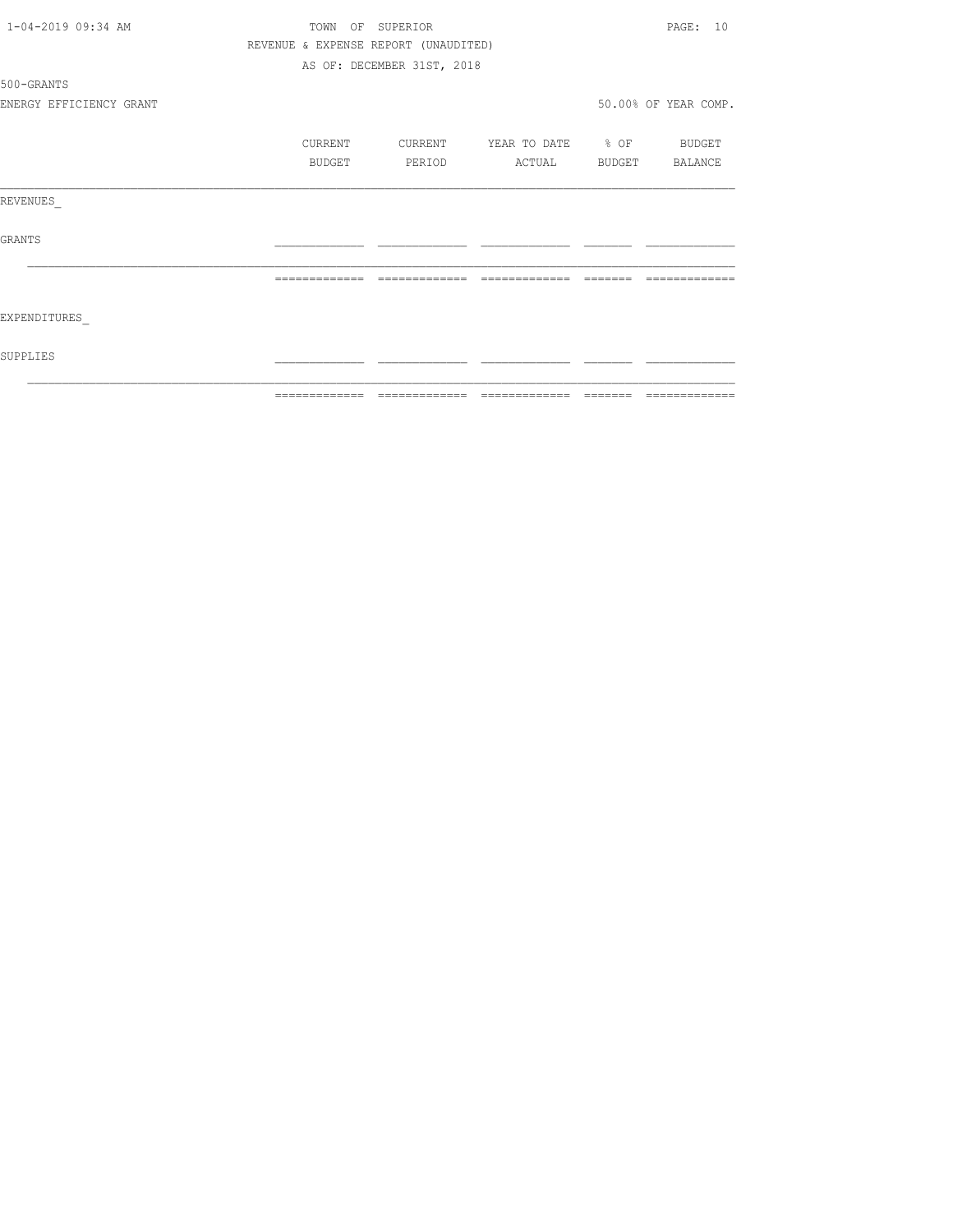| SUPPLIES                |               |                                      |                                |                                                                  |                      |
|-------------------------|---------------|--------------------------------------|--------------------------------|------------------------------------------------------------------|----------------------|
| EXPENDITURES            |               |                                      |                                |                                                                  |                      |
|                         | ============= |                                      | ============================== | $\qquad \qquad \equiv \equiv \equiv \equiv \equiv \equiv \equiv$ |                      |
| GRANTS                  |               |                                      |                                |                                                                  |                      |
| REVENUES                |               |                                      |                                |                                                                  |                      |
|                         | BUDGET        | PERIOD                               | ACTUAL BUDGET BALANCE          |                                                                  |                      |
|                         | CURRENT       | CURRENT                              | YEAR TO DATE % OF BUDGET       |                                                                  |                      |
| ENERGY EFFICIENCY GRANT |               |                                      |                                |                                                                  | 50.00% OF YEAR COMP. |
| 500-GRANTS              |               |                                      |                                |                                                                  |                      |
|                         |               | AS OF: DECEMBER 31ST, 2018           |                                |                                                                  |                      |
|                         |               | REVENUE & EXPENSE REPORT (UNAUDITED) |                                |                                                                  |                      |
| 1-04-2019 09:34 AM      |               | TOWN OF SUPERIOR                     |                                |                                                                  | PAGE: 10             |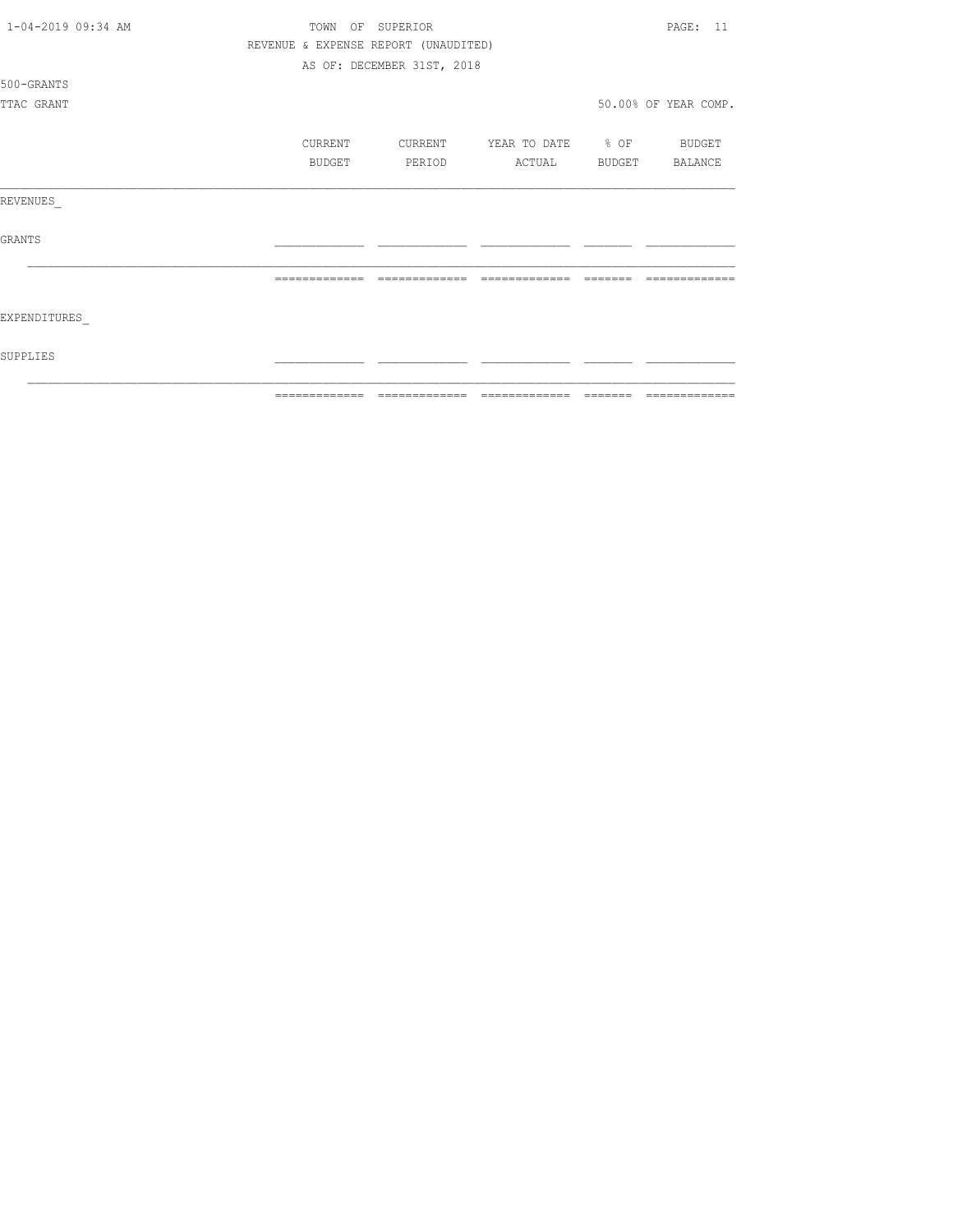| 1-04-2019 09:34 AM | TOWN<br>OF SUPERIOR |                                      |                          |          |                      |
|--------------------|---------------------|--------------------------------------|--------------------------|----------|----------------------|
|                    |                     | REVENUE & EXPENSE REPORT (UNAUDITED) |                          |          |                      |
|                    |                     | AS OF: DECEMBER 31ST, 2018           |                          |          |                      |
| 500-GRANTS         |                     |                                      |                          |          |                      |
| TTAC GRANT         |                     |                                      |                          |          | 50.00% OF YEAR COMP. |
|                    |                     |                                      |                          |          |                      |
|                    | CURRENT             | CURRENT                              | YEAR TO DATE % OF BUDGET |          |                      |
|                    | BUDGET              | PERIOD                               | ACTUAL                   |          | BUDGET BALANCE       |
|                    |                     |                                      |                          |          |                      |
| REVENUES           |                     |                                      |                          |          |                      |
|                    |                     |                                      |                          |          |                      |
| <b>GRANTS</b>      |                     |                                      |                          |          |                      |
|                    |                     |                                      |                          |          |                      |
|                    |                     | =============                        | ======<br>--------       |          |                      |
|                    |                     |                                      |                          |          |                      |
| EXPENDITURES       |                     |                                      |                          |          |                      |
|                    |                     |                                      |                          |          |                      |
| SUPPLIES           |                     |                                      |                          |          |                      |
|                    |                     |                                      |                          |          |                      |
|                    | -------------       | -------------                        | --------------           | -------- | --------------       |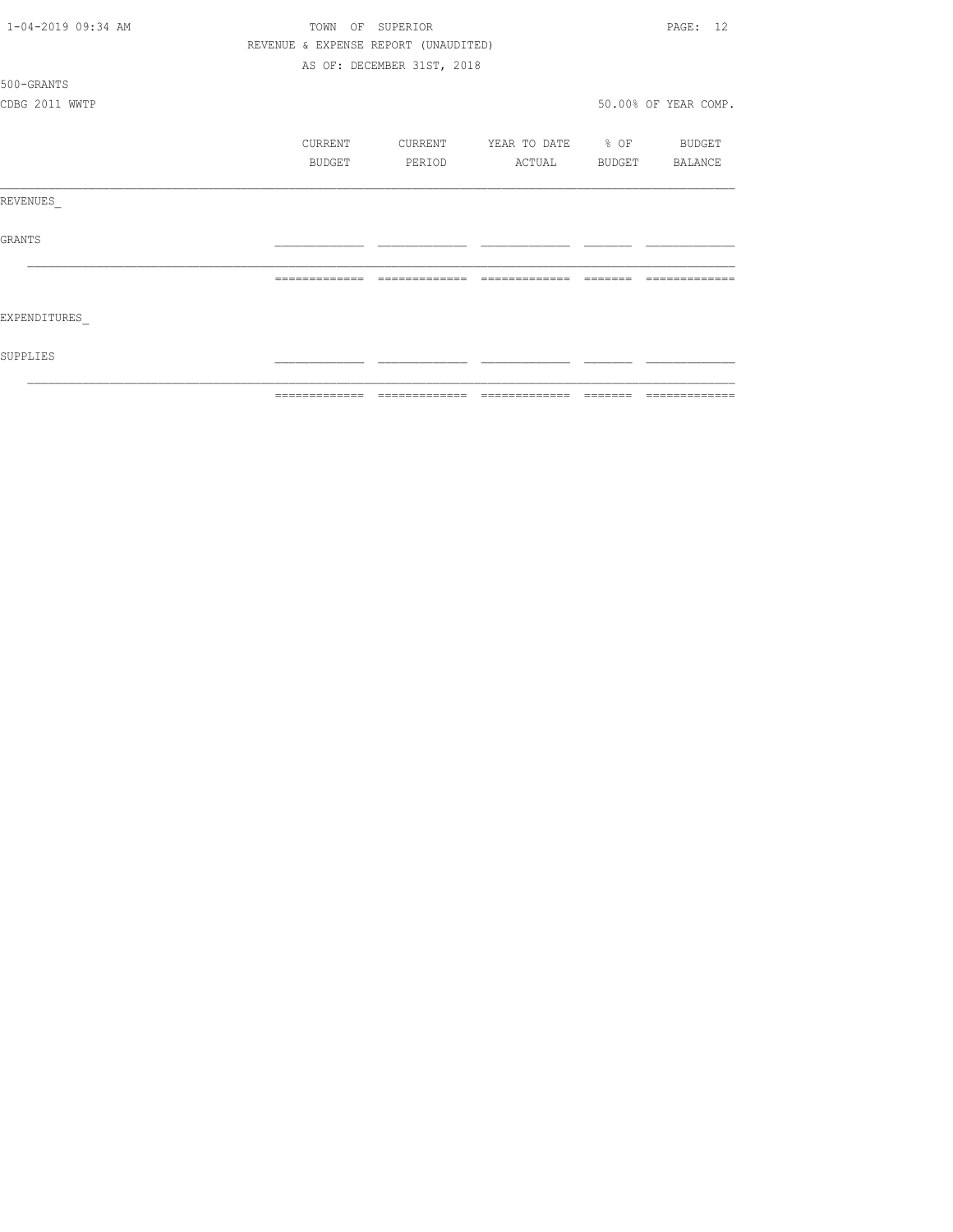| 1-04-2019 09:34 AM | TOWN          | OF<br>SUPERIOR                       |                          |        | PAGE: 12             |
|--------------------|---------------|--------------------------------------|--------------------------|--------|----------------------|
|                    |               | REVENUE & EXPENSE REPORT (UNAUDITED) |                          |        |                      |
|                    |               | AS OF: DECEMBER 31ST, 2018           |                          |        |                      |
| 500-GRANTS         |               |                                      |                          |        |                      |
| CDBG 2011 WWTP     |               |                                      |                          |        | 50.00% OF YEAR COMP. |
|                    | CURRENT       | CURRENT                              | YEAR TO DATE % OF BUDGET |        |                      |
|                    | BUDGET        | PERIOD                               | ACTUAL                   | BUDGET | BALANCE              |
| REVENUES           |               |                                      |                          |        |                      |
| GRANTS             |               |                                      |                          |        |                      |
|                    |               | --------------                       | --------------           |        |                      |
| EXPENDITURES       |               |                                      |                          |        |                      |
| SUPPLIES           |               |                                      |                          |        |                      |
|                    | ============= |                                      |                          |        | =============        |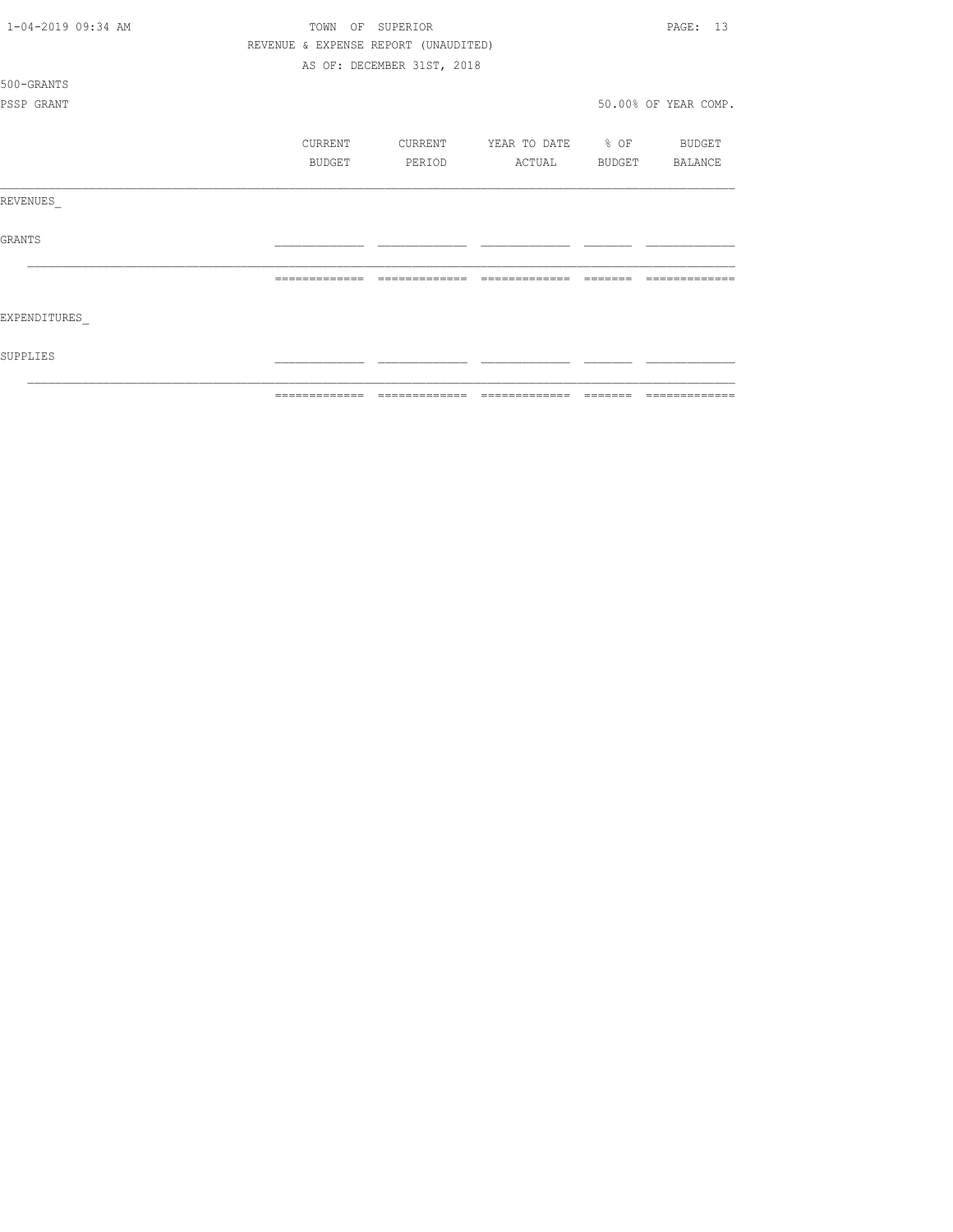| 1-04-2019 09:34 AM | TOWN          | SUPERIOR<br>OF                       |                   | PAGE: 13             |
|--------------------|---------------|--------------------------------------|-------------------|----------------------|
|                    |               | REVENUE & EXPENSE REPORT (UNAUDITED) |                   |                      |
|                    |               | AS OF: DECEMBER 31ST, 2018           |                   |                      |
| 500-GRANTS         |               |                                      |                   |                      |
| PSSP GRANT         |               |                                      |                   | 50.00% OF YEAR COMP. |
|                    |               |                                      |                   |                      |
|                    | CURRENT       | CURRENT                              | YEAR TO DATE % OF | BUDGET               |
|                    | BUDGET        | PERIOD                               | ACTUAL            | BUDGET BALANCE       |
|                    |               |                                      |                   |                      |
| REVENUES           |               |                                      |                   |                      |
|                    |               |                                      |                   |                      |
| <b>GRANTS</b>      |               |                                      |                   |                      |
|                    |               |                                      |                   |                      |
|                    | ============= | -------------                        | --------------    |                      |
|                    |               |                                      |                   |                      |
| EXPENDITURES       |               |                                      |                   |                      |
|                    |               |                                      |                   |                      |
| SUPPLIES           |               |                                      |                   |                      |
|                    |               |                                      |                   |                      |
|                    | ------------- |                                      | --------------    | -------------        |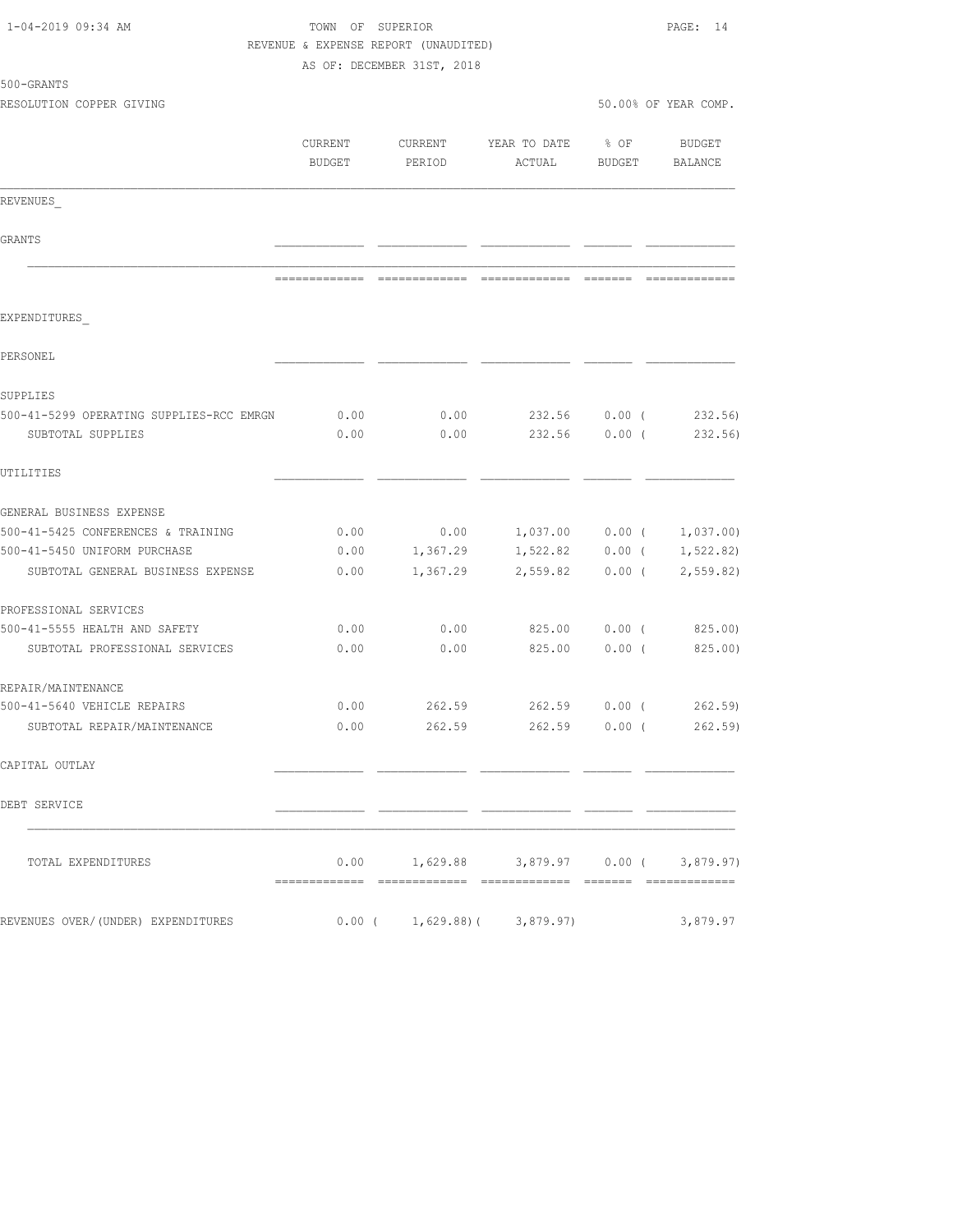| 1-04-2019 09:34 AM                                            |                   | TOWN OF SUPERIOR<br>REVENUE & EXPENSE REPORT (UNAUDITED) |                                           |                  |                      |  |
|---------------------------------------------------------------|-------------------|----------------------------------------------------------|-------------------------------------------|------------------|----------------------|--|
|                                                               |                   | AS OF: DECEMBER 31ST, 2018                               |                                           |                  |                      |  |
| 500-GRANTS<br>RESOLUTION COPPER GIVING                        |                   |                                                          |                                           |                  | 50.00% OF YEAR COMP. |  |
|                                                               |                   |                                                          |                                           |                  |                      |  |
|                                                               | CURRENT<br>BUDGET | CURRENT<br>PERIOD                                        | YEAR TO DATE<br>ACTUAL                    | $8$ OF<br>BUDGET | BUDGET<br>BALANCE    |  |
| REVENUES                                                      |                   |                                                          |                                           |                  |                      |  |
| GRANTS                                                        |                   |                                                          |                                           |                  |                      |  |
|                                                               |                   |                                                          |                                           |                  |                      |  |
| EXPENDITURES                                                  |                   |                                                          |                                           |                  |                      |  |
| PERSONEL                                                      |                   |                                                          |                                           |                  |                      |  |
| SUPPLIES                                                      |                   |                                                          |                                           |                  |                      |  |
| 500-41-5299 OPERATING SUPPLIES-RCC EMRGN<br>SUBTOTAL SUPPLIES | 0.00<br>0.00      | 0.00<br>0.00                                             | 232.56 0.00 (<br>232.56 0.00 (            |                  | 232.56)<br>232.56)   |  |
| UTILITIES                                                     |                   |                                                          |                                           |                  |                      |  |
| GENERAL BUSINESS EXPENSE                                      |                   |                                                          |                                           |                  |                      |  |
| 500-41-5425 CONFERENCES & TRAINING                            | 0.00              | 0.00                                                     | 1,037.00 0.00 (                           |                  | 1,037.00             |  |
| 500-41-5450 UNIFORM PURCHASE                                  | 0.00              | 1,367.29                                                 | 1,522.82                                  | $0.00$ (         | 1, 522.82)           |  |
| SUBTOTAL GENERAL BUSINESS EXPENSE                             | 0.00              | 1,367.29                                                 | 2,559.82                                  | $0.00$ (         | 2,559.82             |  |
| PROFESSIONAL SERVICES                                         |                   |                                                          |                                           |                  |                      |  |
| 500-41-5555 HEALTH AND SAFETY                                 | 0.00              | 0.00                                                     |                                           |                  | 825.00 0.00 (825.00) |  |
| SUBTOTAL PROFESSIONAL SERVICES                                | 0.00              | 0.00                                                     | 825.00                                    | 0.00(            | 825.00)              |  |
| REPAIR/MAINTENANCE                                            |                   |                                                          |                                           |                  |                      |  |
| 500-41-5640 VEHICLE REPAIRS                                   | 0.00              | 262.59                                                   |                                           |                  | 262.59 0.00 (262.59) |  |
| SUBTOTAL REPAIR/MAINTENANCE                                   |                   |                                                          | $0.00$ 262.59 262.59 0.00 ( 262.59)       |                  |                      |  |
| CAPITAL OUTLAY                                                |                   |                                                          |                                           |                  |                      |  |
| DEBT SERVICE                                                  |                   |                                                          |                                           |                  |                      |  |
| TOTAL EXPENDITURES                                            |                   |                                                          | $0.00$ 1,629.88 3,879.97 0.00 ( 3,879.97) |                  |                      |  |
| REVENUES OVER/(UNDER) EXPENDITURES                            |                   |                                                          | $0.00$ ( $1,629.88$ ) ( $3,879.97$ )      |                  | 3,879.97             |  |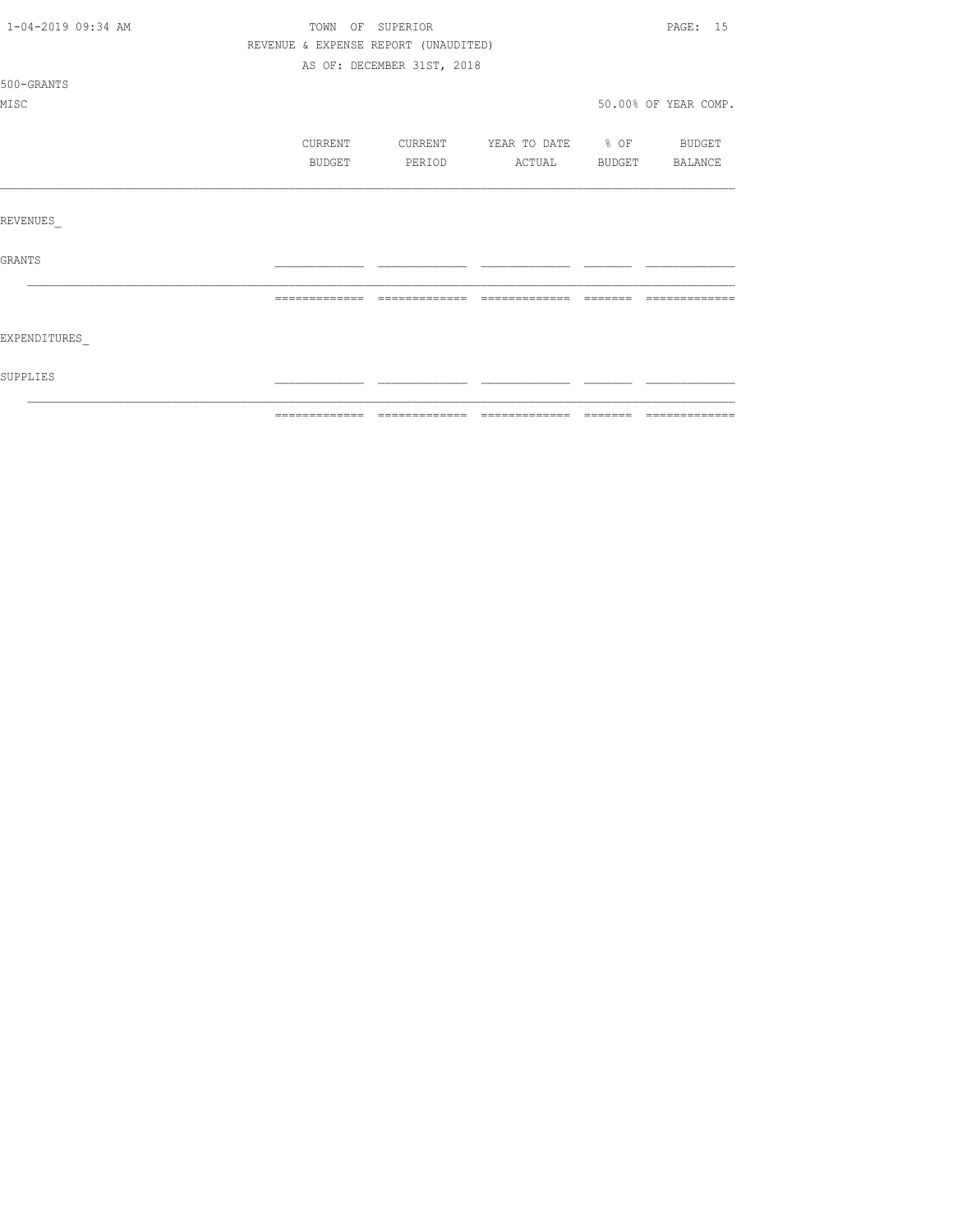| 1-04-2019 09:34 AM | TOWN OF SUPERIOR                     |                            |                                  |               | PAGE: 15             |
|--------------------|--------------------------------------|----------------------------|----------------------------------|---------------|----------------------|
|                    | REVENUE & EXPENSE REPORT (UNAUDITED) |                            |                                  |               |                      |
|                    |                                      | AS OF: DECEMBER 31ST, 2018 |                                  |               |                      |
| 500-GRANTS         |                                      |                            |                                  |               |                      |
| MISC               |                                      |                            |                                  |               | 50.00% OF YEAR COMP. |
|                    | CURRENT                              |                            | CURRENT YEAR TO DATE % OF BUDGET |               |                      |
|                    | BUDGET                               | PERIOD                     | ACTUAL                           | <b>BUDGET</b> | BALANCE              |
|                    |                                      |                            |                                  |               |                      |
| REVENUES           |                                      |                            |                                  |               |                      |
| GRANTS             |                                      |                            |                                  |               |                      |
|                    | =============                        | =============              | =============                    |               |                      |
| EXPENDITURES       |                                      |                            |                                  |               |                      |
| SUPPLIES           |                                      |                            |                                  |               |                      |
|                    |                                      |                            |                                  |               |                      |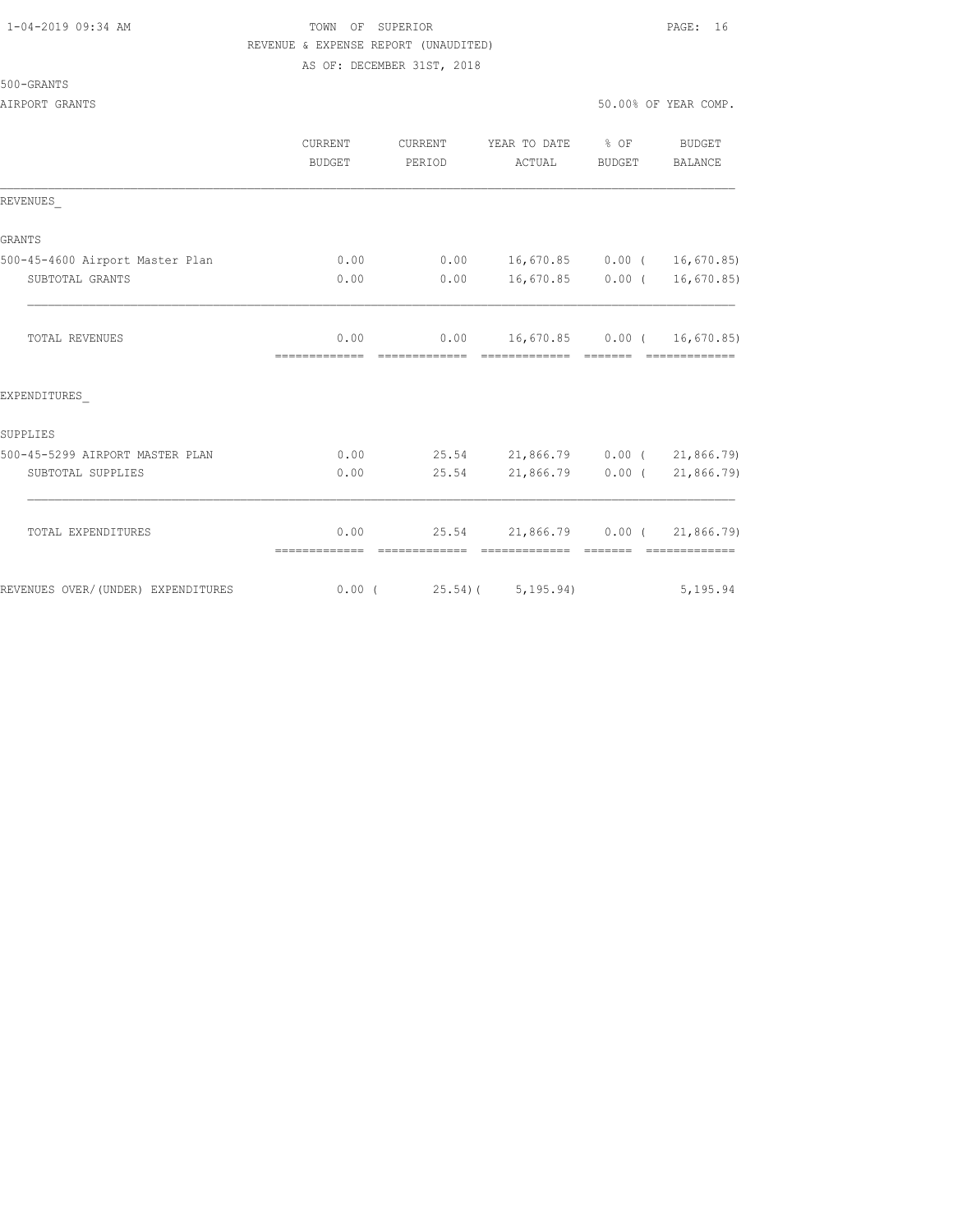# 1-04-2019 09:34 AM TOWN OF SUPERIOR PAGE: 16 REVENUE & EXPENSE REPORT (UNAUDITED)

AS OF: DECEMBER 31ST, 2018

|                                    | <b>CURRENT</b><br><b>BUDGET</b> | CURRENT<br>PERIOD           | YEAR TO DATE % OF<br>ACTUAL        | BUDGET | <b>BUDGET</b><br>BALANCE |
|------------------------------------|---------------------------------|-----------------------------|------------------------------------|--------|--------------------------|
| REVENUES                           |                                 |                             |                                    |        |                          |
| <b>GRANTS</b>                      |                                 |                             |                                    |        |                          |
| 500-45-4600 Airport Master Plan    | 0.00                            |                             | $0.00$ 16,670.85 0.00 ( 16,670.85) |        |                          |
| SUBTOTAL GRANTS                    | 0.00                            |                             | $0.00$ 16,670.85 0.00 ( 16,670.85) |        |                          |
| <b>TOTAL REVENUES</b>              | 0.00                            |                             | $0.00$ 16,670.85 0.00 ( 16,670.85) |        |                          |
| EXPENDITURES                       |                                 |                             |                                    |        |                          |
| SUPPLIES                           |                                 |                             |                                    |        |                          |
| 500-45-5299 AIRPORT MASTER PLAN    | 0.00                            |                             | 25.54 21,866.79 0.00 (21,866.79)   |        |                          |
| SUBTOTAL SUPPLIES                  | 0.00                            |                             | 25.54 21,866.79 0.00 (21,866.79)   |        |                          |
| TOTAL EXPENDITURES                 | 0.00                            | ------------- ------------- | 25.54 21,866.79 0.00 ( 21,866.79)  |        |                          |
| REVENUES OVER/(UNDER) EXPENDITURES |                                 |                             | $0.00$ ( $25.54$ ) ( $5.195.94$ )  |        | 5,195.94                 |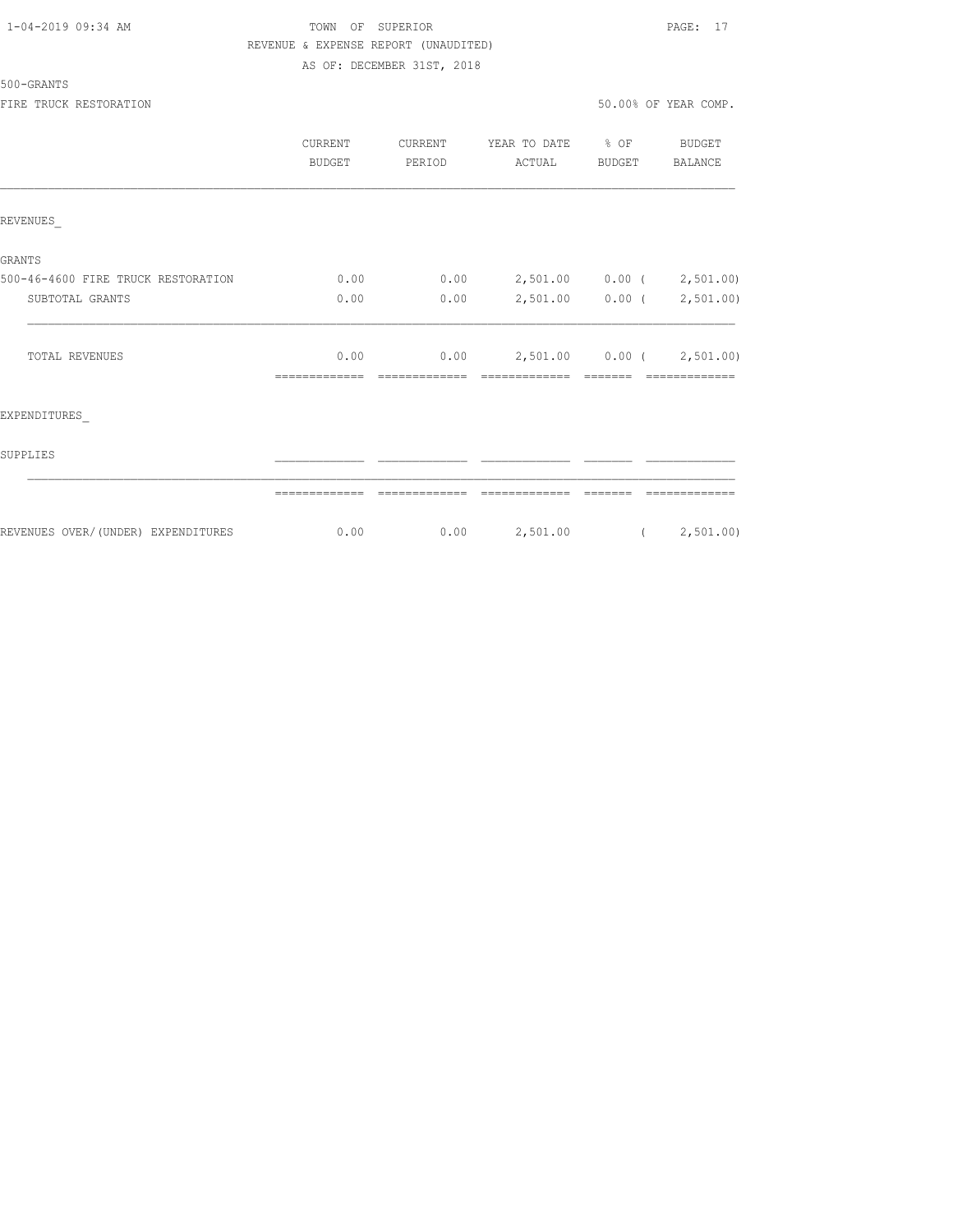# TOWN OF SUPERIOR PAGE: 17 REVENUE & EXPENSE REPORT (UNAUDITED)

AS OF: DECEMBER 31ST, 2018

500-GRANTS

FIRE TRUCK RESTORATION **FIRE SEPARATION** 50.00% OF YEAR COMP.

|                                    | CURRENT<br><b>BUDGET</b> | CURRENT<br>PERIOD | YEAR TO DATE<br>ACTUAL    | % OF<br><b>BUDGET</b> | <b>BUDGET</b><br><b>BALANCE</b> |
|------------------------------------|--------------------------|-------------------|---------------------------|-----------------------|---------------------------------|
| REVENUES                           |                          |                   |                           |                       |                                 |
| <b>GRANTS</b>                      |                          |                   |                           |                       |                                 |
| 500-46-4600 FIRE TRUCK RESTORATION | 0.00                     | 0.00              | 2,501.00 0.00 ( 2,501.00) |                       |                                 |
| SUBTOTAL GRANTS                    | 0.00                     | 0.00              | 2,501.00 0.00 ( 2,501.00) |                       |                                 |
| <b>TOTAL REVENUES</b>              | 0.00                     | 0.00              | 2,501.00 0.00 ( 2,501.00) |                       |                                 |
| EXPENDITURES                       |                          |                   |                           |                       |                                 |
| SUPPLIES                           |                          |                   |                           |                       |                                 |
|                                    |                          |                   |                           |                       |                                 |
| REVENUES OVER/(UNDER) EXPENDITURES | 0.00                     | 0.00              | 2,501.00                  |                       | (2, 501.00)                     |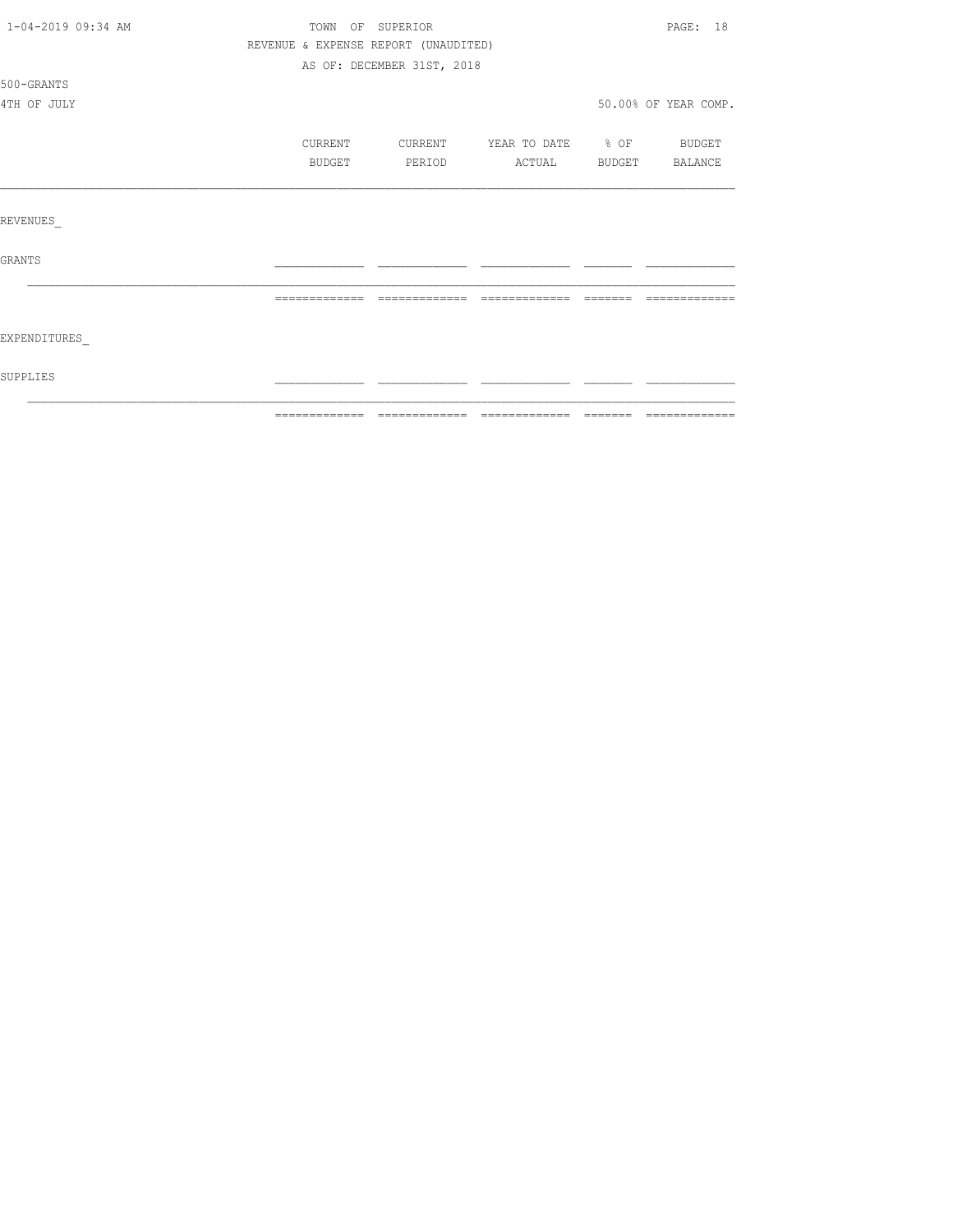| 1-04-2019 09:34 AM | TOWN OF SUPERIOR |                                      |                   |        | PAGE: 18             |
|--------------------|------------------|--------------------------------------|-------------------|--------|----------------------|
|                    |                  | REVENUE & EXPENSE REPORT (UNAUDITED) |                   |        |                      |
|                    |                  | AS OF: DECEMBER 31ST, 2018           |                   |        |                      |
| 500-GRANTS         |                  |                                      |                   |        |                      |
| 4TH OF JULY        |                  |                                      |                   |        | 50.00% OF YEAR COMP. |
|                    | CURRENT          | CURRENT                              | YEAR TO DATE % OF |        | BUDGET               |
|                    | BUDGET           | PERIOD                               | ACTUAL            | BUDGET | BALANCE              |
|                    |                  |                                      |                   |        |                      |
| REVENUES           |                  |                                      |                   |        |                      |
| GRANTS             |                  |                                      |                   |        |                      |
|                    | =============    | -------------                        | $---$             |        |                      |
| EXPENDITURES       |                  |                                      |                   |        |                      |
| SUPPLIES           |                  |                                      |                   |        |                      |
|                    |                  |                                      |                   |        |                      |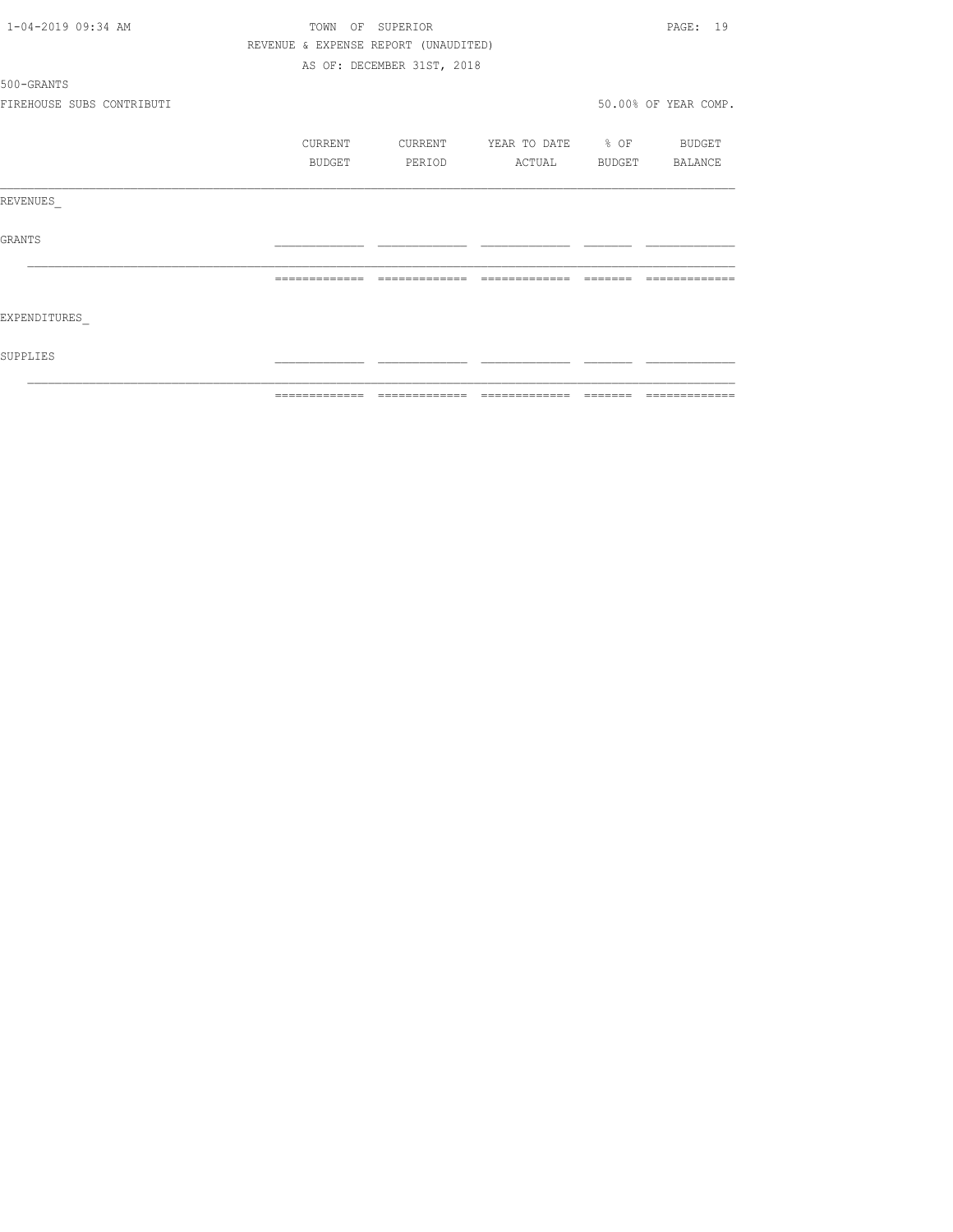| 1-04-2019 09:34 AM        |               | TOWN OF SUPERIOR                     |                                     | PAGE: 19             |
|---------------------------|---------------|--------------------------------------|-------------------------------------|----------------------|
|                           |               | REVENUE & EXPENSE REPORT (UNAUDITED) |                                     |                      |
|                           |               | AS OF: DECEMBER 31ST, 2018           |                                     |                      |
| 500-GRANTS                |               |                                      |                                     |                      |
| FIREHOUSE SUBS CONTRIBUTI |               |                                      |                                     | 50.00% OF YEAR COMP. |
|                           | CURRENT       | CURRENT                              | YEAR TO DATE % OF BUDGET            |                      |
|                           | BUDGET        | PERIOD                               | ACTUAL                              | BUDGET BALANCE       |
| REVENUES                  |               |                                      |                                     |                      |
| GRANTS                    |               |                                      |                                     |                      |
|                           | ------------- | -------------                        | =============                       |                      |
| EXPENDITURES              |               |                                      |                                     |                      |
| SUPPLIES                  |               |                                      |                                     |                      |
|                           | ============= |                                      | -------------- ------------- ------ | =============        |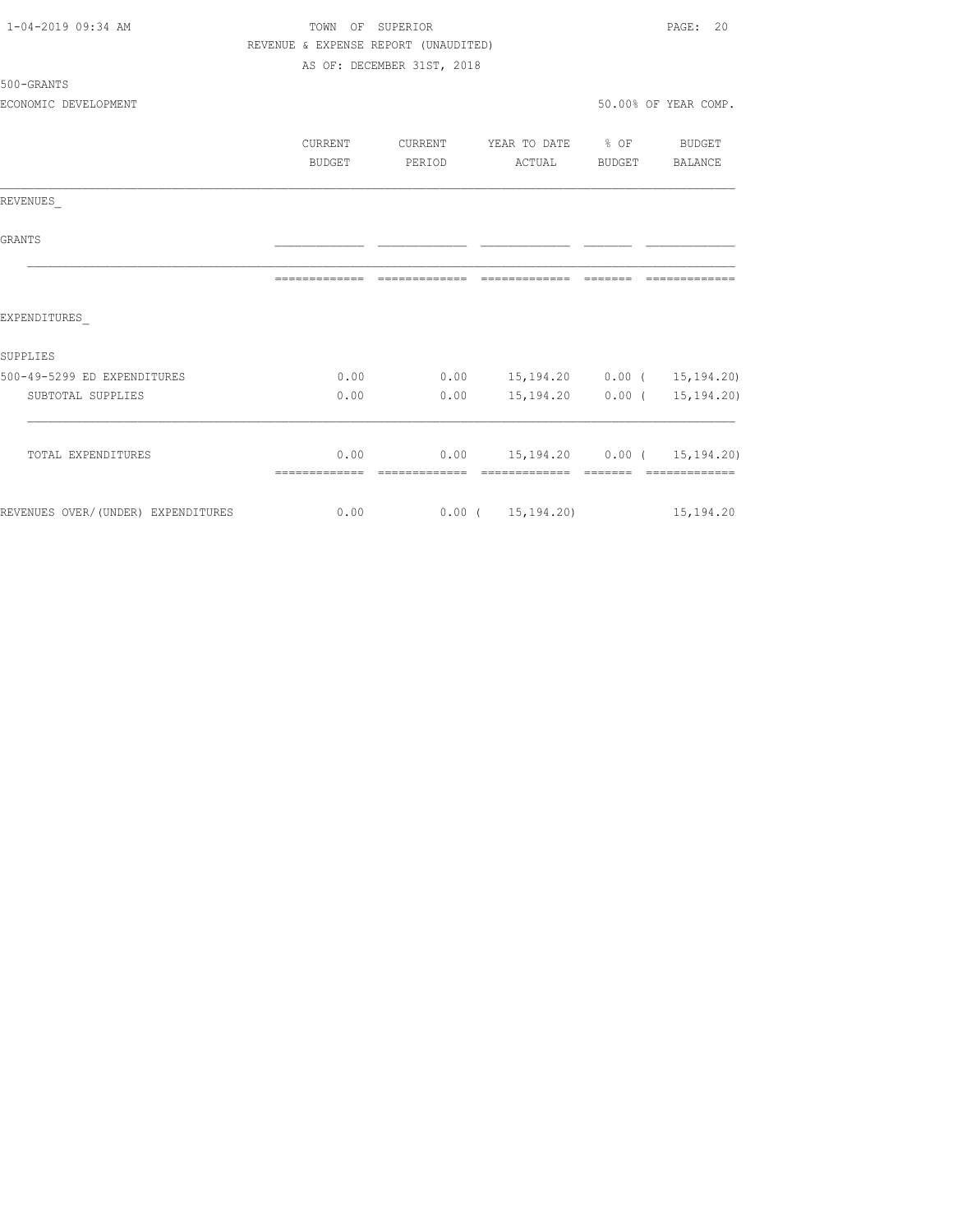| 1-04-2019 09:34 AM                 | TOWN OF SUPERIOR                     |                            |                                    |        | PAGE: 20             |  |  |
|------------------------------------|--------------------------------------|----------------------------|------------------------------------|--------|----------------------|--|--|
|                                    | REVENUE & EXPENSE REPORT (UNAUDITED) |                            |                                    |        |                      |  |  |
|                                    |                                      | AS OF: DECEMBER 31ST, 2018 |                                    |        |                      |  |  |
| 500-GRANTS                         |                                      |                            |                                    |        |                      |  |  |
| ECONOMIC DEVELOPMENT               |                                      |                            |                                    |        | 50.00% OF YEAR COMP. |  |  |
|                                    |                                      |                            |                                    |        |                      |  |  |
|                                    | <b>CURRENT</b>                       | CURRENT                    | YEAR TO DATE % OF                  |        | BUDGET               |  |  |
|                                    | BUDGET                               | PERIOD                     | ACTUAL                             | BUDGET | BALANCE              |  |  |
| REVENUES                           |                                      |                            |                                    |        |                      |  |  |
| <b>GRANTS</b>                      |                                      |                            |                                    |        |                      |  |  |
|                                    |                                      |                            |                                    |        |                      |  |  |
| EXPENDITURES                       |                                      |                            |                                    |        |                      |  |  |
| SUPPLIES                           |                                      |                            |                                    |        |                      |  |  |
| 500-49-5299 ED EXPENDITURES        | 0.00                                 | 0.00                       | 15, 194. 20  0.00 ( 15, 194. 20)   |        |                      |  |  |
| SUBTOTAL SUPPLIES                  | 0.00                                 | 0.00                       | 15,194.20                          |        | 0.00(15,194,20)      |  |  |
| TOTAL EXPENDITURES                 | 0.00                                 |                            | $0.00$ 15,194.20 0.00 ( 15,194.20) |        |                      |  |  |
|                                    |                                      |                            |                                    |        |                      |  |  |
| REVENUES OVER/(UNDER) EXPENDITURES | 0.00                                 |                            | $0.00$ ( $15,194,20$ ) 15,194.20   |        |                      |  |  |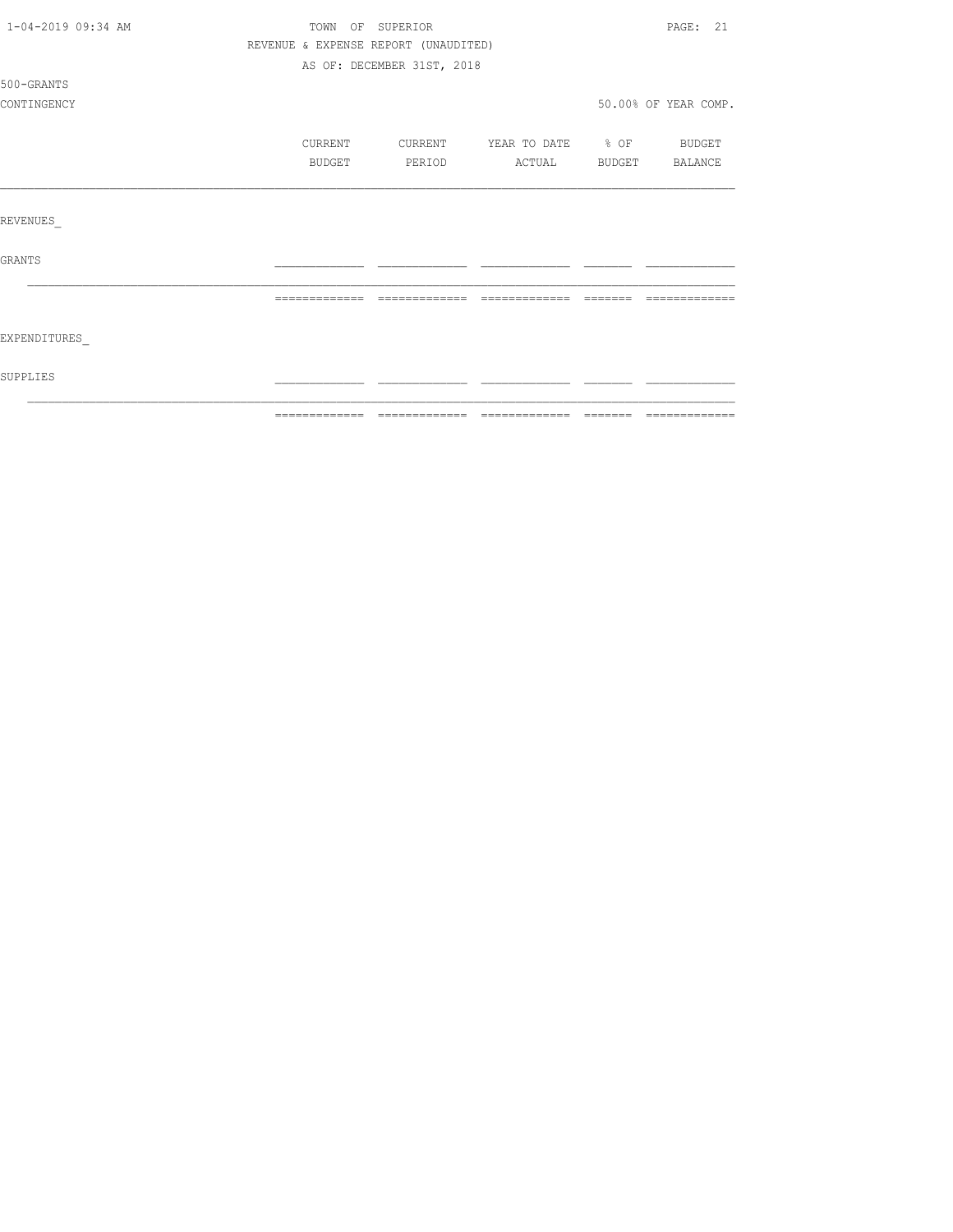| SUPPLIES           |                  |                                      |                   |               |                      |
|--------------------|------------------|--------------------------------------|-------------------|---------------|----------------------|
| EXPENDITURES       |                  |                                      |                   |               |                      |
|                    | =============    | =============                        |                   | --------      | -------------        |
| GRANTS             |                  |                                      |                   |               |                      |
| REVENUES           |                  |                                      |                   |               |                      |
|                    |                  |                                      |                   |               |                      |
|                    | BUDGET           | PERIOD                               | ACTUAL            | <b>BUDGET</b> | BALANCE              |
|                    | CURRENT          | CURRENT                              | YEAR TO DATE % OF |               | <b>BUDGET</b>        |
| CONTINGENCY        |                  |                                      |                   |               | 50.00% OF YEAR COMP. |
| 500-GRANTS         |                  |                                      |                   |               |                      |
|                    |                  | AS OF: DECEMBER 31ST, 2018           |                   |               |                      |
|                    |                  | REVENUE & EXPENSE REPORT (UNAUDITED) |                   |               |                      |
| 1-04-2019 09:34 AM | TOWN OF SUPERIOR |                                      |                   |               | PAGE: 21             |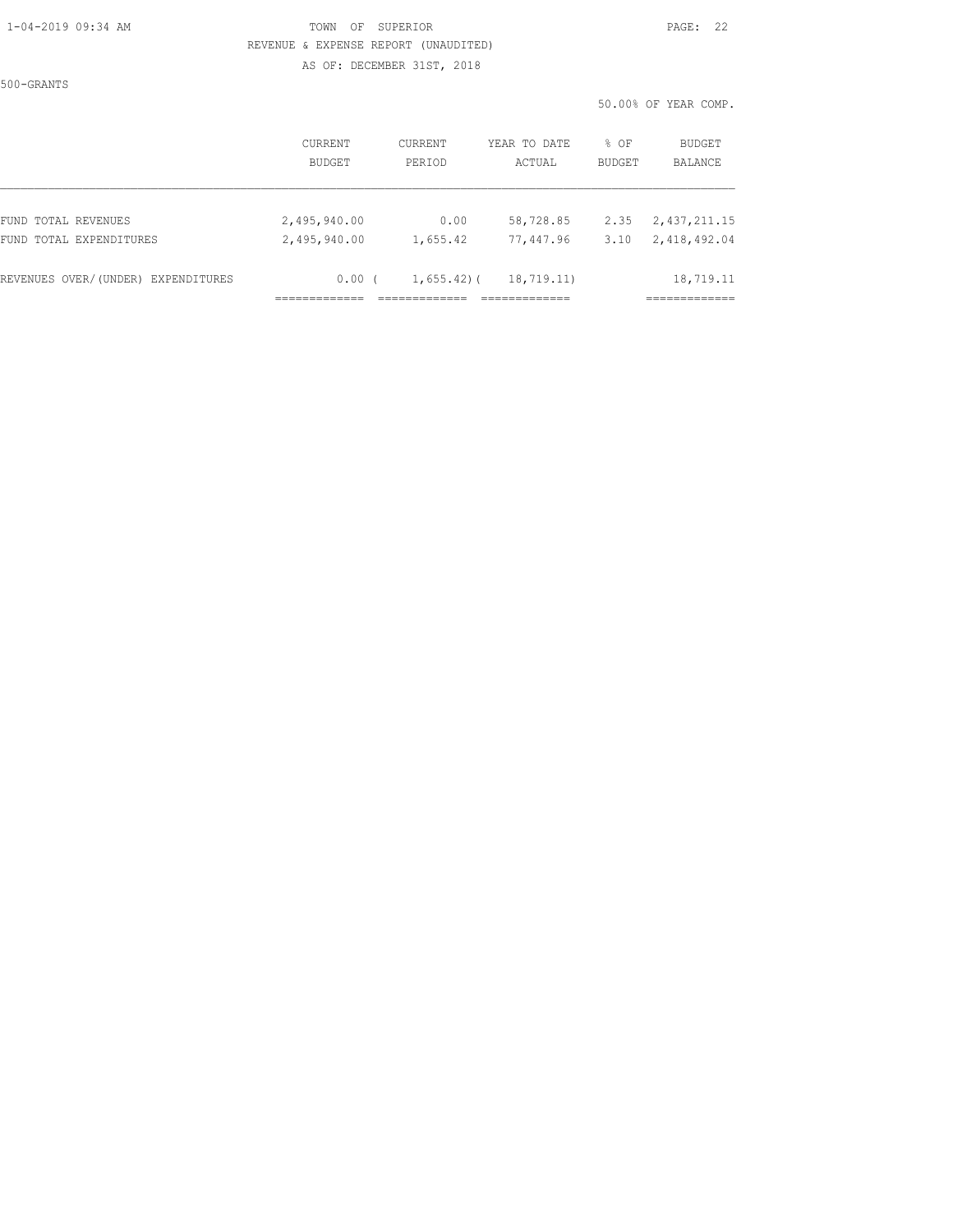## 1-04-2019 09:34 AM TOWN OF SUPERIOR PAGE: 22 REVENUE & EXPENSE REPORT (UNAUDITED)

AS OF: DECEMBER 31ST, 2018

500-GRANTS

50.00% OF YEAR COMP.

|                                    | CURRENT       | CURRENT        | YEAR TO DATE | % OF          | BUDGET       |
|------------------------------------|---------------|----------------|--------------|---------------|--------------|
|                                    | <b>BUDGET</b> | PERIOD         | ACTUAL       | <b>BUDGET</b> | BALANCE      |
| FUND TOTAL REVENUES                | 2,495,940.00  | 0.00           | 58,728.85    | 2.35          | 2,437,211.15 |
| FUND TOTAL EXPENDITURES            | 2,495,940.00  | 1,655.42       | 77,447.96    | 3.10          | 2,418,492.04 |
| REVENUES OVER/(UNDER) EXPENDITURES | 0.00          | $1,655.42$ ) ( | 18,719.11)   |               | 18,719.11    |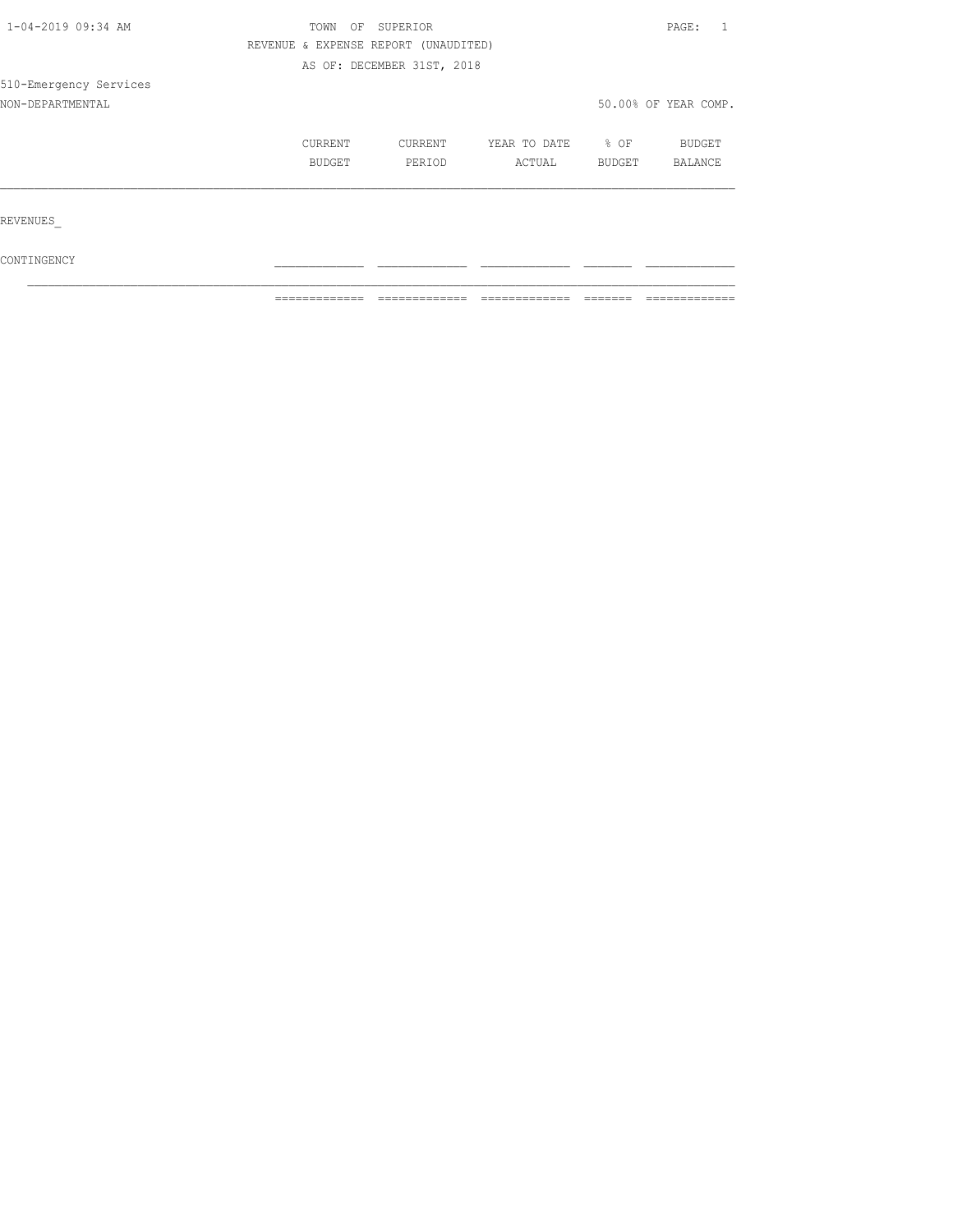| 1-04-2019 09:34 AM     | TOWN<br>OF        | SUPERIOR                             |                        |                | PAGE:                           |  |
|------------------------|-------------------|--------------------------------------|------------------------|----------------|---------------------------------|--|
|                        |                   | REVENUE & EXPENSE REPORT (UNAUDITED) |                        |                |                                 |  |
|                        |                   | AS OF: DECEMBER 31ST, 2018           |                        |                |                                 |  |
| 510-Emergency Services |                   |                                      |                        |                |                                 |  |
| NON-DEPARTMENTAL       |                   |                                      |                        |                | 50.00% OF YEAR COMP.            |  |
|                        | CURRENT<br>BUDGET | CURRENT<br>PERIOD                    | YEAR TO DATE<br>ACTUAL | % OF<br>BUDGET | <b>BUDGET</b><br><b>BALANCE</b> |  |
| REVENUES               |                   |                                      |                        |                |                                 |  |
| CONTINGENCY            |                   |                                      |                        |                |                                 |  |

 $\mathcal{L}_\text{max}$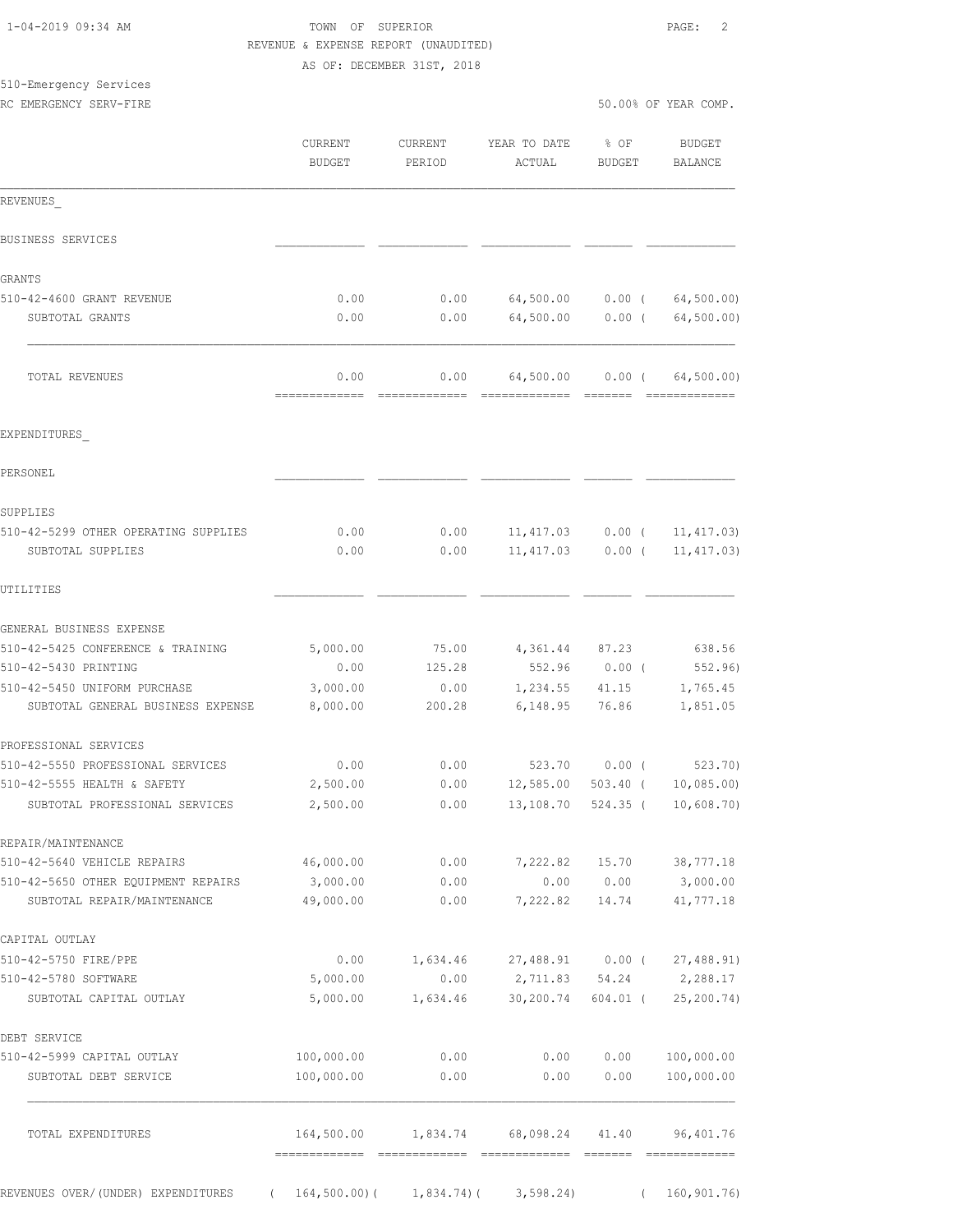|                                                                    |                       | AS OF: DECEMBER 31ST, 2018 |                  |               |                        |
|--------------------------------------------------------------------|-----------------------|----------------------------|------------------|---------------|------------------------|
| 510-Emergency Services                                             |                       |                            |                  |               |                        |
| RC EMERGENCY SERV-FIRE                                             |                       |                            |                  |               | 50.00% OF YEAR COMP.   |
|                                                                    | <b>CURRENT</b>        | CURRENT                    | YEAR TO DATE     | 8 OF          | BUDGET                 |
|                                                                    | <b>BUDGET</b>         | PERIOD                     | ACTUAL           | <b>BUDGET</b> | BALANCE                |
| REVENUES                                                           |                       |                            |                  |               |                        |
| BUSINESS SERVICES                                                  |                       |                            |                  |               |                        |
| GRANTS                                                             |                       |                            |                  |               |                        |
| 510-42-4600 GRANT REVENUE                                          | 0.00                  | 0.00                       | 64,500.00        |               | $0.00$ ( $64,500.00$ ) |
| SUBTOTAL GRANTS                                                    | 0.00                  | 0.00                       | 64,500.00        | $0.00$ (      | 64, 500.00)            |
| TOTAL REVENUES                                                     | 0.00                  | 0.00                       | 64,500.00        |               | 0.00(64,500.00)        |
|                                                                    |                       |                            |                  |               |                        |
| EXPENDITURES                                                       |                       |                            |                  |               |                        |
| PERSONEL                                                           |                       |                            |                  |               |                        |
| SUPPLIES                                                           |                       |                            |                  |               |                        |
| 510-42-5299 OTHER OPERATING SUPPLIES                               | 0.00                  | 0.00                       | 11, 417.03       | $0.00$ (      | 11, 417.03)            |
| SUBTOTAL SUPPLIES                                                  | 0.00                  | 0.00                       | 11, 417.03       | $0.00$ (      | 11, 417.03)            |
| UTILITIES                                                          |                       |                            |                  |               |                        |
| GENERAL BUSINESS EXPENSE                                           |                       |                            |                  |               |                        |
| 510-42-5425 CONFERENCE & TRAINING                                  | 5,000.00              | 75.00                      | 4,361.44 87.23   |               | 638.56                 |
| 510-42-5430 PRINTING                                               | 0.00                  | 125.28                     | 552.96           | $0.00$ (      | 552.96)                |
| 510-42-5450 UNIFORM PURCHASE                                       | 3,000.00              | 0.00                       | 1,234.55 41.15   |               | 1,765.45               |
| SUBTOTAL GENERAL BUSINESS EXPENSE                                  | 8,000.00              | 200.28                     | 6,148.95         | 76.86         | 1,851.05               |
| PROFESSIONAL SERVICES                                              |                       |                            |                  |               |                        |
| 510-42-5550 PROFESSIONAL SERVICES                                  | 0.00                  | 0.00                       | 523.70           | $0.00$ (      | 523.70)                |
| 510-42-5555 HEALTH & SAFETY                                        | 2,500.00              | 0.00                       | 12,585.00        | $503.40$ (    | 10,085.00              |
| SUBTOTAL PROFESSIONAL SERVICES                                     | 2,500.00              | 0.00                       | 13,108.70        | 524.35 (      | 10,608.70)             |
| REPAIR/MAINTENANCE                                                 |                       |                            |                  |               |                        |
| 510-42-5640 VEHICLE REPAIRS                                        | 46,000.00             | 0.00                       | 7,222.82         | 15.70         | 38,777.18              |
| 510-42-5650 OTHER EQUIPMENT REPAIRS<br>SUBTOTAL REPAIR/MAINTENANCE | 3,000.00<br>49,000.00 | 0.00<br>0.00               | 0.00<br>7,222.82 | 0.00<br>14.74 | 3,000.00<br>41,777.18  |
| CAPITAL OUTLAY                                                     |                       |                            |                  |               |                        |
| 510-42-5750 FIRE/PPE                                               | 0.00                  | 1,634.46                   | 27,488.91 0.00 ( |               | 27,488.91)             |
| 510-42-5780 SOFTWARE                                               | 5,000.00              | 0.00                       | 2,711.83         |               | 54.24 2,288.17         |
| SUBTOTAL CAPITAL OUTLAY                                            | 5,000.00              | 1,634.46                   | 30,200.74        | 604.01 (      | 25, 200.74)            |
| DEBT SERVICE                                                       |                       |                            |                  |               |                        |
| 510-42-5999 CAPITAL OUTLAY                                         | 100,000.00            | 0.00                       | 0.00             | 0.00          | 100,000.00             |
| SUBTOTAL DEBT SERVICE                                              | 100,000.00            | 0.00                       | 0.00             | 0.00          | 100,000.00             |

 1-04-2019 09:34 AM TOWN OF SUPERIOR PAGE: 2 REVENUE & EXPENSE REPORT (UNAUDITED)

 TOTAL EXPENDITURES 164,500.00 1,834.74 68,098.24 41.40 96,401.76 ============= ============= ============= ======= ============= REVENUES OVER/(UNDER) EXPENDITURES ( 164,500.00)( 1,834.74)( 3,598.24) ( 160,901.76)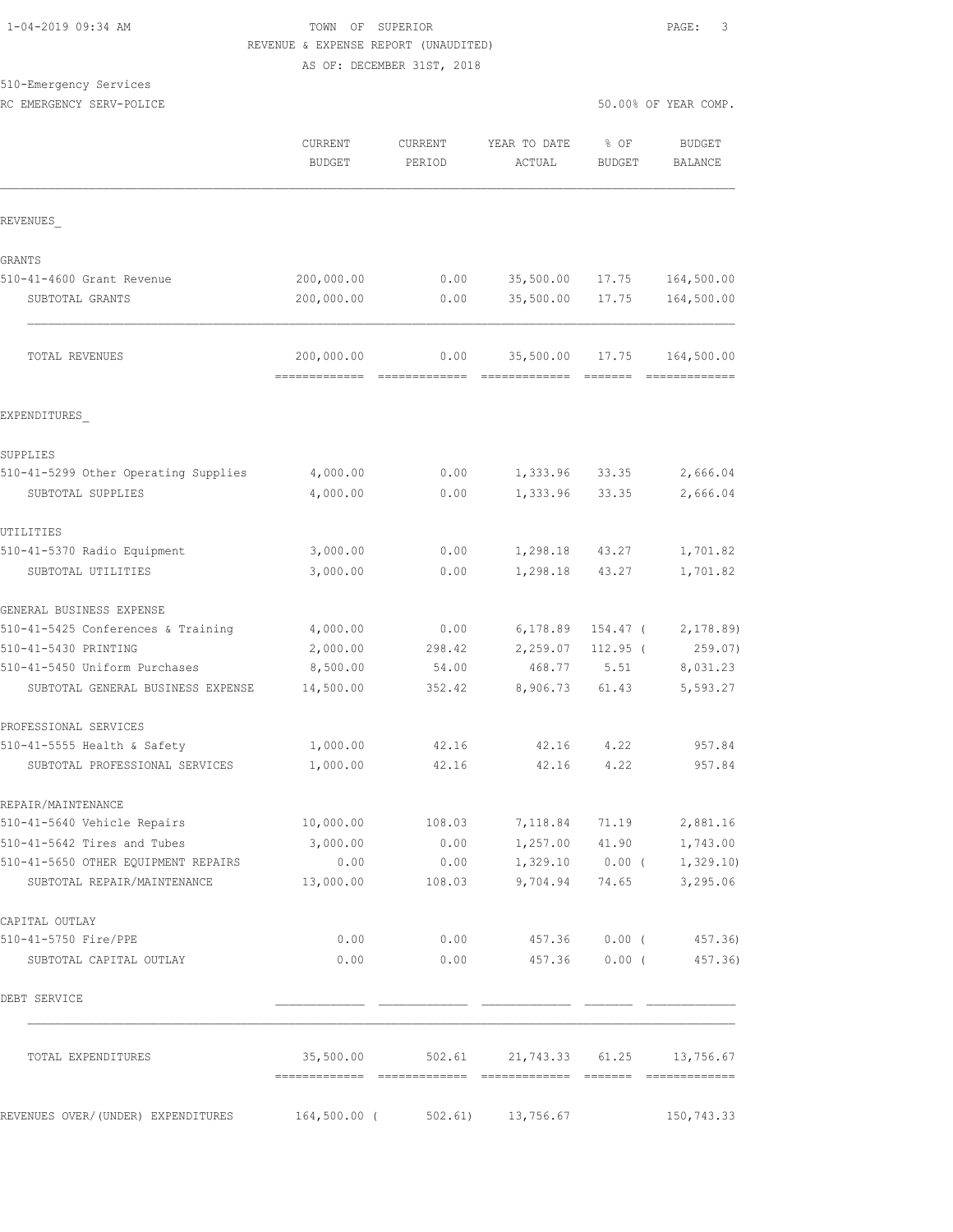## TOWN OF SUPERIOR **Example 2019** PAGE: 3 REVENUE & EXPENSE REPORT (UNAUDITED)

AS OF: DECEMBER 31ST, 2018

## 510-Emergency Services

|                                                                    | <b>CURRENT</b><br><b>BUDGET</b>            | <b>CURRENT</b><br>PERIOD | YEAR TO DATE<br>ACTUAL                     | % OF<br><b>BUDGET</b> | <b>BUDGET</b><br><b>BALANCE</b>         |
|--------------------------------------------------------------------|--------------------------------------------|--------------------------|--------------------------------------------|-----------------------|-----------------------------------------|
| REVENUES                                                           |                                            |                          |                                            |                       |                                         |
| GRANTS                                                             |                                            |                          |                                            |                       |                                         |
| 510-41-4600 Grant Revenue                                          | 200,000.00                                 | 0.00                     | 35,500.00                                  | 17.75                 | 164,500.00                              |
| SUBTOTAL GRANTS                                                    | 200,000.00                                 | 0.00                     | 35,500.00                                  | 17.75                 | 164,500.00                              |
| TOTAL REVENUES                                                     | 200,000.00<br>============================ | 0.00                     | 35,500.00<br>=======================       | 17.75                 | 164,500.00<br>=============             |
| EXPENDITURES                                                       |                                            |                          |                                            |                       |                                         |
| SUPPLIES                                                           |                                            |                          |                                            |                       |                                         |
| 510-41-5299 Other Operating Supplies                               | 4,000.00                                   | 0.00                     | 1,333.96                                   | 33.35                 | 2,666.04                                |
| SUBTOTAL SUPPLIES                                                  | 4,000.00                                   | 0.00                     | 1,333.96                                   | 33.35                 | 2,666.04                                |
| UTILITIES                                                          |                                            |                          |                                            |                       |                                         |
| 510-41-5370 Radio Equipment                                        | 3,000.00                                   | 0.00                     | 1,298.18                                   | 43.27                 | 1,701.82                                |
| SUBTOTAL UTILITIES                                                 | 3,000.00                                   | 0.00                     | 1,298.18                                   | 43.27                 | 1,701.82                                |
| GENERAL BUSINESS EXPENSE                                           |                                            |                          |                                            |                       |                                         |
| 510-41-5425 Conferences & Training                                 | 4,000.00                                   | 0.00                     | 6,178.89                                   | 154.47 (              | 2,178.89                                |
| 510-41-5430 PRINTING                                               | 2,000.00                                   | 298.42                   | 2,259.07                                   | $112.95$ (            | 259.07)                                 |
| 510-41-5450 Uniform Purchases                                      | 8,500.00                                   | 54.00                    | 468.77                                     | 5.51                  | 8,031.23                                |
| SUBTOTAL GENERAL BUSINESS EXPENSE                                  | 14,500.00                                  | 352.42                   | 8,906.73                                   | 61.43                 | 5,593.27                                |
| PROFESSIONAL SERVICES                                              |                                            |                          |                                            |                       |                                         |
| 510-41-5555 Health & Safety                                        | 1,000.00                                   | 42.16                    | 42.16                                      | 4.22                  | 957.84                                  |
| SUBTOTAL PROFESSIONAL SERVICES                                     | 1,000.00                                   | 42.16                    | 42.16                                      | 4.22                  | 957.84                                  |
| REPAIR/MAINTENANCE                                                 |                                            |                          |                                            |                       |                                         |
| 510-41-5640 Vehicle Repairs                                        | 10,000.00                                  | 108.03                   |                                            | 7, 118.84 71.19       | 2,881.16                                |
| 510-41-5642 Tires and Tubes                                        | 3,000.00                                   | 0.00                     |                                            | 1,257.00 41.90        | 1,743.00                                |
| 510-41-5650 OTHER EQUIPMENT REPAIRS<br>SUBTOTAL REPAIR/MAINTENANCE | 0.00<br>13,000.00                          | 0.00<br>108.03           | 9,704.94                                   | 74.65                 | $1,329.10$ 0.00 ( 1,329.10)<br>3,295.06 |
| CAPITAL OUTLAY                                                     |                                            |                          |                                            |                       |                                         |
| 510-41-5750 Fire/PPE                                               | 0.00                                       | 0.00                     |                                            | 457.36 0.00 (         | 457.36)                                 |
| SUBTOTAL CAPITAL OUTLAY                                            | 0.00                                       | 0.00                     |                                            | 457.36 0.00 (         | 457.36)                                 |
| DEBT SERVICE                                                       |                                            |                          |                                            |                       |                                         |
| TOTAL EXPENDITURES                                                 |                                            |                          | 35,500.00 502.61 21,743.33 61.25 13,756.67 |                       |                                         |
| REVENUES OVER/ (UNDER) EXPENDITURES                                | 164,500.00 (                               | 502.61)                  | 13,756.67                                  |                       | 150,743.33                              |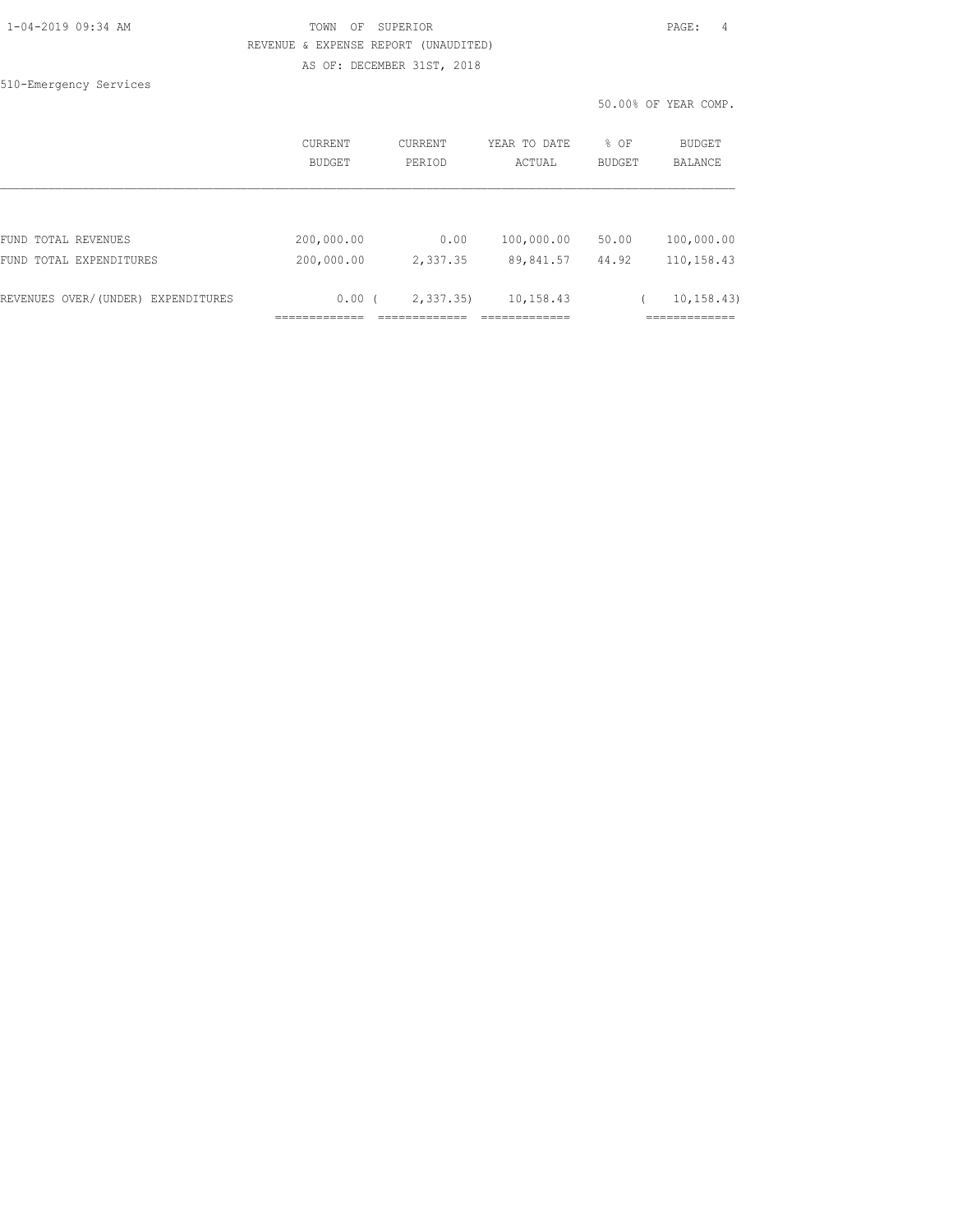|  | 1-04-2019 09:34 AM |  |
|--|--------------------|--|
|  |                    |  |

#### TOWN OF SUPERIOR **PAGE:** 4 REVENUE & EXPENSE REPORT (UNAUDITED) AS OF: DECEMBER 31ST, 2018

510-Emergency Services

50.00% OF YEAR COMP.

|                                    | CURRENT<br>BUDGET | <b>CURRENT</b><br>PERIOD | YEAR TO DATE<br>ACTUAL | % OF<br><b>BUDGET</b> | <b>BUDGET</b><br><b>BALANCE</b> |
|------------------------------------|-------------------|--------------------------|------------------------|-----------------------|---------------------------------|
|                                    |                   |                          |                        |                       |                                 |
| FUND TOTAL REVENUES                | 200,000.00        | 0.00                     | 100,000.00             | 50.00                 | 100,000.00                      |
| FUND TOTAL EXPENDITURES            | 200,000.00        | 2,337.35                 | 89,841.57              | 44.92                 | 110,158.43                      |
| REVENUES OVER/(UNDER) EXPENDITURES | 0.00(             | 2, 337.35                | 10,158.43              |                       | 10, 158.43                      |
|                                    |                   |                          |                        |                       |                                 |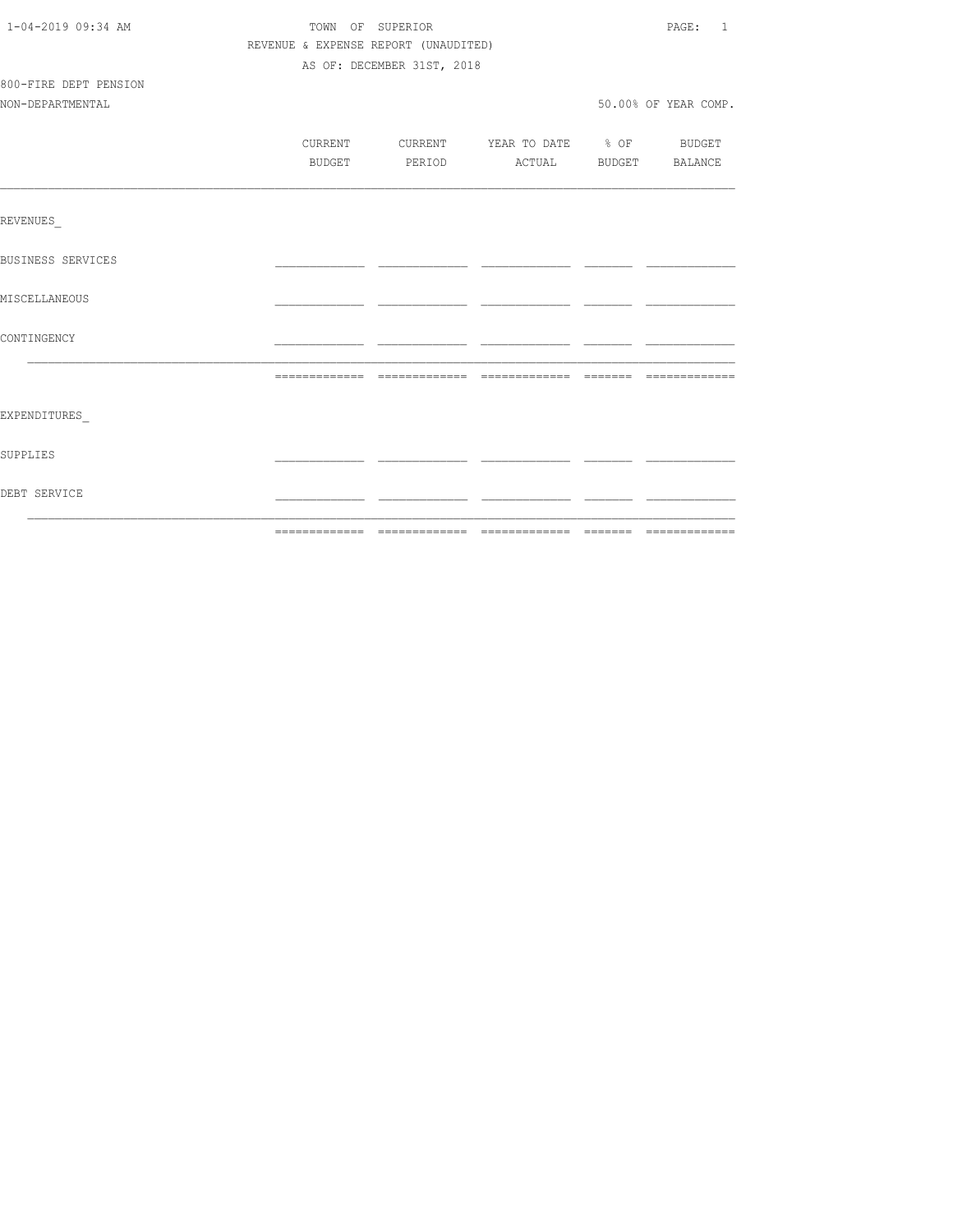| DEBT SERVICE          |                                      |                  |                            |                                                                          |  |                      |
|-----------------------|--------------------------------------|------------------|----------------------------|--------------------------------------------------------------------------|--|----------------------|
| SUPPLIES              |                                      |                  |                            |                                                                          |  |                      |
| EXPENDITURES          |                                      |                  |                            |                                                                          |  |                      |
|                       |                                      |                  |                            |                                                                          |  |                      |
| CONTINGENCY           |                                      |                  |                            |                                                                          |  |                      |
| MISCELLANEOUS         |                                      |                  |                            |                                                                          |  |                      |
| BUSINESS SERVICES     |                                      |                  |                            |                                                                          |  |                      |
| REVENUES              |                                      |                  |                            |                                                                          |  |                      |
|                       |                                      |                  |                            |                                                                          |  |                      |
|                       |                                      | BUDGET           |                            | CURRENT CURRENT YEAR TO DATE % OF BUDGET<br>PERIOD ACTUAL BUDGET BALANCE |  |                      |
| NON-DEPARTMENTAL      |                                      |                  |                            |                                                                          |  | 50.00% OF YEAR COMP. |
| 800-FIRE DEPT PENSION |                                      |                  |                            |                                                                          |  |                      |
|                       |                                      |                  | AS OF: DECEMBER 31ST, 2018 |                                                                          |  |                      |
|                       | REVENUE & EXPENSE REPORT (UNAUDITED) |                  |                            |                                                                          |  |                      |
| 1-04-2019 09:34 AM    |                                      | TOWN OF SUPERIOR |                            |                                                                          |  | PAGE: 1              |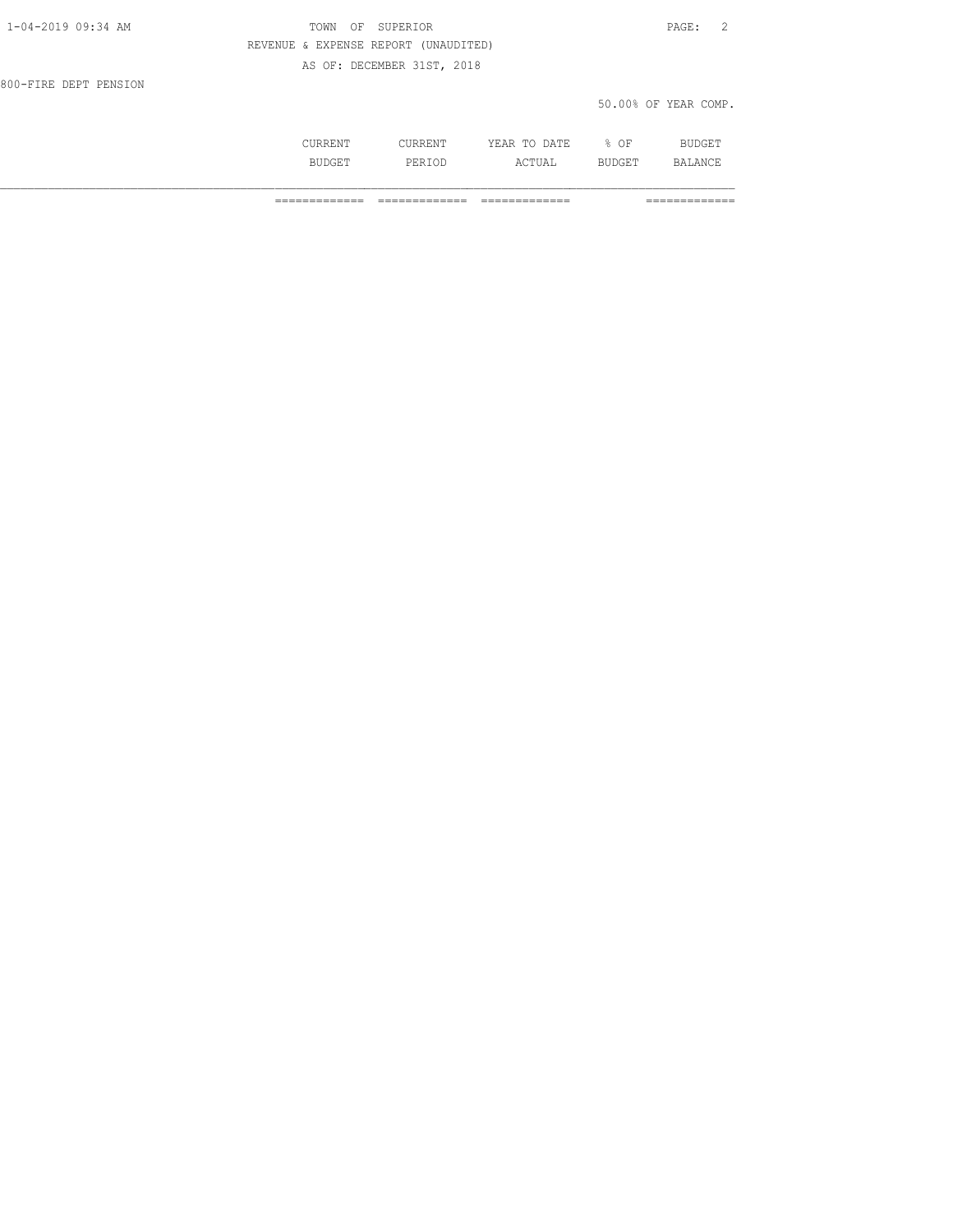| 1-04-2019 09:34 AM    | TOWN OF SUPERIOR                     | PAGE: 2              |
|-----------------------|--------------------------------------|----------------------|
|                       | REVENUE & EXPENSE REPORT (UNAUDITED) |                      |
|                       | AS OF: DECEMBER 31ST, 2018           |                      |
| 800-FIRE DEPT PENSION |                                      |                      |
|                       |                                      | 50.00% OF YEAR COMP. |
|                       |                                      |                      |

 CURRENT CURRENT YEAR TO DATE % OF BUDGET BUDGET PERIOD ACTUAL BUDGET BALANCE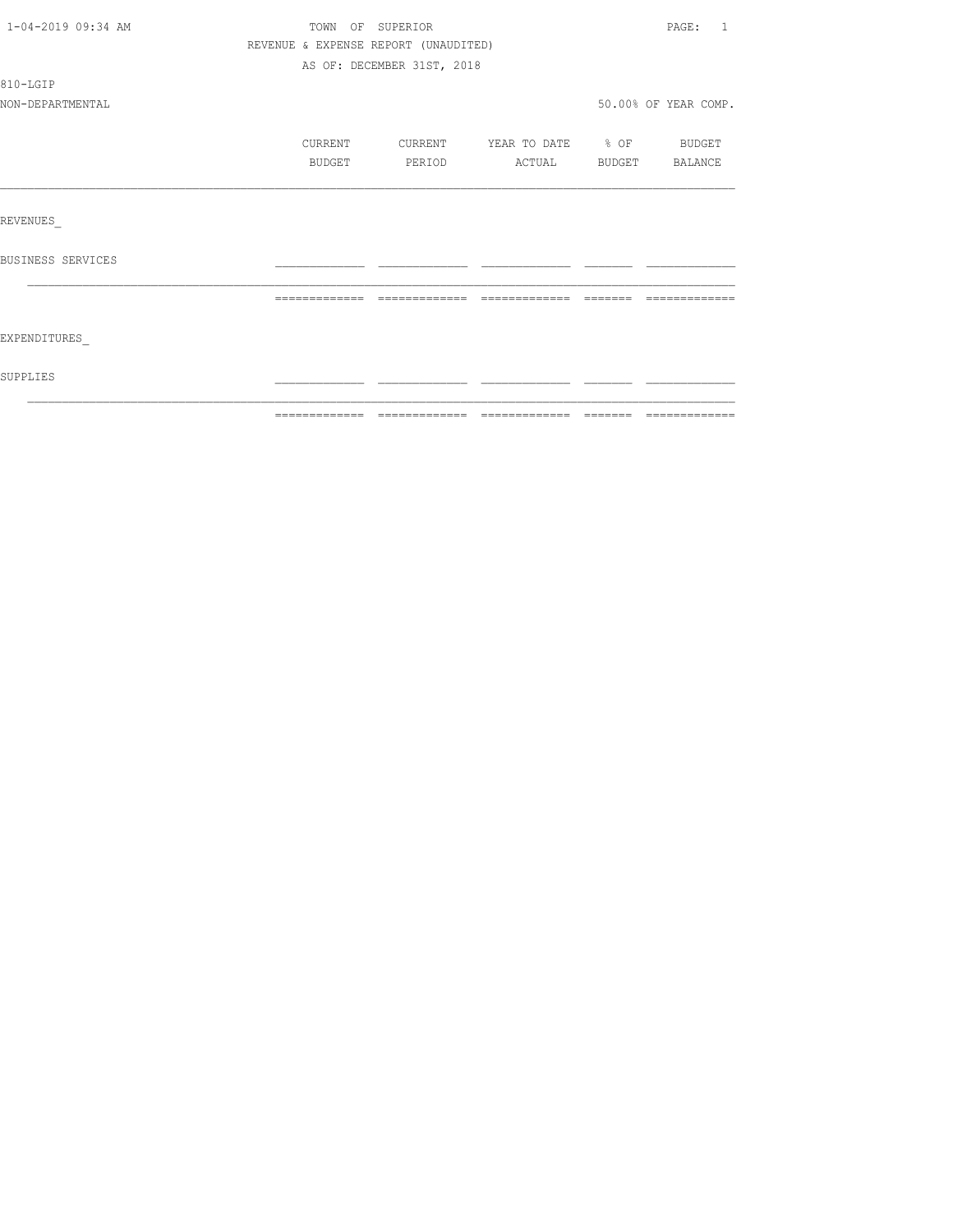| 1-04-2019 09:34 AM | TOWN OF SUPERIOR                     |                            |                          | PAGE: 1              |
|--------------------|--------------------------------------|----------------------------|--------------------------|----------------------|
|                    | REVENUE & EXPENSE REPORT (UNAUDITED) |                            |                          |                      |
|                    |                                      | AS OF: DECEMBER 31ST, 2018 |                          |                      |
| 810-LGIP           |                                      |                            |                          |                      |
| NON-DEPARTMENTAL   |                                      |                            |                          | 50.00% OF YEAR COMP. |
|                    | CURRENT                              | CURRENT                    | YEAR TO DATE % OF BUDGET |                      |
|                    | BUDGET                               | PERIOD                     | <b>ACTUAL</b>            | BUDGET BALANCE       |
|                    |                                      |                            |                          |                      |
| REVENUES           |                                      |                            |                          |                      |
| BUSINESS SERVICES  |                                      |                            |                          |                      |
|                    | =============                        | =============              |                          |                      |
| EXPENDITURES       |                                      |                            |                          |                      |
| SUPPLIES           |                                      |                            |                          |                      |
|                    |                                      |                            |                          |                      |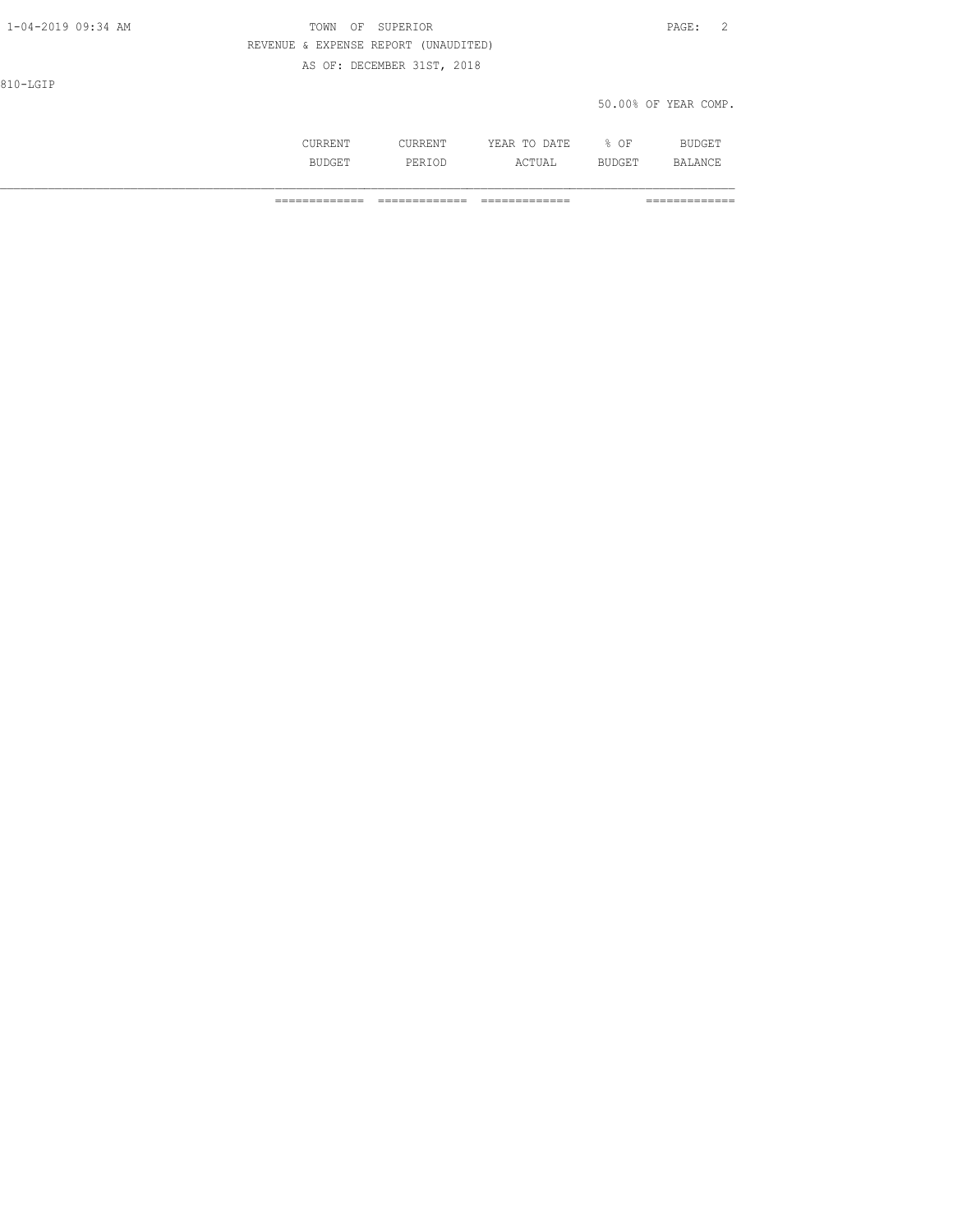| ٠        |  |
|----------|--|
| . .<br>- |  |

#### 1-04-2019 09:34 AM TOWN OF SUPERIOR PAGE: 2 REVENUE & EXPENSE REPORT (UNAUDITED)

AS OF: DECEMBER 31ST, 2018

810-LGIP

#### 50.00% OF YEAR COMP.

|     | the contract of the contract of the contract of the contract of the contract of the contract of the contract of | ١F<br>◡∸ |  |
|-----|-----------------------------------------------------------------------------------------------------------------|----------|--|
| ی د | .                                                                                                               |          |  |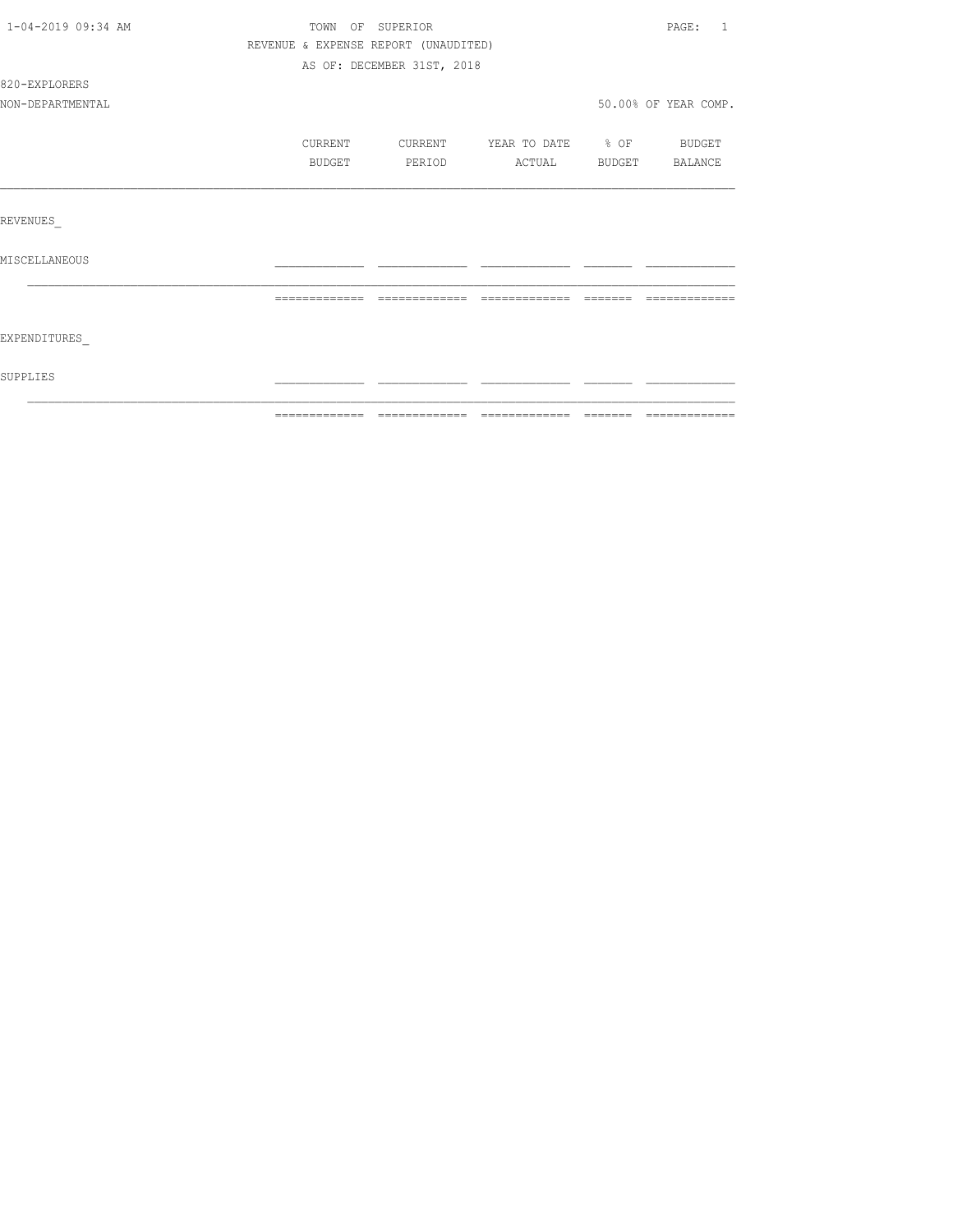| 1-04-2019 09:34 AM |               | TOWN OF SUPERIOR                     |                   |                | PAGE: 1              |
|--------------------|---------------|--------------------------------------|-------------------|----------------|----------------------|
|                    |               | REVENUE & EXPENSE REPORT (UNAUDITED) |                   |                |                      |
|                    |               | AS OF: DECEMBER 31ST, 2018           |                   |                |                      |
| 820-EXPLORERS      |               |                                      |                   |                |                      |
| NON-DEPARTMENTAL   |               |                                      |                   |                | 50.00% OF YEAR COMP. |
|                    | CURRENT       | CURRENT                              | YEAR TO DATE % OF |                | BUDGET               |
|                    | BUDGET        | PERIOD                               | ACTUAL            | BUDGET BALANCE |                      |
|                    |               |                                      |                   |                |                      |
| REVENUES           |               |                                      |                   |                |                      |
| MISCELLANEOUS      |               |                                      |                   |                |                      |
|                    | ============= | =============                        | =============     | --------       | -------------        |
|                    |               |                                      |                   |                |                      |
| EXPENDITURES       |               |                                      |                   |                |                      |
| SUPPLIES           |               |                                      |                   |                |                      |
|                    |               |                                      |                   |                |                      |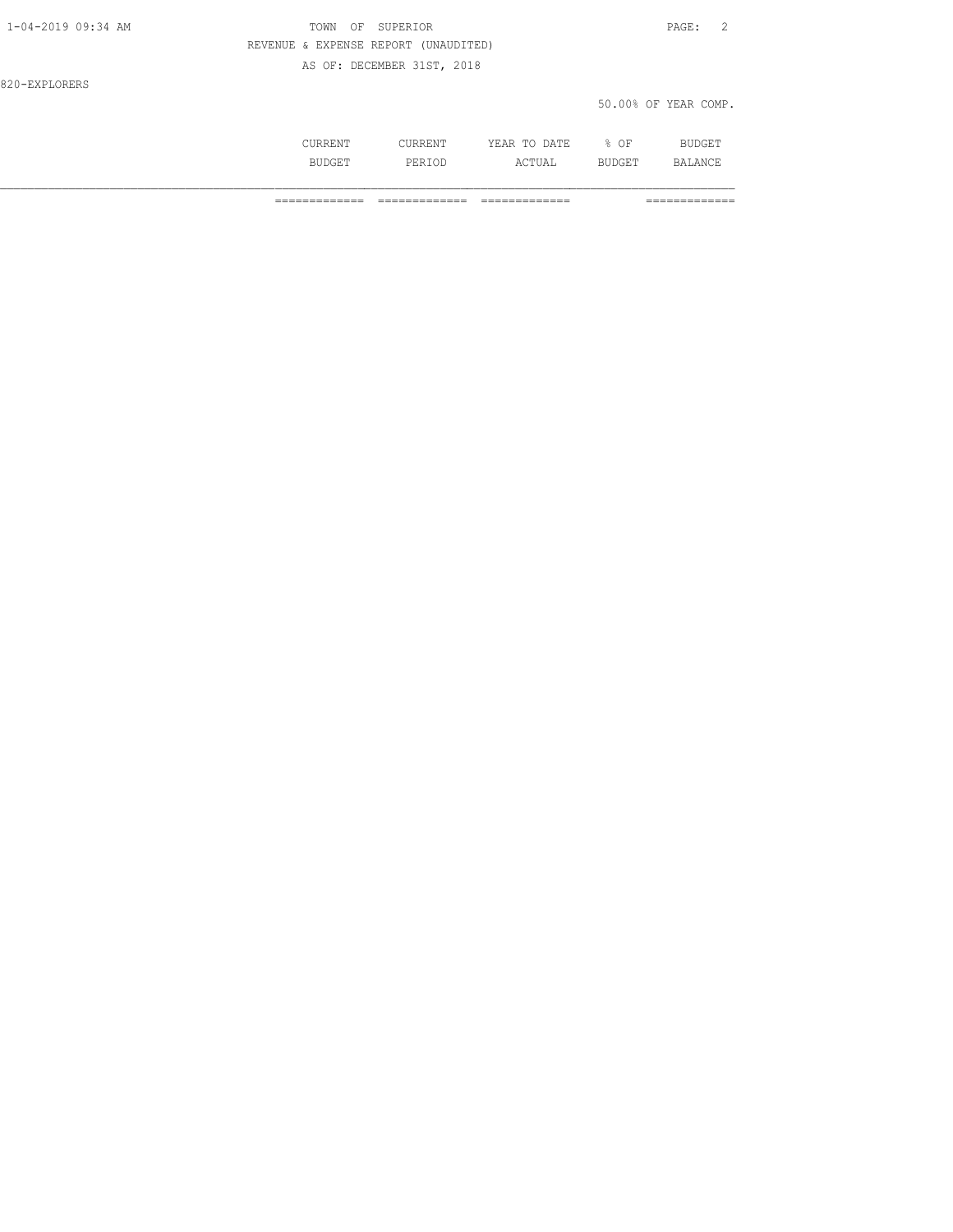| 1-04-2019 09:34 AM | TOWN<br>OF SUPERIOR                  | PAGE:                |
|--------------------|--------------------------------------|----------------------|
|                    | REVENUE & EXPENSE REPORT (UNAUDITED) |                      |
|                    | AS OF: DECEMBER 31ST, 2018           |                      |
| 820-EXPLORERS      |                                      |                      |
|                    |                                      | 50.00% OF YEAR COMP. |
|                    |                                      |                      |

 CURRENT CURRENT YEAR TO DATE % OF BUDGET BUDGET PERIOD ACTUAL BUDGET BALANCE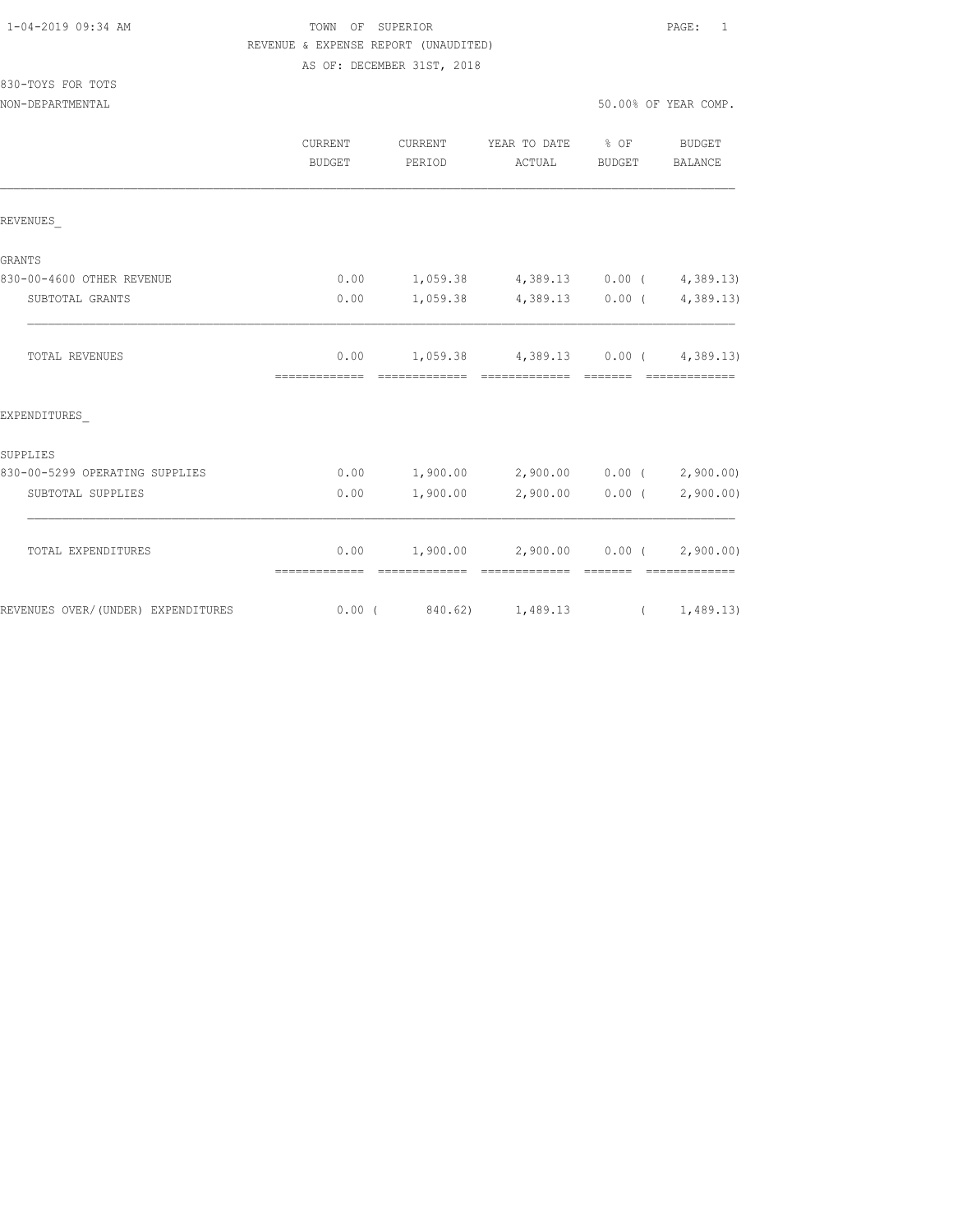| 1-04-2019 09:34 AM |
|--------------------|
|--------------------|

TOWN OF SUPERIOR **PAGE:** 1 REVENUE & EXPENSE REPORT (UNAUDITED) AS OF: DECEMBER 31ST, 2018

# 830-TOYS FOR TOTS

| NON-DEPARTMENTAL               |                |               |                                              |        | 50.00% OF YEAR COMP.     |
|--------------------------------|----------------|---------------|----------------------------------------------|--------|--------------------------|
|                                | <b>CURRENT</b> | CURRENT       | YEAR TO DATE % OF                            |        | BUDGET                   |
|                                | BUDGET         | PERIOD        | ACTUAL                                       | BUDGET | BALANCE                  |
| REVENUES                       |                |               |                                              |        |                          |
| <b>GRANTS</b>                  |                |               |                                              |        |                          |
| 830-00-4600 OTHER REVENUE      | 0.00           |               | $1,059.38$ $4,389.13$ $0.00$ ( $4,389.13$ )  |        |                          |
| SUBTOTAL GRANTS                | 0.00           |               | $1,059.38$ $4,389.13$ $0.00$ ( $4,389.13$ )  |        |                          |
| TOTAL REVENUES                 |                |               | $0.00$ 1, 059.38 4, 389.13 0.00 ( 4, 389.13) |        |                          |
| EXPENDITURES                   |                |               |                                              |        |                          |
| SUPPLIES                       |                |               |                                              |        |                          |
| 830-00-5299 OPERATING SUPPLIES | 0.00           |               | $1,900.00$ $2,900.00$ $0.00$ $($ $2,900.00)$ |        |                          |
| SUBTOTAL SUPPLIES              | 0.00           | 1,900.00      |                                              |        | 2,900.00 0.00 (2,900.00) |
| TOTAL EXPENDITURES             | 0.00           |               | $1,900.00$ $2,900.00$ $0.00$ $(2,900.00)$    |        |                          |
|                                | -------------- | ============= | eccessessess essess                          |        | =============            |

REVENUES OVER/(UNDER) EXPENDITURES 0.00 ( 840.62) 1,489.13 ( 1,489.13)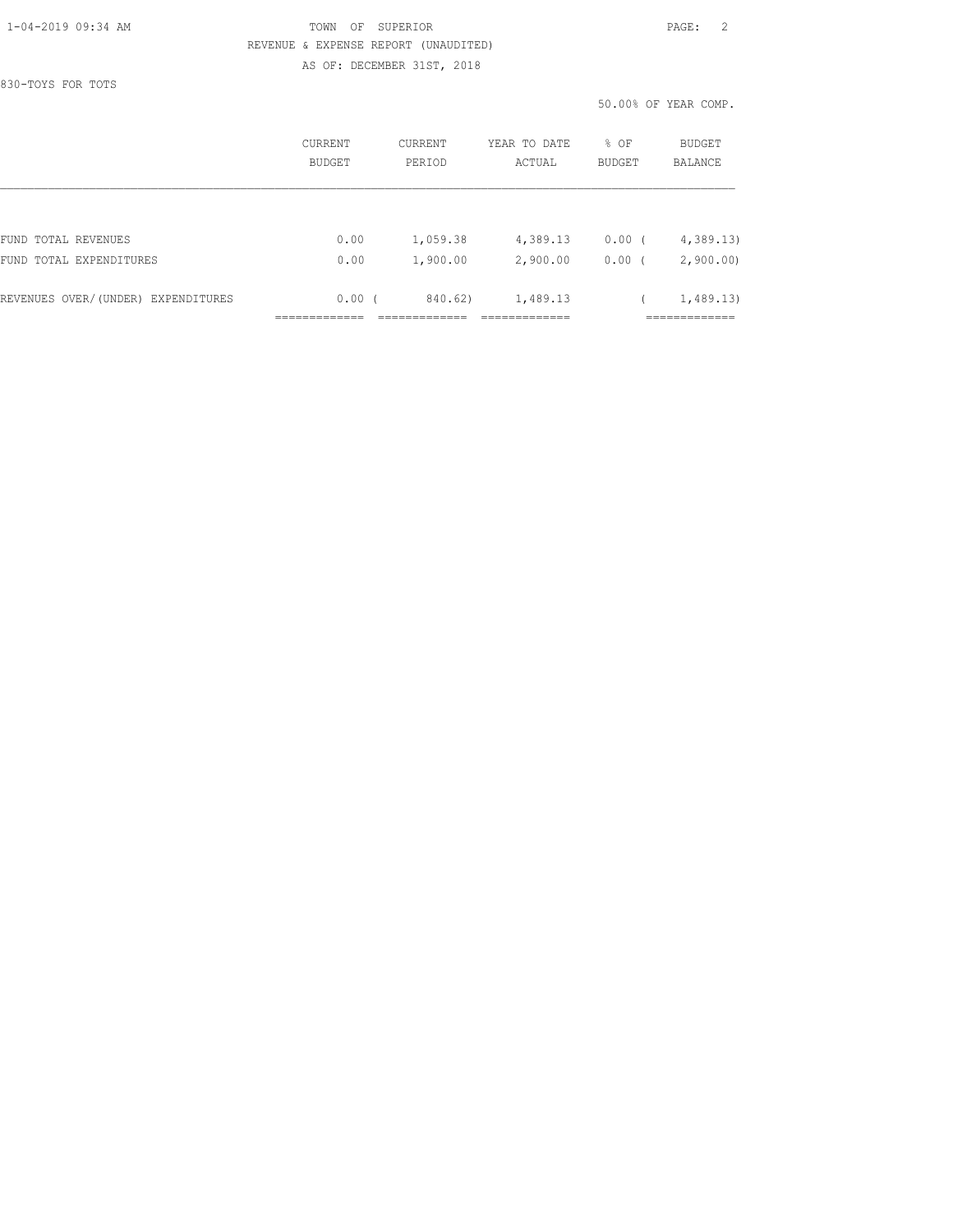830-TOYS FOR TOTS

#### 1-04-2019 09:34 AM TOWN OF SUPERIOR PAGE: 2 REVENUE & EXPENSE REPORT (UNAUDITED) AS OF: DECEMBER 31ST, 2018

50.00% OF YEAR COMP.

|                                    | CURRENT<br>BUDGET | <b>CURRENT</b><br>PERIOD | YEAR TO DATE<br>ACTUAL | % OF<br><b>BUDGET</b> | BUDGET<br>BALANCE |
|------------------------------------|-------------------|--------------------------|------------------------|-----------------------|-------------------|
|                                    |                   |                          |                        |                       |                   |
| FUND TOTAL REVENUES                | 0.00              | 1,059.38                 | 4,389.13               | 0.00(                 | 4,389.13          |
| FUND TOTAL EXPENDITURES            | 0.00              | 1,900.00                 | 2,900.00               | 0.00                  | 2,900.00          |
| REVENUES OVER/(UNDER) EXPENDITURES | 0.00(             | 840.62)                  | 1,489.13               |                       | 1,489.13)         |
|                                    |                   |                          |                        |                       | _________         |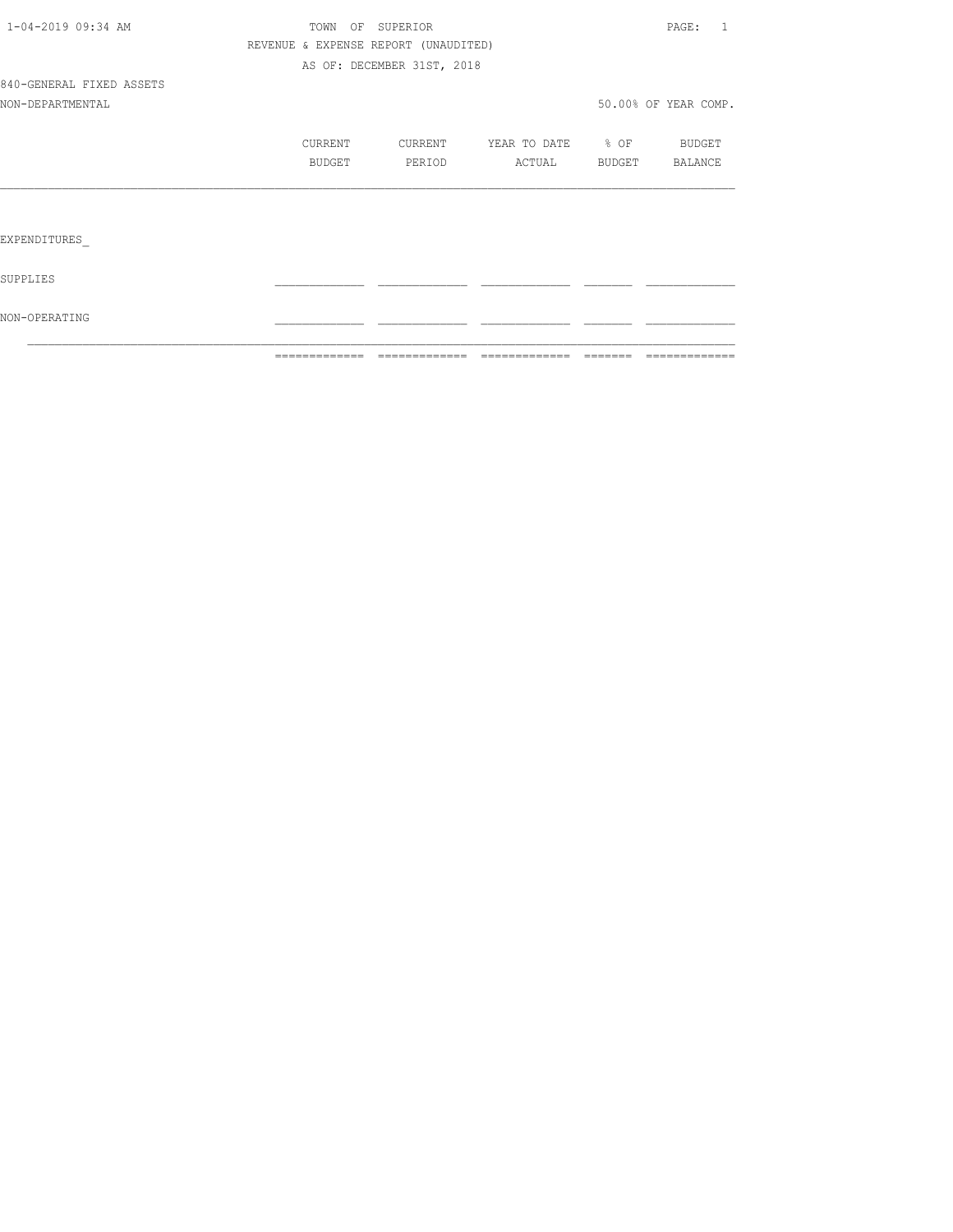|                          |                                      | -------------- -------------- | =============             | ------- | =============        |
|--------------------------|--------------------------------------|-------------------------------|---------------------------|---------|----------------------|
| NON-OPERATING            |                                      |                               |                           |         |                      |
| SUPPLIES                 |                                      |                               |                           |         |                      |
| EXPENDITURES             |                                      |                               |                           |         |                      |
|                          |                                      |                               |                           |         |                      |
|                          | BUDGET                               | PERIOD                        | ACTUAL                    | BUDGET  | BALANCE              |
|                          | CURRENT                              |                               | CURRENT YEAR TO DATE % OF |         | <b>BUDGET</b>        |
| NON-DEPARTMENTAL         |                                      |                               |                           |         | 50.00% OF YEAR COMP. |
| 840-GENERAL FIXED ASSETS |                                      |                               |                           |         |                      |
|                          |                                      | AS OF: DECEMBER 31ST, 2018    |                           |         |                      |
|                          | REVENUE & EXPENSE REPORT (UNAUDITED) |                               |                           |         |                      |
| 1-04-2019 09:34 AM       |                                      | TOWN OF SUPERIOR              |                           |         | PAGE: 1              |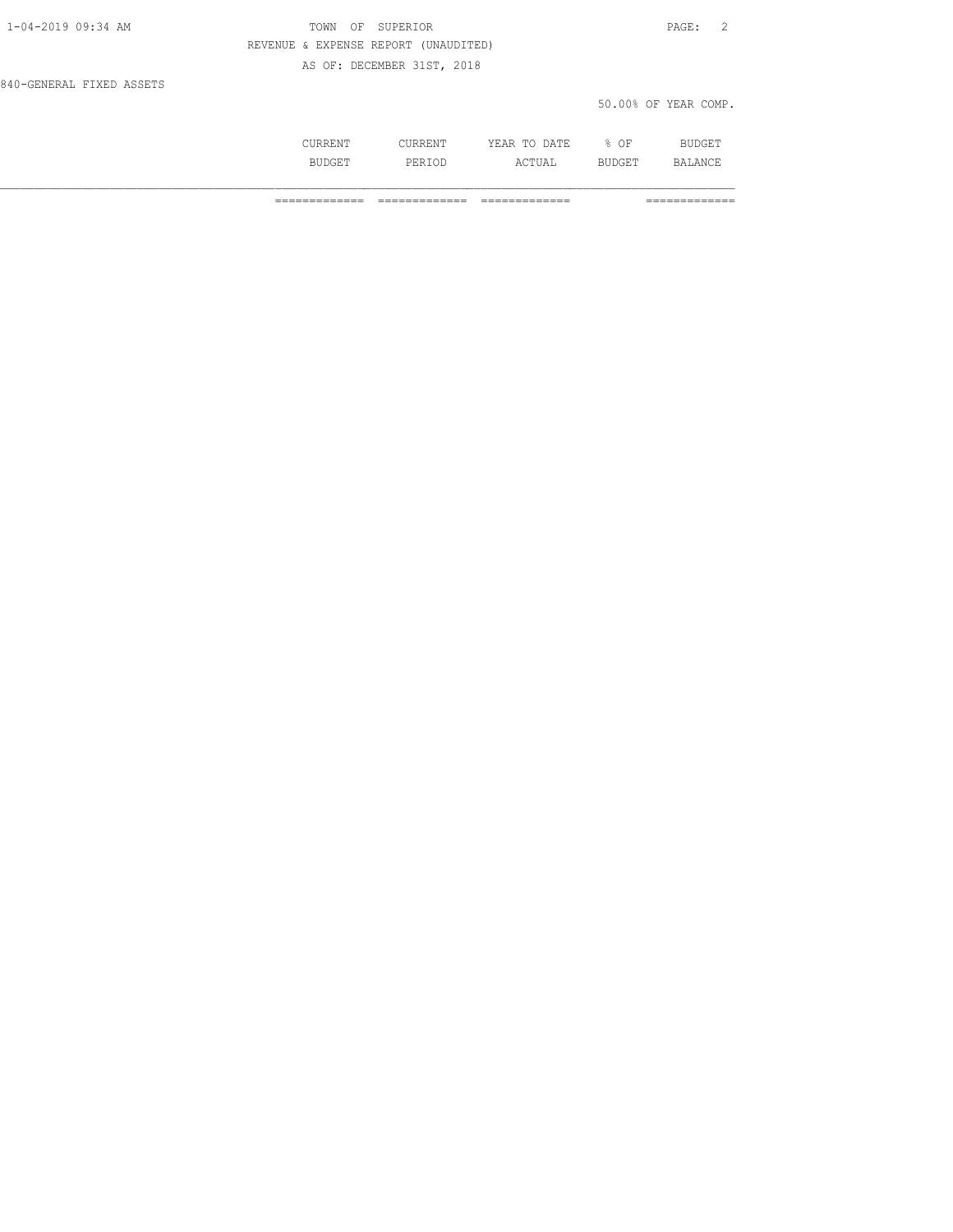| 1-04-2019 09:34 AM       | OF SUPERIOR<br>TOWN                  | PAGE: 2              |
|--------------------------|--------------------------------------|----------------------|
|                          | REVENUE & EXPENSE REPORT (UNAUDITED) |                      |
|                          | AS OF: DECEMBER 31ST, 2018           |                      |
| 840-GENERAL FIXED ASSETS |                                      |                      |
|                          |                                      | 50.00% OF YEAR COMP. |

| .       | $\overline{A}$<br>----<br>-- | ΟF<br>- |  |
|---------|------------------------------|---------|--|
| ۰ تا ۱۰ | ----                         | ---     |  |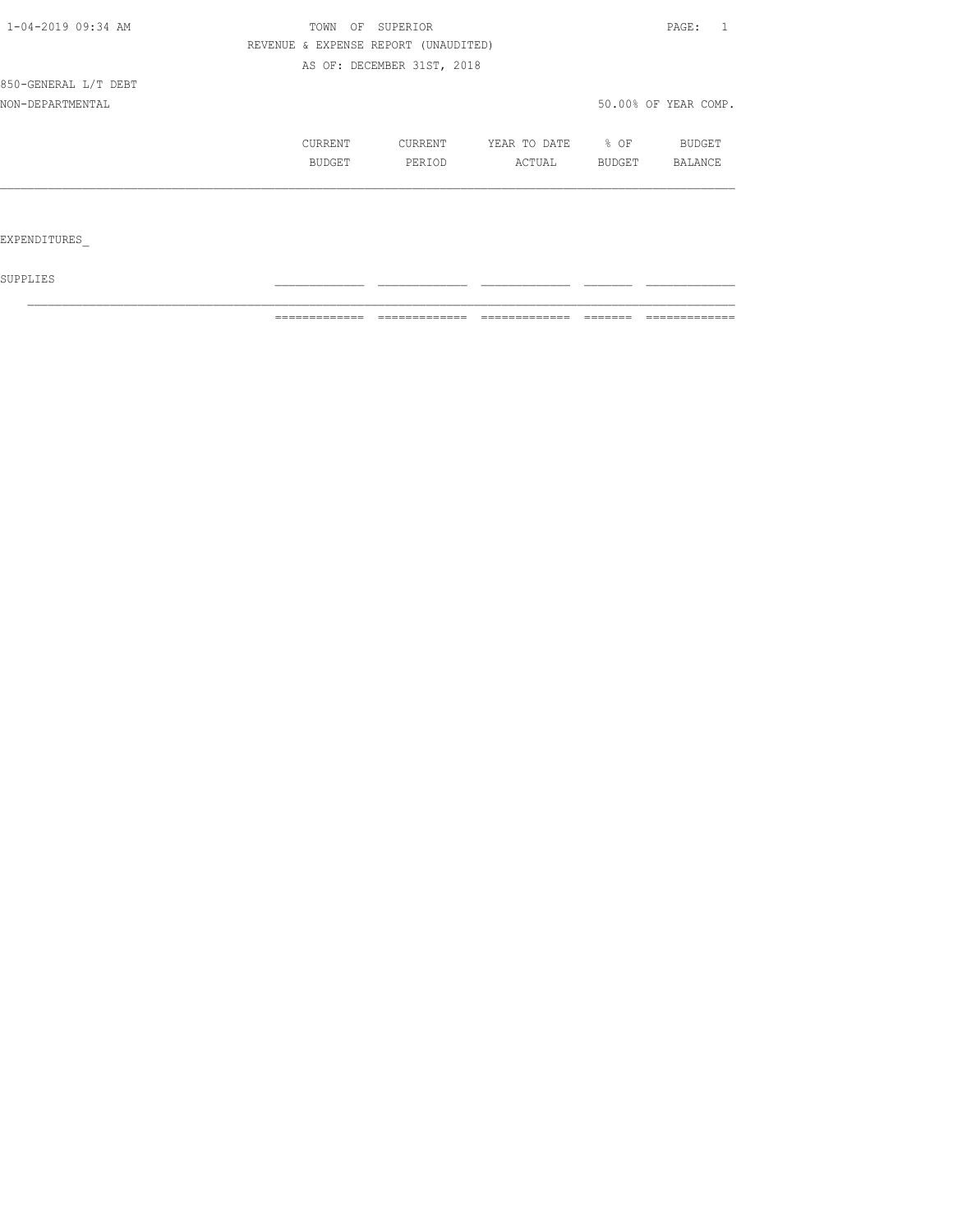| 1-04-2019 09:34 AM   | SUPERIOR<br>TOWN<br>OF |                                      |              |        | PAGE:                |  |
|----------------------|------------------------|--------------------------------------|--------------|--------|----------------------|--|
|                      |                        | REVENUE & EXPENSE REPORT (UNAUDITED) |              |        |                      |  |
|                      |                        | AS OF: DECEMBER 31ST, 2018           |              |        |                      |  |
| 850-GENERAL L/T DEBT |                        |                                      |              |        |                      |  |
| NON-DEPARTMENTAL     |                        |                                      |              |        | 50.00% OF YEAR COMP. |  |
|                      | CURRENT                | CURRENT                              | YEAR TO DATE | % OF   | BUDGET               |  |
|                      | BUDGET                 | PERIOD                               | ACTUAL       | BUDGET | BALANCE              |  |
|                      |                        |                                      |              |        |                      |  |
|                      |                        |                                      |              |        |                      |  |
| EXPENDITURES         |                        |                                      |              |        |                      |  |
|                      |                        |                                      |              |        |                      |  |

 ${\tt SUPPLIES}$